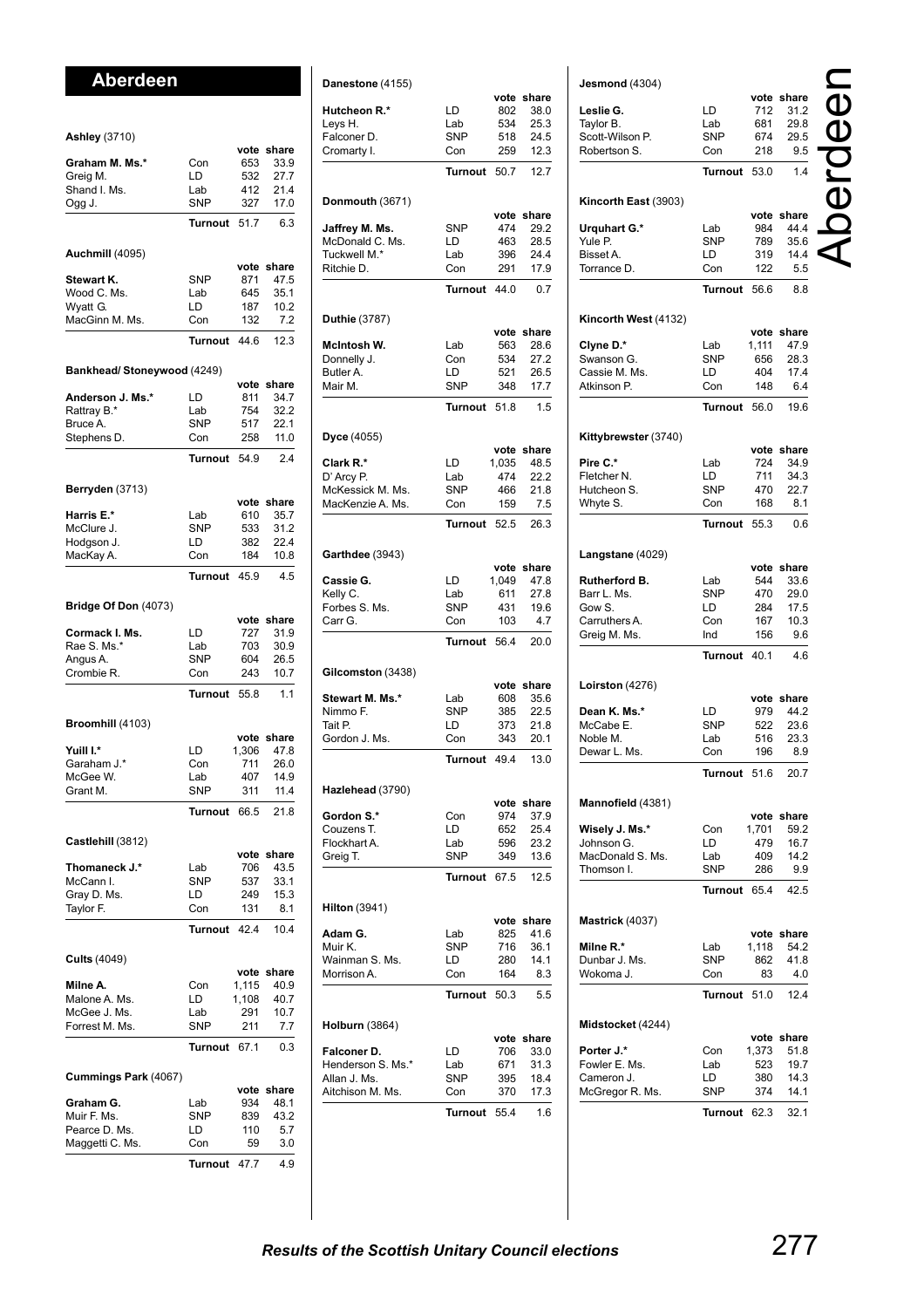# **Aberdeen**

| <b>Ashley</b> (3710)       |                   |               |                    |
|----------------------------|-------------------|---------------|--------------------|
|                            |                   |               | vote share         |
| Graham M. Ms.*             | Con               | 653           | 33.9               |
| Greig M.                   | LD                | 532<br>412    | 27.7<br>21.4       |
| Shand I. Ms.<br>Ogg J.     | Lab<br><b>SNP</b> | 327           | 17.0               |
|                            | <b>Turnout</b>    | 51.7          | 6.3                |
|                            |                   |               |                    |
| Auchmill (4095)            |                   | vote          | share              |
| Stewart K.                 | <b>SNP</b>        | 871           | 47.5               |
| Wood C. Ms.<br>Wyatt G.    | Lab<br>LD         | 645<br>187    | 35.1<br>10.2       |
| MacGinn M. Ms.             | Con               | 132           | 7.2                |
|                            | Turnout           | 44.6          | 12.3               |
|                            |                   |               |                    |
| Bankhead/Stoneywood (4249) |                   | vote          | share              |
| Anderson J. Ms.*           | LD                | 811           | 34.7               |
| Rattray B.*<br>Bruce A.    | Lab<br><b>SNP</b> | 754           | 32.2<br>22.1       |
| Stephens D.                | Con               | 517<br>258    | 11.0               |
|                            | <b>Turnout</b>    | 54.9          | 2.4                |
|                            |                   |               |                    |
| Berryden (3713)            |                   | vote          | share              |
| Harris E.*                 | Lab               | 610           | 35.7               |
| McClure J.                 | <b>SNP</b>        | 533           | 31.2               |
| Hodgson J.                 | LD                | 382           | 22.4               |
| MacKay A.                  | Con               | 184           | 10.8               |
|                            | Turnout           | 45.9          | 4.5                |
| Bridge Of Don (4073)       |                   |               |                    |
| Cormack I. Ms.             | LD                | vote<br>727   | share<br>31.9      |
| Rae S. Ms.*                | Lab               | 703           | 30.9               |
| Angus A.                   | <b>SNP</b>        | 604           | 26.5               |
| Crombie R.                 | Con               | 243           | 10.7               |
|                            | Turnout           | 55.8          | 1.1                |
| Broomhill (4103)           |                   |               |                    |
| Yuill I.*                  | LD                | vote<br>1,306 | share<br>47.8      |
| Garaham J.*                | Con               | 711           | 26.0               |
| McGee W.                   | Lab               | 407           | 14.9               |
| Grant M.                   | <b>SNP</b>        | 311           | 11.4               |
|                            | Turn<br>out       | 66.5          | 21.8               |
| Castlehill (3812)          |                   |               |                    |
| Thomaneck J.*              | Lab               | vote<br>706   | share<br>43.5      |
| McCann I.                  | <b>SNP</b>        | 537           | 33.1               |
| Gray D. Ms.                | LD                | 249           | 15.3               |
| Taylor F.                  | Con               | 131           | 8.1                |
|                            | <b>Turnout</b>    | 42.4          | 10.4               |
| <b>Cults (4049)</b>        |                   |               |                    |
| Milne A.                   | Con               | vote<br>1,115 | share<br>40.9      |
| Malone A. Ms.              | LD                | 1,108         | 40.7               |
| McGee J. Ms.               | Lab               | 291           | 10.7               |
| Forrest M. Ms.             | SNP               | 211           | 7.7                |
|                            | Turnout           | 67.1          | 0.3                |
| Cummings Park (4067)       |                   |               |                    |
| Graham G.                  | Lab               | 934           | vote share<br>48.1 |
| Muir F. Ms.                | SNP               | 839           | 43.2               |
| Pearce D. Ms.              | LD                | 110           | 5.7                |
| Maggetti C. Ms.            | Con               | 59            | 3.0                |
|                            | Turnout           | 47.7          | 4.9                |

| Danestone (4155)                  |                |               |               |
|-----------------------------------|----------------|---------------|---------------|
|                                   |                |               | vote share    |
| <b>Hutcheon R.*</b>               | LD             | 802           | 38.0          |
| Leys H.                           | Lab            | 534           | 25.3          |
| Falconer D.<br>Cromarty I.        | SNP<br>Con     | 518<br>259    | 24.5<br>12.3  |
|                                   |                |               |               |
|                                   | Turnout        | 50.7          | 12.7          |
| Donmouth (3671)                   |                |               |               |
| Jaffrey M. Ms.                    | <b>SNP</b>     | vote<br>474   | share<br>29.2 |
| McDonald C. Ms.                   | LD             | 463           | 28.5          |
| Tuckwell M.*                      | Lab            | 396           | 24.4          |
| Ritchie D.                        | Con            | 291           | 17.9          |
|                                   | <b>Turnout</b> | 44.0          | 0.7           |
| Duthie (3787)                     |                |               |               |
|                                   |                | vote          | share         |
| McIntosh W.                       | Lab<br>Con     | 563<br>534    | 28.6<br>27.2  |
| Donnelly J.<br>Butler A.          | LD             | 521           | 26.5          |
| Mair M.                           | <b>SNP</b>     | 348           | 17.7          |
|                                   | Turnout        | 51.8          | 1.5           |
|                                   |                |               |               |
| Dyce (4055)                       |                | vote          | share         |
| Clark R.*                         | LD             | 1,035         | 48.5          |
| D' Arcy P.                        | Lab            | 474           | 22.2          |
| McKessick M. Ms.                  | <b>SNP</b>     | 466           | 21.8          |
| MacKenzie A. Ms.                  | Con            | 159           | 7.5           |
|                                   | Turnout        | 52.5          | 26.3          |
| <b>Garthdee</b> (3943)            |                |               |               |
| Cassie G.                         | LD             | vote<br>1,049 | share<br>47.8 |
| Kelly C.                          | Lab            | 611           | 27.8          |
| Forbes S. Ms.                     | SNP            | 431           | 19.6          |
| Carr G.                           | Con            | 103           | 4.7           |
|                                   | <b>Turnout</b> | 56.4          | 20.0          |
| Gilcomston (3438)                 |                |               |               |
|                                   |                | vote          | share         |
| Stewart M. Ms.*                   | Lab            | 608           | 35.6          |
| Nimmo F.<br>Tait P.               | SNP<br>LD      | 385<br>373    | 22.5          |
| Gordon J. Ms.                     | Con            | 343           | 21.8<br>20.1  |
|                                   | Turn           | 49.4          | 13.0          |
|                                   | ut             |               |               |
| Hazlehead (3790)                  |                | vote          | share         |
| Gordon S.*                        | Con            | 974           | 37.9          |
| Couzens T.                        | LD             | 652           | 25.4          |
| Flockhart A.                      | Lab            | 596           | 23.2          |
| Greig T.                          | SNP            | 349           | 13.6          |
|                                   | Turnout        | 67.5          | 12.5          |
| Hilton (3941)                     |                |               |               |
| Adam G.                           | Lab            | vote<br>825   | share<br>41.6 |
| Muir K.                           | SNP            | 716           | 36.1          |
| Wainman S. Ms.                    | LD             | 280           | 14.1          |
| Morrison A.                       | Con            | 164           | 8.3           |
|                                   | Turnout        | 50.3          | 5.5           |
| <b>Holburn (3864)</b>             |                |               |               |
|                                   |                |               | vote share    |
| Falconer D.                       | LD             | 706           | 33.0          |
| Henderson S. Ms.*<br>Allan J. Ms. | Lab<br>SNP     | 671<br>395    | 31.3<br>18.4  |
| Aitchison M. Ms.                  | Con            | 370           | 17.3          |
|                                   |                |               |               |
|                                   | Turnout        | 55.4          | 1.6           |

| Jesmond (4304)               |                   |            | vote share         |  |
|------------------------------|-------------------|------------|--------------------|--|
| Leslie G.                    | LD                | 712        | 31.2               |  |
| Taylor B.<br>Scott-Wilson P. | Lab<br><b>SNP</b> | 681<br>674 | 29.8<br>29.5       |  |
| Robertson S.                 | Con               | 218        | 9.5                |  |
|                              | <b>Turnout</b>    | 53.0       | 1.4                |  |
|                              |                   |            |                    |  |
| Kincorth East (3903)         |                   |            | vote share         |  |
| Urquhart G.*                 | Lab               | 984        | 44.4               |  |
| Yule P.<br>Bisset A.         | SNP<br>LD         | 789<br>319 | 35.6<br>14.4       |  |
| Torrance D.                  | Con               | 122        | 5.5                |  |
|                              | <b>Turnout</b>    | 56.6       | 8.8                |  |
| Kincorth West (4132)         |                   |            |                    |  |
|                              |                   |            | vote share         |  |
| Clyne D.*                    | Lab               | 1,111      | 47.9               |  |
| Swanson G.<br>Cassie M. Ms.  | SNP<br>LD         | 656        | 28.3<br>17.4       |  |
| Atkinson P.                  | Con               | 404<br>148 | 6.4                |  |
|                              | <b>Turnout</b>    | 56.0       | 19.6               |  |
|                              |                   |            |                    |  |
| Kittybrewster (3740)         |                   |            | vote share         |  |
| Pire C.*                     | Lab               | 724        | 34.9               |  |
| Fletcher N.                  | LD                | 711        | 34.3               |  |
| Hutcheon S.                  | SNP               | 470        | 22.7               |  |
| Whyte S.                     | Con               | 168        | 8.1                |  |
|                              | <b>Turnout</b>    | 55.3       | 0.6                |  |
| Langstane (4029)             |                   |            |                    |  |
| <b>Rutherford B.</b>         | Lab               | 544        | vote share<br>33.6 |  |
| Barr L. Ms.                  | SNP               | 470        | 29.0               |  |
| Gow S.                       | LD                | 284        | 17.5               |  |
| Carruthers A.                | Con               | 167        | 10.3               |  |
| Greig M. Ms.                 | Ind               | 156        | 9.6                |  |
|                              | <b>Turnout</b>    | 40.1       | 4.6                |  |
| Loirston (4276)              |                   |            |                    |  |
|                              |                   |            | vote share         |  |
| Dean K. Ms.*                 | LD                | 979        | 44.2               |  |
| McCabe E.<br>Noble M.        | SNP               | 522<br>516 | 23.6<br>23.3       |  |
| Dewar L. Ms.                 | Lab<br>Con        | 196        | 8.9                |  |
|                              | Turnout 51.6      |            | 20.7               |  |
|                              |                   |            |                    |  |
| Mannofield (4381)            |                   |            | vote share         |  |
| Wisely J. Ms.*               | Con               | 1,701      | 59.2               |  |
| Johnson G.                   | LD                | 479        | 16.7               |  |
| MacDonald S. Ms.             | Lab               | 409        | 14.2               |  |
| Thomson I.                   | SNP               | 286        | 9.9                |  |
|                              | Turnout           | 65.4       | 42.5               |  |
| Mastrick (4037)              |                   |            |                    |  |
| Milne R.*                    | Lab               | 1,118      | vote share<br>54.2 |  |
| Dunbar J. Ms.                | SNP               | 862        | 41.8               |  |
| Wokoma J.                    | Con               | 83         | 4.0                |  |
|                              | Turnout           | 51.0       | 12.4               |  |
| Midstocket (4244)            |                   |            |                    |  |
|                              |                   |            | vote share         |  |
| Porter J.*<br>Fowler E. Ms.  | Con               | 1,373      | 51.8               |  |
| Cameron J.                   | Lab<br>LD         | 523<br>380 | 19.7<br>14.3       |  |
| McGregor R. Ms.              | SNP               | 374        | 14.1               |  |
|                              | Turnout           | 62.3       | 32.1               |  |
|                              |                   |            |                    |  |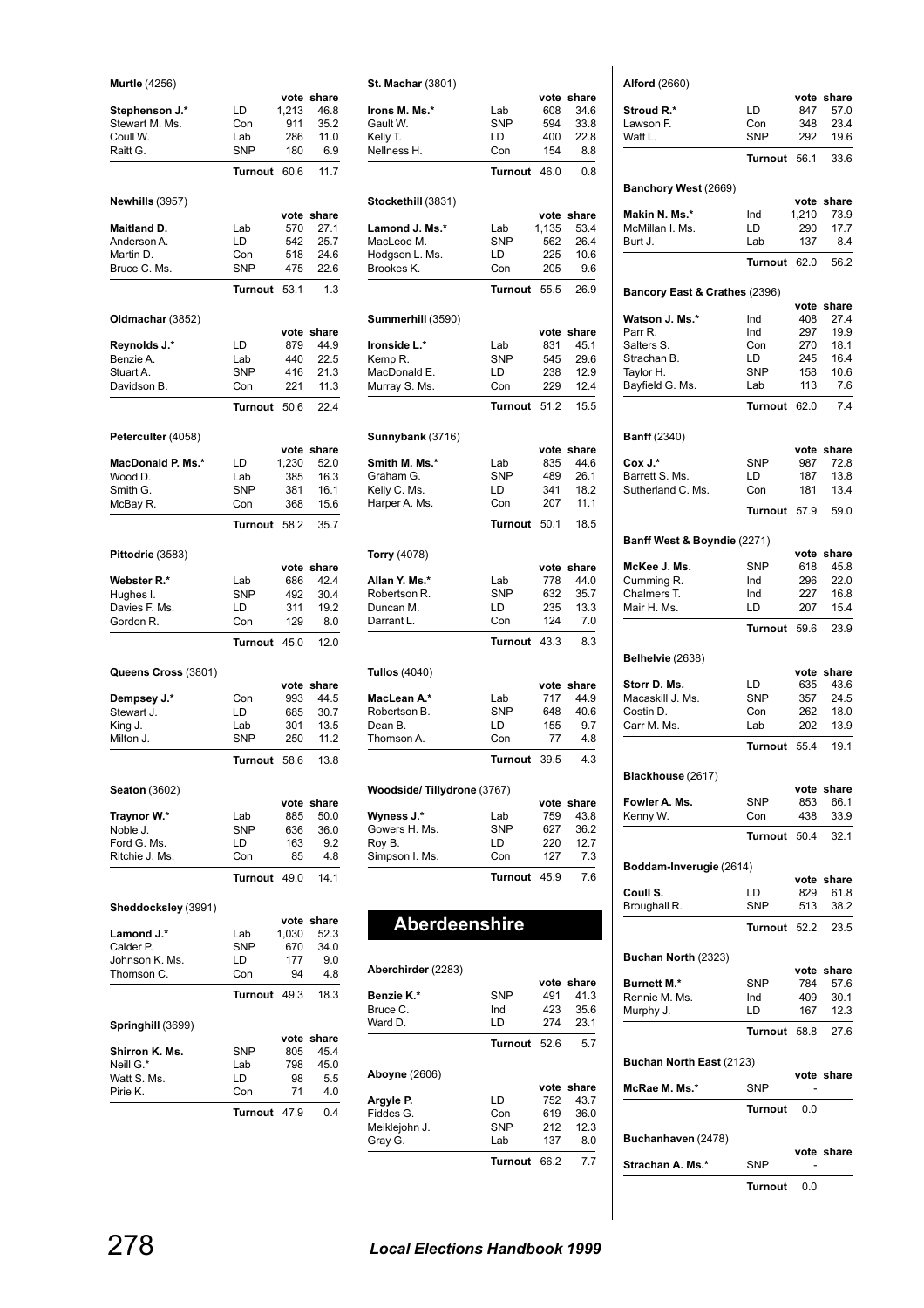| <b>Murtle</b> (4256)             |                   |              |                    |
|----------------------------------|-------------------|--------------|--------------------|
|                                  |                   |              | vote share         |
| Stephenson J.*<br>Stewart M. Ms. | LD<br>Con         | 1,213<br>911 | 46.8<br>35.2       |
| Coull W.                         | Lab               | 286          | 11.0               |
| Raitt G.                         | SNP               | 180          | 6.9                |
|                                  | Turnout           | 60.6         | 11.7               |
| Newhills (3957)                  |                   |              |                    |
|                                  |                   | vote         | share              |
| Maitland D.<br>Anderson A.       | Lab<br>LD         | 570<br>542   | 27.1<br>25.7       |
| Martin D.                        | Con               | 518          | 24.6               |
| Bruce C. Ms.                     | <b>SNP</b>        | 475          | 22.6               |
|                                  | <b>Turnout</b>    | 53.1         | 1.3                |
| Oldmachar (3852)                 |                   |              |                    |
|                                  |                   |              | vote share         |
| Reynolds J.*                     | LD                | 879          | 44.9               |
| Benzie A.<br>Stuart A.           | Lab<br><b>SNP</b> | 440<br>416   | 22.5<br>21.3       |
| Davidson B.                      | Con               | 221          | 11.3               |
|                                  | <b>Turnout</b>    | 50.6         | 22.4               |
|                                  |                   |              |                    |
| Peterculter (4058)               |                   | vote         | share              |
| MacDonald P. Ms.*                | LD                | 1,230        | 52.0               |
| Wood D.                          | Lab               | 385          | 16.3               |
| Smith G.                         | <b>SNP</b>        | 381          | 16.1               |
| McBay R.                         | Con               | 368          | 15.6               |
|                                  | <b>Turnout</b>    | 58.2         | 35.7               |
| Pittodrie (3583)                 |                   |              |                    |
| Webster R.*                      | Lab               | 686          | vote share<br>42.4 |
| Hughes I.                        | <b>SNP</b>        | 492          | 30.4               |
| Davies F. Ms.                    | LD                | 311          | 19.2               |
| Gordon R.                        | Con               | 129          | 8.0                |
|                                  |                   |              |                    |
|                                  | <b>Turnout</b>    | 45.0         | 12.0               |
| Queens Cross (3801)              |                   |              |                    |
|                                  |                   | vote         | share              |
| Dempsey J.*<br>Stewart J.        | Con<br>LD         | 993<br>685   | 44.5<br>30.7       |
| King J.                          | Lab               | 301          | 13.5               |
| Milton J.                        | <b>SNP</b>        | 250          | 11.2               |
|                                  | Turnout           | 58.6         | 13.8               |
| <b>Seaton</b> (3602)             |                   |              |                    |
|                                  |                   | vote         | share              |
| Traynor W.*<br>Noble J.          | Lab<br>SNP        | 885<br>636   | 50.0<br>36.0       |
| Ford G. Ms.                      | LD                | 163          | 9.2                |
| Ritchie J. Ms.                   | Con               | 85           | 4.8                |
|                                  | <b>Turnout</b>    | 49.0         | 14.1               |
| Sheddocksley (3991)              |                   |              |                    |
| Lamond J.*                       | Lab               | 1,030        | vote share<br>52.3 |
| Calder P.                        | <b>SNP</b>        | 670          | 34.0               |
| Johnson K. Ms.                   | LD                | 177          | 9.0                |
| Thomson C.                       | Con               | 94           | 4.8                |
|                                  | Turnout           | 49.3         | 18.3               |
| Springhill (3699)                |                   |              |                    |
| Shirron K. Ms.                   | SNP               | vote<br>805  | share<br>45.4      |
| Neill G.*                        | Lab               | 798          | 45.0               |
| Watt S. Ms.                      | LD                | 98           | 5.5                |
| Pirie K.                         | Con               | 71           | 4.0                |
|                                  | Turnout           | 47.9         | 0.4                |

| <b>St. Machar (3801)</b>   |                  |             |               |
|----------------------------|------------------|-------------|---------------|
|                            |                  | vote        | share         |
| Irons M. Ms.*              | Lab              | 608         | 34.6          |
| Gault W.<br>Kelly T.       | <b>SNP</b><br>LD | 594<br>400  | 33.8<br>22.8  |
| Nellness H.                | Con              | 154         | 8.8           |
|                            |                  |             |               |
|                            | Turnout          | 46.0        | 0.8           |
| Stockethill (3831)         |                  | vote        | share         |
| Lamond J. Ms.*             | Lab              | 1,135       | 53.4          |
| MacLeod M.                 | <b>SNP</b>       | 562         | 26.4          |
| Hodgson L. Ms.             | LD               | 225         | 10.6          |
| Brookes K.                 | Con              | 205         | 9.6           |
|                            | <b>Turnout</b>   | 55.5        | 26.9          |
| Summerhill (3590)          |                  |             |               |
|                            |                  | vote        | share         |
| Ironside L.*               | Lab              | 831         | 45.1          |
| Kemp R.<br>MacDonald E.    | <b>SNP</b><br>LD | 545<br>238  | 29.6<br>12.9  |
| Murray S. Ms.              | Con              | 229         | 12.4          |
|                            |                  |             |               |
|                            | Turnout          | 51.2        | 15.5          |
| Sunnybank (3716)           |                  |             |               |
| Smith M. Ms.*              | Lab              | vote<br>835 | share<br>44.6 |
| Graham G.                  | <b>SNP</b>       | 489         | 26.1          |
| Kelly C. Ms.               | LD               | 341         | 18.2          |
| Harper A. Ms.              | Con              | 207         | 11.1          |
|                            | Turnout          | 50.1        | 18.5          |
| <b>Torry</b> (4078)        |                  |             |               |
|                            |                  | vote        | share         |
| Allan Y. Ms.*              | Lab              | 778         | 44.0          |
| Robertson R.               | <b>SNP</b>       | 632         | 35.7          |
| Duncan M.                  | LD               | 235         | 13.3          |
| Darrant L.                 | Con              | 124         | 7.0           |
|                            | <b>Turnout</b>   | 43.3        | 8.3           |
| <b>Tullos (4040)</b>       |                  |             |               |
| MacLean A.*                | Lab              | vote<br>717 | share<br>44.9 |
| Robertson B.               | <b>SNP</b>       | 648         | 40.6          |
| Dean B.                    | LD               | 155         | 9.7           |
| Thomson A.                 | Con              | 77          | 4.8           |
|                            | Turnout          | 39.5        | 4.3           |
| Woodside/Tillydrone (3767) |                  |             |               |
|                            |                  | vote        | share         |
| Wyness J.*                 | Lab              | 759         | 43.8          |
| Gowers H. Ms.              | SNP              | 627         | 36.2          |
| Roy B.                     | LD               | 220         | 12.7          |
| Simpson I. Ms.             | Con              | 127         | 7.3           |
|                            | Turnout          | 45.9        | 7.6           |
|                            |                  |             |               |
| Aberdeenshire              |                  |             |               |
|                            |                  |             |               |
| Aberchirder (2283)         |                  | vote        | share         |
| Benzie K.*                 | SNP              | 491         | 41.3          |
| Bruce C.                   | Ind              | 423         | 35.6          |
| Ward D.                    | LD               | 274         | 23.1          |
|                            | <b>Turnout</b>   | 52.6        | 5.7           |
| <b>Aboyne</b> (2606)       |                  |             |               |
| Argyle P.                  | LD               | vote<br>752 | share<br>43.7 |
| Fiddes G.                  | Con              | 619         | 36.0          |
| Meiklejohn J.              | SNP              | 212         | 12.3          |
| Gray G.                    | Lab              | 137         | 8.0           |
|                            | Turnout          | 66.2        | 7.7           |

| <b>Alford</b> (2660)          |                   |             | vote share         |
|-------------------------------|-------------------|-------------|--------------------|
| Stroud R.*                    | LD                | 847         | 57.0               |
| Lawson F.                     | Con               | 348         | 23.4               |
| Watt L.                       | <b>SNP</b>        | 292         | 19.6               |
|                               | Turnout 56.1      |             | 33.6               |
| Banchory West (2669)          |                   |             |                    |
| Makin N. Ms.*                 | Ind               | 1,210       | vote share         |
| McMillan I. Ms.               | LD                | 290         | 73.9<br>17.7       |
| Burt J.                       | Lab               | 137         | 8.4                |
|                               | Turnout 62.0      |             | 56.2               |
| Bancory East & Crathes (2396) |                   |             |                    |
|                               |                   |             | vote share         |
| Watson J. Ms.*<br>Parr R.     | Ind<br>Ind        | 408<br>297  | 27.4<br>19.9       |
| Salters S.                    | Con               | 270         | 18.1               |
| Strachan B.                   | LD                | 245         | 16.4               |
| Taylor H.                     | <b>SNP</b>        | 158         | 10.6               |
| Bayfield G. Ms.               | Lab               | 113         | 7.6                |
|                               | Turnout 62.0      |             | 7.4                |
| <b>Banff</b> (2340)           |                   |             |                    |
|                               |                   |             | vote share         |
| Cox J.*<br>Barrett S. Ms.     | <b>SNP</b><br>LD  | 987<br>187  | 72.8<br>13.8       |
| Sutherland C. Ms.             | Con               | 181         | 13.4               |
|                               | Turnout 57.9      |             | 59.0               |
|                               |                   |             |                    |
| Banff West & Boyndie (2271)   |                   |             | vote share         |
| McKee J. Ms.                  | <b>SNP</b>        | 618         | 45.8               |
| Cumming R.                    | Ind               | 296         | 22.0               |
| Chalmers T.<br>Mair H. Ms.    | Ind               | 227         | 16.8<br>15.4       |
|                               | LD<br>Turnout     | 207<br>59.6 | 23.9               |
|                               |                   |             |                    |
| Belhelvie (2638)              |                   |             | vote share         |
| Storr D. Ms.                  | LD.               | 635         | 43.6               |
| Macaskill J. Ms.              | <b>SNP</b>        | 357         | 24.5               |
| Costin D.<br>Carr M. Ms.      | Con<br>Lab        | 262<br>202  | 18.0<br>13.9       |
|                               | Turnout 55.4 19.1 |             |                    |
|                               |                   |             |                    |
| Blackhouse (2617)             |                   |             | vote share         |
| Fowler A. Ms.                 | <b>SNP</b>        | 853         | 66.1               |
| Kenny W.                      | Con               | 438         | 33.9               |
|                               | Turnout           | 50.4        | 32.1               |
| Boddam-Inverugie (2614)       |                   |             |                    |
| Coull S.                      | LD                | 829         | vote share<br>61.8 |
| Broughall R.                  | <b>SNP</b>        | 513         | 38.2               |
|                               | Turnout           | 52.2        | 23.5               |
| Buchan North (2323)           |                   |             |                    |
|                               |                   |             | vote share         |
| <b>Burnett M.*</b>            | <b>SNP</b>        | 784         | 57.6               |
| Rennie M. Ms.<br>Murphy J.    | Ind<br>LD         | 409<br>167  | 30.1<br>12.3       |
|                               | Turnout           | 58.8        | 27.6               |
|                               |                   |             |                    |
| Buchan North East (2123)      |                   |             | vote share         |
| McRae M. Ms.*                 | <b>SNP</b>        |             |                    |
|                               | Turnout           | 0.0         |                    |
| Buchanhaven (2478)            |                   |             |                    |
| Strachan A. Ms.*              | <b>SNP</b>        |             | vote share         |
|                               | Turnout 0.0       |             |                    |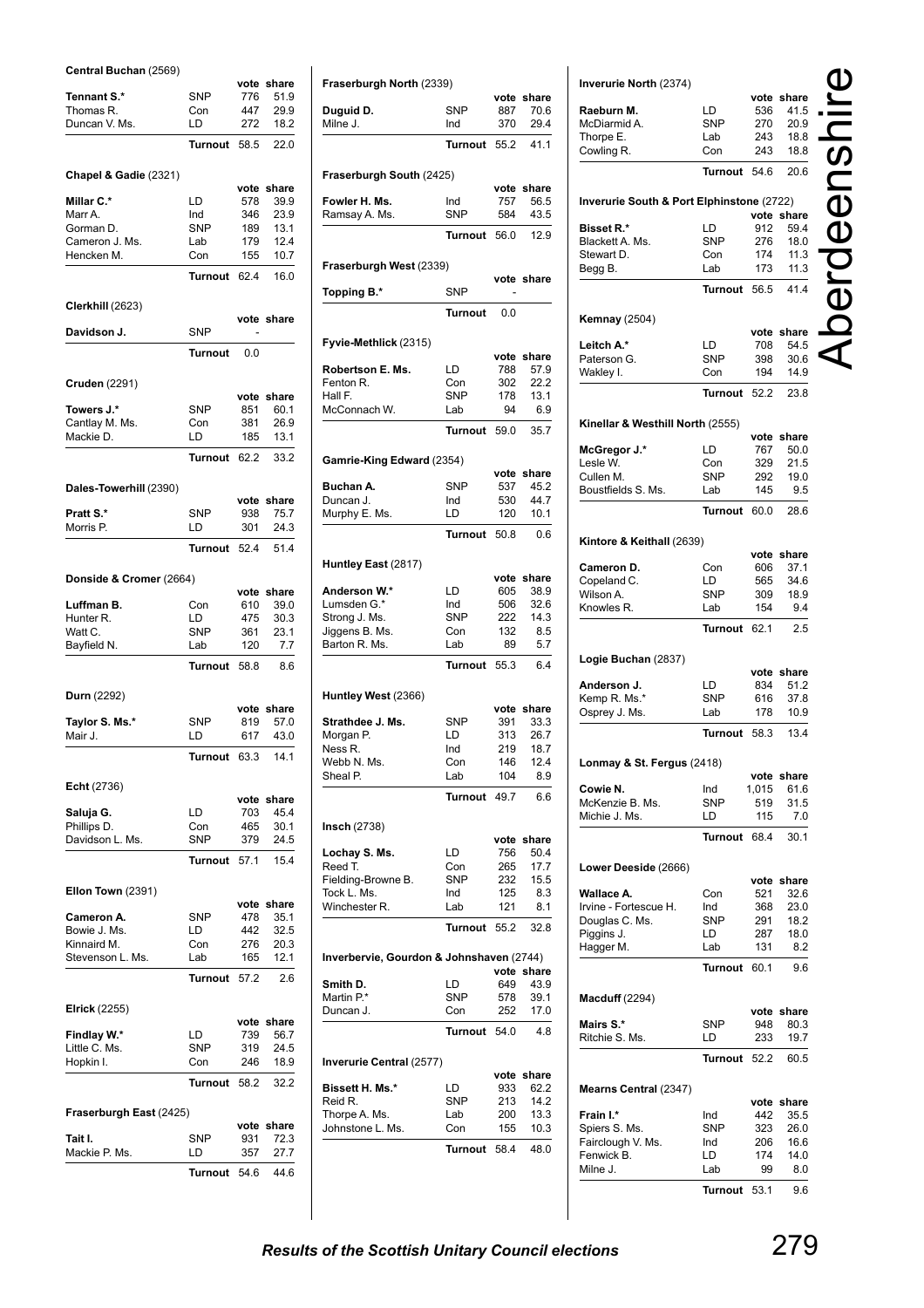### **Central Buchan** (2569)

| Central Duchan (2009)        |                | vote       | share        |
|------------------------------|----------------|------------|--------------|
| Tennant S.*                  | <b>SNP</b>     | 776        | 51.9         |
| Thomas R.                    | Con            | 447        | 29.9         |
| Duncan V. Ms.                | LD             | 272        | 18.2         |
|                              |                |            |              |
|                              | <b>Turnout</b> | 58.5       | 22.0         |
|                              |                |            |              |
| Chapel & Gadie (2321)        |                |            |              |
|                              |                |            | vote share   |
| <b>Millar C.*</b>            | LD             | 578        | 39.9         |
| Marr A.                      | Ind            | 346        | 23.9         |
| Gorman D.                    | <b>SNP</b>     | 189        | 13.1         |
| Cameron J. Ms.               | Lab            | 179        | 12.4         |
| Hencken M.                   | Con            | 155        | 10.7         |
|                              | <b>Turnout</b> | 62.4       | 16.0         |
|                              |                |            |              |
| Clerkhill (2623)             |                |            |              |
|                              |                |            | vote share   |
| Davidson J.                  | <b>SNP</b>     |            |              |
|                              | <b>Turnout</b> | 0.0        |              |
|                              |                |            |              |
|                              |                |            |              |
| Cruden (2291)                |                |            |              |
|                              |                |            | vote share   |
| Towers J.*<br>Cantlay M. Ms. | <b>SNP</b>     | 851<br>381 | 60.1<br>26.9 |
|                              | Con            |            | 13.1         |
| Mackie D.                    | LD             | 185        |              |
|                              | <b>Turnout</b> | 62.2       | 33.2         |
|                              |                |            |              |
| Dales-Towerhill (2390)       |                |            |              |
|                              |                | vote       | share        |
| Pratt S.*                    | <b>SNP</b>     | 938        | 75.7         |
| Morris P.                    | LD             | 301        | 24.3         |
|                              |                |            |              |
|                              | Turnout        | 52.4       | 51.4         |
|                              |                |            |              |
| Donside & Cromer (2664)      |                |            |              |
|                              |                |            | vote share   |
| Luffman B.                   | Con            | 610        | 39.0         |
| Hunter R.                    | LD             | 475        | 30.3         |
| Watt C.                      | <b>SNP</b>     | 361        | 23.1         |
| Bayfield N.                  | Lab            | 120        | 7.7          |
|                              | <b>Turnout</b> | 58.8       | 8.6          |
|                              |                |            |              |
| Durn (2292)                  |                |            |              |
|                              |                | vote       | share        |
| Taylor S. Ms.*               | <b>SNP</b>     | 819        | 57.0         |
| Mair J.                      | LD             | 617        | 43.0         |
|                              |                |            |              |
|                              | <b>Turnout</b> | 63.3       | 14.1         |
|                              |                |            |              |
| <b>Echt</b> (2736)           |                |            |              |
|                              |                | vote       | share        |
| Saluja G.                    | LD             | 703        | 45.4         |
| Phillips D.                  | Con            | 465        | 30.1         |
| Davidson L. Ms.              | SNP            |            | 24.5         |
|                              |                | 379        |              |
|                              |                | 57.1       |              |
|                              | <b>Turnout</b> |            | 15.4         |
|                              |                |            |              |
| Ellon Town (2391)            |                |            |              |
|                              |                | vote       | share        |
| Cameron A.                   | <b>SNP</b>     | 478        | 35.1         |
| Bowie J. Ms.                 | LD             | 442        | 32.5         |
| Kinnaird M.                  | Con            | 276        | 20.3         |
| Stevenson L. Ms.             | Lab            | 165        | 12.1         |
|                              | <b>Turnout</b> | 57.2       | 2.6          |
|                              |                |            |              |
| <b>Elrick</b> (2255)         |                |            |              |
|                              |                | vote       | share        |
| Findlay W.*                  | LD             | 739        | 56.7         |
| Little C. Ms.                | <b>SNP</b>     | 319        | 24.5         |
| Hopkin I.                    | Con            | 246        | 18.9         |
|                              |                |            |              |
|                              | <b>Turnout</b> | 58.2       | 32.2         |
|                              |                |            |              |
| Fraserburgh East (2425)      |                |            |              |
|                              |                | vote       | share        |
| Tait I.                      | SNP            | 931        | 72.3         |
| Mackie P. Ms.                | LD             | 357        | 27.7         |

| Fraserburgh North (2339)                                                                                                                                   |                     |                   |               |
|------------------------------------------------------------------------------------------------------------------------------------------------------------|---------------------|-------------------|---------------|
|                                                                                                                                                            |                     |                   | vote share    |
| Duguid D.<br>Milne J.                                                                                                                                      | <b>SNP</b><br>Ind   | 887<br>370        | 70.6<br>29.4  |
|                                                                                                                                                            | Turnout             | 55.2              | 41.1          |
|                                                                                                                                                            |                     |                   |               |
| Fraserburgh South (2425)                                                                                                                                   |                     | vote              | share         |
| Fowler H. Ms.                                                                                                                                              | Ind                 | 757               | 56.5          |
| Ramsay A. Ms.                                                                                                                                              | <b>SNP</b>          | 584               | 43.5          |
|                                                                                                                                                            | Turnout             | 56.0              | 12.9          |
| Fraserburgh West (2339)                                                                                                                                    |                     |                   |               |
| Topping B.*                                                                                                                                                | <b>SNP</b>          |                   | vote share    |
|                                                                                                                                                            | Turnout             | 0.0               |               |
| Fyvie-Methlick (2315)                                                                                                                                      |                     |                   |               |
|                                                                                                                                                            |                     | vote              | share         |
| Robertson E. Ms.                                                                                                                                           | LD                  | 788               | 57.9          |
| Fenton R.<br>Hall F.                                                                                                                                       | Con<br><b>SNP</b>   | 302<br>178        | 22.2<br>13.1  |
| McConnach W.                                                                                                                                               | Lab                 | 94                | 6.9           |
|                                                                                                                                                            | Turnout             | 59.0              | 35.7          |
|                                                                                                                                                            |                     |                   |               |
| Gamrie-King Edward (2354)                                                                                                                                  |                     | vote              | share         |
| Buchan A.                                                                                                                                                  | SNP                 | 537               | 45.2          |
| Duncan J.<br>Murphy E. Ms.                                                                                                                                 | Ind<br>LD           | 530<br>120        | 44.7<br>10.1  |
|                                                                                                                                                            | <b>Turnout</b>      | 50.8              | 0.6           |
|                                                                                                                                                            |                     |                   |               |
| Huntley East (2817)                                                                                                                                        |                     | vote              | share         |
| Anderson W.*                                                                                                                                               | LD                  | 605               | 38.9          |
| Lumsden G.*                                                                                                                                                | Ind                 | 506               | 32.6          |
| Strong J. Ms.                                                                                                                                              | <b>SNP</b><br>Con   | 222<br>132        | 14.3<br>8.5   |
| Jiggens B. Ms.<br>Barton R. Ms.                                                                                                                            | Lab                 | 89                | 5.7           |
|                                                                                                                                                            | Turnout             | 55.3              | 6.4           |
| Huntley West (2366)                                                                                                                                        |                     |                   |               |
|                                                                                                                                                            |                     | vote              | share         |
| Strathdee J. Ms.                                                                                                                                           | <b>SNP</b>          | 391               | 33.3          |
| Morgan P.<br>Ness R.                                                                                                                                       | LD<br>Ind           | 313<br>219        | 26.7<br>18.7  |
| Webb N. Ms.                                                                                                                                                | Con                 | 146               | 12.4          |
| Sheal P.                                                                                                                                                   | Lab                 | 104               | 8.9           |
|                                                                                                                                                            | Turnout             | 49.7              | 6.6           |
| Insch(2738)                                                                                                                                                |                     |                   |               |
|                                                                                                                                                            | LD                  | vote<br>756       | share<br>50.4 |
| Lochay S. Ms.<br>Reed T.                                                                                                                                   | Con                 | 265               | 17.7          |
| Fielding-Browne B.                                                                                                                                         | <b>SNP</b>          | 232               | 15.5          |
| Tock L. Ms.                                                                                                                                                | Ind                 | 125               | 8.3           |
| Winchester R.                                                                                                                                              | Lab                 | 121               | 8.1           |
|                                                                                                                                                            | Turnout             | 55.2              | 32.8          |
|                                                                                                                                                            |                     |                   |               |
|                                                                                                                                                            |                     |                   |               |
|                                                                                                                                                            | LD                  | vote share<br>649 | 43.9          |
|                                                                                                                                                            | <b>SNP</b>          | 578               | 39.1          |
|                                                                                                                                                            | Con                 | 252               | 17.0          |
|                                                                                                                                                            | Turnout             | 54.0              | 4.8           |
|                                                                                                                                                            |                     |                   |               |
|                                                                                                                                                            |                     | vote              | share         |
|                                                                                                                                                            | LD<br><b>SNP</b>    | 933<br>213        | 62.2<br>14.2  |
| Inverbervie, Gourdon & Johnshaven (2744)<br>Smith D.<br>Martin P.*<br>Duncan J.<br>Inverurie Central (2577)<br>Bissett H. Ms.*<br>Reid R.<br>Thorpe A. Ms. | Lab                 | 200               | 13.3          |
| Johnstone L. Ms.                                                                                                                                           | Con<br>Turnout 58.4 | 155               | 10.3<br>48.0  |

| Inverurie North (2374)                    |                   |             |                    |         |
|-------------------------------------------|-------------------|-------------|--------------------|---------|
|                                           |                   | vote        | share              |         |
| Raeburn M.                                | LD                | 536         | 41.5               |         |
| McDiarmid A.<br>Thorpe E.                 | SNP<br>Lab        | 270<br>243  | 20.9<br>18.8       |         |
| Cowling R.                                | Con               | 243         | 18.8               |         |
|                                           | Turnout           | 54.6        | 20.6               |         |
|                                           |                   |             |                    | IBENSNI |
| Inverurie South & Port Elphinstone (2722) |                   |             |                    |         |
| Bisset R.*                                | LD                | 912         | vote share<br>59.4 |         |
| Blackett A. Ms.                           | <b>SNP</b>        | 276         | 18.0               |         |
| Stewart D.                                | Con               | 174         | 11.3               |         |
| Begg B.                                   | Lab               | 173         | 11.3               |         |
|                                           | <b>Turnout</b>    | 56.5        | 41.4               |         |
| <b>Kemnay</b> (2504)                      |                   |             |                    |         |
|                                           |                   |             | vote share         |         |
| Leitch A.*                                | LD                | 708         | 54.5               |         |
| Paterson G.<br>Wakley I.                  | SNP<br>Con        | 398<br>194  | 30.6<br>14.9       |         |
|                                           | Turnout           | 52.2        | 23.8               |         |
|                                           |                   |             |                    |         |
| Kinellar & Westhill North (2555)          |                   |             |                    |         |
| McGregor J.*                              | LD                | vote<br>767 | share<br>50.0      |         |
| Lesle W.                                  | Con               | 329         | 21.5               |         |
| Cullen M.                                 | SNP               | 292         | 19.0               |         |
| Boustfields S. Ms.                        | Lab               | 145         | 9.5                |         |
|                                           | Turnout           | 60.0        | 28.6               |         |
| Kintore & Keithall (2639)                 |                   |             |                    |         |
|                                           |                   |             | vote share         |         |
| Cameron D.                                | Con               | 606         | 37.1               |         |
| Copeland C.                               | LD                | 565         | 34.6               |         |
| Wilson A.<br>Knowles R.                   | <b>SNP</b><br>Lab | 309<br>154  | 18.9<br>9.4        |         |
|                                           | Turnout           | 62.1        | 2.5                |         |
|                                           |                   |             |                    |         |
| Logie Buchan (2837)                       |                   |             |                    |         |
| Anderson J.                               | LD                | 834         | vote share<br>51.2 |         |
| Kemp R. Ms.*                              | SNP               | 616         | 37.8               |         |
| Osprey J. Ms.                             | Lab               | 178         | 10.9               |         |
|                                           | Turnout           | 58.3        | 13.4               |         |
| Lonmay & St. Fergus (2418)                |                   |             |                    |         |
|                                           |                   | vote        | share              |         |
| Cowie N.                                  | Ind               | 1,015       | 61.6               |         |
| McKenzie B. Ms.                           | SNP               | 519         | 31.5               |         |
| Michie J. Ms.                             | LD                | 115         | 7.0                |         |
|                                           | <b>Turnout</b>    | 68.4        | 30.1               |         |
| Lower Deeside (2666)                      |                   |             |                    |         |
|                                           |                   |             | vote share         |         |
| Wallace A.                                | Con               | 521         | 32.6               |         |
| Irvine - Fortescue H.<br>Douglas C. Ms.   | Ind<br>SNP        | 368<br>291  | 23.0<br>18.2       |         |
| Piggins J.                                | LD                | 287         | 18.0               |         |
| Hagger M.                                 | Lab               | 131         | 8.2                |         |
|                                           | <b>Turnout</b>    | 60.1        | 9.6                |         |
| <b>Macduff</b> (2294)                     |                   |             |                    |         |
|                                           |                   |             | vote share         |         |
| Mairs S.*                                 | SNP               | 948         | 80.3               |         |
| Ritchie S. Ms.                            | LD                | 233         | 19.7               |         |
|                                           | Turnout           | 52.2        | 60.5               |         |
| Mearns Central (2347)                     |                   |             |                    |         |
|                                           |                   |             | vote share         |         |
| Frain I.*<br>Spiers S. Ms.                | Ind<br>SNP        | 442<br>323  | 35.5<br>26.0       |         |
| Fairclough V. Ms.                         | Ind               | 206         | 16.6               |         |
| Fenwick B.                                | LD                | 174         | 14.0               |         |
| Milne J.                                  | Lab               | 99          | 8.0                |         |
|                                           | Turnout           | 53.1        | 9.6                |         |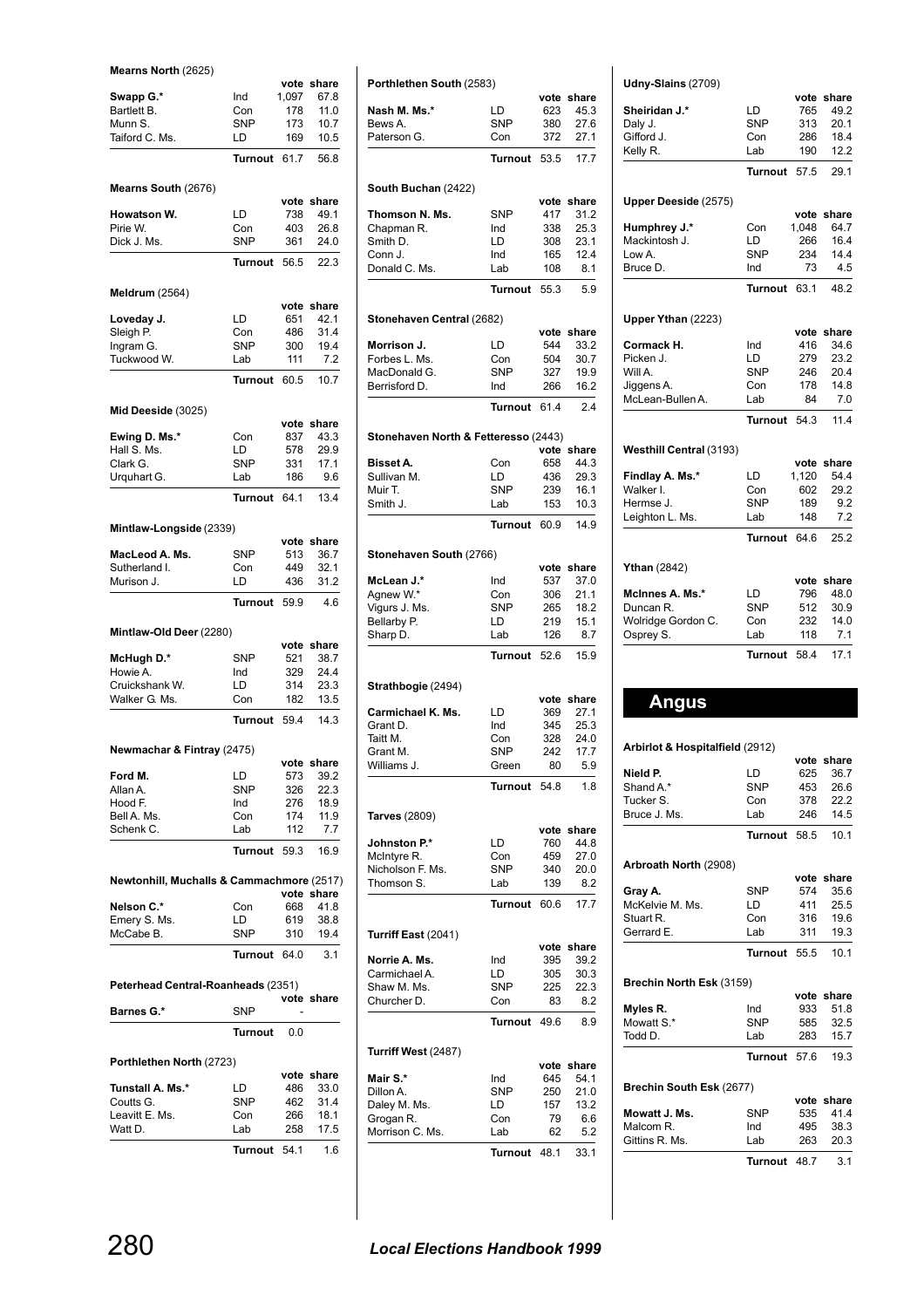**Mearns North** (2625)

|                                           |                   | vote       | share        |
|-------------------------------------------|-------------------|------------|--------------|
| Swapp G.*                                 | Ind               | 1,097      | 67.8         |
| Bartlett B.                               | Con               | 178        | 11.0         |
| Munn S.                                   | SNP               | 173        | 10.7         |
| Taiford C. Ms.                            | LD                | 169        | 10.5         |
|                                           | Turnout           | 61.7       | 56.8         |
| Mearns South (2676)                       |                   |            |              |
|                                           |                   |            | vote share   |
| <b>Howatson W.</b>                        | LD                | 738        | 49.1         |
| Pirie W.                                  | Con               | 403        | 26.8         |
| Dick J. Ms.                               | <b>SNP</b>        | 361        | 24.0         |
|                                           | <b>Turnout</b>    | 56.5       | 22.3         |
| <b>Meldrum</b> (2564)                     |                   |            |              |
|                                           |                   | vote       | share        |
| Loveday J.                                | LD                | 651        | 42.1         |
| Sleigh P.                                 | Con<br><b>SNP</b> | 486        | 31.4         |
| Ingram G.<br>Tuckwood W.                  | Lab               | 300<br>111 | 19.4<br>7.2  |
|                                           |                   |            |              |
|                                           | <b>Turnout</b>    | 60.5       | 10.7         |
| Mid Deeside (3025)                        |                   |            |              |
|                                           |                   | vote       | share        |
| Ewing D. Ms.*<br>Hall S. Ms.              | Con<br>LD         | 837<br>578 | 43.3<br>29.9 |
| Clark G.                                  | <b>SNP</b>        | 331        | 17.1         |
| Urguhart G.                               | Lab               | 186        | 9.6          |
|                                           | <b>Turnout</b>    | 64.1       | 13.4         |
|                                           |                   |            |              |
| Mintlaw-Longside (2339)                   |                   | vote       | share        |
| MacLeod A. Ms.                            | <b>SNP</b>        | 513        | 36.7         |
| Sutherland I.                             | Con               | 449        | 32.1         |
| Murison J.                                | LD                | 436        | 31.2         |
|                                           | Turnout           | 59.9       | 4.6          |
|                                           |                   |            |              |
|                                           |                   |            |              |
| Mintlaw-Old Deer (2280)                   |                   | vote       | share        |
| McHugh D.*                                | <b>SNP</b>        | 521        | 38.7         |
| Howie A.                                  | Ind               | 329        | 24.4         |
| Cruickshank W.                            | LD                | 314        | 23.3         |
| Walker G. Ms.                             | Con               | 182        | 13.5         |
|                                           | Turnout           | 59.4       | 14.3         |
| Newmachar & Fintray (2475)                |                   |            |              |
|                                           |                   |            | vote share   |
| Ford M.                                   | LD                | 573        | 39.2         |
| Allan A.                                  | <b>SNP</b>        | 326        | 22.3         |
| Hood F.                                   | Ind               | 276        | 18.9         |
| Bell A. Ms.<br>Schenk C.                  | Con<br>Lab        | 174<br>112 | 11.9<br>7.7  |
|                                           | <b>Turnout</b>    | 59.3       | 16.9         |
|                                           |                   |            |              |
| Newtonhill, Muchalls & Cammachmore (2517) |                   |            | vote share   |
| Nelson C.*                                | Con               | 668        | 41.8         |
| Emery S. Ms.                              | LD                | 619        | 38.8         |
| McCabe B.                                 | <b>SNP</b>        | 310        | 19.4         |
|                                           | <b>Turnout</b>    | 64.0       | 3.1          |
| Peterhead Central-Roanheads (2351)        |                   |            |              |
|                                           |                   |            | vote share   |
| Barnes G.*                                | <b>SNP</b>        |            |              |
|                                           | <b>Turnout</b>    | 0.0        |              |
| Porthlethen North (2723)                  |                   |            |              |
|                                           |                   |            | vote share   |
| Tunstall A. Ms.*<br>Coutts G.             | LD<br><b>SNP</b>  | 486<br>462 | 33.0<br>31.4 |
| Leavitt E. Ms.                            | Con               | 266        | 18.1         |
| Watt D.                                   | Lab               | 258        | 17.5         |

| Porthlethen South (2583)             |                  |             |               |
|--------------------------------------|------------------|-------------|---------------|
| Nash M. Ms.*                         | LD               | vote<br>623 | share<br>45.3 |
| Bews A.                              | <b>SNP</b>       | 380         | 27.6          |
| Paterson G.                          | Con              | 372         | 27.1          |
|                                      | Turnout          | 53.5        | 17.7          |
|                                      |                  |             |               |
| South Buchan (2422)                  |                  |             |               |
| Thomson N. Ms.                       | SNP              | vote<br>417 | share<br>31.2 |
| Chapman R.                           | Ind              | 338         | 25.3          |
| Smith D.                             | LD               | 308         | 23.1          |
| Conn J.                              | Ind              | 165         | 12.4          |
| Donald C. Ms.                        | Lab              | 108         | 8.1           |
|                                      | <b>Turnout</b>   | 55.3        | 5.9           |
| Stonehaven Central (2682)            |                  |             |               |
|                                      |                  | vote        | share         |
| Morrison J.                          | LD               | 544         | 33.2          |
| Forbes L. Ms.                        | Con              | 504         | 30.7          |
| MacDonald G.                         | SNP              | 327         | 19.9          |
| Berrisford D.                        | Ind              | 266         | 16.2          |
|                                      | <b>Turnout</b>   | 61.4        | 2.4           |
| Stonehaven North & Fetteresso (2443) |                  |             |               |
|                                      |                  | vote        | share         |
| <b>Bisset A.</b>                     | Con              | 658         | 44.3          |
| Sullivan M.                          | LD<br><b>SNP</b> | 436         | 29.3          |
| Muir T.<br>Smith J.                  | Lab              | 239<br>153  | 16.1<br>10.3  |
|                                      | <b>Turnout</b>   |             |               |
|                                      |                  | 60.9        | 14.9          |
| Stonehaven South (2766)              |                  |             |               |
|                                      |                  | vote        | share         |
| McLean J.*                           | Ind<br>Con       | 537         | 37.0<br>21.1  |
| Agnew W.*<br>Vigurs J. Ms.           | <b>SNP</b>       | 306<br>265  | 18.2          |
| Bellarby P.                          | LD               | 219         | 15.1          |
| Sharp D.                             | Lab              | 126         | 8.7           |
|                                      | Turnout          | 52.6        | 15.9          |
|                                      |                  |             |               |
| Strathbogie (2494)                   |                  | vote        | share         |
| Carmichael K. Ms.                    | LD               | 369         | 27.1          |
| Grant D.                             | Ind              | 345         | 25.3          |
| Taitt M.                             | Con              | 328         | 24.0          |
| Grant M.                             | SNP              | 242         | 17.7          |
| Williams J.                          | Green            | 80          | 5.9           |
|                                      | <b>Turnout</b>   | 54.8        | 1.8           |
| Tarves (2809)                        |                  |             |               |
|                                      |                  | vote        | share         |
| Johnston P.*                         | LD               | 760         | 44.8          |
| McIntyre R.                          | Con              | 459         | 27.0          |
| Nicholson F. Ms.                     | SNP              | 340         | 20.0          |
| Thomson S.                           | Lab              | 139         | 8.2           |
|                                      | <b>Turnout</b>   | 60.6        | 17.7          |
| Turriff East (2041)                  |                  |             |               |
|                                      |                  | vote        | share         |
| Norrie A. Ms.                        | Ind              | 395         | 39.2          |
| Carmichael A.<br>Shaw M. Ms.         | LD<br>SNP        | 305<br>225  | 30.3<br>22.3  |
| Churcher D.                          | Con              | 83          | 8.2           |
|                                      | Turnout          | 49.6        |               |
|                                      |                  |             | 8.9           |
| Turriff West (2487)                  |                  |             |               |
| Mair S.*                             | Ind              | vote<br>645 | share<br>54.1 |
| Dillon A.                            | <b>SNP</b>       | 250         | 21.0          |
| Daley M. Ms.                         | LD               | 157         | 13.2          |
| Grogan R.                            | Con              | 79          | 6.6           |
| Morrison C. Ms.                      | Lab              | 62          | 5.2           |
|                                      | Turnout          | 48.1        | 33.1          |
|                                      |                  |             |               |

| Udny-Slains (2709) |  |
|--------------------|--|
|--------------------|--|

| Sheiridan J.*                   | LD             | 765         | vote share    |
|---------------------------------|----------------|-------------|---------------|
| Daly J.                         | <b>SNP</b>     | 313         | 49.2<br>20.1  |
| Gifford J.                      | Con            | 286         | 18.4          |
| Kelly R.                        | Lab            | 190         | 12.2          |
|                                 |                |             |               |
|                                 | Turnout        | 57.5        | 29.1          |
| Upper Deeside (2575)            |                |             |               |
|                                 |                | vote        | share         |
| Humphrey J.*                    | Con            | 1,048       | 64.7          |
| Mackintosh J.                   | LD             | 266         | 16.4          |
| Low A.                          | <b>SNP</b>     | 234         | 14.4          |
| Bruce D.                        | Ind            | 73          | 4.5           |
|                                 | <b>Turnout</b> | 63.1        | 48.2          |
|                                 |                |             |               |
| Upper Ythan (2223)              |                |             |               |
|                                 | Ind            | vote<br>416 | share<br>34.6 |
| Cormack H.<br>Picken J.         | LD             | 279         | 23.2          |
| Will A.                         | <b>SNP</b>     | 246         | 20.4          |
| Jiggens A.                      | Con            | 178         | 14.8          |
| McLean-Bullen A.                | Lab            | 84          | 7.0           |
|                                 | Turnout        | 54.3        | 11.4          |
|                                 |                |             |               |
| Westhill Central (3193)         |                |             |               |
|                                 |                |             | vote share    |
| Findlay A. Ms.*                 | LD             | 1,120       | 54.4          |
| Walker I.                       | Con            | 602         | 29.2          |
| Hermse J.                       | <b>SNP</b>     | 189         | 9.2           |
| Leighton L. Ms.                 | Lab            | 148         | 7.2           |
|                                 | Turnout        | 64.6        | 25.2          |
|                                 |                |             |               |
| <b>Ythan</b> (2842)             |                |             | vote share    |
| McInnes A. Ms.*                 | LD             | 796         | 48.0          |
| Duncan R.                       | <b>SNP</b>     | 512         | 30.9          |
| Wolridge Gordon C.              | Con            | 232         | 14.0          |
| Osprey S.                       | Lab            | 118         | 7.1           |
|                                 | Turnout        | 58.4        | 17.1          |
|                                 |                |             |               |
|                                 |                |             |               |
|                                 |                |             |               |
| <b>Angus</b>                    |                |             |               |
|                                 |                |             |               |
|                                 |                |             |               |
| Arbirlot & Hospitalfield (2912) |                |             | vote share    |
| Nield P.                        | LD             |             | 625 36.7      |
| Shand A.*                       | SNP            | 453         | 26.6          |
| Tucker S.                       | Con            | 378         | 22.2          |
| Bruce J. Ms.                    | Lab            | 246         | 14.5          |
|                                 | <b>Turnout</b> | 58.5        | 10.1          |
|                                 |                |             |               |
| Arbroath North (2908)           |                |             |               |
|                                 |                | vote        | share         |
| Gray A.                         | <b>SNP</b>     | 574         | 35.6          |
| McKelvie M. Ms.                 | LD             | 411         | 25.5          |
| Stuart R.<br>Gerrard E.         | Con<br>Lab     | 316<br>311  | 19.6<br>19.3  |
|                                 |                |             |               |
|                                 | Turnout        | 55.5        | 10.1          |
| Brechin North Esk (3159)        |                |             |               |
|                                 |                |             | vote share    |
| Myles R.                        | Ind            | 933         | 51.8          |
| Mowatt S.*                      | <b>SNP</b>     | 585         | 32.5          |
| Todd D.                         | Lab            | 283         | 15.7          |
|                                 | Turnout        | 57.6        | 19.3          |
|                                 |                |             |               |
| Brechin South Esk (2677)        |                |             |               |
| Mowatt J. Ms.                   | SNP            | vote<br>535 | share<br>41.4 |
| Malcom R.                       | Ind            | 495         | 38.3          |
| Gittins R. Ms.                  | Lab            | 263         | 20.3          |
|                                 | <b>Turnout</b> | 48.7        | 3.1           |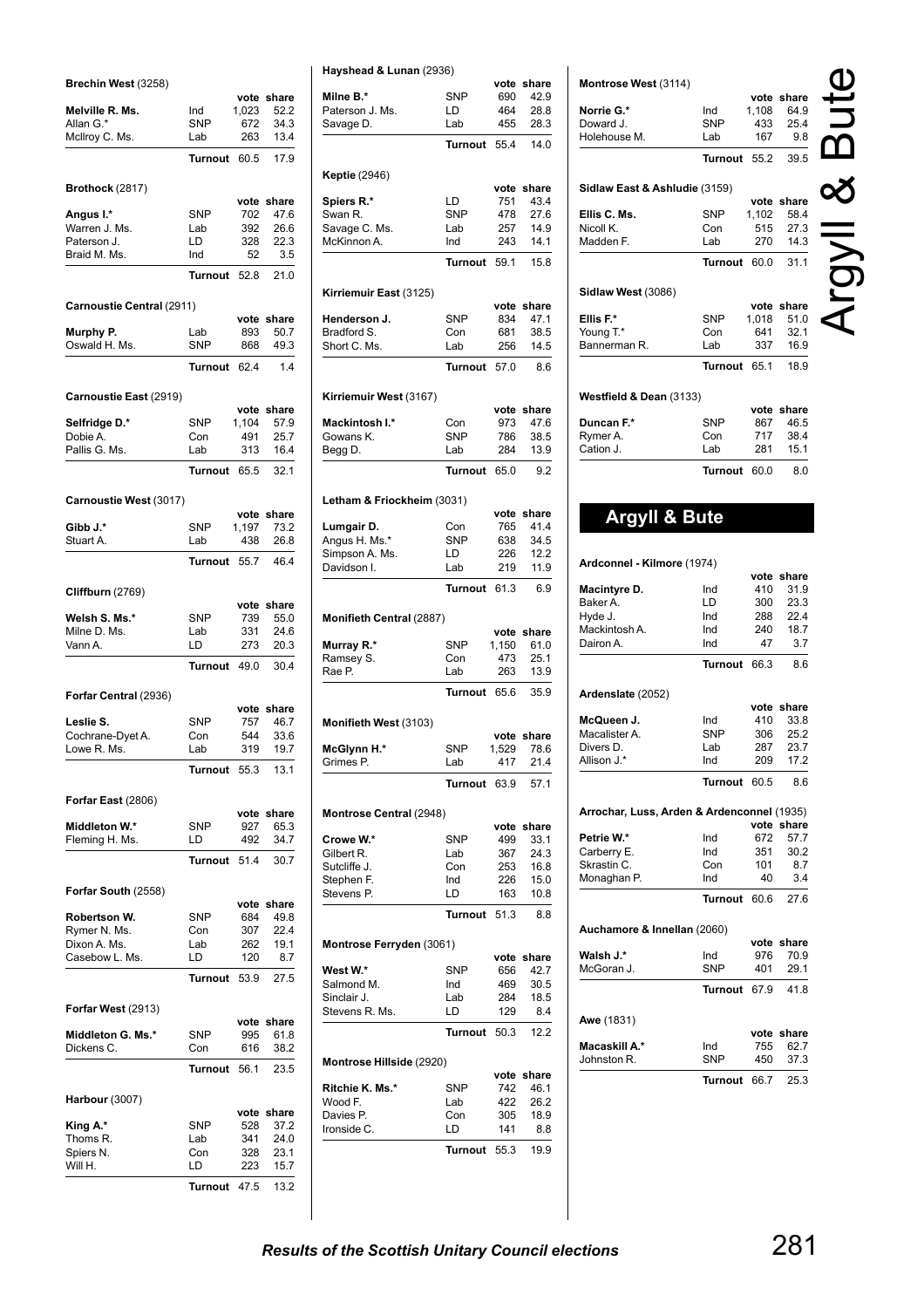| Brechin West (3258)             |                   |               |               |
|---------------------------------|-------------------|---------------|---------------|
| Melville R. Ms.                 | Ind               | vote<br>1,023 | share<br>52.2 |
| Allan G.*                       | <b>SNP</b>        | 672           | 34.3          |
| McIlroy C. Ms.                  | Lab               | 263           | 13.4          |
|                                 | <b>Turnout</b>    | 60.5          | 17.9          |
| Brothock (2817)                 |                   |               |               |
|                                 |                   |               | vote share    |
| Angus I.*<br>Warren J. Ms.      | <b>SNP</b><br>Lab | 702<br>392    | 47.6<br>26.6  |
| Paterson J.                     | LD                | 328           | 22.3          |
| Braid M. Ms.                    | Ind               | 52            | 3.5           |
|                                 | Turnout           | 52.8          | 21.0          |
| Carnoustie Central (2911)       |                   |               |               |
|                                 |                   | vote          | share         |
| Murphy P.<br>Oswald H. Ms.      | Lab<br>SNP        | 893<br>868    | 50.7<br>49.3  |
|                                 | Turnout           | 62.4          | 1.4           |
|                                 |                   |               |               |
| Carnoustie East (2919)          |                   | vote          | share         |
| Selfridge D.*                   | <b>SNP</b>        | 1,104         | 57.9          |
| Dobie A.                        | Con               | 491           | 25.7          |
| Pallis G. Ms.                   | Lab               | 313           | 16.4          |
|                                 | <b>Turnout</b>    | 65.5          | 32.1          |
| Carnoustie West (3017)          |                   |               |               |
|                                 |                   | vote          | share         |
| Gibb J.*<br>Stuart A.           | <b>SNP</b><br>Lab | 1,197<br>438  | 73.2<br>26.8  |
|                                 | <b>Turnout</b>    | 55.7          | 46.4          |
|                                 |                   |               |               |
| <b>Cliffburn</b> (2769)         |                   | vote          | share         |
| Welsh S. Ms.*                   | <b>SNP</b>        | 739           | 55.0          |
|                                 |                   |               |               |
| Milne D. Ms.                    | Lab               | 331           | 24.6          |
| Vann A.                         | LD                | 273           | 20.3          |
|                                 | Turnout           | 49.0          | 30.4          |
| Forfar Central (2936)           |                   |               |               |
|                                 |                   | vote          | share         |
| Leslie S.                       | <b>SNP</b>        | 757           | 46.7          |
| Cochrane-Dyet A.<br>Lowe R. Ms. | Con<br>Lab        | 544<br>319    | 33.6<br>19.7  |
|                                 | <b>Turnout</b>    | 55.3          | 13.1          |
|                                 |                   |               |               |
| Forfar East (2806)              |                   |               |               |
| Middleton W.*                   | <b>SNP</b>        | vote<br>927   | share<br>65.3 |
| Fleming H. Ms.                  | LD                | 492           | 34.7          |
|                                 | Turnout           | 51.4          | 30.7          |
| Forfar South (2558)             |                   |               |               |
|                                 |                   | vote          | share         |
| Robertson W.                    | <b>SNP</b>        | 684           | 49.8          |
| Rymer N. Ms.                    | Con               | 307           | 22.4          |
| Dixon A. Ms.                    | Lab               | 262           | 19.1          |
| Casebow L. Ms.                  | LD<br>Turnout     | 120<br>53.9   | 8.7<br>27.5   |
|                                 |                   |               |               |
| Forfar West (2913)              |                   |               | vote share    |
| Middleton G. Ms.*               | SNP               | 995           | 61.8          |
| Dickens C.                      | Con               | 616           | 38.2          |
|                                 | Turnout           | 56.1          | 23.5          |
| Harbour (3007)                  |                   |               |               |
|                                 |                   | vote          | share         |
| King A.*                        | <b>SNP</b>        | 528           | 37.2          |
| Thoms R.<br>Spiers N.           | Lab<br>Con        | 341<br>328    | 24.0<br>23.1  |
| Will H.                         | LD                | 223           | 15.7          |

| Milne B.*                                                                                                                                                                                                                                                                                                      | SNP            | vote<br>690   | share<br>42.9 |
|----------------------------------------------------------------------------------------------------------------------------------------------------------------------------------------------------------------------------------------------------------------------------------------------------------------|----------------|---------------|---------------|
| Paterson J. Ms.                                                                                                                                                                                                                                                                                                | LD             | 464           | 28.8          |
| Savage D.                                                                                                                                                                                                                                                                                                      | Lab            | 455           | 28.3          |
|                                                                                                                                                                                                                                                                                                                |                |               |               |
|                                                                                                                                                                                                                                                                                                                | <b>Turnout</b> | 55.4          | 14.0          |
| <b>Keptie</b> (2946)                                                                                                                                                                                                                                                                                           |                |               |               |
| Spiers R.*                                                                                                                                                                                                                                                                                                     | LD             | vote<br>751   | share<br>43.4 |
| Swan R.                                                                                                                                                                                                                                                                                                        | <b>SNP</b>     | 478           | 27.6          |
| Savage C. Ms.                                                                                                                                                                                                                                                                                                  | Lab            | 257           | 14.9          |
| McKinnon A.                                                                                                                                                                                                                                                                                                    | Ind            | 243           | 14.1          |
|                                                                                                                                                                                                                                                                                                                |                |               |               |
|                                                                                                                                                                                                                                                                                                                | <b>Turnout</b> | 59.1          | 15.8          |
| Kirriemuir East (3125)                                                                                                                                                                                                                                                                                         |                |               |               |
|                                                                                                                                                                                                                                                                                                                |                |               | vote share    |
| Henderson J.                                                                                                                                                                                                                                                                                                   | <b>SNP</b>     | 834           | 47.1          |
| Bradford S.                                                                                                                                                                                                                                                                                                    | Con            | 681           | 38.5          |
| Short C. Ms.                                                                                                                                                                                                                                                                                                   | Lab            | 256           | 14.5          |
|                                                                                                                                                                                                                                                                                                                | <b>Turnout</b> | 57.0          | 8.6           |
| Kirriemuir West (3167)                                                                                                                                                                                                                                                                                         |                |               |               |
|                                                                                                                                                                                                                                                                                                                |                | vote          | share         |
| Mackintosh I.*                                                                                                                                                                                                                                                                                                 | Con            | 973           | 47.6          |
| Gowans K.                                                                                                                                                                                                                                                                                                      | <b>SNP</b>     | 786           | 38.5          |
| Begg D.                                                                                                                                                                                                                                                                                                        | Lab            | 284           | 13.9          |
|                                                                                                                                                                                                                                                                                                                | <b>Turnout</b> | 65.0          | 9.2           |
| Letham & Friockheim (3031)                                                                                                                                                                                                                                                                                     |                |               |               |
|                                                                                                                                                                                                                                                                                                                |                | vote          | share         |
| Lumgair D.                                                                                                                                                                                                                                                                                                     | Con            | 765           | 41.4          |
| Angus H. Ms.*                                                                                                                                                                                                                                                                                                  | SNP            | 638           | 34.5          |
| Simpson A. Ms.                                                                                                                                                                                                                                                                                                 | LD             | 226           | 12.2          |
| Davidson I.                                                                                                                                                                                                                                                                                                    | Lab            | 219           | 11.9          |
|                                                                                                                                                                                                                                                                                                                | <b>Turnout</b> | 61.3          | 6.9           |
| <b>Monifieth Central (2887)</b>                                                                                                                                                                                                                                                                                |                |               |               |
|                                                                                                                                                                                                                                                                                                                |                |               | vote share    |
| Murray R.*                                                                                                                                                                                                                                                                                                     | <b>SNP</b>     | 1,150         | 61.0          |
| Ramsey S.<br>Rae P.                                                                                                                                                                                                                                                                                            | Con<br>Lab     | 473<br>263    | 25.1<br>13.9  |
|                                                                                                                                                                                                                                                                                                                |                |               |               |
|                                                                                                                                                                                                                                                                                                                | Turnout        | 65.6          | 35.9          |
| Monifieth West (3103)                                                                                                                                                                                                                                                                                          |                |               |               |
|                                                                                                                                                                                                                                                                                                                | <b>SNP</b>     | vote<br>1,529 | share         |
|                                                                                                                                                                                                                                                                                                                |                |               |               |
|                                                                                                                                                                                                                                                                                                                |                |               | 78.6          |
|                                                                                                                                                                                                                                                                                                                | Lab            | 417           | 21.4          |
|                                                                                                                                                                                                                                                                                                                | Turnout 63.9   |               | 57.1          |
|                                                                                                                                                                                                                                                                                                                |                |               |               |
|                                                                                                                                                                                                                                                                                                                |                |               | vote share    |
|                                                                                                                                                                                                                                                                                                                | SNP            | 499           | 33.1          |
|                                                                                                                                                                                                                                                                                                                | Lab            | 367           | 24.3          |
|                                                                                                                                                                                                                                                                                                                | Con            | 253           | 16.8<br>15.0  |
|                                                                                                                                                                                                                                                                                                                | Ind<br>LD      | 226<br>163    | 10.8          |
|                                                                                                                                                                                                                                                                                                                |                |               |               |
|                                                                                                                                                                                                                                                                                                                | Turnout        | 51.3          | 8.8           |
|                                                                                                                                                                                                                                                                                                                |                |               |               |
|                                                                                                                                                                                                                                                                                                                |                |               | vote share    |
|                                                                                                                                                                                                                                                                                                                | SNP            | 656           | 42.7          |
|                                                                                                                                                                                                                                                                                                                | Ind            | 469           | 30.5          |
|                                                                                                                                                                                                                                                                                                                | Lab            | 284           | 18.5          |
|                                                                                                                                                                                                                                                                                                                | LD             | 129           | 8.4           |
|                                                                                                                                                                                                                                                                                                                | Turnout 50.3   |               | 12.2          |
|                                                                                                                                                                                                                                                                                                                |                |               |               |
|                                                                                                                                                                                                                                                                                                                |                |               | vote share    |
|                                                                                                                                                                                                                                                                                                                | SNP            | 742           | 46.1          |
|                                                                                                                                                                                                                                                                                                                | Lab            | 422<br>305    | 26.2<br>18.9  |
|                                                                                                                                                                                                                                                                                                                | Con<br>LD      | 141           | 8.8           |
| McGlynn H.*<br>Grimes P.<br><b>Montrose Central (2948)</b><br>Crowe W.*<br>Gilbert R.<br>Sutcliffe J.<br>Stephen F.<br>Stevens P.<br>Montrose Ferryden (3061)<br>West W.*<br>Salmond M.<br>Sinclair J.<br>Stevens R. Ms.<br>Montrose Hillside (2920)<br>Ritchie K. Ms.*<br>Wood F.<br>Davies P.<br>Ironside C. | Turnout 55.3   |               | 19.9          |

| Montrose West (3114)                       |                       |              |                    |  |
|--------------------------------------------|-----------------------|--------------|--------------------|--|
|                                            |                       |              | vote share         |  |
| Norrie G.*                                 | Ind                   | 1,108        | 64.9               |  |
| Doward J.                                  | <b>SNP</b>            | 433          | 25.4               |  |
| Holehouse M.                               | Lab                   | 167          | 9.8                |  |
|                                            | Turnout               | 55.2         | 39.5               |  |
| Sidlaw East & Ashludie (3159)              |                       |              |                    |  |
|                                            |                       |              | vote share         |  |
| Ellis C. Ms.                               | SNP                   | 1,102        | 58.4               |  |
| Nicoll K.<br>Madden F.                     | Con<br>Lab            | 515<br>270   | 27.3<br>14.3       |  |
|                                            |                       |              |                    |  |
|                                            | <b>Turnout</b>        | 60.0         | 31.1               |  |
| Sidlaw West (3086)                         |                       |              |                    |  |
|                                            |                       |              | vote share         |  |
| Ellis F.*<br>Young T.*                     | SNP<br>Con            | 1,018<br>641 | 51.0<br>32.1       |  |
| Bannerman R.                               | Lab                   | 337          | 16.9               |  |
|                                            | <b>Turnout</b>        | 65.1         | 18.9               |  |
|                                            |                       |              |                    |  |
| Westfield & Dean (3133)                    |                       |              | vote share         |  |
| Duncan F.*                                 | SNP                   | 867          | 46.5               |  |
| Rymer A.                                   | Con                   | 717          | 38.4               |  |
| Cation J.                                  | Lab                   | 281          | 15.1               |  |
|                                            | <b>Turnout</b>        | 60.0         | 8.0                |  |
|                                            |                       |              |                    |  |
| <b>Argyll &amp; Bute</b>                   |                       |              |                    |  |
|                                            |                       |              |                    |  |
| Ardconnel - Kilmore (1974)                 |                       |              |                    |  |
| Macintyre D.                               | Ind                   | 410          | vote share<br>31.9 |  |
| Baker A.                                   | LD                    | 300          | 23.3               |  |
| Hyde J.                                    | Ind                   | 288          | 22.4               |  |
| Mackintosh A.                              | Ind                   | 240          | 18.7               |  |
| Dairon A.                                  | Ind                   | 47           | 3.7                |  |
|                                            | <b>Turnout</b>        | 66.3         | 8.6                |  |
| Ardenslate (2052)                          |                       |              |                    |  |
|                                            |                       |              | vote share         |  |
| McQueen J.<br>Macalister A.                | Ind<br>SNP            | 410<br>306   | 33.8<br>25.2       |  |
| Divers D.                                  | Lab                   | 287          | 23.7               |  |
| Allison J. <sup>.</sup>                    | Ind                   | 209          | 17.2               |  |
|                                            | Turnout               | 60.5         | 8.6                |  |
|                                            |                       |              |                    |  |
| Arrochar, Luss, Arden & Ardenconnel (1935) |                       |              | vote share         |  |
| Petrie W.*                                 | Ind                   | 672          | 57.7               |  |
| Carberry E.                                | Ind                   | 351          | 30.2               |  |
| Skrastin C.<br>Monaghan P.                 | Con<br>Ind            | 101<br>40    | 8.7<br>3.4         |  |
|                                            | <b>Turnout</b>        | 60.6         | 27.6               |  |
|                                            |                       |              |                    |  |
| Auchamore & Innellan (2060)                |                       |              | vote share         |  |
| Walsh J.*                                  | Ind                   | 976          | 70.9               |  |
| McGoran J.                                 | <b>SNP</b>            | 401          | 29.1               |  |
|                                            | Turnout               | 67.9         | 41.8               |  |
| <b>Awe</b> (1831)                          |                       |              |                    |  |
|                                            |                       |              | vote share         |  |
| Macaskill A.*                              | Ind                   | 755          | 62.7               |  |
| Johnston R.                                | SNP<br><b>Turnout</b> | 450          | 37.3               |  |
|                                            |                       | 66.7         | 25.3               |  |
|                                            |                       |              |                    |  |
|                                            |                       |              |                    |  |
|                                            |                       |              |                    |  |
|                                            |                       |              |                    |  |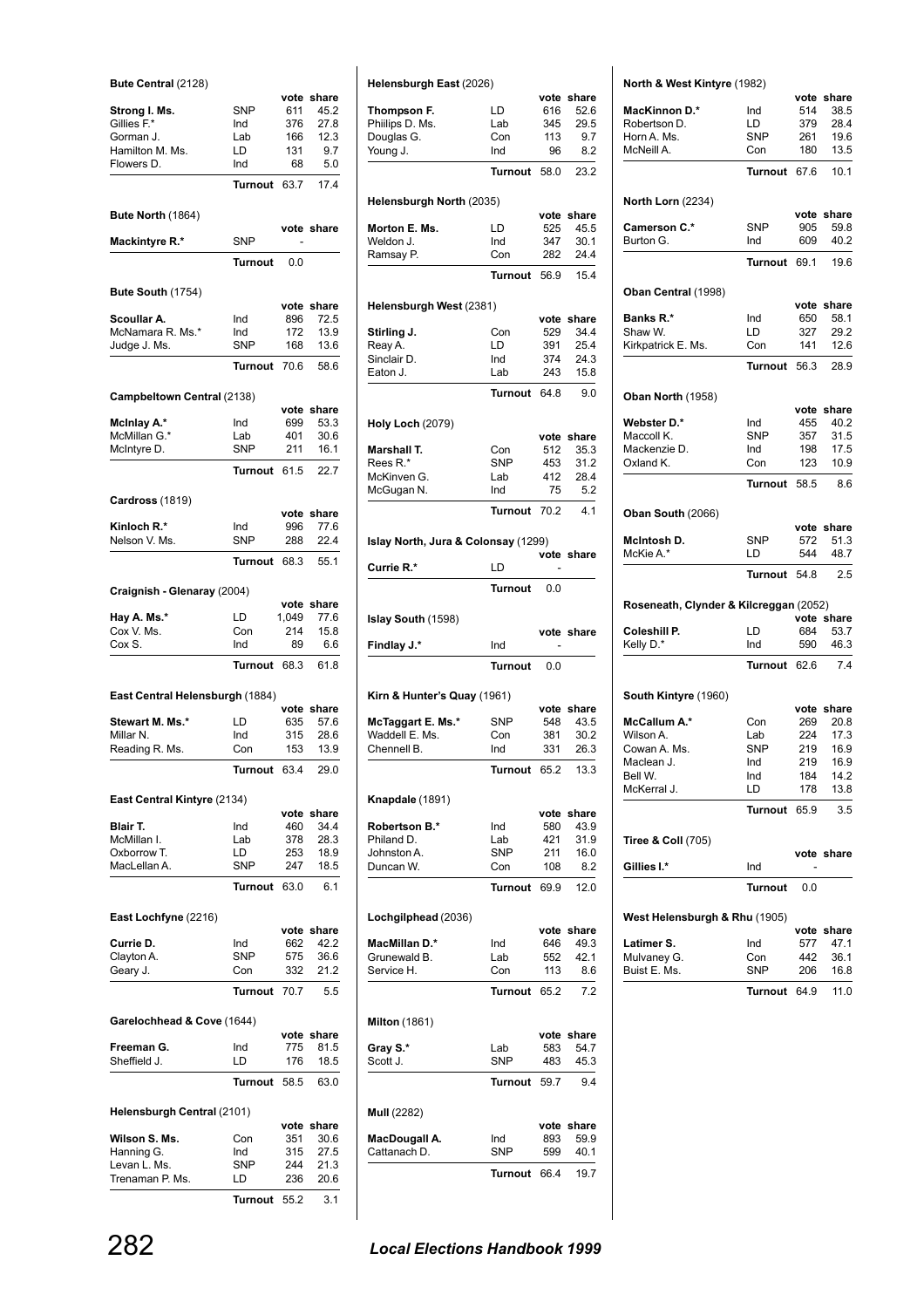| Bute Central (2128)             |                   |             |                    |
|---------------------------------|-------------------|-------------|--------------------|
| Strong I. Ms.                   | <b>SNP</b>        | vote<br>611 | share<br>45.2      |
| Gillies F.*                     | Ind               | 376         | 27.8               |
| Gorman J.                       | Lab               | 166         | 12.3               |
| Hamilton M. Ms.                 | LD                | 131         | 9.7                |
| Flowers D.                      | Ind               | 68          | 5.0                |
|                                 | <b>Turnout</b>    | 63.7        | 17.4               |
| Bute North (1864)               |                   |             |                    |
| <b>Mackintyre R.*</b>           | <b>SNP</b>        |             | vote share         |
|                                 | Turnout           | 0.0         |                    |
|                                 |                   |             |                    |
| Bute South (1754)               |                   |             | vote share         |
| Scoullar A.                     | Ind               | 896         | 72.5               |
| McNamara R. Ms.*                | Ind               | 172         | 13.9               |
| Judge J. Ms.                    | <b>SNP</b>        | 168         | 13.6               |
|                                 | <b>Turnout</b>    | 70.6        | 58.6               |
| Campbeltown Central (2138)      |                   |             |                    |
| McInlay A.*                     | Ind               | vote<br>699 | share<br>53.3      |
| McMillan G.*                    | Lab               | 401         | 30.6               |
| McIntyre D.                     | <b>SNP</b>        | 211         | 16.1               |
|                                 | <b>Turnout</b>    | 61.5        | 22.7               |
| Cardross (1819)                 |                   |             |                    |
|                                 |                   | vote        | share              |
| Kinloch R.*                     | Ind               | 996         | 77.6               |
| Nelson V. Ms.                   | SNP               | 288         | 22.4               |
|                                 | Turnout           | 68.3        | 55.1               |
| Craignish - Glenaray (2004)     |                   |             | vote share         |
| Hay A. Ms.*                     | LD                | 1,049       | 77.6               |
| Cox V. Ms.                      | Con               | 214         | 15.8               |
| Cox S.                          | Ind               | 89          | 6.6                |
|                                 | <b>Turnout</b>    | 68.3        | 61.8               |
| East Central Helensburgh (1884) |                   |             |                    |
| Stewart M. Ms.*                 | LD                | vote<br>635 | share<br>57.6      |
| Millar N.                       | Ind               | 315         | 28.6               |
| Reading R. Ms.                  | Con               | 153         | 13.9               |
|                                 | Turnout 63.4      |             | 29.0               |
| East Central Kintyre (2134)     |                   |             |                    |
| Blair T.                        |                   |             | vote share         |
| McMillan I.                     | Ind<br>Lab        | 460<br>378  | 34.4<br>28.3       |
| Oxborrow T.                     | LD                | 253         | 18.9               |
| MacLellan A.                    | SNP               | 247         | 18.5               |
|                                 | <b>Turnout</b>    | 63.0        | 6.1                |
| East Lochfyne (2216)            |                   |             |                    |
|                                 |                   |             | vote share         |
| Currie D.<br>Clayton A.         | Ind<br><b>SNP</b> | 662<br>575  | 42.2<br>36.6       |
| Geary J.                        | Con               | 332         | 21.2               |
|                                 | Turnout           | 70.7        | 5.5                |
| Garelochhead & Cove (1644)      |                   |             |                    |
|                                 |                   |             | vote share         |
| Freeman G.                      | Ind               | 775         | 81.5               |
| Sheffield J.                    | LD                | 176         | 18.5               |
|                                 | <b>Turnout</b>    | 58.5        | 63.0               |
| Helensburgh Central (2101)      |                   |             |                    |
| Wilson S. Ms.                   | Con               | 351         | vote share<br>30.6 |
| Hanning G.                      | Ind               | 315         | 27.5               |
| Levan L. Ms.                    | SNP               | 244         | 21.3               |
| Trenaman P. Ms.                 | LD                | 236         | 20.6               |
|                                 | Turnout 55.2      |             | 3.1                |

| Helensburgh East (2026)             |                       |             |              |
|-------------------------------------|-----------------------|-------------|--------------|
|                                     |                       | 616         | vote share   |
| Thompson F.<br>Phillips D. Ms.      | LD<br>Lab             | 345         | 52.6<br>29.5 |
| Douglas G.                          | Con                   | 113         | 9.7          |
| Young J.                            | Ind                   | 96          | 8.2          |
|                                     |                       |             |              |
|                                     | <b>Turnout</b>        | 58.0        | 23.2         |
| Helensburgh North (2035)            |                       |             |              |
|                                     |                       | vote        | share        |
| Morton E. Ms.                       | LD                    | 525         | 45.5         |
| Weldon J.                           | Ind                   | 347         | 30.1         |
| Ramsay P.                           | Con                   | 282         | 24.4         |
|                                     | <b>Turnout</b>        | 56.9        | 15.4         |
| Helensburgh West (2381)             |                       |             |              |
|                                     |                       |             | vote share   |
| Stirling J.                         | Con                   | 529         | 34.4         |
| Reay A.                             | LD                    | 391         | 25.4         |
| Sinclair D.                         | Ind                   | 374         | 24.3         |
| Eaton J.                            | Lab                   | 243         | 15.8         |
|                                     | <b>Turnout</b>        | 64.8        | 9.0          |
|                                     |                       |             |              |
| <b>Holy Loch (2079)</b>             |                       | vote        | share        |
| Marshall T.                         | Con                   | 512         | 35.3         |
| Rees R.*                            | <b>SNP</b>            | 453         | 31.2         |
| McKinven G.                         | Lab                   | 412         | 28.4         |
| McGugan N.                          | Ind                   | 75          | 5.2          |
|                                     |                       |             |              |
|                                     | <b>Turnout</b>        | 70.2        | 4.1          |
| Islay North, Jura & Colonsay (1299) |                       |             |              |
| Currie R.*                          | LD                    |             | vote share   |
|                                     | <b>Turnout</b>        | 0.0         |              |
|                                     |                       |             |              |
| Islay South (1598)                  |                       |             |              |
|                                     |                       |             | vote share   |
|                                     |                       |             |              |
| Findlay J.*                         | Ind<br><b>Turnout</b> | 0.0         |              |
|                                     |                       |             |              |
| Kirn & Hunter's Quay (1961)         |                       |             |              |
|                                     |                       | vote        | share        |
| McTaggart E. Ms.*                   | SNP                   | 548         | 43.5         |
| Waddell E. Ms.                      | Con                   | 381         | 30.2         |
| Chennell B.                         | Ind                   | 331         | 26.3         |
|                                     | <b>Turnout</b>        | 65.2        | 13.3         |
| Knapdale (1891)                     |                       |             |              |
|                                     |                       |             | vote share   |
| Robertson B.*                       | Ind                   | 580         | 43.9         |
| Philand D.                          | Lab                   | 421         | 31.9         |
| Johnston A.                         | SNP                   | 211         | 16.0         |
| Duncan W.                           | Con                   | 108         | 8.2          |
|                                     | Turnout               | 69.9        | 12.0         |
| Lochgilphead (2036)                 |                       |             |              |
|                                     |                       |             | vote share   |
| MacMillan D.*                       | Ind                   | 646         | 49.3         |
| Grunewald B.                        | Lab                   | 552         | 42.1         |
| Service H.                          | Con                   | 113         | 8.6          |
|                                     | Turnout               | 65.2        | 7.2          |
| <b>Milton</b> (1861)                |                       |             |              |
|                                     |                       | vote        | share        |
| Gray S.*                            | Lab                   | 583         | 54.7         |
| Scott J.                            | SNP                   | 483         | 45.3         |
|                                     | Turnout               | 59.7        | 9.4          |
|                                     |                       |             |              |
| Mull (2282)                         |                       |             |              |
|                                     |                       | vote        | share        |
| MacDougall A.                       | Ind                   | 893         | 59.9         |
| Cattanach D.                        | SNP<br>Turnout        | 599<br>66.4 | 40.1<br>19.7 |

|                                                            | North & West Kintyre (1982) |             |                                                            |
|------------------------------------------------------------|-----------------------------|-------------|------------------------------------------------------------|
| <b>MacKinnon D.*</b>                                       | Ind                         | 514         | vote share<br>38.5                                         |
| Robertson D.                                               | LD                          | 379         | 28.4                                                       |
| Horn A. Ms.                                                | <b>SNP</b>                  | 261         | 19.6                                                       |
| McNeill A.                                                 | Con                         | 180         | 13.5                                                       |
|                                                            |                             |             |                                                            |
|                                                            | Turnout                     | 67.6        | 10.1                                                       |
| <b>North Lorn (2234)</b>                                   |                             |             |                                                            |
| Camerson C.*                                               | <b>SNP</b>                  | 905         | vote share<br>59.8                                         |
| Burton G.                                                  | Ind                         | 609         | 40.2                                                       |
|                                                            | Turnout 69.1                |             | 19.6                                                       |
| Oban Central (1998)                                        |                             |             |                                                            |
| <b>Banks R.*</b>                                           | Ind                         | 650         | vote share<br>58.1                                         |
| Shaw W.                                                    | LD.                         | 327         | 29.2                                                       |
| Kirkpatrick E. Ms.                                         | Con                         | 141         | 12.6                                                       |
|                                                            | Turnout                     | 56.3        | 28.9                                                       |
|                                                            |                             |             |                                                            |
| Oban North (1958)                                          |                             |             | vote share                                                 |
| Webster D.*                                                | Ind                         | 455         | 40.2                                                       |
| Maccoll K.                                                 | <b>SNP</b>                  | 357         | 31.5                                                       |
| Mackenzie D.                                               | Ind                         | 198         | 17.5                                                       |
| Oxland K.                                                  | Con                         | 123         | 10.9                                                       |
|                                                            | Turnout                     | 58.5        | 8.6                                                        |
| Oban South (2066)                                          |                             |             |                                                            |
|                                                            |                             |             | vote share                                                 |
| McIntosh D.                                                | SNP                         | 572         | 51.3                                                       |
| McKie A.*                                                  | LD                          | 544         | 48.7                                                       |
|                                                            | Turnout 54.8                |             | 2.5                                                        |
| Roseneath, Clynder & Kilcreggan (2052)                     |                             |             |                                                            |
| Coleshill P.                                               | LD                          | 684         | vote share<br>53.7                                         |
| Kelly D.*                                                  | Ind                         | 590         | 46.3                                                       |
|                                                            | Turnout 62.6                |             | 7.4                                                        |
| South Kintyre (1960)                                       |                             |             |                                                            |
| McCallum A.*                                               | Con                         | 269         | vote share<br>20.8                                         |
| Wilson A.                                                  | Lab                         | 224         | 17.3                                                       |
| Cowan A. Ms.                                               | <b>SNP</b>                  | 219         | 16.9                                                       |
| Maclean J.                                                 | Ind                         | 219         | 16.9                                                       |
| Bell W.                                                    | Ind                         | 184         | 14.2                                                       |
|                                                            | LD                          | 178         | 13.8                                                       |
| McKerral J.                                                |                             |             |                                                            |
|                                                            | Turnout                     | 65.9        |                                                            |
| <b>Tiree &amp; Coll (705)</b>                              |                             |             |                                                            |
|                                                            |                             |             |                                                            |
|                                                            | Ind<br><b>Turnout</b>       | 0.0         |                                                            |
|                                                            |                             |             |                                                            |
|                                                            |                             |             |                                                            |
| Gillies I.*<br>West Helensburgh & Rhu (1905)<br>Latimer S. | Ind                         | vote<br>577 |                                                            |
| Mulvaney G.                                                | Con                         | 442         |                                                            |
| Buist E. Ms.                                               | SNP                         | 206         |                                                            |
|                                                            | Turnout                     | 64.9        | 3.5<br>vote share<br>share<br>47.1<br>36.1<br>16.8<br>11.0 |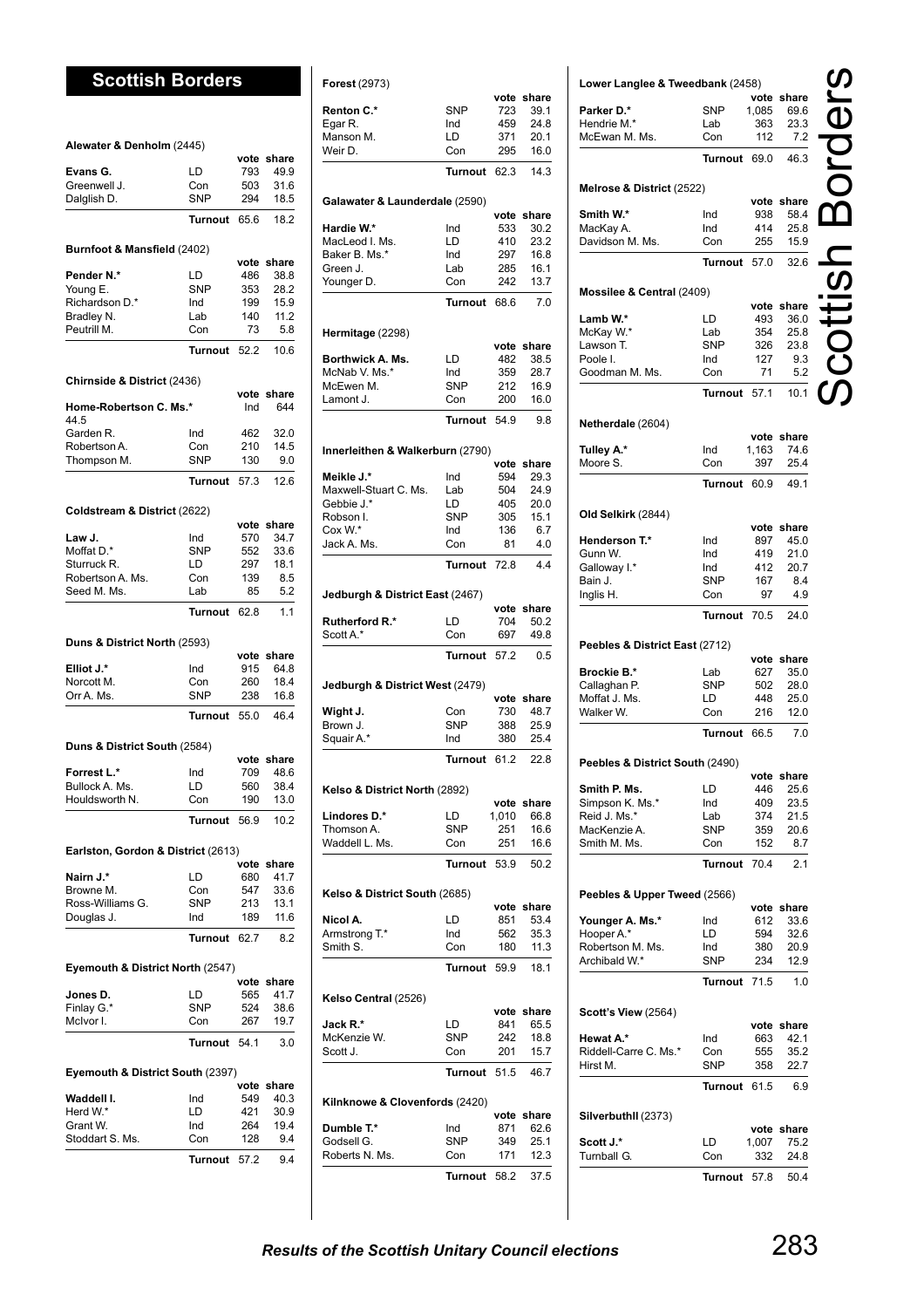# **Scottish Borders**

| Alewater & Denholm (2445)          |                   |             |              |
|------------------------------------|-------------------|-------------|--------------|
|                                    |                   | vote        | share        |
| Evans G.                           | LD                | 793         | 49.9         |
| Greenwell J.                       | Con               | 503         | 31.6         |
| Dalglish D.                        | <b>SNP</b>        | 294         | 18.5         |
|                                    | <b>Turnout</b>    | 65.6        | 18.2         |
| Burnfoot & Mansfield (2402)        |                   |             |              |
|                                    |                   |             | vote share   |
| Pender N.*<br>Young E.             | LD<br><b>SNP</b>  | 486<br>353  | 38.8<br>28.2 |
| Richardson D.*                     | Ind               | 199         | 15.9         |
| Bradley N.                         | Lab               | 140         | 11.2         |
| Peutrill M.                        | Con               | 73          | 5.8          |
|                                    | Turnout           | 52.2        | 10.6         |
| Chirnside & District (2436)        |                   |             |              |
|                                    |                   |             | vote share   |
| Home-Robertson C. Ms.*<br>44.5     |                   | Ind         | 644          |
| Garden R.                          | Ind               | 462         | 32.0         |
| Robertson A.                       | Con               | 210         | 14.5         |
| Thompson M.                        | SNP               | 130         | 9.0          |
|                                    | Turnout           | 57.3        | 12.6         |
| Coldstream & District (2622)       |                   |             |              |
|                                    |                   |             | vote share   |
| Law J.<br>Moffat D.*               | Ind<br><b>SNP</b> | 570<br>552  | 34.7<br>33.6 |
| Sturruck R.                        | LD                | 297         | 18.1         |
| Robertson A. Ms.                   | Con               | 139         | 8.5          |
| Seed M. Ms.                        | Lab               | 85          | 5.2          |
|                                    | Turnout           | 62.8        | 1.1          |
| Duns & District North (2593)       |                   |             |              |
|                                    |                   |             | vote share   |
| Elliot J.*                         | Ind               | 915         | 64.8         |
| Norcott M.                         | Con<br>SNP        | 260         | 18.4         |
| Orr A. Ms.                         | <b>Turnout</b>    | 238<br>55.0 | 16.8<br>46.4 |
|                                    |                   |             |              |
| Duns & District South (2584)       |                   |             | vote share   |
| Forrest L.*                        | Ind               | 709         | 48.6         |
| Bullock A. Ms.                     | LD                | 560         | 38.4         |
| Houldsworth N.                     | Con               | 190         | 13.0         |
|                                    | Turnout 56.9      |             | 10.2         |
| Earlston, Gordon & District (2613) |                   |             |              |
|                                    |                   |             | vote share   |
| Nairn J.*                          | LD                | 680         | 41.7         |
| Browne M.                          | Con               | 547         | 33.6         |
| Ross-Williams G.                   | <b>SNP</b>        | 213         | 13.1         |
| Douglas J.                         | Ind               | 189         | 11.6         |
|                                    | Turnout           | 62.7        | 8.2          |
| Eyemouth & District North (2547)   |                   |             | vote share   |
| Jones D.                           | LD                | 565         | 41.7         |
| Finlay G.*                         | SNP               | 524         | 38.6         |
| McIvor I.                          | Con               | 267         | 19.7         |
|                                    | Turnout           | 54.1        | 3.0          |
| Eyemouth & District South (2397)   |                   |             |              |
|                                    |                   |             | vote share   |
| Waddell I.<br>Herd W.*             | Ind<br>LD         | 549<br>421  | 40.3<br>30.9 |
| Grant W.                           | Ind               | 264         | 19.4         |
| Stoddart S. Ms.                    | Con               | 128         | 9.4          |
|                                    | Turnout           | 57.2        | 9.4          |
|                                    |                   |             |              |

| <b>Forest (2973)</b>                                                                                                |                   |             |               |
|---------------------------------------------------------------------------------------------------------------------|-------------------|-------------|---------------|
|                                                                                                                     |                   | vote        | share         |
| Renton C.*                                                                                                          | <b>SNP</b><br>Ind | 723<br>459  | 39.1<br>24.8  |
| Egar R.<br>Manson M.                                                                                                | LD                | 371         | 20.1          |
| Weir D.                                                                                                             | Con               | 295         | 16.0          |
|                                                                                                                     | Turnout           | 62.3        | 14.3          |
|                                                                                                                     |                   |             |               |
| Galawater & Launderdale (2590)                                                                                      |                   |             |               |
|                                                                                                                     |                   | vote        | share         |
| Hardie W.*<br>MacLeod I. Ms.                                                                                        | Ind<br>LD         | 533<br>410  | 30.2<br>23.2  |
| Baker B. Ms.*                                                                                                       | Ind               | 297         | 16.8          |
| Green J.                                                                                                            | Lab               | 285         | 16.1          |
| Younger D.                                                                                                          | Con               | 242         | 13.7          |
|                                                                                                                     | Turnout           | 68.6        | 7.0           |
| Hermitage (2298)                                                                                                    |                   |             |               |
|                                                                                                                     |                   | vote        | share         |
| Borthwick A. Ms.                                                                                                    | LD                | 482         | 38.5          |
| McNab V. Ms.*                                                                                                       | Ind               | 359         | 28.7          |
| McEwen M.                                                                                                           | <b>SNP</b>        | 212         | 16.9          |
| Lamont J.                                                                                                           | Con               | 200         | 16.0          |
|                                                                                                                     | <b>Turnout</b>    | 54.9        | 9.8           |
| Innerleithen & Walkerburn (2790)                                                                                    |                   |             |               |
|                                                                                                                     |                   | vote        | share         |
| Meikle J.*                                                                                                          | Ind               | 594         | 29.3          |
| Maxwell-Stuart C. Ms.                                                                                               | Lab               | 504         | 24.9          |
| Gebbie J.*<br>Robson I.                                                                                             | LD<br><b>SNP</b>  | 405<br>305  | 20.0<br>15.1  |
| Cox W.*                                                                                                             | Ind               | 136         | 6.7           |
| Jack A. Ms.                                                                                                         | Con               | 81          | 4.0           |
|                                                                                                                     | <b>Turnout</b>    | 72.8        | 4.4           |
|                                                                                                                     |                   |             |               |
| Jedburgh & District East (2467)                                                                                     |                   |             |               |
| Rutherford R.*                                                                                                      | LD                | vote<br>704 | share<br>50.2 |
| Scott A.*                                                                                                           | Con               | 697         | 49.8          |
|                                                                                                                     | <b>Turnout</b>    | 57.2        | 0.5           |
|                                                                                                                     |                   |             |               |
| Jedburgh & District West (2479)                                                                                     |                   | vote        | share         |
| Wight J.                                                                                                            | Con               | 730         | 48.7          |
| Brown J.                                                                                                            | SNP               | 388         | 25.9          |
| Squair A.*                                                                                                          | Ind               | 380         | 25.4          |
|                                                                                                                     | Turnout           | 61.2        | 22.8          |
|                                                                                                                     |                   |             |               |
| Kelso & District North (2892)                                                                                       |                   | vote        | share         |
| Lindores D.*                                                                                                        | LD                | 1,010       | 66.8          |
| Thomson A.                                                                                                          | <b>SNP</b>        | 251         | 16.6          |
| Waddell L. Ms.                                                                                                      | Con               | 251         | 16.6          |
|                                                                                                                     | Turnout           | 53.9        | 50.2          |
|                                                                                                                     |                   |             |               |
|                                                                                                                     |                   |             |               |
|                                                                                                                     |                   |             | vote share    |
|                                                                                                                     | LD                | 851         | 53.4          |
|                                                                                                                     | Ind               | 562         | 35.3          |
|                                                                                                                     | Con               | 180         | 11.3          |
|                                                                                                                     | Turnout           | 59.9        | 18.1          |
| Kelso & District South (2685)<br>Nicol A.<br>Armstrong T.*<br>Smith S.<br>Kelso Central (2526)                      |                   |             |               |
|                                                                                                                     |                   |             | vote share    |
|                                                                                                                     | LD                | 841         | 65.5          |
|                                                                                                                     | <b>SNP</b>        | 242         | 18.8          |
|                                                                                                                     | Con               | 201         | 15.7          |
|                                                                                                                     | Turnout           | 51.5        | 46.7          |
|                                                                                                                     |                   |             |               |
|                                                                                                                     |                   | vote        | share         |
|                                                                                                                     | Ind               | 871         | 62.6          |
| Jack R.*<br>McKenzie W.<br>Scott J.<br>Kilnknowe & Clovenfords (2420)<br>Dumble T.*<br>Godsell G.<br>Roberts N. Ms. | SNP<br>Con        | 349<br>171  | 25.1<br>12.3  |
|                                                                                                                     | <b>Turnout</b>    | 58.2        | 37.5          |

| Parker D.*                         | <b>SNP</b>          | 1,085        | vote share<br>69.6 |  |
|------------------------------------|---------------------|--------------|--------------------|--|
| Hendrie M.*                        | Lab                 | 363          | 23.3               |  |
| McEwan M. Ms.                      | Con                 | 112          | 7.2                |  |
|                                    | <b>Turnout</b>      | 69.0         | 46.3               |  |
| Melrose & District (2522)          |                     |              |                    |  |
|                                    |                     |              | vote share         |  |
| Smith W.*<br>MacKay A.             | Ind<br>Ind          | 938<br>414   | 58.4<br>25.8       |  |
| Davidson M. Ms.                    | Con                 | 255          | 15.9               |  |
|                                    | Turnout             | 57.0         | 32.6               |  |
|                                    |                     |              |                    |  |
| Mossilee & Central (2409)          |                     |              | vote share         |  |
| Lamb W.*                           | LD                  | 493          | 36.0               |  |
| McKay W.*                          | Lab                 | 354          | 25.8               |  |
| Lawson T.                          | SNP                 | 326          | 23.8               |  |
| Poole I.<br>Goodman M. Ms.         | Ind<br>Con          | 127<br>71    | 9.3<br>5.2         |  |
|                                    | Turnout             | 57.1         | 10.1               |  |
|                                    |                     |              |                    |  |
| Netherdale (2604)                  |                     |              | vote share         |  |
| Tulley A.*                         | Ind                 | 1,163        | 74.6               |  |
| Moore S                            | Con                 | 397          | 25.4               |  |
|                                    | Turnout             | 60.9         | 49.1               |  |
| Old Selkirk (2844)                 |                     |              |                    |  |
|                                    |                     |              | vote share         |  |
| Henderson T.*<br>Gunn W.           | Ind<br>Ind          | 897<br>419   | 45.0<br>21.0       |  |
| Galloway I.*                       | Ind                 | 412          | 20.7               |  |
| Bain J.                            | SNP                 | 167          | 8.4                |  |
| Inglis H.                          | Con                 | 97           | 4.9                |  |
|                                    | Turnout 70.5        |              | 24.0               |  |
|                                    |                     |              |                    |  |
|                                    |                     |              |                    |  |
| Peebles & District East (2712)     |                     |              | vote share         |  |
| <b>Brockie B.*</b><br>Callaghan P. | Lab<br>SNP          | 627<br>502   | 35.0<br>28.0       |  |
| Moffat J. Ms.                      | LD.                 | 448          | 25.0               |  |
| Walker W.                          | Con                 | 216          | 12.0               |  |
|                                    | Turnout             | 66.5         | 7.0                |  |
| Peebles & District South (2490)    |                     |              |                    |  |
|                                    |                     |              | vote share         |  |
| Smith P. Ms.                       | LD                  | 446          | 25.6               |  |
| Simpson K. Ms.*                    | Ind                 | 409          | 23.5               |  |
| Reid J. Ms.*                       | Lab                 | 374          | 21.5               |  |
| MacKenzie A.<br>Smith M. Ms.       | <b>SNP</b><br>Con   | 359<br>152   | 20.6<br>8.7        |  |
|                                    | <b>Turnout</b>      | 70.4         | 2.1                |  |
|                                    |                     |              |                    |  |
| Peebles & Upper Tweed (2566)       |                     |              | vote share         |  |
| Younger A. Ms.*                    | Ind                 | 612          | 33.6               |  |
| Hooper A.*                         | LD                  | 594          | 32.6               |  |
| Robertson M. Ms.                   | Ind                 | 380          | 20.9               |  |
| Archibald W.*                      | SNP<br>Turnout 71.5 | 234          | 12.9<br>1.0        |  |
|                                    |                     |              |                    |  |
| <b>Scott's View (2564)</b>         |                     |              | vote share         |  |
| Hewat A.*                          | Ind                 | 663          | 42.1               |  |
| Riddell-Carre C. Ms.*              | Con                 | 555          | 35.2               |  |
| Hirst M.                           | SNP                 | 358          | 22.7               |  |
|                                    | Turnout             | 61.5         | 6.9                |  |
| Silverbuthll (2373)                |                     |              | vote share         |  |
| Scott J.*<br>Turnball G.           | LD<br>Con           | 1,007<br>332 | 75.2<br>24.8       |  |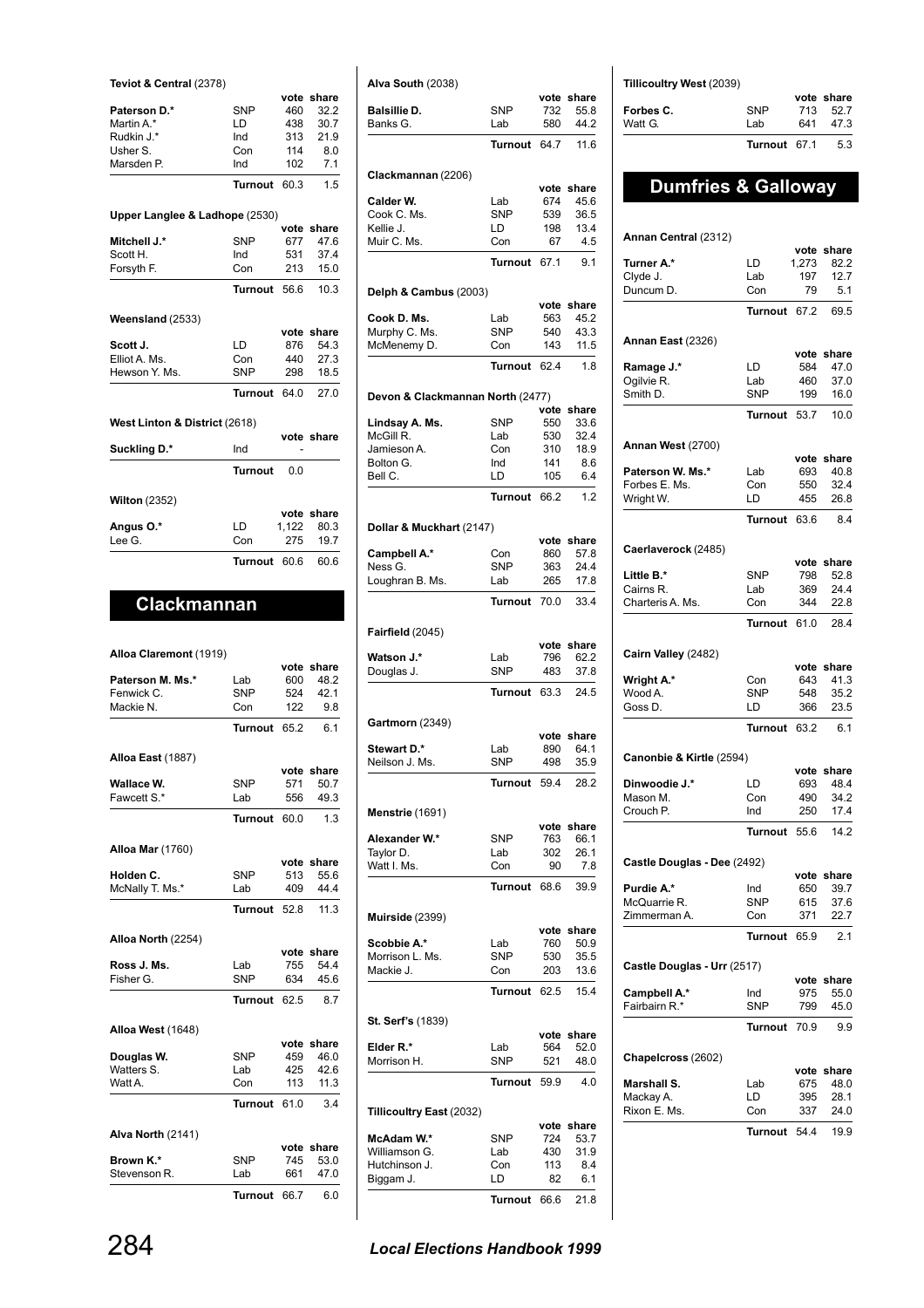|  |  | Teviot & Central (2378) |  |
|--|--|-------------------------|--|
|--|--|-------------------------|--|

| Paterson D.*                   | <b>SNP</b>     | 460   | 32.2       |
|--------------------------------|----------------|-------|------------|
| Martin A.*                     | ID.            | 438   | 30.7       |
| Rudkin J.*                     | Ind            | 313   | 21.9       |
| Usher S.                       | Con            | 114   | 8.0        |
| Marsden P.                     | Ind            | 102   | 7.1        |
|                                | <b>Turnout</b> | 60.3  | 1.5        |
| Upper Langlee & Ladhope (2530) |                |       |            |
|                                |                |       | vote share |
| Mitchell J.*                   | <b>SNP</b>     | 677   | 47.6       |
| Scott H.                       | Ind            | 531   | 37.4       |
| Forsyth F.                     | Con            | 213   | 15.0       |
|                                | Turnout        | 56.6  | 10.3       |
| Weensland (2533)               |                |       |            |
|                                |                |       | vote share |
| Scott J.                       | LD             | 876   | 54.3       |
| Elliot A. Ms.                  | Con            | 440   | 27.3       |
| Hewson Y. Ms.                  | <b>SNP</b>     | 298   | 18.5       |
|                                | <b>Turnout</b> | 64.0  | 27.0       |
| West Linton & District (2618)  |                |       |            |
|                                |                |       | vote share |
| Suckling D.*                   | Ind            |       |            |
|                                | <b>Turnout</b> | 0 Q   |            |
| <b>Wilton (2352)</b>           |                |       |            |
|                                |                |       | vote share |
| Angus O.*                      | LD             | 1,122 | 80.3       |
| Lee G.                         | Con            | 275   | 19.7       |
|                                | Turnout        | 60.6  | 60.6       |

**vote share**

# **Clackmannan**

| Alloa Claremont (1919)  |            |      |            |
|-------------------------|------------|------|------------|
|                         |            |      | vote share |
| Paterson M. Ms.*        | Lab        | 600  | 48.2       |
| Fenwick C.              | <b>SNP</b> | 524  | 42.1       |
| Mackie N.               | Con        | 122  | 9.8        |
|                         | Turnout    | 65.2 | 6.1        |
| Alloa East (1887)       |            |      |            |
|                         |            |      | vote share |
| Wallace W.              | <b>SNP</b> | 571  | 50.7       |
| Fawcett S.*             | Lab        | 556  | 49.3       |
|                         | Turnout    | 60.0 | 1.3        |
| <b>Alloa Mar (1760)</b> |            |      |            |
|                         |            |      | vote share |
| Holden C.               | <b>SNP</b> | 513  | 55.6       |
| McNally T. Ms.*         | Lab        | 409  | 44.4       |
|                         | Turnout    | 52.8 | 11.3       |
| Alloa North (2254)      |            |      |            |
|                         |            |      | vote share |
| Ross J. Ms.             | Lab        | 755  | 54.4       |
| Fisher G.               | <b>SNP</b> | 634  | 45.6       |
|                         | Turnout    | 62.5 | 8.7        |
| Alloa West (1648)       |            |      |            |
|                         |            |      | vote share |
| Douglas W.              | <b>SNP</b> | 459  | 46.0       |
| Watters S.              | Lab        | 425  | 42.6       |
| Watt A.                 | Con        | 113  | 11.3       |
|                         | Turnout    | 61.0 | 3.4        |
| Alva North (2141)       |            |      |            |
|                         |            |      | vote share |
| Brown K.*               | <b>SNP</b> | 745  | 53.0       |
| Stevenson R.            | Lab        | 661  | 47.0       |
|                         | Turnout    | 66.7 | 6.0        |

| Alva South (2038)                |                   |             |                    |
|----------------------------------|-------------------|-------------|--------------------|
| <b>Balsillie D.</b>              | SNP               | 732         | vote share<br>55.8 |
| Banks G.                         | Lab               | 580         | 44.2               |
|                                  | Turnout           | 64.7        | 11.6               |
| Clackmannan (2206)               |                   |             |                    |
|                                  |                   | vote        | share              |
| Calder W.<br>Cook C. Ms.         | Lab<br><b>SNP</b> | 674<br>539  | 45.6<br>36.5       |
| Kellie J.                        | LD                | 198         | 13.4               |
| Muir C. Ms.                      | Con               | 67          | 4.5                |
|                                  | Turnout           | 67.1        | 9.1                |
| Delph & Cambus (2003)            |                   |             |                    |
|                                  |                   | vote        | share              |
| Cook D. Ms.                      | Lab               | 563         | 45.2               |
| Murphy C. Ms.<br>McMenemy D.     | <b>SNP</b><br>Con | 540<br>143  | 43.3<br>11.5       |
|                                  |                   |             |                    |
|                                  | Turnout           | 62.4        | 1.8                |
| Devon & Clackmannan North (2477) |                   |             |                    |
| Lindsay A. Ms.                   | SNP               | vote<br>550 | share<br>33.6      |
| McGill R.                        | Lab               | 530         | 32.4               |
| Jamieson A.                      | Con               | 310         | 18.9               |
| Bolton G.                        | Ind               | 141         | 8.6                |
| Bell C.                          | LD                | 105         | 6.4                |
|                                  | Turnout           | 66.2        | 1.2                |
| Dollar & Muckhart (2147)         |                   |             |                    |
|                                  |                   | vote<br>860 | share              |
| Campbell A.*<br>Ness G.          | Con<br><b>SNP</b> | 363         | 57.8<br>24.4       |
| Loughran B. Ms.                  | Lab               | 265         | 17.8               |
|                                  | Turnout           | 70.0        | 33.4               |
|                                  |                   |             |                    |
| Fairfield (2045)                 |                   | vote        | share              |
| Watson J.*                       | Lab               | 796         | 62.2               |
| Douglas J.                       | <b>SNP</b>        | 483         | 37.8               |
|                                  | <b>Turnout</b>    | 63.3        | 24.5               |
| Gartmorn (2349)                  |                   |             |                    |
|                                  |                   |             | vote share         |
| Stewart D.*<br>Neilson J. Ms.    | Lab<br>SNP        | 890<br>498  | 64.1<br>35.9       |
|                                  |                   |             |                    |
|                                  | Turnout           | 59.4        | 28.2               |
| Menstrie (1691)                  |                   |             | vote share         |
| Alexander W.*                    | SNP               | 763         | 66.1               |
| Taylor D.                        | Lab               | 302         | 26.1               |
| Watt I. Ms.                      | Con               | 90          | 7.8                |
|                                  | Turnout           | 68.6        | 39.9               |
| Muirside (2399)                  |                   |             |                    |
|                                  |                   | vote        | share              |
| Scobbie A.*                      | Lab               | 760         | 50.9               |
| Morrison L. Ms.                  | <b>SNP</b>        | 530         | 35.5               |
| Mackie J.                        | Con               | 203         | 13.6               |
|                                  | Turnout           | 62.5        | 15.4               |
| <b>St. Serf's (1839)</b>         |                   |             |                    |
| Elder R.*                        | Lab               | vote<br>564 | share<br>52.0      |
| Morrison H.                      | SNP               | 521         | 48.0               |
|                                  | Turnout           | 59.9        | 4.0                |
| Tillicoultry East (2032)         |                   |             |                    |
|                                  |                   | vote        | share              |
| McAdam W.*                       | SNP               | 724         | 53.7               |
| Williamson G.                    | Lab               | 430         | 31.9               |
| Hutchinson J.<br>Biggam J.       | Con<br>LD         | 113<br>82   | 8.4<br>6.1         |
|                                  |                   |             |                    |
|                                  | Turnout           | 66.6        | 21.8               |

| Tillicoultry West (2039) |  |
|--------------------------|--|
|                          |  |

| 713 527 | Watt G.   | l ah       | 641 | 473 |
|---------|-----------|------------|-----|-----|
|         | Forbes C. | <b>SNP</b> |     |     |

# **Dumfries & Galloway**

| Annan Central (2312)        |                   | vote        | share         |
|-----------------------------|-------------------|-------------|---------------|
| Turner A.*                  | LD                | 1,273       | 82.2          |
| Clyde J.                    | Lab               | 197         | 12.7          |
| Duncum D.                   | Con               | 79          | 5.1           |
|                             | <b>Turnout</b>    | 67.2        | 69.5          |
| Annan East (2326)           |                   |             |               |
|                             | LD                | vote<br>584 | share<br>47.0 |
| Ramage J.*<br>Ogilvie R.    | Lab               | 460         | 37.0          |
| Smith D.                    | <b>SNP</b>        | 199         | 16.0          |
|                             | Turnout           | 53.7        | 10.0          |
|                             |                   |             |               |
| Annan West (2700)           |                   |             | vote share    |
| Paterson W. Ms.*            | Lab               | 693         | 40.8          |
| Forbes E. Ms.               | Con               | 550         | 32.4          |
| Wright W.                   | LD                | 455         | 26.8          |
|                             | <b>Turnout</b>    | 63.6        | 8.4           |
| Caerlaverock (2485)         |                   |             |               |
|                             |                   | vote        | share         |
| Little B.*                  | <b>SNP</b>        | 798         | 52.8          |
| Cairns R.                   | Lab               | 369         | 24.4          |
| Charteris A. Ms.            | Con               | 344         | 22.8          |
|                             | Turnout           | 61.0        | 28.4          |
| Cairn Valley (2482)         |                   |             |               |
|                             |                   | vote        | share<br>41.3 |
| Wright A.*<br>Wood A.       | Con<br><b>SNP</b> | 643<br>548  | 35.2          |
| Goss D.                     | LD                | 366         | 23.5          |
|                             | Turnout           | 63.2        | 6.1           |
|                             |                   |             |               |
| Canonbie & Kirtle (2594)    |                   | vote        | share         |
| Dinwoodie J.*               | LD                | 693         | 48.4          |
| Mason M.                    | Con               | 490         | 34.2          |
| Crouch P.                   | Ind               | 250         | 17.4          |
|                             | <b>Turnout</b>    | 55.6        | 14.2          |
| Castle Douglas - Dee (2492) |                   |             |               |
|                             |                   |             | vote share    |
| Purdie A.*                  | Ind               | 650         | 39.7          |
| McQuarrie R.                | <b>SNP</b>        | 615         | 37.6          |
| Zimmerman A.                | Con               | 371         | 22.7          |
|                             | Turnout           | 65.9        | 2.1           |
| Castle Douglas - Urr (2517) |                   |             |               |
|                             |                   |             | vote share    |
| Campbell A.*                | Ind               | 975         | 55.0          |
| Fairbairn R.*               | <b>SNP</b>        | 799         | 45.0          |
|                             | Turnout           | 70.9        | 9.9           |
| Chapelcross (2602)          |                   | vote        | share         |
| Marshall S.                 | Lab               | 675         | 48.0          |
|                             |                   |             |               |
|                             | LD                |             | 28.1          |
| Mackay A.<br>Rixon E. Ms.   | Con               | 395<br>337  | 24.0          |
|                             | Turnout           | 54.4        | 19.9          |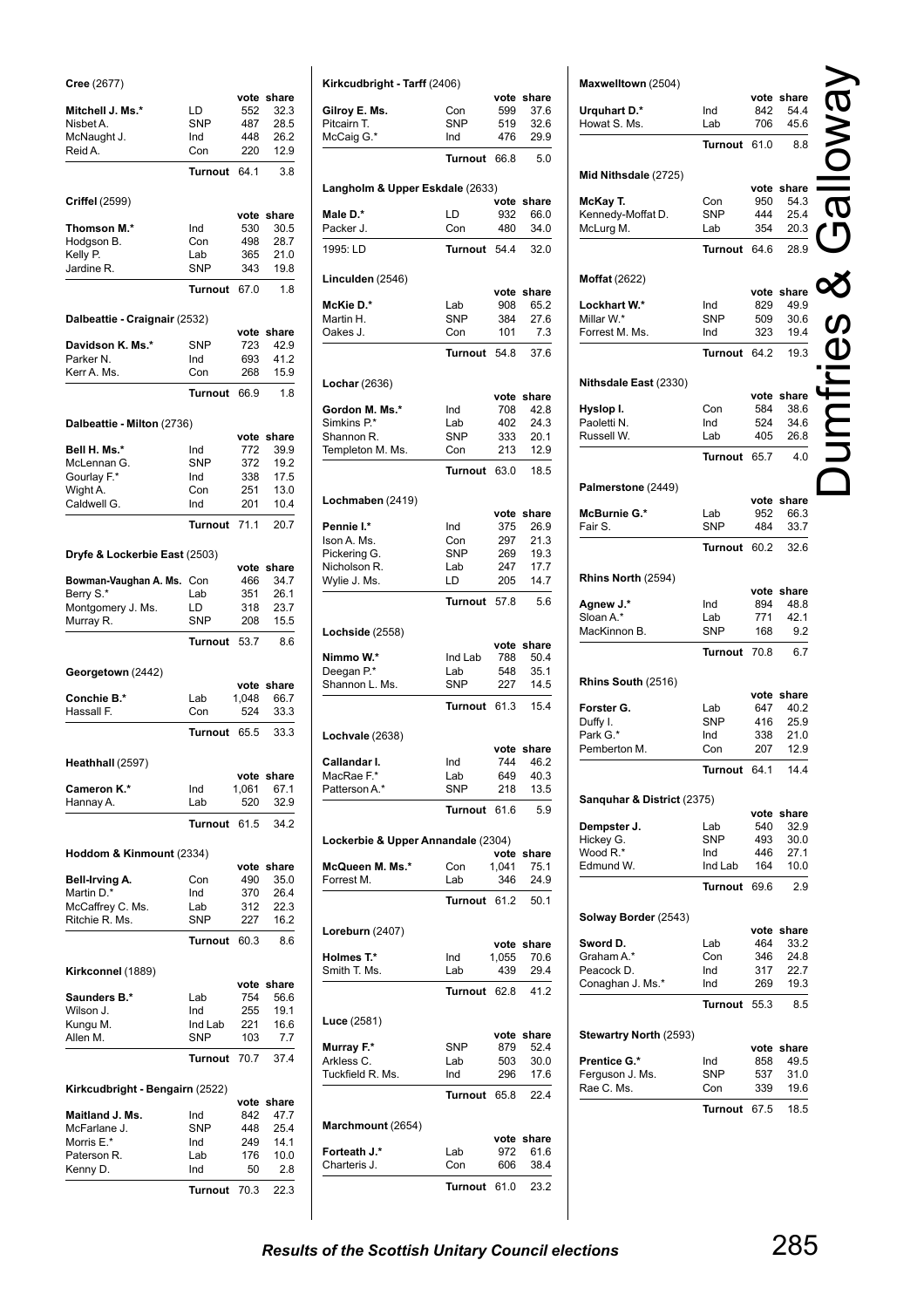| Cree (2677)                     |                       |              |                    |
|---------------------------------|-----------------------|--------------|--------------------|
| Mitchell J. Ms.*                | LD                    | vote<br>552  | share<br>32.3      |
| Nisbet A.                       | <b>SNP</b>            | 487          | 28.5               |
| McNaught J.                     | Ind                   | 448          | 26.2               |
| Reid A.                         | Con                   | 220          | 12.9               |
|                                 | <b>Turnout</b>        | 64.1         | 3.8                |
| Criffel (2599)                  |                       |              |                    |
| Thomson M.*                     | Ind                   | 530          | vote share<br>30.5 |
| Hodgson B.                      | Con                   | 498          | 28.7               |
| Kelly P.                        | Lab                   | 365          | 21.0               |
| Jardine R.                      | <b>SNP</b>            | 343          | 19.8               |
|                                 | <b>Turnout</b>        | 67.0         | 1.8                |
| Dalbeattie - Craignair (2532)   |                       |              |                    |
| Davidson K. Ms.*                | SNP                   | vote<br>723  | share<br>42.9      |
| Parker <sub>N.</sub>            | Ind                   | 693          | 41.2               |
| Kerr A. Ms.                     | Con                   | 268          | 15.9               |
|                                 | <b>Turnout</b>        | 66.9         | 1.8                |
| Dalbeattie - Milton (2736)      |                       |              |                    |
|                                 |                       | vote         | share              |
| Bell H. Ms.*                    | Ind                   | 772          | 39.9               |
| McLennan G.                     | <b>SNP</b>            | 372          | 19.2               |
| Gourlay F.*<br>Wight A.         | Ind<br>Con            | 338<br>251   | 17.5<br>13.0       |
| Caldwell G.                     | Ind                   | 201          | 10.4               |
|                                 | <b>Turnout</b>        | 71.1         | 20.7               |
|                                 |                       |              |                    |
| Dryfe & Lockerbie East (2503)   |                       | vote         | share              |
| Bowman-Vaughan A. Ms.           | Con                   | 466          | 34.7               |
| Berry S.*                       | Lab                   | 351          | 26.1               |
| Montgomery J. Ms.               | LD<br><b>SNP</b>      | 318<br>208   | 23.7               |
| Murray R.                       | <b>Turnout</b>        | 53.7         | 15.5<br>8.6        |
|                                 |                       |              |                    |
|                                 |                       |              |                    |
| Georgetown (2442)               |                       |              |                    |
|                                 |                       | vote         | share              |
| Conchie B.*<br>Hassall F.       | Lab<br>Con            | 1,048<br>524 | 66.7<br>33.3       |
|                                 | <b>Turnout</b>        | 65.5         | 33.3               |
| Heathhall (2597)                |                       |              |                    |
|                                 |                       | ote /        | share              |
| <b>Cameron K.*</b>              | Ind                   | 1,061        | 67.1               |
| Hannay A.                       | Lab<br><b>Turnout</b> | 520          | 32.9<br>34.2       |
|                                 |                       | 61.5         |                    |
| Hoddom & Kinmount (2334)        |                       |              | vote share         |
| Bell-Irving A.                  | Con                   | 490          | 35.0               |
| Martin D.*                      | Ind                   | 370          | 26.4               |
| McCaffrey C. Ms.                | Lab                   | 312          | 22.3               |
| Ritchie R. Ms.                  | <b>SNP</b>            | 227          | 16.2               |
|                                 | <b>Turnout</b>        | 60.3         | 8.6                |
| Kirkconnel (1889)               |                       |              | vote share         |
| Saunders B.*                    | Lab                   | 754          | 56.6               |
| Wilson J.                       | Ind                   | 255          | 19.1               |
| Kungu M.                        | Ind Lab               | 221          | 16.6               |
| Allen M.                        | <b>SNP</b>            | 103          | 7.7                |
|                                 | <b>Turnout</b>        | 70.7         | 37.4               |
| Kirkcudbright - Bengairn (2522) |                       |              |                    |
| Maitland J. Ms.                 | Ind                   | 842          | vote share<br>47.7 |
| McFarlane J.                    | <b>SNP</b>            | 448          | 25.4               |
| Morris E.*                      | Ind                   | 249          | 14.1               |
| Paterson R.                     | Lab                   | 176          | 10.0               |
| Kenny D.                        | Ind                   | 50           | 2.8                |

| Kirkcudbright - Tarff (2406)       |                   |            |                    |
|------------------------------------|-------------------|------------|--------------------|
|                                    |                   | vote       | share              |
| Gilroy E. Ms.                      | Con               | 599        | 37.6               |
| Pitcairn T.                        | <b>SNP</b>        | 519        | 32.6               |
| McCaig G.*                         | Ind               | 476        | 29.9               |
|                                    | <b>Turnout</b>    | 66.8       | 5.0                |
|                                    |                   |            |                    |
| Langholm & Upper Eskdale (2633)    |                   |            |                    |
|                                    |                   | vote       | share              |
| Male D.*                           | LD                | 932        | 66.0               |
| Packer J.                          | Con               | 480        | 34.0               |
| 1995: LD                           | Turnout           | 54.4       | 32.0               |
|                                    |                   |            |                    |
| Linculden (2546)                   |                   |            |                    |
|                                    |                   | vote       | share              |
| McKie D.*                          | Lab<br><b>SNP</b> | 908        | 65.2               |
| Martin H.<br>Oakes J.              | Con               | 384<br>101 | 27.6<br>7.3        |
|                                    |                   |            |                    |
|                                    | <b>Turnout</b>    | 54.8       | 37.6               |
|                                    |                   |            |                    |
| Lochar (2636)                      |                   |            |                    |
| Gordon M. Ms.*                     | Ind               | 708        | vote share<br>42.8 |
| Simkins P.*                        | Lab               | 402        | 24.3               |
| Shannon R.                         | <b>SNP</b>        | 333        | 20.1               |
| Templeton M. Ms.                   | Con               | 213        | 12.9               |
|                                    |                   |            |                    |
|                                    | <b>Turnout</b>    | 63.0       | 18.5               |
|                                    |                   |            |                    |
| Lochmaben (2419)                   |                   | vote       | share              |
| Pennie I.*                         | Ind               | 375        | 26.9               |
| Ison A. Ms.                        | Con               | 297        | 21.3               |
| Pickering G.                       | <b>SNP</b>        | 269        | 19.3               |
| Nicholson R.                       | Lab               | 247        | 17.7               |
| Wylie J. Ms.                       | LD                | 205        | 14.7               |
|                                    |                   |            |                    |
|                                    | <b>Turnout</b>    | 57.8       | 5.6                |
|                                    |                   |            |                    |
| Lochside (2558)                    |                   | vote       | share              |
| Nimmo W.*                          | Ind Lab           | 788        | 50.4               |
| Deegan P.*                         | Lab               | 548        | 35.1               |
| Shannon L. Ms.                     | <b>SNP</b>        | 227        | 14.5               |
|                                    |                   |            |                    |
|                                    | <b>Turnout</b>    | 61.3       | 15.4               |
|                                    |                   |            |                    |
| Lochvale (2638)                    |                   |            | vote share         |
| Callandar I.                       | Ind               | 744        | 46.2               |
| MacRae F.*                         | Lab               | 649        | 40.3               |
| Patterson A.*                      | <b>SNP</b>        | 218        | 13.5               |
|                                    |                   |            |                    |
|                                    | Turnout           | 61.6       | 5.9                |
| Lockerbie & Upper Annandale (2304) |                   |            |                    |
|                                    |                   |            | vote share         |
| McQueen M. Ms.*                    | Con               | 1,041      | 75.1               |
| Forrest M.                         | Lab               | 346        | 24.9               |
|                                    | Turnout           | 61.2       | 50.1               |
|                                    |                   |            |                    |
| Loreburn (2407)                    |                   |            |                    |
|                                    |                   |            | vote share         |
| Holmes T.*                         | Ind               | 1.055      | 70.6               |
| Smith T. Ms.                       | Lab               | 439        | 29.4               |
|                                    | Turnout 62.8      |            | 41.2               |
|                                    |                   |            |                    |
| Luce (2581)                        |                   |            |                    |
|                                    |                   |            | vote share         |
| Murray F.*                         | SNP               | 879        | 52.4               |
| Arkless C.                         | Lab               | 503        | 30.0               |
| Tuckfield R. Ms.                   | Ind               | 296        | 17.6               |
|                                    | Turnout           | 65.8       | 22.4               |
|                                    |                   |            |                    |
|                                    |                   |            |                    |
|                                    |                   |            |                    |
| Marchmount (2654)                  |                   |            | vote share         |
| Forteath J.*                       | Lab               | 972        | 61.6               |
| Charteris J.                       | Con               | 606        | 38.4               |
|                                    | Turnout           | 61.0       | 23.2               |

| Maxwelltown (2504)                     |                |             | vote share         |  |
|----------------------------------------|----------------|-------------|--------------------|--|
| Urquhart D.*                           | Ind            | 842         | 54.4               |  |
| Howat S. Ms.                           | Lab            | 706         | 45.6               |  |
|                                        | <b>Turnout</b> | 61.0        | 8.8                |  |
| Mid Nithsdale (2725)                   |                |             |                    |  |
| McKay T.                               | Con            | 950         | vote share<br>54.3 |  |
| Kennedy-Moffat D.                      | <b>SNP</b>     | 444         | 25.4               |  |
| McLurg M.                              | Lab            | 354         | 20.3               |  |
|                                        | <b>Turnout</b> | 64.6        | 28.9               |  |
| <b>Moffat</b> (2622)                   |                |             |                    |  |
|                                        |                |             | vote share         |  |
| Lockhart W.*<br>Millar W.*             | Ind<br>SNP     | 829<br>509  | 49.9<br>30.6       |  |
| Forrest M. Ms.                         | Ind            | 323         | 19.4               |  |
|                                        | <b>Turnout</b> | 64.2        | 19.3               |  |
|                                        |                |             |                    |  |
| Nithsdale East (2330)                  |                | vote        | share              |  |
| Hyslop I.                              | Con            | 584         | 38.6               |  |
| Paoletti N.                            | Ind            | 524         | 34.6               |  |
| Russell W.                             | Lab            | 405         | 26.8               |  |
|                                        | <b>Turnout</b> | 65.7        | 4.0                |  |
| Palmerstone (2449)                     |                |             |                    |  |
| McBurnie G.*                           | Lab            | vote<br>952 | share<br>66.3      |  |
| Fair S.                                | SNP            | 484         | 33.7               |  |
|                                        | <b>Turnout</b> | 60.2        | 32.6               |  |
|                                        |                |             |                    |  |
| Rhins North (2594)                     |                |             | vote share         |  |
| Agnew J.*                              | Ind            | 894         | 48.8               |  |
| Sloan A.*<br>MacKinnon B.              | Lab<br>SNP     | 771<br>168  | 42.1<br>9.2        |  |
|                                        | <b>Turnout</b> | 70.8        | 6.7                |  |
|                                        |                |             |                    |  |
| Rhins South (2516)                     |                |             |                    |  |
| Forster G.                             | Lab            | 647         | vote share<br>40.2 |  |
| Duffy I.                               | SNP            | 416         | 25.9               |  |
| Park G.*<br>Pemberton M.               | Ind<br>Con     | 338<br>207  | 21.0<br>12.9       |  |
|                                        | Turnout 64.1   |             | 14.4               |  |
|                                        |                |             |                    |  |
| Sanguhar & District (2375)             |                |             |                    |  |
| Dempster J.                            | Lab            | 540         | vote share<br>32.9 |  |
| Hickey G.                              | <b>SNP</b>     | 493         | 30.0               |  |
| Wood R.*<br>Edmund W.                  | Ind            | 446<br>164  | 27.1<br>10.0       |  |
|                                        | Ind Lab        |             |                    |  |
|                                        | Turnout        | 69.6        | 2.9                |  |
| Solway Border (2543)                   |                |             |                    |  |
| Sword D.                               | Lab            | 464         | vote share<br>33.2 |  |
| Graham A.*                             | Con            | 346         | 24.8               |  |
| Peacock D.                             | Ind            | 317         | 22.7               |  |
| Conaghan J. Ms.*                       | Ind            | 269         | 19.3               |  |
|                                        | Turnout        | 55.3        | 8.5                |  |
| <b>Stewartry North (2593)</b>          |                |             |                    |  |
|                                        |                |             | vote share         |  |
| <b>Prentice G.*</b><br>Ferguson J. Ms. | Ind<br>SNP     | 858<br>537  | 49.5<br>31.0       |  |
| Rae C. Ms.                             | Con            | 339         | 19.6               |  |
|                                        | Turnout        | 67.5        | 18.5               |  |
|                                        |                |             |                    |  |
|                                        |                |             |                    |  |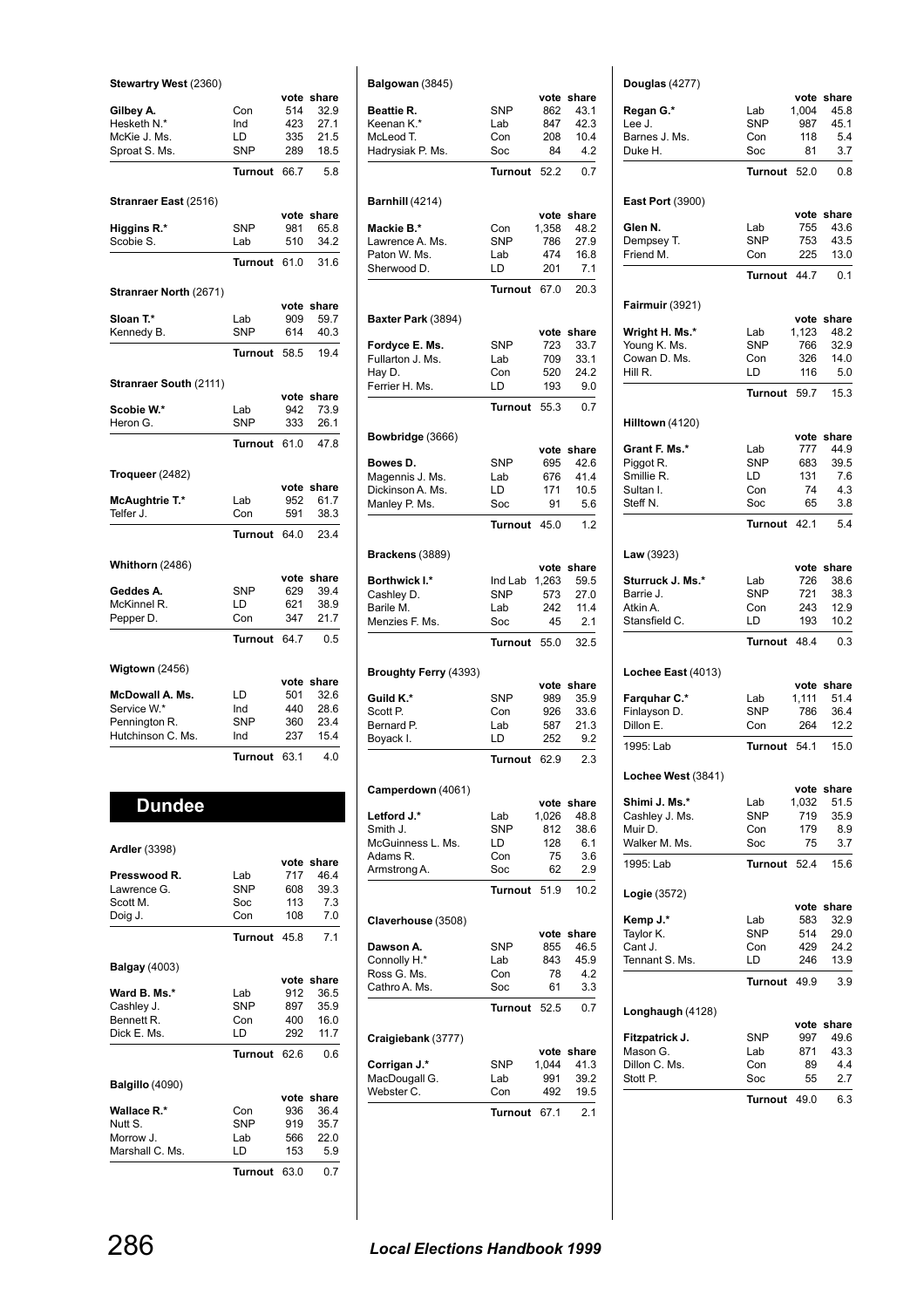| Stewartry West (2360)   |                   |             |               |
|-------------------------|-------------------|-------------|---------------|
|                         |                   | vote        | share         |
| Gilbey A.               | Con               | 514         | 32.9          |
| Hesketh N.*             | Ind               | 423         | 27.1          |
| McKie J. Ms.            | LD                | 335         | 21.5          |
| Sproat S. Ms.           | <b>SNP</b>        | 289         | 18.5          |
|                         | Turnout           | 66.7        | 5.8           |
| Stranraer East (2516)   |                   |             |               |
| Higgins R.*             | <b>SNP</b>        | vote<br>981 | share<br>65.8 |
| Scobie S.               | Lab               | 510         | 34.2          |
|                         |                   |             |               |
|                         | <b>Turnout</b>    | 61.0        | 31.6          |
| Stranraer North (2671)  |                   |             |               |
|                         |                   | vote<br>909 | share<br>59.7 |
| Sloan T.*<br>Kennedy B. | Lab<br><b>SNP</b> | 614         | 40.3          |
|                         |                   |             |               |
|                         | <b>Turnout</b>    | 58.5        | 19.4          |
| Stranraer South (2111)  |                   |             |               |
| Scobie W.*              | Lab               | vote<br>942 | share<br>73.9 |
| Heron G.                | <b>SNP</b>        | 333         | 26.1          |
|                         |                   |             |               |
|                         | <b>Turnout</b>    | 61.0        | 47.8          |
| Troqueer $(2482)$       |                   | vote        | share         |
| McAughtrie T.*          | Lab               | 952         | 61.7          |
| Telfer J.               | Con               | 591         | 38.3          |
|                         | <b>Turnout</b>    | 64.0        | 23.4          |
|                         |                   |             |               |
| Whithorn (2486)         |                   | vote        | share         |
| Geddes A.               | <b>SNP</b>        | 629         | 39.4          |
| McKinnel R.             | LD                | 621         | 38.9          |
| Pepper D.               | Con               | 347         | 21.7          |
|                         | <b>Turnout</b>    | 64.7        | 0.5           |
| Wigtown $(2456)$        |                   |             |               |
|                         |                   | vote        | share         |
| McDowall A. Ms.         | LD                | 501         | 32.6          |
| Service W.*             | Ind<br><b>SNP</b> | 440         | 28.6          |
| Pennington R.           |                   | 360         | 23.4          |
|                         |                   |             |               |
| Hutchinson C. Ms.       | Ind               | 237         | 15.4          |
|                         | <b>Turnout</b>    | 63.1        | 4.0           |

| <b>Dundee</b>        |                |      |            |
|----------------------|----------------|------|------------|
| <b>Ardler (3398)</b> |                |      |            |
|                      |                |      | vote share |
| Presswood R.         | Lab            | 717  | 46.4       |
| Lawrence G.          | <b>SNP</b>     | 608  | 39.3       |
| Scott M.             | Soc            | 113  | 7.3        |
| Doig J.              | Con            | 108  | 7.0        |
|                      | Turnout 45.8   |      | 7.1        |
| <b>Balgay (4003)</b> |                |      |            |
|                      |                |      | vote share |
| Ward B. Ms.*         | Lab            | 912  | 36.5       |
| Cashley J.           | <b>SNP</b>     | 897  | 35.9       |
| Bennett R.           | Con            | 400  | 16.0       |
| Dick E. Ms.          | LD             | 292  | 11.7       |
|                      | <b>Turnout</b> | 62.6 | 0.6        |
| Balgillo (4090)      |                |      |            |
|                      |                |      | vote share |
| <b>Wallace R.*</b>   | Con            | 936  | 36.4       |
| Nutt S.              | <b>SNP</b>     | 919  | 35.7       |
| Morrow J.            | Lab            | 566  | 22.0       |
| Marshall C. Ms.      | LD             | 153  | 5.9        |
|                      | Turnout        | 63.0 | 0.7        |

| Balgowan (3845)                 |                   |             |                    |
|---------------------------------|-------------------|-------------|--------------------|
| Beattie R.                      | <b>SNP</b>        | 862         | vote share<br>43.1 |
| Keenan K.*                      | Lab               | 847         | 42.3               |
| McLeod T.                       | Con               | 208         | 10.4               |
| Hadrysiak P. Ms.                | Soc               | 84          | 4.2                |
|                                 | <b>Turnout</b>    | 52.2        | 0.7                |
| Barnhill (4214)                 |                   |             |                    |
|                                 |                   | vote        | share              |
| Mackie B.*                      | Con               | 1,358       | 48.2               |
| Lawrence A. Ms.<br>Paton W. Ms. | <b>SNP</b><br>Lab | 786<br>474  | 27.9<br>16.8       |
| Sherwood D.                     | LD                | 201         | 7.1                |
|                                 | Turnout           | 67.0        | 20.3               |
| Baxter Park (3894)              |                   |             |                    |
|                                 |                   | vote        | share              |
| Fordyce E. Ms.                  | SNP               | 723         | 33.7               |
| Fullarton J. Ms.                | Lab               | 709         | 33.1               |
| Hay D.                          | Con               | 520         | 24.2               |
| Ferrier H. Ms.                  | LD                | 193         | 9.0                |
|                                 | Turnout           | 55.3        | 0.7                |
| Bowbridge (3666)                |                   |             |                    |
| Bowes D.                        | <b>SNP</b>        | 695         | vote share<br>42.6 |
| Magennis J. Ms.                 | Lab               | 676         | 41.4               |
| Dickinson A. Ms.                | LD                | 171         | 10.5               |
| Manley P. Ms.                   | Soc               | 91          | 5.6                |
|                                 | Turnout           | 45.0        | 1.2                |
| Brackens (3889)                 |                   |             |                    |
|                                 |                   | vote        | share              |
| Borthwick I.*                   | Ind Lab           | 1,263       | 59.5               |
| Cashley D.                      | <b>SNP</b>        | 573         | 27.0               |
| Barile M.<br>Menzies F. Ms.     | Lab<br>Soc        | 242<br>45   | 11.4<br>2.1        |
|                                 | <b>Turnout</b>    | 55.0        | 32.5               |
|                                 |                   |             |                    |
| Broughty Ferry (4393)           |                   | vote        | share              |
| Guild K.*                       | <b>SNP</b>        | 989         | 35.9               |
| Scott P.                        | Con               | 926         | 33.6               |
| Bernard P.                      | Lab               | 587         | 21.3               |
| Boyack I.                       | LD                | 252         | 9.2                |
|                                 | Turnout           | 62.9        | 2.3                |
| Camperdown (4061)               |                   |             |                    |
| Letford J.*                     | Lab               | 1,026       | vote share<br>48.8 |
| Smith J.                        | <b>SNP</b>        | 812         | 38.6               |
| McGuinness L. Ms.               | LD                | 128         | 6.1                |
| Adams R.                        | Con               | 75          | 3.6                |
| Armstrong A.                    | Soc               | 62          | 2.9                |
|                                 | <b>Turnout</b>    | 51.9        | 10.2               |
| Claverhouse (3508)              |                   |             |                    |
| Dawson A.                       | SNP               | 855         | vote share<br>46.5 |
| Connolly H.*                    | Lab               | 843         | 45.9               |
| Ross G. Ms.                     | Con               | 78          | 4.2                |
| Cathro A. Ms.                   | Soc               | 61          | 3.3                |
|                                 | Turnout           | 52.5        | 0.7                |
| Craigiebank (3777)              |                   |             |                    |
|                                 |                   |             | share              |
|                                 |                   | vote        |                    |
| Corrigan J.*                    | SNP               | 1,044       | 41.3               |
| MacDougall G.                   | Lab               | 991         | 39.2               |
| Webster C.                      | Con<br>Turnout    | 492<br>67.1 | 19.5<br>2.1        |
|                                 |                   |             |                    |

| Douglas (4277)                      |                   |              |                    |
|-------------------------------------|-------------------|--------------|--------------------|
| Regan G.*                           | Lab               | 1,004        | vote share<br>45.8 |
| Lee J.                              | <b>SNP</b>        | 987          | 45.1               |
| Barnes J. Ms.                       | Con               | 118          | 5.4                |
| Duke H.                             | Soc               | 81           | 3.7                |
|                                     | Turnout           | 52.0         | 0.8                |
| <b>East Port (3900)</b>             |                   |              | vote share         |
| Glen N.                             | Lab<br><b>SNP</b> | 755<br>753   | 43.6<br>43.5       |
| Dempsey T.<br>Friend M.             | Con               | 225          | 13.0               |
|                                     | Turnout           | 44.7         | 0.1                |
| <b>Fairmuir (3921)</b>              |                   |              |                    |
| Wright H. Ms.*                      | Lab               | 1,123        | vote share<br>48.2 |
| Young K. Ms.                        | <b>SNP</b>        | 766          | 32.9               |
| Cowan D. Ms.                        | Con               | 326          | 14.0               |
| Hill R.                             | LD                | 116          | 5.0                |
|                                     | Turnout           | 59.7         | 15.3               |
| Hilltown (4120)                     |                   |              | vote share         |
| Grant F. Ms.*                       | Lab               | 777          | 44.9               |
| Piggot R.                           | <b>SNP</b>        | 683          | 39.5               |
| Smillie R.                          | LD                | 131          | 7.6                |
| Sultan I.                           | Con               | 74           | 4.3                |
| Steff N.                            | Soc               | 65           | 3.8                |
|                                     | Turnout 42.1      |              | 5.4                |
| <b>Law</b> $(3923)$                 |                   |              | vote share         |
| Sturruck J. Ms.*                    | Lab               | 726          | 38.6               |
| Barrie J.                           | <b>SNP</b>        | 721          | 38.3               |
| Atkin A.<br>Stansfield C.           | Con<br>LD         | 243<br>193   | 12.9<br>10.2       |
|                                     | Turnout 48.4      |              | 0.3                |
| Lochee East (4013)                  |                   |              |                    |
|                                     |                   | 1.111        | vote share         |
| <b>Farquhar C.*</b><br>Finlayson D. | Lab<br><b>SNP</b> | 786          | 51.4<br>36.4       |
| Dillon E.                           | Con               | 264          | 12.2               |
| 1995: Lab                           | Turnout           | 54.1         | 15.0               |
| Lochee West (3841)                  |                   |              |                    |
|                                     |                   |              | vote share         |
| Shimi J. Ms.*<br>Cashley J. Ms.     | Lab<br>SNP        | 1,032<br>719 | 51.5<br>35.9       |
| Muir D.                             | Con               | 179          | 8.9                |
| Walker M. Ms.                       | Soc               | 75           | 3.7                |
| 1995: Lab                           | <b>Turnout</b>    | 52.4         | 15.6               |
| Logie (3572)                        |                   |              |                    |
| Kemp J.*                            | Lab               | 583          | vote share<br>32.9 |
| Taylor K.                           | SNP               | 514          | 29.0               |
| Cant J.                             | Con               | 429          | 24.2               |
| Tennant S. Ms.                      | LD                | 246          | 13.9               |
|                                     | <b>Turnout</b>    | 49.9         | 3.9                |
| Longhaugh (4128)                    |                   |              | vote share         |
| Fitzpatrick J.                      | SNP               | 997          | 49.6               |
| Mason G.                            | Lab               | 871          | 43.3               |
| Dillon C. Ms.                       | Con               | 89           | 4.4                |
|                                     |                   |              |                    |
| Stott P.                            | Soc               | 55           | 2.7                |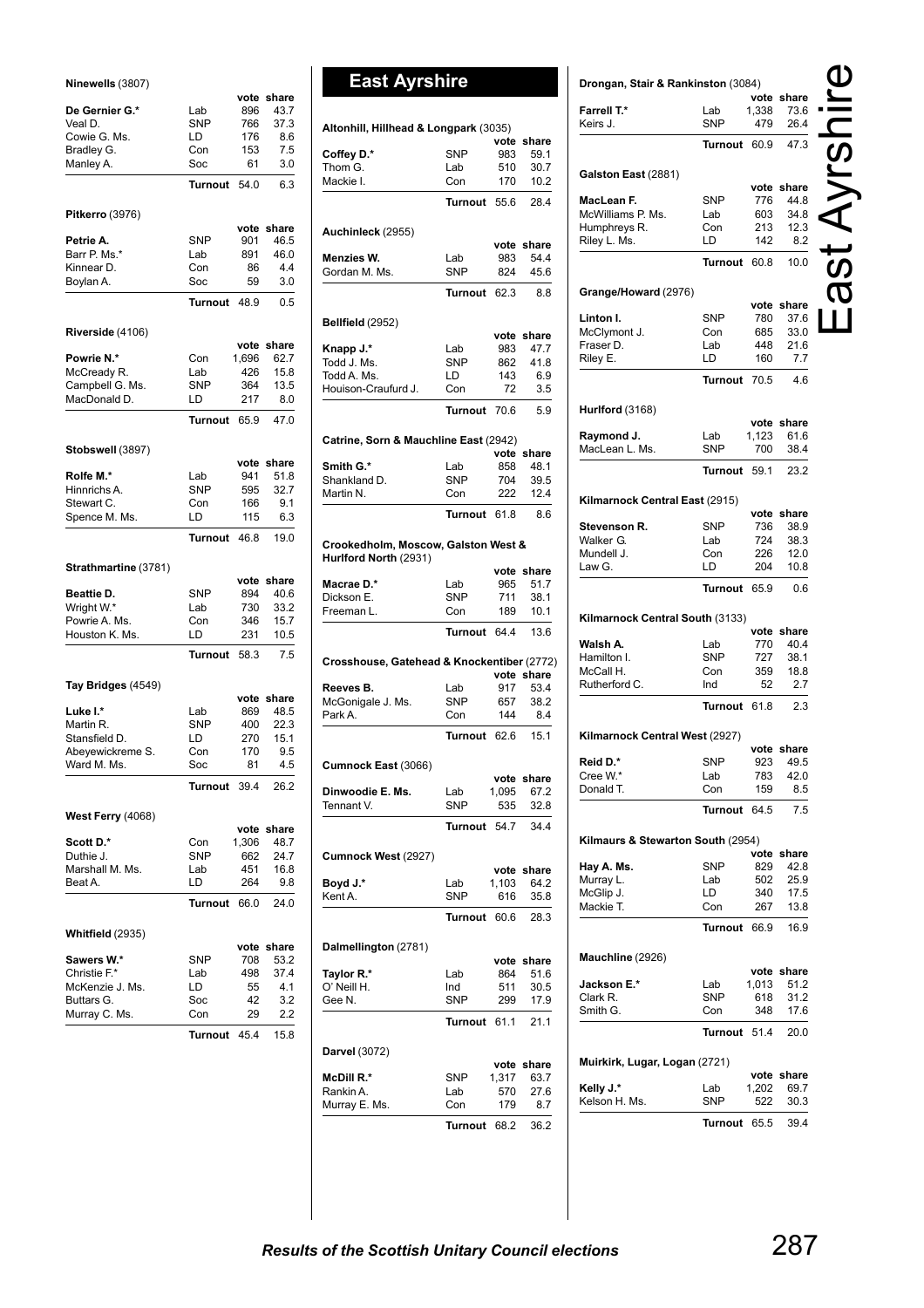### **Ninewells** (3807)

|                                 |                  | vote       | share        |
|---------------------------------|------------------|------------|--------------|
| De Gernier G.*                  | Lab              | 896        | 43.7         |
| Veal D.                         | <b>SNP</b>       | 766        | 37.3         |
| Cowie G. Ms.<br>Bradley G.      | LD<br>Con        | 176<br>153 | 8.6<br>7.5   |
| Manley A.                       | Soc              | 61         | 3.0          |
|                                 |                  |            |              |
|                                 | <b>Turnout</b>   | 54.0       | 6.3          |
| <b>Pitkerro (3976)</b>          |                  | vote       | share        |
| Petrie A.                       | SNP              | 901        | 46.5         |
| Barr P. Ms.*                    | Lab              | 891        | 46.0         |
| Kinnear D.                      | Con              | 86         | 4.4          |
| Boylan A.                       | Soc              | 59         | 3.0          |
|                                 | <b>Turnout</b>   | 48.9       | 0.5          |
| Riverside (4106)                |                  |            |              |
|                                 |                  | vote       | share        |
| Powrie N.*                      | Con              | 1,696      | 62.7         |
| McCready R.                     | Lab              | 426        | 15.8         |
| Campbell G. Ms.                 | <b>SNP</b>       | 364        | 13.5         |
| MacDonald D.                    | LD               | 217        | 8.0          |
|                                 | <b>Turnout</b>   | 65.9       | 47.0         |
| Stobswell (3897)                |                  |            |              |
|                                 |                  | vote       | share        |
| Rolfe M.*                       | Lab              | 941        | 51.8         |
| Hinnrichs A.                    | <b>SNP</b>       | 595        | 32.7         |
| Stewart C.                      | Con              | 166        | 9.1          |
| Spence M. Ms.                   | LD               | 115        | 6.3          |
|                                 | <b>Turnout</b>   | 46.8       | 19.0         |
| Strathmartine (3781)            |                  |            |              |
|                                 |                  | vote       | share        |
| Beattie D.                      | <b>SNP</b>       | 894        | 40.6         |
| Wright W.*                      | Lab              | 730        | 33.2         |
| Powrie A. Ms.<br>Houston K. Ms. | Con<br>LD        | 346<br>231 | 15.7<br>10.5 |
|                                 |                  |            |              |
|                                 | <b>Turnout</b>   | 58.3       | 7.5          |
| Tay Bridges (4549)              |                  |            |              |
|                                 |                  | vote       | share        |
| Luke I.*                        | Lab              | 869        | 48.5<br>22.3 |
| Martin R.<br>Stansfield D.      | <b>SNP</b><br>LD | 400<br>270 | 15.1         |
| Abeyewickreme S.                | Con              | 170        | 9.5          |
| Ward M. Ms.                     | Soc              | 81         | 4.5          |
|                                 | Turnout          | 39.4       | 26.2         |
|                                 |                  |            |              |
| <b>West Ferry (4068)</b>        |                  |            | vote share   |
| Scott D.*                       | Con              | 1,306      | 48.7         |
| Duthie J.                       | SNP              | 662        | 24.7         |
| Marshall M. Ms.                 | Lab              | 451        | 16.8         |
| Beat A.                         | LD               | 264        | 9.8          |
|                                 | Turnout          | 66.0       | 24.0         |
| Whitfield (2935)                |                  |            |              |
|                                 |                  |            | vote share   |
| Sawers W.*                      | SNP              | 708        | 53.2         |
| Christie F.*                    | Lab              | 498        | 37.4         |
| McKenzie J. Ms.                 | LD               | 55         | 4.1          |
| Buttars G.                      | Soc              | 42         | 3.2          |
| Murray C. Ms.                   |                  |            |              |
|                                 | Con              | 29         | 2.2          |
|                                 | Turnout 45.4     |            | 15.8         |

# **East Ayrshire**

| Altonhill, Hillhead & Longpark (3035)                        |                   |             |               |
|--------------------------------------------------------------|-------------------|-------------|---------------|
|                                                              |                   | vote        | share         |
| Coffey D.*                                                   | <b>SNP</b>        | 983         | 59.1          |
| Thom G.                                                      | Lab               | 510         | 30.7          |
| Mackie I.                                                    | Con               | 170         | 10.2          |
|                                                              | <b>Turnout</b>    | 55.6        | 28.4          |
|                                                              |                   |             |               |
| Auchinleck (2955)                                            |                   |             | vote share    |
| Menzies W.                                                   | Lab               | 983         | 54.4          |
| Gordan M. Ms.                                                | <b>SNP</b>        | 824         | 45.6          |
|                                                              | Turnout           | 62.3        | 8.8           |
| Bellfield (2952)                                             |                   |             |               |
|                                                              |                   | vote        | share         |
| Knapp J.*                                                    | Lab               | 983         | 47.7          |
| Todd J. Ms.                                                  | <b>SNP</b>        | 862         | 41.8          |
| Todd A. Ms.                                                  | LD                | 143         | 6.9           |
| Houison-Craufurd J.                                          | Con               | 72          | 3.5           |
|                                                              | <b>Turnout</b>    | 70.6        | 5.9           |
| Catrine, Sorn & Mauchline East (2942)                        |                   |             |               |
|                                                              |                   | vote        | share         |
| Smith G.*                                                    | Lab               | 858         | 48.1          |
| Shankland D.                                                 | <b>SNP</b>        | 704         | 39.5          |
| Martin N.                                                    | Con               | 222         | 12.4          |
|                                                              | Turnout           | 61.8        | 8.6           |
| Crookedholm, Moscow, Galston West &<br>Hurlford North (2931) |                   |             |               |
|                                                              |                   |             | vote share    |
| Macrae D.*                                                   | Lab               | 965         | 51.7          |
| Dickson E.<br>Freeman L.                                     | <b>SNP</b><br>Con | 711<br>189  | 38.1<br>10.1  |
|                                                              | Turnout           | 64.4        | 13.6          |
|                                                              |                   |             |               |
| Crosshouse, Gatehead & Knockentiber (2772)                   |                   | vote        | share         |
| Reeves B.                                                    | Lab               | 917         | 53.4          |
| McGonigale J. Ms.                                            | SNP               | 657         | 38.2          |
| Park A.                                                      | Con               | 144         | 8.4           |
|                                                              | <b>Turnout</b>    | 62.6        | 15.1          |
| Cumnock East (3066)                                          |                   |             |               |
|                                                              |                   | vote        | share         |
| Dinwoodie E. Ms.                                             | Lab               | 1,095       | 67.2          |
| Tennant V.                                                   | SNP               | 535         | 32.8          |
|                                                              | Turnout           | 54.7        | 34.4          |
| Cumnock West (2927)                                          |                   |             |               |
|                                                              |                   |             | vote share    |
| Boyd J.*                                                     | Lab               | 1,103       | 64.2          |
| Kent A.                                                      | <b>SNP</b>        | 616         | 35.8          |
|                                                              | Turnout           | 60.6        | 28.3          |
| Dalmellington (2781)                                         |                   |             |               |
| Taylor R.*                                                   | Lab               | vote<br>864 | share<br>51.6 |
| O' Neill H.                                                  | Ind               | 511         | 30.5          |
| Gee N.                                                       | SNP               | 299         | 17.9          |
|                                                              | Turnout           | 61.1        | 21.1          |
|                                                              |                   |             |               |
| Darvel (3072)                                                |                   |             | vote share    |
| McDill R.*                                                   | SNP               | 1,317       | 63.7          |
| Rankin A.                                                    | Lab               | 570         | 27.6          |
| Murray E. Ms.                                                | Con               | 179         | 8.7           |
|                                                              |                   |             |               |
|                                                              | Turnout           | 68.2        | 36.2          |

|                                   |                       |              | vote share         |
|-----------------------------------|-----------------------|--------------|--------------------|
| Farrell T.*<br>Keirs J.           | Lab<br>SNP            | 1,338<br>479 | 73.6<br>26.4       |
|                                   | <b>Turnout</b>        | 60.9         | 47.3               |
| Galston East (2881)               |                       |              |                    |
| MacLean F.                        | <b>SNP</b>            | 776          | vote share<br>44.8 |
| McWilliams P. Ms.                 | Lab                   | 603          | 34.8               |
| Humphreys R.                      | Con                   | 213          | 12.3               |
| Riley L. Ms.                      | LD                    | 142          | 8.2                |
|                                   | <b>Turnout</b>        | 60.8         | 10.0               |
| Grange/Howard (2976)              |                       |              | vote share         |
| Linton I.                         | SNP                   | 780          | 37.6               |
| McClymont J.                      | Con                   | 685          | 33.0               |
| Fraser D.                         | Lab                   | 448          | 21.6               |
| Riley E.                          | LD                    | 160          | 7.7                |
|                                   | Turnout               | 70.5         | 4.6                |
| <b>Hurlford</b> (3168)            |                       |              | vote share         |
| Raymond J.                        | Lab                   | 1,123        | 61.6               |
| MacLean L. Ms.                    | SNP                   | 700          | 38.4               |
|                                   | <b>Turnout</b>        | 59.1         | 23.2               |
| Kilmarnock Central East (2915)    |                       |              |                    |
|                                   |                       |              | vote share         |
| Stevenson R.                      | <b>SNP</b>            | 736          | 38.9               |
| Walker G.                         | Lab                   | 724          | 38.3<br>12.0       |
| Mundell J.<br>Law G.              | Con<br>LD             | 226<br>204   | 10.8               |
|                                   | Turnout               | 65.9         | 0.6                |
|                                   |                       |              |                    |
| Kilmarnock Central South (3133)   |                       |              | vote share         |
| Walsh A.                          | Lab                   | 770          | 40.4               |
| Hamilton I.                       | <b>SNP</b>            | 727          | 38.1               |
| McCall H.<br>Rutherford C.        | Con<br>Ind            | 359<br>52    | 18.8<br>2.7        |
|                                   | <b>Turnout</b>        | 61.8         | 2.3                |
|                                   |                       |              |                    |
| Kilmarnock Central West (2927)    |                       |              | vote share         |
| Reid D.*                          | SNP                   | 923          | 49.5               |
| Cree W.*                          | Lab                   | 783          | 42.0               |
| Donald T.                         | Con<br><b>Turnout</b> | 159<br>64.5  | 8.5<br>7.5         |
|                                   |                       |              |                    |
| Kilmaurs & Stewarton South (2954) |                       |              |                    |
|                                   |                       | vote share   |                    |
| Hay A. Ms.                        | <b>SNP</b>            | 829          | 42.8               |
| Murray L.                         | Lab                   | 502          | 25.9               |
| McGlip J.                         | LD                    | 340          | 17.5               |
| Mackie T.                         | Con<br>Turnout        | 267<br>66.9  | 13.8<br>16.9       |
|                                   |                       |              |                    |
| Mauchline (2926)                  |                       |              | vote share         |
| Jackson E.*                       | Lab                   | 1,013        | 51.2               |
| Clark R.                          | SNP                   | 618          | 31.2               |
| Smith G.                          | Con                   | 348          | 17.6               |
|                                   | Turnout               | 51.4         | 20.0               |
| Muirkirk, Lugar, Logan (2721)     |                       |              |                    |
|                                   |                       |              | vote share         |
| Kelly J.*<br>Kelson H. Ms.        | Lab<br>SNP            | 1,202<br>522 | 69.7<br>30.3       |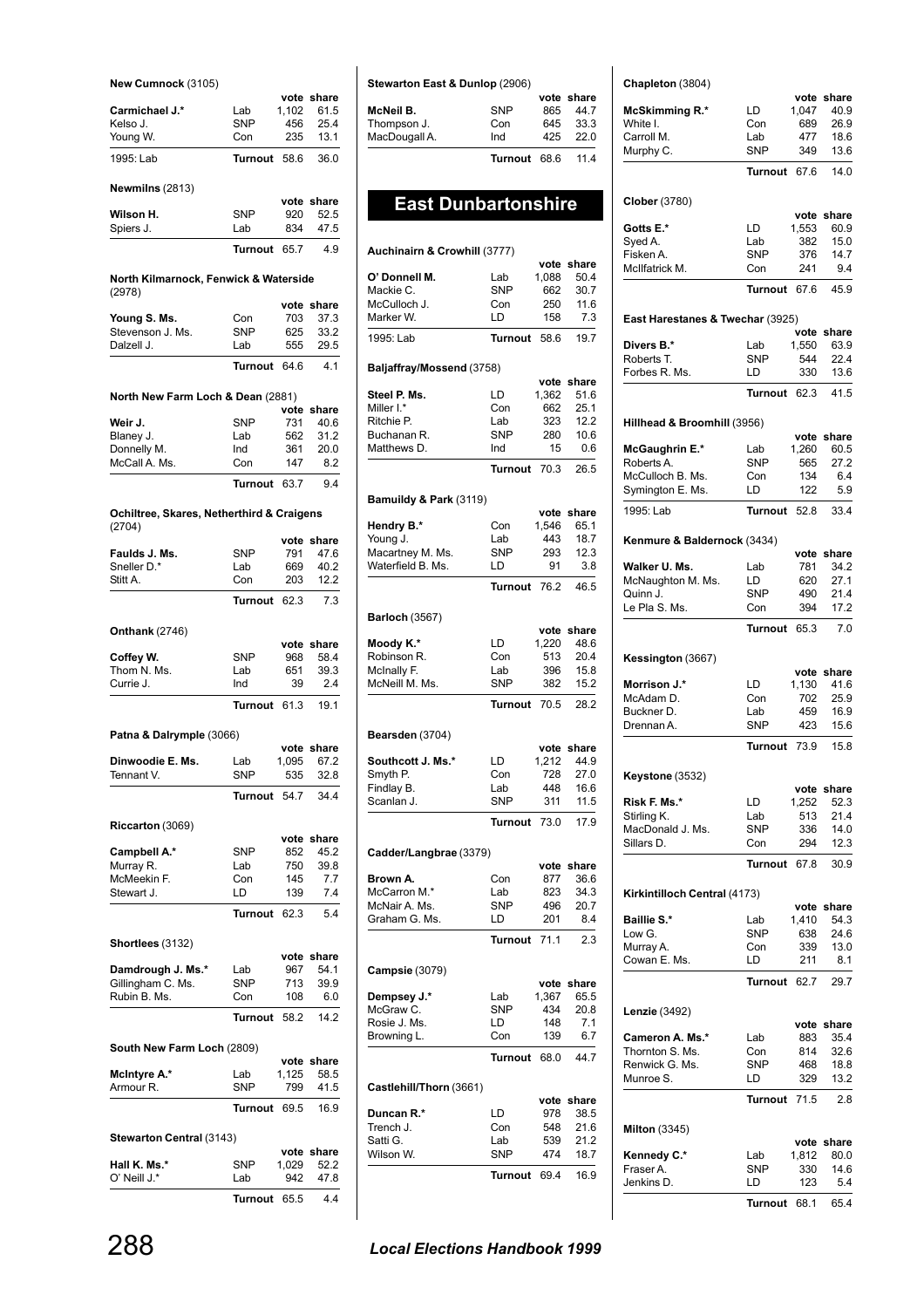### **New Cumnock** (3105)

|            |            | vote share                                            |
|------------|------------|-------------------------------------------------------|
| Lab        | 1.102      | 61.5                                                  |
| <b>SNP</b> | 456        | 25.4                                                  |
| Con        | 235        | 13.1                                                  |
|            | -58.6      | 36.0                                                  |
|            |            |                                                       |
|            |            |                                                       |
|            |            | 52.5                                                  |
| Lab        | 834        | 47.5                                                  |
|            | 65.7       | 4.9                                                   |
|            | <b>SNP</b> | <b>Turnout</b><br>vote share<br>920<br><b>Turnout</b> |

### **North Kilmarnock, Fenwick & Waterside** (2978) **vote share**

|                  | Turnout 64.6 |     | 41         |
|------------------|--------------|-----|------------|
| Dalzell J.       | Lab          | 555 | 29.5       |
| Stevenson J. Ms. | <b>SNP</b>   | 625 | 33.2       |
| Young S. Ms.     | Con          | 703 | 373        |
|                  |              |     | vote snare |

### **North New Farm Loch & Dean** (2881)

|               |              |     | vote share |
|---------------|--------------|-----|------------|
| Weir J.       | <b>SNP</b>   | 731 | 40.6       |
| Blaney J.     | Lab          | 562 | 31.2       |
| Donnelly M.   | Ind          | 361 | 20.0       |
| McCall A. Ms. | Con          | 147 | 82         |
|               | Turnout 63.7 |     | 94         |

### **Ochiltree, Skares, Netherthird & Craigens** (2704)

|                            |                | vote         | share      |
|----------------------------|----------------|--------------|------------|
| Faulds J. Ms.              | <b>SNP</b>     | 791          | 47.6       |
| Sneller D.*                | Lab            | 669          | 40.2       |
| Stitt A.                   | Con            | 203          | 12.2       |
|                            | Turnout        | 62.3         | 7.3        |
|                            |                |              |            |
| <b>Onthank</b> (2746)      |                |              |            |
|                            |                | vote         | share      |
| Coffey W.                  | <b>SNP</b>     | 968          | 58.4       |
| Thom N. Ms.                | Lab            | 651          | 39.3       |
| Currie J.                  | Ind            | 39           | 2.4        |
|                            | Turnout        | 61.3         | 19.1       |
| Patna & Dalrymple (3066)   |                |              |            |
|                            |                |              | vote share |
| Dinwoodie E. Ms.           | Lab            | 1,095        | 67.2       |
| Tennant V.                 | <b>SNP</b>     | 535          | 32.8       |
|                            | <b>Turnout</b> | 54.7         | 34.4       |
|                            |                |              |            |
| Riccarton (3069)           |                |              |            |
|                            |                |              | vote share |
| Campbell A.*               | <b>SNP</b>     | 852          | 45.2       |
| Murray R.                  | Lab            | 750          | 39.8       |
| McMeekin F.                | Con            | 145          | 7.7        |
| Stewart J.                 | LD             | 139          | 7.4        |
|                            | <b>Turnout</b> | 62.3         | 5.4        |
| Shortlees (3132)           |                |              |            |
|                            |                | vote         | share      |
| Damdrough J. Ms.*          | Lab            | 967          | 54.1       |
| Gillingham C. Ms.          | <b>SNP</b>     | 713          | 39.9       |
| Rubin B. Ms.               | Con            | 108          | 6.0        |
|                            | <b>Turnout</b> | 58.2         | 14.2       |
|                            |                |              |            |
| South New Farm Loch (2809) |                |              |            |
|                            |                |              | vote share |
| McIntyre A.*               | Lab            | 1,125<br>799 | 58.5       |
| Armour <sub>R.</sub>       | <b>SNP</b>     |              | 41.5       |
|                            | Turnout        | 69.5         | 16.9       |
| Stewarton Central (3143)   |                |              |            |
|                            |                |              | vote share |
| Hall K. Ms.*               | <b>SNP</b>     | 1,029        | 52.2       |
| O' Neill J.*               | Lab            | 942          | 47.8       |

**Turnout** 65.5 4.4

### **Stewarton East & Dunlop** (2906)

|               | Turnout 68.6 |     | 11.4       |
|---------------|--------------|-----|------------|
| MacDougall A. | Ind          | 425 | 22.0       |
| Thompson J.   | Con          | 645 | 33.3       |
| McNeil B.     | <b>SNP</b>   | 865 | 44.7       |
|               |              |     | vote share |
|               |              |     |            |

# **East Dunbartonshire**

# **Auchinairn & Crowhill** (3777)

|                           |                       | vote        | share        |
|---------------------------|-----------------------|-------------|--------------|
| O' Donnell M.             | Lab                   | 1,088       | 50.4         |
| Mackie C.                 | <b>SNP</b>            | 662         | 30.7         |
| McCulloch J.              | Con                   | 250         | 11.6         |
| Marker W.                 | LD                    | 158         | 7.3          |
| 1995: Lab                 | Turnout               | 58.6        | 19.7         |
| Baljaffray/Mossend (3758) |                       |             |              |
|                           |                       | vote        | share        |
| Steel P. Ms.              | LD                    | 1,362       | 51.6         |
| Miller I.*                | Con                   | 662         | 25.1         |
| Ritchie P.                | Lab                   | 323         | 12.2         |
| Buchanan R.               | <b>SNP</b>            | 280         | 10.6         |
| Matthews D.               | Ind                   | 15          | 0.6          |
|                           | <b>Turnout</b>        | 70.3        | 26.5         |
| Bamuildy & Park (3119)    |                       |             |              |
|                           |                       | vote        | share        |
| Hendry B.*                | Con                   | 1,546       | 65.1         |
| Young J.                  | Lab                   | 443         | 18.7         |
| Macartney M. Ms.          | <b>SNP</b>            | 293         | 12.3         |
| Waterfield B. Ms.         | LD                    | 91          | 3.8          |
|                           | <b>Turnout</b>        | 76.2        | 46.5         |
| <b>Barloch (3567)</b>     |                       |             |              |
|                           |                       | vote        | share        |
| Moody K.*                 | LD                    | 1,220       | 48.6         |
| Robinson R.               | Con                   | 513         | 20.4         |
| McInally F.               | Lab                   | 396         | 15.8         |
| McNeill M. Ms.            | <b>SNP</b>            | 382         | 15.2         |
|                           | Turnout               | 70.5        | 28.2         |
| Bearsden (3704)           |                       |             |              |
|                           |                       |             |              |
|                           |                       | vote        | share        |
| Southcott J. Ms.*         | LD                    | 1,212       | 44.9         |
| Smyth P.                  | Con                   | 728         | 27.0         |
| Findlay B.                | Lab                   | 448         | 16.6         |
| Scanlan J.                | <b>SNP</b>            | 311         | 11.5         |
|                           | <b>Turnout</b>        | 73.0        | 17.9         |
| Cadder/Langbrae (3379)    |                       | vote        | share        |
| Brown A.                  | Con                   | 877         | 36.6         |
| McCarron M.*              | Lab                   | 823         | 34.3         |
| McNair A. Ms.             | <b>SNP</b>            | 496         | 20.7         |
| Graham G. Ms.             | LD                    | 201         | 8.4          |
|                           | <b>Turnout</b>        | 71.1        | 2.3          |
| <b>Campsie</b> (3079)     |                       |             |              |
|                           |                       | vote        | share        |
| Dempsey J.*               | Lab                   | 1,367       | 65.5         |
| McGraw C.                 | SNP                   | 434         | 20.8         |
| Rosie J. Ms.              | LD                    | 148         | 7.1          |
| Browning L.               | Con                   | 139         | 6.7          |
|                           | <b>Turnout</b>        | 68.0        | 44.7         |
| Castlehill/Thorn (3661)   |                       |             |              |
|                           |                       | vote        | share        |
| Duncan R.*                | LD                    | 978         | 38.5         |
| Trench J.                 | Con                   | 548         | 21.6         |
| Satti G.                  | Lab                   | 539         | 21.2         |
| Wilson W.                 | <b>SNP</b><br>Turnout | 474<br>69.4 | 18.7<br>16.9 |

### **Chapleton** (3804)

| Chapleton (3804)                 |                   |              |                    |
|----------------------------------|-------------------|--------------|--------------------|
| <b>McSkimming R.*</b>            | LD.               | 1,047        | vote share<br>40.9 |
| White I.                         | Con               | 689          | 26.9               |
| Carroll M.                       | Lab               | 477          | 18.6               |
| Murphy C.                        | <b>SNP</b>        | 349          | 13.6               |
|                                  | Turnout           | 67.6         | 14.0               |
| Clober (3780)                    |                   |              |                    |
| Gotts E.*                        | LD                | 1,553        | vote share<br>60.9 |
| Syed A.                          | Lab               | 382          | 15.0               |
| Fisken A.                        | <b>SNP</b>        | 376          | 14.7               |
| McIlfatrick M.                   | Con               | 241          | 9.4                |
|                                  | Turnout           | 67.6         | 45.9               |
| East Harestanes & Twechar (3925) |                   |              | vote share         |
| Divers B.*                       | Lab               | 1,550        | 63.9               |
| Roberts T.                       | <b>SNP</b>        | 544          | 22.4               |
| Forbes R. Ms.                    | LD                | 330          | 13.6               |
|                                  | Turnout           | 62.3         | 41.5               |
| Hillhead & Broomhill (3956)      |                   | vote         | share              |
| <b>McGaughrin E.*</b>            | Lab               | 1,260        | 60.5               |
| Roberts A.                       | <b>SNP</b>        | 565          | 27.2               |
| McCulloch B. Ms.                 | Con               | 134          | 6.4                |
| Symington E. Ms.                 | LD                | 122          | 5.9                |
| 1995: Lab                        | Turnout           | 52.8         | 33.4               |
| Kenmure & Baldernock (3434)      |                   |              | vote share         |
| Walker U. Ms.                    | Lab               | 781          | 34.2               |
| McNaughton M. Ms.                | LD                | 620          | 27.1               |
| Quinn J.                         | <b>SNP</b>        | 490          | 21.4               |
| Le Pla S. Ms.                    | Con               | 394          | 17.2               |
|                                  | Turnout           | 65.3         | 7.0                |
| Kessington (3667)                |                   |              | vote share         |
| Morrison J.*                     | LD                | 1,130        | 41.6               |
| McAdam D.                        | Con               | 702          | 25.9               |
| Buckner D.                       | Lab               | 459          | 16.9               |
| Drennan A.                       | <b>SNP</b>        | 423          | 15.6               |
|                                  | Turnout           | 73.9         | 15.8               |
| Keystone (3532)                  |                   |              | vote share         |
| Risk F. Ms.*                     | LD                | 1,252        | 52.3               |
| Stirling K.                      | Lab               | 513          | 21.4               |
| MacDonald J. Ms.                 | SNP               | 336          | 14.0               |
| Sillars D.                       | Con               | 294          | 12.3               |
|                                  | Turnout           | 67.8         | 30.9               |
| Kirkintilloch Central (4173)     |                   |              |                    |
| Baillie S.*                      |                   |              | vote share<br>54.3 |
| Low G.                           | Lab<br><b>SNP</b> | 1,410<br>638 | 24.6               |
| Murray A.                        | Con               | 339          | 13.0               |
| Cowan E. Ms.                     | LD                | 211          | 8.1                |
|                                  | Turnout           | 62.7         | 29.7               |
| Lenzie (3492)                    |                   |              |                    |
| Cameron A. Ms.*                  | Lab               | 883          | vote share<br>35.4 |
| Thornton S. Ms.                  | Con               | 814          | 32.6               |
| Renwick G. Ms.                   | <b>SNP</b>        | 468          | 18.8               |
| Munroe S.                        | LD                | 329          | 13.2               |
|                                  | Turnout           | 71.5         | 2.8                |
| <b>Milton</b> (3345)             |                   |              |                    |
| Kennedy C.*                      | Lab               | 1,812        | vote share<br>80.0 |
| Fraser A.                        | <b>SNP</b>        | 330          | 14.6               |
| Jenkins D.                       | LD                | 123          | 5.4                |
|                                  |                   |              |                    |

### **Turnout** 68.1 65.4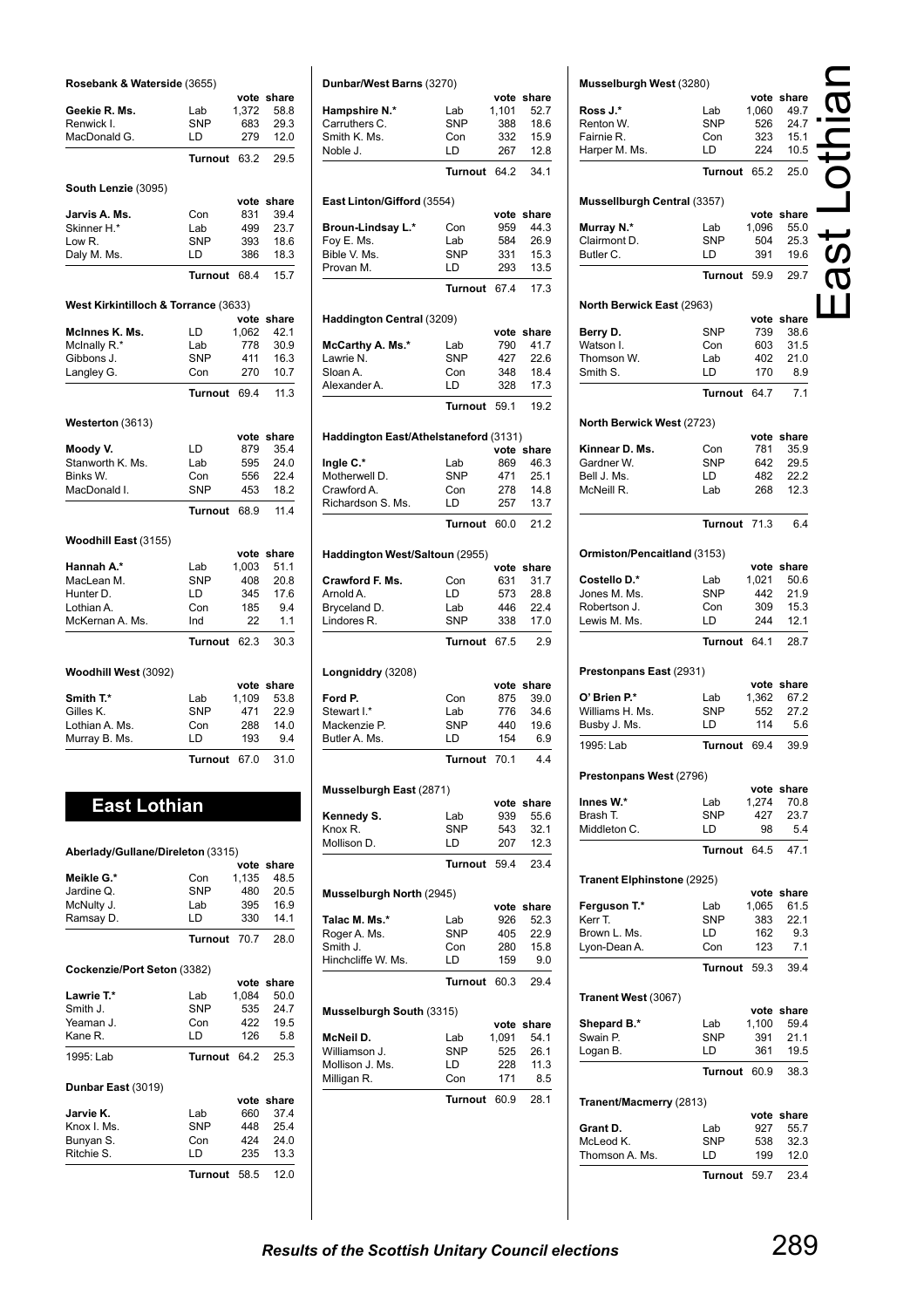| Rosebank & Waterside (3655)          |                |       | vote share         |
|--------------------------------------|----------------|-------|--------------------|
| Geekie R. Ms.                        | Lab            | 1,372 |                    |
| Renwick I.                           | <b>SNP</b>     | 683   | 58.8<br>29.3       |
| MacDonald G.                         | LD             | 279   | 12.0               |
|                                      |                |       |                    |
|                                      | <b>Turnout</b> | 63.2  | 29.5               |
| South Lenzie (3095)                  |                |       |                    |
| Jarvis A. Ms.                        | Con            | 831   | vote share<br>39.4 |
| Skinner H.*                          | Lab            | 499   | 23.7               |
| Low R.                               | <b>SNP</b>     | 393   | 18.6               |
| Daly M. Ms.                          | LD             | 386   | 18.3               |
|                                      |                |       |                    |
|                                      | <b>Turnout</b> | 68.4  | 15.7               |
| West Kirkintilloch & Torrance (3633) |                | vote  | share              |
| McInnes K. Ms.                       | LD             | 1,062 | 42.1               |
| McInally R.*                         | Lab            | 778   | 30.9               |
| Gibbons J.                           | <b>SNP</b>     | 411   | 16.3               |
| Langley G.                           | Con            | 270   | 10.7               |
|                                      | <b>Turnout</b> | 69.4  | 11.3               |
| Westerton (3613)                     |                |       |                    |
|                                      |                | vote  | share              |
| Moody V.                             | LD             | 879   | 35.4               |
| Stanworth K. Ms.                     | Lab            | 595   | 24.0               |
| Binks W.                             | Con            | 556   | 22.4               |
| MacDonald I.                         | <b>SNP</b>     | 453   | 18.2               |
|                                      | <b>Turnout</b> | 68.9  | 11.4               |
| Woodhill East (3155)                 |                |       |                    |
|                                      |                |       | vote share         |
| Hannah A.*                           | Lab            | 1,003 | 51.1               |
| MacLean M.                           | <b>SNP</b>     | 408   | 20.8               |
| Hunter D.                            | LD             | 345   | 17.6               |
| Lothian A.                           | Con            | 185   | 9.4                |
| McKernan A. Ms.                      | Ind            | 22    | 1.1                |
|                                      |                |       |                    |
|                                      | <b>Turnout</b> | 62.3  | 30.3               |
| Woodhill West (3092)                 |                |       |                    |
|                                      |                | vote  | share              |
| Smith T.*                            | Lab            | 1,109 | 53.8               |
| Gilles K.                            | <b>SNP</b>     | 471   | 22.9               |
| Lothian A. Ms.                       | Con            | 288   | 14.0               |
| Murray B. Ms.                        | LD             | 193   | 9.4                |
|                                      | <b>Turnout</b> | 67.0  | 31.0               |
|                                      |                |       |                    |
| <b>East Lothian</b>                  |                |       |                    |
|                                      |                |       |                    |
| Aberlady/Gullane/Direleton (3315)    |                | vote  | share              |
| <b>Meikle G.*</b>                    | Con            | 1,135 | 48.5               |
| Jardine Q.                           | SNP            | 480   | 20.5               |
| McNulty J.                           | Lab            | 395   | 16.9               |
| Ramsay D.                            | LD             | 330   | 14.1               |
|                                      | <b>Turnout</b> | 70.7  | 28.0               |
| Cockenzie/Port Seton (3382)          |                |       |                    |
|                                      |                |       | vote share         |
| Lawrie T.*                           | Lab            | 1,084 | 50.0               |
| Smith J.                             | <b>SNP</b>     | 535   | 24.7               |
| Yeaman J.                            | Con            | 422   | 19.5               |
| Kane R.                              | LD             | 126   | 5.8                |
| 1995: Lab                            | <b>Turnout</b> | 64.2  | 25.3               |
| Dunbar East (3019)                   |                | vote  | share              |
| Jarvie K.                            | Lab            | 660   | 37.4               |
| Knox I. Ms.                          | SNP            | 448   | 25.4               |
| Bunyan S.                            | Con            | 424   | 24.0               |
| Ritchie S.                           | LD             | 235   | 13.3               |
|                                      | Turnout        | 58.5  | 12.0               |

|                                       | Dunbar/West Barns (3270) |             | vote share         |
|---------------------------------------|--------------------------|-------------|--------------------|
| Hampshire N.*                         | Lab                      | 1,101       | 52.7               |
| Carruthers C.<br>Smith K. Ms.         | <b>SNP</b><br>Con        | 388<br>332  | 18.6<br>15.9       |
| Noble J.                              | LD                       | 267         | 12.8               |
|                                       | <b>Turnout</b>           | 64.2        | 34.1               |
| East Linton/Gifford (3554)            |                          |             |                    |
| Broun-Lindsay L.*                     | Con                      | vote<br>959 | share<br>44.3      |
| Foy E. Ms.                            | Lab                      | 584         | 26.9               |
| Bible V. Ms.                          | <b>SNP</b>               | 331         | 15.3               |
| Provan M.                             | LD                       | 293         | 13.5               |
|                                       | <b>Turnout</b>           | 67.4        | 17.3               |
| Haddington Central (3209)             |                          | vote        | share              |
| McCarthy A. Ms.*                      | Lab                      | 790         | 41.7               |
| Lawrie N.                             | <b>SNP</b>               | 427         | 22.6               |
| Sloan A.                              | Con                      | 348         | 18.4               |
| Alexander A.                          | LD                       | 328         | 17.3               |
|                                       | <b>Turnout</b>           | 59.1        | 19.2               |
| Haddington East/Athelstaneford (3131) |                          |             |                    |
| Ingle C.*                             | Lab                      | 869         | vote share<br>46.3 |
| Motherwell D.                         | <b>SNP</b>               | 471         | 25.1               |
| Crawford A.                           | Con                      | 278         | 14.8               |
| Richardson S. Ms.                     | LD                       | 257         | 13.7               |
|                                       | <b>Turnout</b>           | 60.0        | 21.2               |
| Haddington West/Saltoun (2955)        |                          |             |                    |
|                                       |                          | vote        | share              |
| Crawford F. Ms.<br>Arnold A.          | Con<br>LD                | 631<br>573  | 31.7<br>28.8       |
| Bryceland D.                          | Lab                      | 446         | 22.4               |
| Lindores R.                           | SNP                      | 338         | 17.0               |
|                                       | <b>Turnout</b>           | 67.5        | 2.9                |
| Longniddry (3208)                     |                          |             |                    |
| Ford P.                               | Con                      | 875         | vote share         |
| Stewart I.*                           | Lab                      | 776         | 39.0<br>34.6       |
| Mackenzie P.                          | <b>SNP</b>               | 440         | 19.6               |
| Butler A. Ms.                         | LD                       | 154         | 6.9                |
|                                       | Turn<br>out              | 70.1        | 4.4                |
|                                       |                          |             |                    |
| Musselburgh East (2871)               |                          | vote        | share              |
| Kennedy S.                            | Lab                      | 939         | 55.6               |
| Knox R.                               | <b>SNP</b>               | 543         | 32.1               |
| Mollison D.                           | LD                       | 207         | 12.3               |
|                                       | Turnout 59.4             |             | 23.4               |
| Musselburgh North (2945)              |                          |             | vote share         |
| Talac M. Ms.*                         | Lab                      | 926         | 52.3               |
| Roger A. Ms.                          | SNP                      | 405         | 22.9               |
| Smith J.                              | Con                      | 280         | 15.8               |
| Hinchcliffe W. Ms.                    | LD                       | 159         | 9.0                |
|                                       | Turnout                  | 60.3        | 29.4               |
| Musselburgh South (3315)              |                          | vote        |                    |
| McNeil D.                             | Lab                      | 1,091       | share<br>54.1      |
| Williamson J.                         | SNP                      | 525         | 26.1               |
|                                       | LD                       | 228         | 11.3               |
|                                       |                          |             |                    |
| Mollison J. Ms.<br>Milligan R.        | Con                      | 171         | 8.5                |

| Musselburgh West (3280)            |                   |              |                    |  |
|------------------------------------|-------------------|--------------|--------------------|--|
|                                    |                   |              | vote share         |  |
| Ross J.*                           | Lab               | 1,060        | 49.7               |  |
| Renton W.                          | SNP               | 526          | 24.7               |  |
| Fairnie R.                         | Con               | 323          | 15.1               |  |
| Harper M. Ms.                      | LD                | 224          | 10.5               |  |
|                                    | Turnout           | 65.2         | 25.0               |  |
| <b>Mussellburgh Central (3357)</b> |                   |              | vote share         |  |
| Murray N.*                         | Lab               | 1,096        | 55.0               |  |
| Clairmont D.                       | <b>SNP</b>        | 504          | 25.3               |  |
| Butler C.                          | LD.               | 391          | 19.6               |  |
|                                    | Turnout           | 59.9         | 29.7               |  |
| North Berwick East (2963)          |                   |              |                    |  |
| Berry D.                           | SNP               | 739          | vote share<br>38.6 |  |
| Watson I.                          | Con               | 603          | 31.5               |  |
| Thomson W.                         | Lab               | 402          | 21.0               |  |
| Smith S.                           | LD                | 170          | 8.9                |  |
|                                    | Turnout 64.7      |              | 7.1                |  |
| North Berwick West (2723)          |                   |              |                    |  |
|                                    |                   |              | vote share         |  |
| Kinnear D. Ms.                     | Con               | 781          | 35.9               |  |
| Gardner W.                         | SNP               | 642          | 29.5               |  |
| Bell J. Ms.                        | LD.               | 482          | 22.2               |  |
| McNeill R.                         | Lab               | 268          | 12.3               |  |
|                                    | Turnout           | 71.3         | 6.4                |  |
| Ormiston/Pencaitland (3153)        |                   |              |                    |  |
|                                    |                   |              | vote share         |  |
| Costello D.*                       | Lab               | 1,021        | 50.6               |  |
| Jones M. Ms.                       | SNP               | 442          | 21.9               |  |
| Robertson J.                       | Con               | 309          | 15.3               |  |
| Lewis M. Ms.                       | LD                | 244          | 12.1               |  |
|                                    | Turnout           | 64.1         | 28.7               |  |
| Prestonpans East (2931)            |                   |              |                    |  |
| O' Brien P.*                       |                   |              | vote share         |  |
| Williams H. Ms.                    | Lab<br>SNP        | 1,362<br>552 | 67.2<br>27.2       |  |
| Busby J. Ms.                       | LD                | 114          | 5.6                |  |
| 1995: Lab                          | <b>Turnout</b>    | 69.4         | 39.9               |  |
|                                    |                   |              |                    |  |
| Prestonpans West (2796)            |                   |              | vote share         |  |
| Innes W.*                          | Lab               | 1,274        | 70.8               |  |
| Brash T.                           | <b>SNP</b>        | 427          | 23.7               |  |
| Middleton C.                       | LD                | 98           | 5.4                |  |
|                                    | Turnout           | 64.5         | 47.1               |  |
| Tranent Elphinstone (2925)         |                   | vote         |                    |  |
| Ferguson T.*                       | Lab               | 1,065        | share<br>61.5      |  |
| Kerr T.                            | <b>SNP</b>        | 383          | 22.1               |  |
| Brown L. Ms.                       | LD                | 162          | 9.3                |  |
| Lyon-Dean A.                       | Con               | 123          | 7.1                |  |
|                                    | <b>Turnout</b>    | 59.3         | 39.4               |  |
| Tranent West (3067)                |                   |              |                    |  |
|                                    |                   |              | vote share         |  |
| Shepard B.*<br>Swain P.            | Lab<br><b>SNP</b> | 1,100<br>391 | 59.4<br>21.1       |  |
| Logan B.                           | LD                | 361          | 19.5               |  |
|                                    | Turnout           | 60.9         | 38.3               |  |
|                                    |                   |              |                    |  |
| Tranent/Macmerry (2813)            |                   |              | vote share         |  |
| Grant D.                           | Lab               | 927          | 55.7               |  |
| McLeod K.                          | SNP               | 538          | 32.3               |  |
| Thomson A. Ms.                     | LD                | 199          | 12.0               |  |
|                                    | Turnout           | 59.7         | 23.4               |  |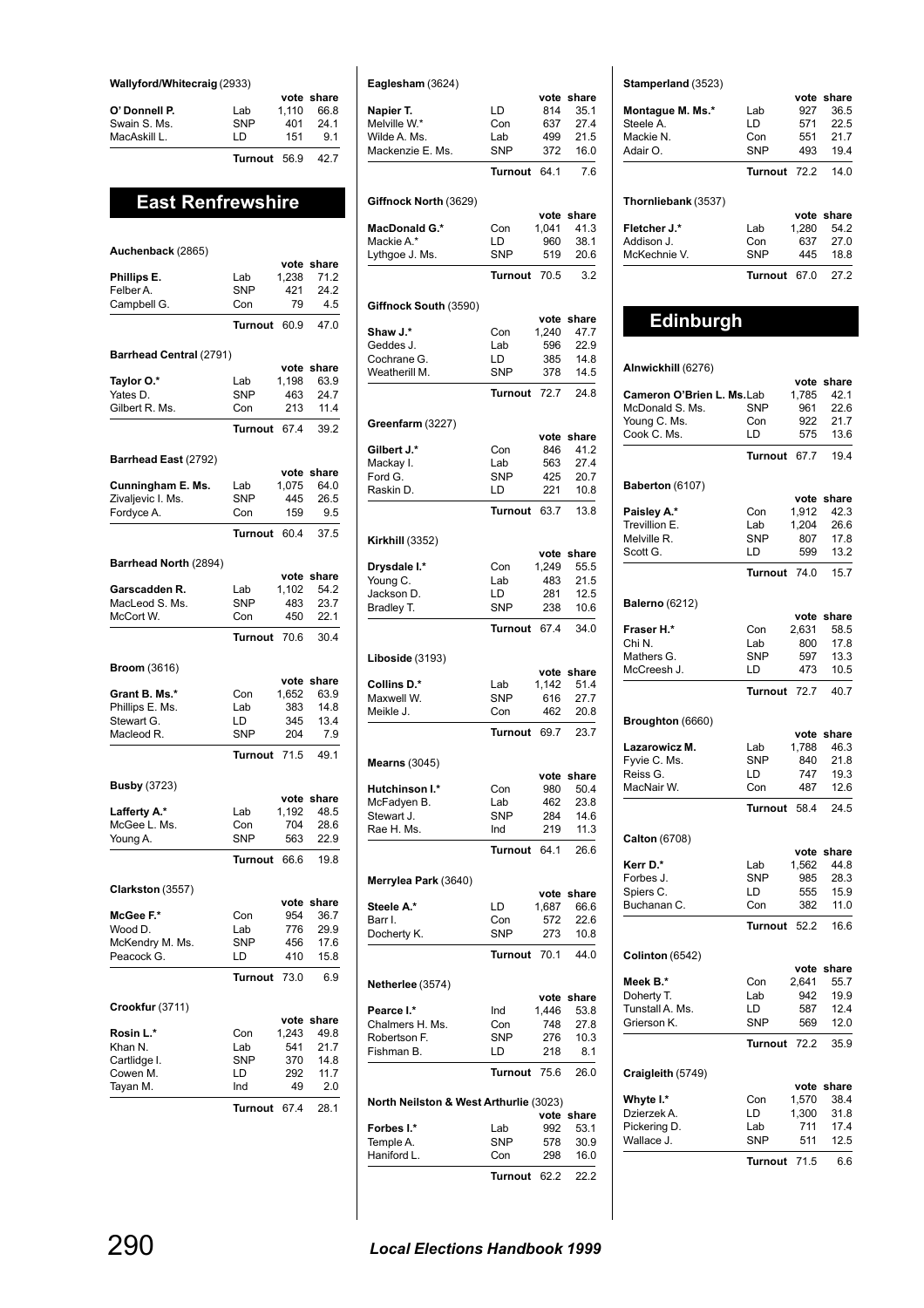### **Wallyford/Whitecraig** (2933)

|               |              |       | vote share |
|---------------|--------------|-------|------------|
| O' Donnell P. | Lab          | 1.110 | 66.8       |
| Swain S. Ms.  | <b>SNP</b>   | 401   | 241        |
| MacAskill L.  | I D          | 151   | 91         |
|               | Turnout 56.9 |       | 42.7       |

## **East Renfrewshire**

### **Auchenback** (2865) **vote share Phillips E.** Lab 1,238 71.2 Felber A. 68NP 421 24.2 Campbell G. Con 79 4.5 **Turnout** 60.9 47.0 **Barrhead Central** (2791) **vote share Taylor O.\*** Lab 1,198 63.9<br>
Yates D. SNP 463 24.7 Yates D. SNP 463 24.7 Gilbert R. Ms. Con 213 11.4 **Turnout** 67.4 39.2 **Barrhead East** (2792) **vote share**<br>1,075 64.0 **Cunningham E. Ms.** Lab 1,075 64.0<br>Zivaljevic I. Ms. SNP 445 26.5 Zivaljevic I. Ms. SNP 445 Fordyce A. Con 159 9.5 **Turnout** 60.4 37.5 **Barrhead North** (2894) **vote share**<br>1.102 54.2 **Garscadden R.** Lab 1,102 54.2<br>MacLeod S. Ms. SNP 483 23.7 MacLeod S. Ms. McCort W. Con 450 22.1 **Turnout** 70.6 30.4 **Broom** (3616) **vote share**<br>1,652 63.9 **Grant B. Ms.\*** Con 1,652 63.9<br>
Phillips E. Ms. Lab 383 14.8 Phillips E. Ms. Lab 383 14.8 Stewart G. LD 345 13.4 Macleod R. SNP 204 7.9 **Turnout** 71.5 49.1 **Busby** (3723) **vote share Lafferty A.\*** Lab 1,192 48.5<br>McGee L. Ms. Con 704 28.6 McGee L. Ms. Con 704 28.6<br>
Young A. SNP 563 22.9 Young A. **Turnout** 66.6 19.8 **Clarkston** (3557) **vote share**<br>954 36.7 **McGee F.\*** Con 954 36.7<br>Wood D. Lab 776 29.9 Wood D. Lab 776 29.9<br>McKendry M. Ms. SNP 456 17.6 McKendry M. Ms. SNP 456<br>Peacock G. LD 410 Peacock G. LD 410 15.8 **Turnout** 73.0 6.9 **Crookfur** (3711) **vote share**<br>1,243 49.8 **Rosin L.\*** Con 1,243 49.8<br>
Khan N. Lab 541 21.7 Khan N. Lab 541 21.7<br>Cartlidge I. SNP 370 14.8 Cartlidge I. SNP 370 14.8<br>Cowen M. LD 292 11.7 Cowen M. LD 292 11.7 Tayan M. **Turnout** 67.4 28.1

| Eaglesham (3624)                       |                   |               |               |
|----------------------------------------|-------------------|---------------|---------------|
| Napier T.                              | LD                | vote<br>814   | share<br>35.1 |
| Melville W.*                           | Con               | 637           | 27.4          |
| Wilde A. Ms.                           | Lab               | 499           | 21.5          |
| Mackenzie E. Ms.                       | <b>SNP</b>        | 372           | 16.0          |
|                                        | Turnout           | 64.1          | 7.6           |
| Giffnock North (3629)                  |                   |               |               |
|                                        |                   | vote          | share         |
| <b>MacDonald G.*</b><br>Mackie A.*     | Con<br>LD         | 1,041<br>960  | 41.3<br>38.1  |
| Lythgoe J. Ms.                         | <b>SNP</b>        | 519           | 20.6          |
|                                        | Turnout           | 70.5          | 3.2           |
|                                        |                   |               |               |
| Giffnock South (3590)                  |                   |               |               |
| Shaw J.*                               | Con               | vote<br>1,240 | share<br>47.7 |
| Geddes J.                              | Lab               | 596           | 22.9          |
| Cochrane G.                            | LD                | 385           | 14.8          |
| Weatherill M.                          | SNP               | 378           | 14.5          |
|                                        | Turnout           | 72.7          | 24.8          |
| Greenfarm (3227)                       |                   |               |               |
|                                        |                   | vote          | share         |
| Gilbert J.*                            | Con               | 846           | 41.2          |
| Mackay I.<br>Ford G.                   | Lab<br><b>SNP</b> | 563<br>425    | 27.4<br>20.7  |
| Raskin D.                              | LD                | 221           | 10.8          |
|                                        | <b>Turnout</b>    | 63.7          | 13.8          |
|                                        |                   |               |               |
| <b>Kirkhill</b> (3352)                 |                   | vote          | share         |
| Drysdale I.*                           | Con               | 1,249         | 55.5          |
| Young C.                               | Lab               | 483           | 21.5          |
| Jackson D.                             | LD<br><b>SNP</b>  | 281<br>238    | 12.5<br>10.6  |
| Bradley T.                             | <b>Turnout</b>    | 67.4          |               |
|                                        |                   |               | 34.0          |
| <b>Liboside</b> (3193)                 |                   | vote          | share         |
| Collins D.*                            | Lab               | 1,142         | 51.4          |
| Maxwell W.                             | <b>SNP</b>        | 616           | 27.7          |
| Meikle J.                              | Con               | 462           | 20.8          |
|                                        | Turnout           | 697           | 23.7          |
| <b>Mearns (3045)</b>                   |                   |               |               |
|                                        |                   | vote          | share         |
| Hutchinson I.*<br>McFadyen B.          | Con<br>Lab        | 980<br>462    | 50.4<br>23.8  |
| Stewart J.                             | <b>SNP</b>        | 284           | 14.6          |
| Rae H. Ms.                             | Ind               | 219           | 11.3          |
|                                        | <b>Turnout</b>    | 64.1          | 26.6          |
| Merrylea Park (3640)                   |                   |               |               |
|                                        |                   | vote          | share         |
| Steele A.*<br>Barr I.                  | LD<br>Con         | 1,687<br>572  | 66.6<br>22.6  |
| Docherty K.                            | SNP               | 273           | 10.8          |
|                                        | <b>Turnout</b>    | 70.1          | 44.0          |
|                                        |                   |               |               |
| Netherlee (3574)                       |                   | vote          | share         |
| Pearce I.*                             | Ind               | 1,446         | 53.8          |
| Chalmers H. Ms.<br>Robertson F.        | Con<br>SNP        | 748<br>276    | 27.8<br>10.3  |
| Fishman B.                             | LD                | 218           | 8.1           |
|                                        | <b>Turnout</b>    | 75.6          | 26.0          |
|                                        |                   |               |               |
| North Neilston & West Arthurlie (3023) |                   | vote          | share         |
| <b>Forbes I.*</b>                      | Lab               | 992           | 53.1          |
| Temple A.<br>Haniford L.               | <b>SNP</b><br>Con | 578<br>298    | 30.9<br>16.0  |
|                                        |                   |               |               |
|                                        | Turnout           | 62.2          | 22.2          |

**Stamperland** (3523)

|                         |              |       | vole silare |
|-------------------------|--------------|-------|-------------|
| <b>Montague M. Ms.*</b> | Lab          | 927   | 36.5        |
| Steele A.               | LD           | 571   | 22.5        |
| Mackie N.               | Con          | 551   | 21.7        |
| Adair O.                | <b>SNP</b>   | 493   | 19.4        |
|                         | Turnout 72.2 |       | 14.0        |
| Thornliebank (3537)     |              |       |             |
|                         |              |       | vote share  |
| Fletcher J.*            | Lab          | 1.280 | 54.2        |
| Addison J.              | Con          | 637   | 27.0        |
| McKechnie V.            | <b>SNP</b>   | 445   | 18.8        |

**Turnout** 67.0 27.2

**vote share**

### **Edinburgh**

### **Alnwickhill** (6276)

|                           |                | vote  | share      |
|---------------------------|----------------|-------|------------|
| Cameron O'Brien L. Ms.Lab |                | 1,785 | 42.1       |
| McDonald S. Ms.           | <b>SNP</b>     | 961   | 22.6       |
| Young C. Ms.              | Con            | 922   | 21.7       |
| Cook C. Ms.               | LD             | 575   | 13.6       |
|                           | <b>Turnout</b> | 67.7  | 19.4       |
| Baberton (6107)           |                |       |            |
|                           |                |       | vote share |
| Paisley A.*               | Con            | 1,912 | 42.3       |
| Trevillion E.             | Lab            | 1,204 | 26.6       |
| Melville R.               | <b>SNP</b>     | 807   | 17.8       |
| Scott G.                  | LD             | 599   | 13.2       |
|                           | Turnout        | 74.0  | 15.7       |
|                           |                |       |            |
| <b>Balerno</b> (6212)     |                |       | vote share |
| Fraser H.*                | Con            | 2,631 | 58.5       |
| Chi N.                    |                |       | 17.8       |
|                           | Lab            | 800   |            |
| Mathers G.                | <b>SNP</b>     | 597   | 13.3       |
| McCreesh J.               | LD             | 473   | 10.5       |
|                           | <b>Turnout</b> | 72.7  | 40.7       |
| Broughton (6660)          |                |       |            |
|                           |                |       | vote share |
| Lazarowicz M.             | Lab            | 1,788 | 46.3       |
| Fyvie C. Ms.              | <b>SNP</b>     | 840   | 21.8       |
| Reiss G.                  | LD.            | 747   | 19.3       |
| MacNair W.                | Con            | 487   | 12.6       |
|                           | <b>Turnout</b> | 58.4  | 24.5       |
| <b>Calton</b> (6708)      |                |       |            |
|                           |                |       | vote share |
| Kerr D.*                  | Lab            | 1,562 | 44.8       |
| Forbes J.                 | <b>SNP</b>     | 985   | 28.3       |
| Spiers C.                 | LD             | 555   | 15.9       |
| Buchanan C.               | Con            | 382   | 11.0       |
|                           | <b>Turnout</b> | 52.2  | 16.6       |
| Colinton (6542)           |                |       |            |
|                           |                |       | vote share |
| Meek B.*                  | Con            | 2,641 | 55.7       |
| Doherty T.                | Lab            | 942   | 19.9       |
| Tunstall A. Ms.           | LD             | 587   | 12.4       |
| Grierson K.               | <b>SNP</b>     | 569   | 12.0       |
|                           | Turnout        | 72.2  | 35.9       |
|                           |                |       |            |
| Craigleith (5749)         |                |       | vote share |
| Whyte I.*                 | Con            | 1,570 | 38.4       |
| Dzierzek A.               | LD             | 1,300 | 31.8       |
| Pickering D.              | Lab            | 711   | 17.4       |
| Wallace J.                | <b>SNP</b>     | 511   | 12.5       |
|                           | <b>Turnout</b> | 71.5  | 6.6        |
|                           |                |       |            |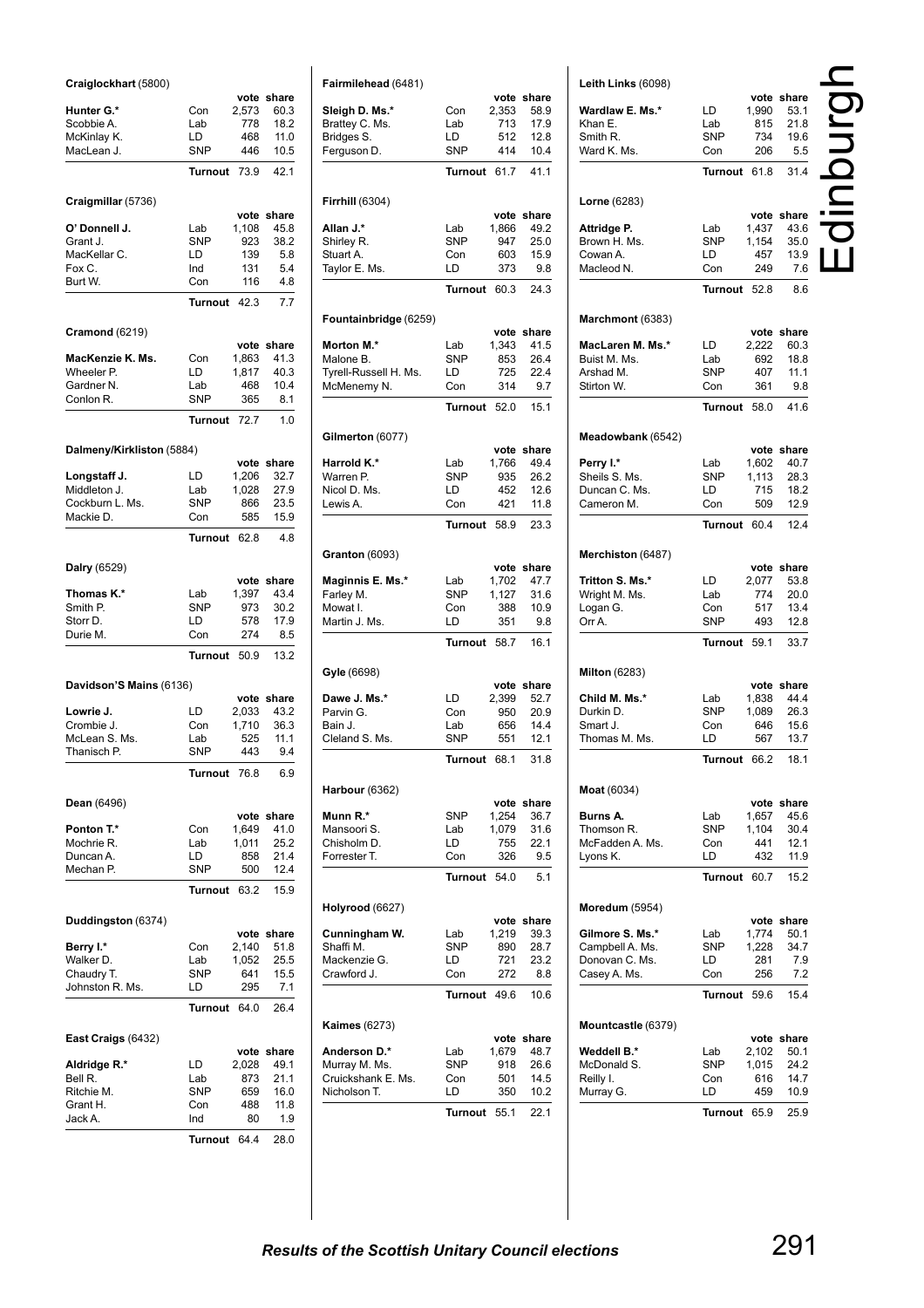| Craiglockhart (5800)           |                   |                |               |
|--------------------------------|-------------------|----------------|---------------|
| Hunter G.*                     | Con               | vote<br>2,573  | share<br>60.3 |
| Scobbie A.                     | Lab               | 778            | 18.2          |
| McKinlay K.                    | LD                | 468            | 11.0          |
| MacLean J.                     | <b>SNP</b>        | 446            | 10.5          |
|                                | <b>Turnout</b>    | 73.9           | 42.1          |
| Craigmillar (5736)             |                   | vote           | share         |
| O' Donnell J.                  | Lab               | 1,108          | 45.8          |
| Grant J.                       | <b>SNP</b>        | 923            | 38.2          |
| MacKellar C.                   | LD                | 139            | 5.8           |
| Fox C.<br>Burt W.              | Ind<br>Con        | 131<br>116     | 5.4<br>4.8    |
|                                | <b>Turnout</b>    | 42.3           | 7.7           |
| <b>Cramond (6219)</b>          |                   |                |               |
|                                |                   | vote           | share         |
| MacKenzie K. Ms.<br>Wheeler P. | Con<br>LD         | 1,863<br>1,817 | 41.3<br>40.3  |
| Gardner N.                     | Lab               | 468            | 10.4          |
| Conlon R.                      | <b>SNP</b>        | 365            | 8.1           |
|                                | Turnout           | 72.7           | 1.0           |
| Dalmeny/Kirkliston (5884)      |                   |                |               |
|                                |                   |                | vote share    |
| Longstaff J.<br>Middleton J.   | LD<br>Lab         | 1,206<br>1.028 | 32.7<br>27.9  |
| Cockburn L. Ms.                | <b>SNP</b>        | 866            | 23.5          |
| Mackie D.                      | Con               | 585            | 15.9          |
|                                | Turnout           | 62.8           | 4.8           |
| Dalry (6529)                   |                   |                |               |
|                                |                   | vote           | share         |
| Thomas K.*<br>Smith P.         | Lab<br><b>SNP</b> | 1,397<br>973   | 43.4<br>30.2  |
| Storr D.                       | LD                | 578            | 17.9          |
| Durie M.                       | Con               | 274            | 8.5           |
|                                | Turnout           | 50.9           | 13.2          |
| Davidson'S Mains (6136)        |                   |                |               |
| Lowrie J.                      | LD                | vote<br>2,033  | share<br>43.2 |
| Crombie J.                     | Con               | 1,710          | 36.3          |
| McLean S. Ms.                  | Lab               | 525            | 11.1          |
| Thanisch P.                    | SNP               | 443            | 9.4           |
|                                | <b>Turnout</b>    | 76.8           | 6.9           |
| <b>Dean</b> (6496)             |                   |                |               |
| Ponton T.*                     | Con               | vote<br>1,649  | share<br>41.0 |
| Mochrie R.                     | Lab               | 1,011          | 25.2          |
| Duncan A.                      | LD                | 858            | 21.4          |
| Mechan P.                      | <b>SNP</b>        | 500            | 12.4          |
|                                | Turnout           | 63.2           | 15.9          |
| Duddingston (6374)             |                   |                |               |
| Berry I.*                      | Con               | vote<br>2,140  | share<br>51.8 |
| Walker D.                      | Lab               | 1,052          | 25.5          |
| Chaudry T.                     | SNP               | 641            | 15.5          |
| Johnston R. Ms.                | LD                | 295            | 7.1           |
|                                | Turnout           | 64.0           | 26.4          |
| East Craigs (6432)             |                   |                |               |
| Aldridge R.*                   | LD                | vote<br>2,028  | share<br>49.1 |
| Bell R.                        | Lab               | 873            | 21.1          |
| Ritchie M.                     | SNP               | 659            | 16.0          |
| Grant H.                       | Con               | 488            | 11.8          |
| Jack A.                        | Ind               | 80             | 1.9           |
|                                | Turnout 64.4      |                | 28.0          |

| Fairmilehead (6481)           |                   |                |               |
|-------------------------------|-------------------|----------------|---------------|
|                               |                   | vote           | share         |
| Sleigh D. Ms.*                | Con               | 2,353          | 58.9          |
| Brattey C. Ms.                | Lab               | 713            | 17.9          |
| Bridges S.                    | LD<br><b>SNP</b>  | 512<br>414     | 12.8<br>10.4  |
| Ferguson D.                   |                   |                |               |
|                               | <b>Turnout</b>    | 61.7           | 41.1          |
| <b>Firrhill (6304)</b>        |                   |                | vote share    |
| Allan J.*                     | Lab               | 1.866          | 49.2          |
| Shirley R.                    | <b>SNP</b>        | 947            | 25.0          |
| Stuart A.                     | Con               | 603            | 15.9          |
| Taylor E. Ms.                 | LD                | 373            | 9.8           |
|                               | <b>Turnout</b>    | 60.3           | 24.3          |
| Fountainbridge (6259)         |                   | vote           | share         |
| Morton M.*                    | Lab               | 1,343          | 41.5          |
| Malone B.                     | SNP               | 853            | 26.4          |
| Tyrell-Russell H. Ms.         | LD                | 725            | 22.4          |
| McMenemy N.                   | Con               | 314            | 9.7           |
|                               | <b>Turnout</b>    | 52.0           | 15.1          |
| Gilmerton (6077)              |                   |                |               |
| Harrold K.*                   | Lab               | vote<br>1,766  | share<br>49.4 |
| Warren P.                     | SNP               | 935            | 26.2          |
| Nicol D. Ms.                  | LD                | 452            | 12.6          |
| Lewis A.                      | Con               | 421            | 11.8          |
|                               | <b>Turnout</b>    | 58.9           | 23.3          |
| <b>Granton</b> (6093)         |                   |                |               |
|                               |                   | vote           | share         |
| Maginnis E. Ms.*<br>Farley M. | Lab<br><b>SNP</b> | 1,702<br>1,127 | 47.7<br>31.6  |
| Mowat I.                      | Con               | 388            | 10.9          |
| Martin J. Ms.                 | LD                | 351            | 9.8           |
|                               | <b>Turnout</b>    | 58.7           | 16.1          |
| Gyle (6698)                   |                   |                |               |
|                               |                   | vote           | share         |
| Dawe J. Ms.*                  | LD                | 2,399          | 52.7          |
| Parvin G.                     | Con               | 950            | 20.9          |
| Bain J.                       | Lab               | 656            | 14.4          |
| Cleland S. Ms.                | SNP               | 551            | 12.1          |
|                               | <b>Turnout</b>    | 68.1           | 31.8          |
| Harbour (6362)                |                   |                | vote share    |
| Munn R.*                      | SNP               | 1,254          | 36.7          |
| Mansoori S.                   | Lab               | 1,079          | 31.6          |
| Chisholm D.                   | LD                | 755            | 22.1          |
| Forrester T.                  | Con               | 326            | 9.5           |
|                               | <b>Turnout</b>    | 54.0           | 5.1           |
| Holyrood (6627)               |                   | vote           | share         |
| Cunningham W.                 | Lab               | 1,219          | 39.3          |
| Shaffi M.                     | SNP               | 890            | 28.7          |
| Mackenzie G.                  | LD                | 721            | 23.2          |
| Crawford J.                   | Con               | 272            | 8.8           |
|                               | Turnout           | 49.6           | 10.6          |
| Kaimes (6273)                 |                   |                |               |
| Anderson D.*                  | Lab               | vote<br>1,679  | share<br>48.7 |
| Murray M. Ms.                 | SNP               | 918            | 26.6          |
| Cruickshank E. Ms.            | Con               | 501            | 14.5          |
| Nicholson T.                  | LD                | 350            | 10.2          |
|                               | Turnout           | 55.1           | 22.1          |

| Leith Links (6098)                 |                |                |                    |  |
|------------------------------------|----------------|----------------|--------------------|--|
| Wardlaw E. Ms.*                    | LD             | 1,990          | vote share<br>53.1 |  |
| Khan E.                            | Lab            | 815            | 21.8               |  |
| Smith R.<br>Ward K. Ms.            | SNP<br>Con     | 734<br>206     | 19.6<br>5.5        |  |
|                                    | Turnout        |                |                    |  |
|                                    |                | 61.8           | 31.4               |  |
| <b>Lorne</b> (6283)                |                |                |                    |  |
| Attridge P.                        | Lab            | 1,437          | vote share<br>43.6 |  |
| Brown H. Ms.                       | SNP            | 1,154          | 35.0               |  |
| Cowan A.                           | LD             | 457            | 13.9               |  |
| Macleod N.                         | Con<br>Turnout | 249<br>52.8    | 7.6<br>8.6         |  |
|                                    |                |                |                    |  |
| Marchmont (6383)                   |                |                | vote share         |  |
| MacLaren M. Ms.*                   | LD             | 2,222          | 60.3               |  |
| Buist M. Ms.                       | Lab            | 692            | 18.8               |  |
| Arshad M.                          | SNP            | 407            | 11.1               |  |
| Stirton W.                         | Con            | 361            | 9.8                |  |
|                                    | Turnout        | 58.0           | 41.6               |  |
| Meadowbank (6542)                  |                |                |                    |  |
| Perry I.*                          | Lab            | 1,602          | vote share<br>40.7 |  |
| Sheils S. Ms.                      | SNP            | 1,113          | 28.3               |  |
| Duncan C. Ms.                      | LD             | 715            | 18.2               |  |
| Cameron M.                         | Con            | 509            | 12.9               |  |
|                                    | Turnout        | 60.4           | 12.4               |  |
| Merchiston (6487)                  |                |                |                    |  |
|                                    |                |                | vote share         |  |
| Tritton S. Ms.*                    | LD             | 2,077          | 53.8               |  |
| Wright M. Ms.                      | Lab            | 774            | 20.0               |  |
| Logan G.<br>Orr A.                 | Con<br>SNP     | 517<br>493     | 13.4<br>12.8       |  |
|                                    | Turnout        | 59.1           | 33.7               |  |
|                                    |                |                |                    |  |
| <b>Milton (6283)</b>               |                |                | vote share         |  |
| Child M. Ms.*                      | Lab            | 1,838          | 44.4               |  |
| Durkin D.                          | SNP            | 1,089          | 26.3               |  |
| Smart J.<br>Thomas M. Ms.          | Con<br>LD      | 646<br>567     | 15.6<br>13.7       |  |
|                                    | Turnout        | 66.2           | 18.1               |  |
|                                    |                |                |                    |  |
| <b>Moat</b> (6034)                 |                |                |                    |  |
| Burns A.                           | Lab            | 1,657          | vote share<br>45.6 |  |
| Thomson R.                         | SNP            | 1,104          | 30.4               |  |
| McFadden A. Ms.                    | Con            | 441            | 12.1               |  |
| Lyons K.                           | LD             | 432            | 11.9               |  |
|                                    | <b>Turnout</b> | 60.7           | 15.2               |  |
| <b>Moredum</b> (5954)              |                |                |                    |  |
|                                    |                |                | vote share         |  |
| Gilmore S. Ms.*<br>Campbell A. Ms. | Lab<br>SNP     | 1,774<br>1,228 | 50.1<br>34.7       |  |
| Donovan C. Ms.                     | LD             | 281            | 7.9                |  |
| Casey A. Ms.                       | Con            | 256            | 7.2                |  |
|                                    | Turnout        | 59.6           | 15.4               |  |
| Mountcastle (6379)                 |                |                |                    |  |
|                                    |                |                | vote share         |  |
| <b>Weddell B.*</b>                 | Lab            | 2,102          | 50.1               |  |
| McDonald S.                        | SNP            | 1,015          | 24.2               |  |
| Reilly I.<br>Murray G.             | Con<br>LD      | 616<br>459     | 14.7<br>10.9       |  |
|                                    |                |                |                    |  |
|                                    | Turnout        | 65.9           | 25.9               |  |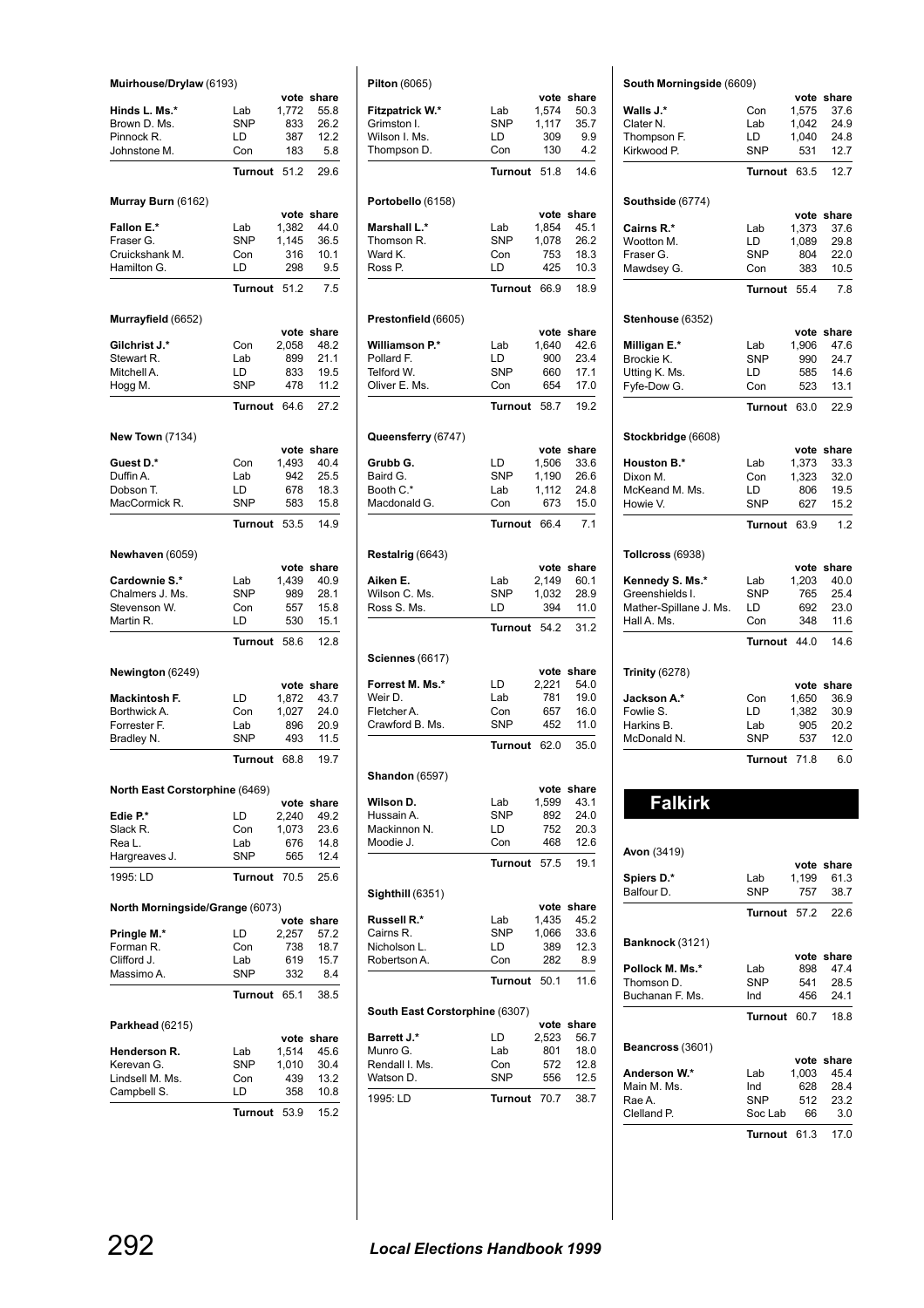| Muirhouse/Drylaw (6193)         |                   |               |               |  |  |  |
|---------------------------------|-------------------|---------------|---------------|--|--|--|
| Hinds L. Ms.*                   | Lab               | vote<br>1,772 | share<br>55.8 |  |  |  |
| Brown D. Ms.                    | SNP               | 833           | 26.2          |  |  |  |
| Pinnock R.                      | LD                | 387           | 12.2          |  |  |  |
| Johnstone M.                    | Con               | 183           | 5.8           |  |  |  |
|                                 |                   | 51.2          | 29.6          |  |  |  |
|                                 | Turnout           |               |               |  |  |  |
| Murray Burn (6162)              |                   |               |               |  |  |  |
|                                 |                   |               | vote share    |  |  |  |
| Fallon E.*                      | Lab               | 1,382         | 44.0          |  |  |  |
| Fraser G.                       | <b>SNP</b>        | 1,145         | 36.5          |  |  |  |
| Cruickshank M.                  | Con               | 316           | 10.1          |  |  |  |
| Hamilton G.                     | LD                | 298           | 9.5           |  |  |  |
|                                 | Turnout           | 51.2          | 7.5           |  |  |  |
| Murrayfield (6652)              |                   |               |               |  |  |  |
|                                 |                   |               | vote share    |  |  |  |
| <b>Gilchrist J.*</b>            | Con               | 2,058         | 48.2          |  |  |  |
| Stewart R.                      | Lab               | 899           | 21.1          |  |  |  |
| Mitchell A.                     | LD                | 833           | 19.5          |  |  |  |
| Hogg M.                         | <b>SNP</b>        | 478           | 11.2          |  |  |  |
|                                 | Turnout           | 646           | 27.2          |  |  |  |
|                                 |                   |               |               |  |  |  |
| <b>New Town (7134)</b>          |                   |               | vote share    |  |  |  |
| Guest D.*                       | Con               | 1,493         | 40.4          |  |  |  |
| Duffin A.                       | Lab               | 942           | 25.5          |  |  |  |
| Dobson T.                       | LD                | 678           | 18.3          |  |  |  |
| MacCormick R.                   | <b>SNP</b>        | 583           | 15.8          |  |  |  |
|                                 |                   |               |               |  |  |  |
|                                 | Turnout           | 53.5          | 14.9          |  |  |  |
| Newhaven (6059)                 |                   |               |               |  |  |  |
|                                 |                   | vote          | share         |  |  |  |
| Cardownie S.*                   | Lab               | 1,439         | 40.9          |  |  |  |
| Chalmers J. Ms.                 | <b>SNP</b>        | 989           | 28.1          |  |  |  |
| Stevenson W.                    | Con               | 557           | 15.8          |  |  |  |
| Martin R.                       | LD                | 530           | 15.1          |  |  |  |
|                                 | Turnout           | 58.6          | 12.8          |  |  |  |
|                                 |                   |               |               |  |  |  |
| Newington (6249)                |                   |               | vote share    |  |  |  |
| Mackintosh F.                   | LD                | 1,872         | 43.7          |  |  |  |
| Borthwick A.                    | Con               | 1,027         | 24.0          |  |  |  |
| Forrester F.                    | Lab               | 896           | 20.9          |  |  |  |
| Bradley N.                      | SNP               | 493           | 11.5          |  |  |  |
|                                 | Turnout           | 68.8          | 19.7          |  |  |  |
|                                 |                   |               |               |  |  |  |
| North East Corstorphine (6469)  |                   |               |               |  |  |  |
|                                 |                   |               | vote share    |  |  |  |
| Edie P.*                        | LD                | 2,240         | 49.2          |  |  |  |
| Slack R.<br>Rea L.              | Con<br>Lab        | 1,073<br>676  | 23.6<br>14.8  |  |  |  |
| Hargreaves J.                   | SNP               | 565           | 12.4          |  |  |  |
|                                 |                   |               |               |  |  |  |
| 1995: LD                        | Turnout           |               | 25.6          |  |  |  |
| North Morningside/Grange (6073) |                   |               |               |  |  |  |
|                                 |                   | 70.5          |               |  |  |  |
|                                 |                   | vote          | share         |  |  |  |
| Pringle M.*                     | LD                | 2,257         | 57.2          |  |  |  |
| Forman R.                       | Con               | 738           | 18.7          |  |  |  |
| Clifford J.<br>Massimo A.       | Lab<br><b>SNP</b> | 619<br>332    | 15.7<br>8.4   |  |  |  |
|                                 |                   |               |               |  |  |  |
|                                 | Turnout           | 65.1          | 38.5          |  |  |  |
| <b>Parkhead</b> (6215)          |                   |               |               |  |  |  |
|                                 |                   |               | vote share    |  |  |  |
| Henderson R.                    | Lab               | 1,514         | 45.6          |  |  |  |
| Kerevan G.                      | SNP               | 1,010         | 30.4          |  |  |  |
| Lindsell M. Ms.                 | Con               | 439           | 13.2          |  |  |  |
| Campbell S.                     | LD<br>Turnout     | 358<br>53.9   | 10.8<br>15.2  |  |  |  |

| <b>Pilton</b> (6065)                                                                                                                                                                                                                                            |                  |               |                    |
|-----------------------------------------------------------------------------------------------------------------------------------------------------------------------------------------------------------------------------------------------------------------|------------------|---------------|--------------------|
|                                                                                                                                                                                                                                                                 |                  |               |                    |
| Fitzpatrick W.*                                                                                                                                                                                                                                                 | Lab              | vote<br>1,574 | share<br>50.3      |
| Grimston I.                                                                                                                                                                                                                                                     | <b>SNP</b>       | 1,117         | 35.7               |
| Wilson I. Ms.                                                                                                                                                                                                                                                   | LD               | 309           | 9.9                |
| Thompson D.                                                                                                                                                                                                                                                     | Con              | 130           | 4.2                |
|                                                                                                                                                                                                                                                                 | <b>Turnout</b>   | 51.8          | 14.6               |
| Portobello (6158)                                                                                                                                                                                                                                               |                  |               |                    |
|                                                                                                                                                                                                                                                                 |                  | vote          | share              |
| <b>Marshall L.*</b>                                                                                                                                                                                                                                             | Lab              | 1,854         | 45.1               |
| Thomson R.                                                                                                                                                                                                                                                      | <b>SNP</b>       | 1,078         | 26.2               |
| Ward K.                                                                                                                                                                                                                                                         | Con              | 753<br>425    | 18.3               |
| Ross P.                                                                                                                                                                                                                                                         | LD               |               | 10.3               |
|                                                                                                                                                                                                                                                                 | <b>Turnout</b>   | 66.9          | 18.9               |
| Prestonfield (6605)                                                                                                                                                                                                                                             |                  |               |                    |
|                                                                                                                                                                                                                                                                 |                  |               | vote share         |
| Williamson P.*                                                                                                                                                                                                                                                  | Lab              | 1,640         | 42.6               |
| Pollard F.<br>Telford W.                                                                                                                                                                                                                                        | LD<br><b>SNP</b> | 900<br>660    | 23.4<br>17.1       |
| Oliver E. Ms.                                                                                                                                                                                                                                                   | Con              | 654           | 17.0               |
|                                                                                                                                                                                                                                                                 | Turnout          | 58.7          | 19.2               |
|                                                                                                                                                                                                                                                                 |                  |               |                    |
| Queensferry (6747)                                                                                                                                                                                                                                              |                  |               | vote share         |
| Grubb G.                                                                                                                                                                                                                                                        | LD               | 1,506         | 33.6               |
| Baird G.                                                                                                                                                                                                                                                        | SNP              | 1,190         | 26.6               |
| Booth C.*                                                                                                                                                                                                                                                       | Lab              | 1,112         | 24.8               |
| Macdonald G.                                                                                                                                                                                                                                                    | Con              | 673           | 15.0               |
|                                                                                                                                                                                                                                                                 | <b>Turnout</b>   | 66.4          | 7.1                |
| Restalrig (6643)                                                                                                                                                                                                                                                |                  |               |                    |
|                                                                                                                                                                                                                                                                 |                  | vote          | share              |
| Aiken E.                                                                                                                                                                                                                                                        | Lab              | 2,149         | 60.1               |
| Wilson C. Ms.<br>Ross S. Ms.                                                                                                                                                                                                                                    | SNP              | 1,032         | 28.9               |
|                                                                                                                                                                                                                                                                 | LD               | 394           | 11.0               |
|                                                                                                                                                                                                                                                                 | <b>Turnout</b>   | 54.2          | 31.2               |
| <b>Sciennes</b> (6617)                                                                                                                                                                                                                                          |                  |               |                    |
|                                                                                                                                                                                                                                                                 |                  |               | vote share<br>54.0 |
|                                                                                                                                                                                                                                                                 |                  |               |                    |
|                                                                                                                                                                                                                                                                 | LD.              | 2,221         |                    |
|                                                                                                                                                                                                                                                                 | Lab<br>Con       | 781<br>657    | 19.0<br>16.0       |
|                                                                                                                                                                                                                                                                 | <b>SNP</b>       | 452           | 11.0               |
|                                                                                                                                                                                                                                                                 | <b>Turnout</b>   | 62.0          | 35.0               |
|                                                                                                                                                                                                                                                                 |                  |               |                    |
|                                                                                                                                                                                                                                                                 |                  |               | vote share         |
|                                                                                                                                                                                                                                                                 | Lab              | 1,599         | 43.1               |
|                                                                                                                                                                                                                                                                 | SNP              | 892           | 24.0               |
|                                                                                                                                                                                                                                                                 | LD               | 752           | 20.3               |
|                                                                                                                                                                                                                                                                 | Con              | 468           | 12.6               |
|                                                                                                                                                                                                                                                                 | <b>Turnout</b>   | 57.5          | 19.1               |
|                                                                                                                                                                                                                                                                 |                  |               |                    |
|                                                                                                                                                                                                                                                                 | Lab              | 1,435         | vote share<br>45.2 |
|                                                                                                                                                                                                                                                                 | SNP              | 1,066         | 33.6               |
|                                                                                                                                                                                                                                                                 | LD               | 389           | 12.3               |
|                                                                                                                                                                                                                                                                 | Con              | 282           | 8.9                |
|                                                                                                                                                                                                                                                                 | Turnout          | 50.1          | 11.6               |
|                                                                                                                                                                                                                                                                 |                  |               |                    |
| Forrest M. Ms.*<br>Weir D.<br>Fletcher A.<br>Crawford B. Ms.<br><b>Shandon</b> (6597)<br>Wilson D.<br>Hussain A.<br>Mackinnon N.<br>Moodie J.<br>Sighthill (6351)<br>Russell R.*<br>Cairns R.<br>Nicholson L.<br>Robertson A.<br>South East Corstorphine (6307) |                  | vote          | share              |
|                                                                                                                                                                                                                                                                 | LD               | 2,523         | 56.7               |
|                                                                                                                                                                                                                                                                 | Lab<br>Con       | 801<br>572    | 18.0<br>12.8       |
| <b>Barrett J.*</b><br>Munro G.<br>Rendall I. Ms.<br>Watson D.                                                                                                                                                                                                   | SNP              | 556           | 12.5               |

|                        | South Morningside (6609) |               |                    |  |  |
|------------------------|--------------------------|---------------|--------------------|--|--|
|                        |                          | vote          | share              |  |  |
| Walls J.*              | Con                      | 1,575         | 37.6               |  |  |
| Clater N.              | Lab                      | 1,042         | 24.9               |  |  |
| Thompson F.            | LD                       | 1,040         | 24.8               |  |  |
| Kirkwood P.            | <b>SNP</b>               | 531           | 12.7               |  |  |
|                        | <b>Turnout</b>           | 63.5          | 12.7               |  |  |
| Southside (6774)       |                          |               |                    |  |  |
| Cairns R.*             | Lab                      | 1,373         | vote share<br>37.6 |  |  |
| Wootton M.             | LD                       | 1,089         | 29.8               |  |  |
| Fraser G.              | <b>SNP</b>               | 804           | 22.0               |  |  |
| Mawdsey G.             | Con                      | 383           | 10.5               |  |  |
|                        |                          |               |                    |  |  |
|                        | <b>Turnout</b>           | 55.4          | 7.8                |  |  |
| Stenhouse (6352)       |                          |               |                    |  |  |
|                        |                          |               | vote share         |  |  |
| Milligan E.*           | Lab                      | 1,906         | 47.6               |  |  |
| Brockie K.             | <b>SNP</b>               | 990           | 24.7               |  |  |
| Utting K. Ms.          | LD                       | 585           | 14.6               |  |  |
| Fyfe-Dow G.            | Con                      | 523           | 13.1               |  |  |
|                        | <b>Turnout</b>           | 63.0          | 22.9               |  |  |
| Stockbridge (6608)     |                          |               |                    |  |  |
| <b>Houston B.*</b>     | Lab                      | vote<br>1,373 | share<br>33.3      |  |  |
| Dixon M.               | Con                      | 1,323         | 32.0               |  |  |
| McKeand M. Ms.         | LD                       | 806           | 19.5               |  |  |
| Howie V.               | <b>SNP</b>               | 627           | 15.2               |  |  |
|                        | <b>Turnout</b>           | 63.9          | 1.2                |  |  |
| Tollcross (6938)       |                          |               |                    |  |  |
|                        |                          |               | vote share         |  |  |
| Kennedy S. Ms.*        | Lab                      | 1,203         | 40.0               |  |  |
| Greenshields I.        | <b>SNP</b>               | 765           | 25.4               |  |  |
| Mather-Spillane J. Ms. | LD                       | 692           | 23.0               |  |  |
| Hall A. Ms.            | Con                      | 348           | 11.6               |  |  |
|                        | <b>Turnout</b>           | 44.0          | 14.6               |  |  |
| <b>Trinity (6278)</b>  |                          |               |                    |  |  |
|                        |                          | vote          | share              |  |  |
| Jackson A.*            | Con                      | 1,650         | 36.9               |  |  |
| Fowlie S.              | LD                       | 1,382         | 30.9               |  |  |
| Harkins B.             | Lab                      | 905           | 20.2               |  |  |
| McDonald N.            | <b>SNP</b>               | 537           | 12.0               |  |  |
|                        | <b>Turnout</b>           | 71.8          | 6.0                |  |  |
|                        |                          |               |                    |  |  |
| <b>Falkirk</b>         |                          |               |                    |  |  |
|                        |                          |               |                    |  |  |

| <b>Avon</b> (3419)      |            |       |            |
|-------------------------|------------|-------|------------|
|                         |            |       | vote share |
| Spiers D.*              | Lab        | 1.199 | 61.3       |
| Balfour D.              | SNP        | 757   | 38.7       |
|                         | Turnout    | 57.2  | 22.6       |
| Banknock (3121)         |            |       |            |
|                         |            |       | vote share |
| Pollock M. Ms.*         | Lab        | 898   | 47.4       |
| Thomson D.              | <b>SNP</b> | 541   | 28.5       |
| Buchanan F. Ms.         | Ind        | 456   | 24.1       |
|                         | Turnout    | 60.7  | 18.8       |
| <b>Beancross (3601)</b> |            |       |            |
|                         |            |       | vote share |
| Anderson W.*            | Lab        | 1,003 | 45.4       |
| Main M. Ms.             | Ind        | 628   | 28.4       |
| Rae A.                  | <b>SNP</b> | 512   | 23.2       |
| Clelland P.             | Soc Lab    | 66    | 3.0        |
|                         | Turnout    | 61.3  | 17.0       |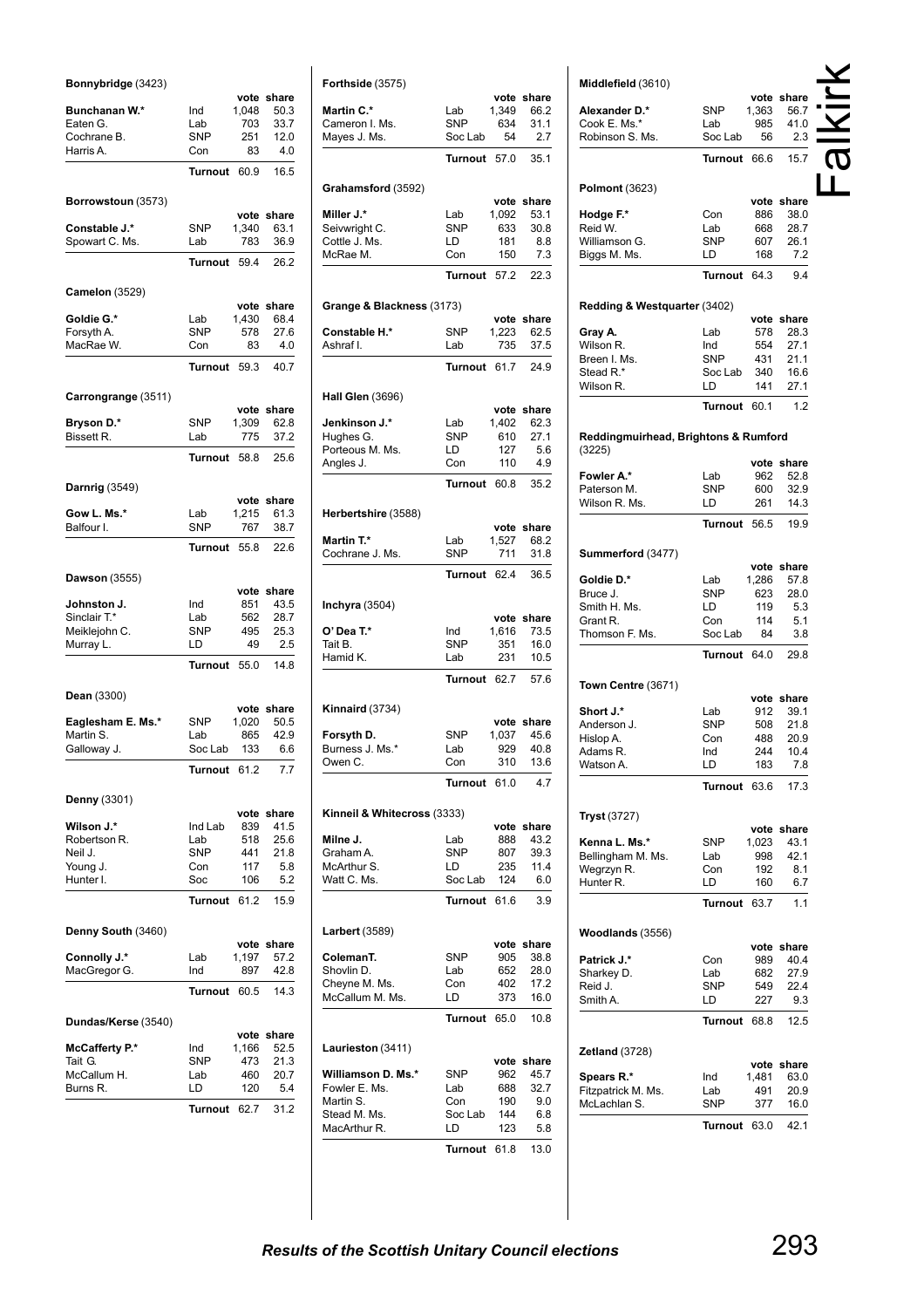| Bonnybridge (3423)               |                   |               |               |
|----------------------------------|-------------------|---------------|---------------|
| Bunchanan W.*                    | Ind               | vote<br>1,048 | share<br>50.3 |
| Eaten G.                         | Lab               | 703           | 33.7          |
| Cochrane B.                      | <b>SNP</b>        | 251           | 12.0          |
| Harris A.                        | Con               | 83            | 4.0           |
|                                  | <b>Turnout</b>    | 60.9          | 16.5          |
| Borrowstoun (3573)               |                   |               | vote share    |
| Constable J.*                    | <b>SNP</b>        | 1,340         | 63.1          |
| Spowart C. Ms.                   | Lab               | 783           | 36.9          |
|                                  | <b>Turnout</b>    | 59.4          | 26.2          |
| <b>Camelon (3529)</b>            |                   | vote          | share         |
| Goldie G.*                       | Lab               | 1,430         | 68.4          |
| Forsyth A.                       | <b>SNP</b>        | 578           | 27.6          |
| MacRae W.                        | Con               | 83            | 4.0           |
|                                  | Turnout           | 59.3          | 40.7          |
| Carrongrange (3511)              |                   |               |               |
| Bryson D.*                       | <b>SNP</b>        | vote<br>1,309 | share<br>62.8 |
| Bissett R.                       | Lab               | 775           | 37.2          |
|                                  | Turnout           | 58.8          | 25.6          |
| Darnrig (3549)                   |                   |               |               |
|                                  |                   | vote          | share         |
| Gow L. Ms.*<br>Balfour I.        | Lab<br><b>SNP</b> | 1,215<br>767  | 61.3<br>38.7  |
|                                  | Turnout           | 55.8          | 22.6          |
|                                  |                   |               |               |
| Dawson (3555)                    |                   | vote          | share         |
| Johnston J.                      | Ind               | 851           | 43.5          |
| Sinclair T.*                     | Lab               | 562           | 28.7          |
| Meiklejohn C.<br>Murray L.       | <b>SNP</b><br>LD  | 495<br>49     | 25.3<br>2.5   |
|                                  | <b>Turnout</b>    | 55.0          | 14.8          |
| Dean (3300)                      |                   |               |               |
|                                  |                   |               | vote share    |
| Eaglesham E. Ms.*                | <b>SNP</b>        | 1,020         | 50.5          |
| Martin S.<br>Galloway J.         | Lab<br>Soc Lab    | 865<br>133    | 42.9<br>6.6   |
|                                  | <b>Turnout</b>    | 61.2          | 7.7           |
|                                  |                   |               |               |
| Denny (3301)                     |                   | vote          | share         |
| Wilson J.*                       | Ind Lab           | 839           | 41.5          |
| Robertson R.                     | Lab               | 518           | 25.6          |
| Neil J.<br>Young J.              | <b>SNP</b><br>Con | 441<br>117    | 21.8<br>5.8   |
| Hunter I.                        | Soc               | 106           | 5.2           |
|                                  | <b>Turnout</b>    | 61.2          | 15.9          |
| Denny South (3460)               |                   |               |               |
|                                  |                   |               | vote share    |
| Connolly J.*<br>MacGregor G.     | Lab<br>Ind        | 1,197<br>897  | 57.2<br>42.8  |
|                                  | Turnout           | 60.5          | 14.3          |
|                                  |                   |               |               |
| Dundas/Kerse (3540)              |                   |               | vote share    |
| <b>McCafferty P.*</b><br>Tait G. | Ind<br>SNP        | 1,166<br>473  | 52.5<br>21.3  |
| McCallum H.                      | Lab               | 460           | 20.7          |
| Burns R.                         | LD                | 120           | 5.4           |
|                                  | Turnout           | 62.7          | 31.2          |
|                                  |                   |               |               |

| Forthside (3575)                  |                   |               |               |
|-----------------------------------|-------------------|---------------|---------------|
| <b>Martin C.*</b>                 | Lab               | 1,349         | vote share    |
| Cameron I. Ms.                    | <b>SNP</b>        | 634           | 66.2<br>31.1  |
| Mayes J. Ms.                      | Soc Lab           | 54            | 2.7           |
|                                   | <b>Turnout</b>    | 57.0          | 35.1          |
|                                   |                   |               |               |
| Grahamsford (3592)                |                   |               |               |
| Miller J.*                        | Lab               | vote<br>1,092 | share<br>53.1 |
| Seivwright C.                     | <b>SNP</b>        | 633           | 30.8          |
| Cottle J. Ms.                     | LD                | 181           | 8.8           |
| McRae M.                          | Con               | 150           | 7.3           |
|                                   | Turnout           | 57.2          | 22.3          |
| Grange & Blackness (3173)         |                   |               |               |
|                                   |                   |               | vote share    |
| <b>Constable H.*</b><br>Ashraf I. | SNP               | 1,223<br>735  | 62.5<br>37.5  |
|                                   | Lab               |               |               |
|                                   | <b>Turnout</b>    | 61.7          | 24.9          |
| Hall Glen (3696)                  |                   |               |               |
|                                   |                   |               | vote share    |
| Jenkinson J.*<br>Hughes G.        | Lab<br><b>SNP</b> | 1,402<br>610  | 62.3<br>27.1  |
| Porteous M. Ms.                   | LD                | 127           | 5.6           |
| Angles J.                         | Con               | 110           | 4.9           |
|                                   | Turnout           | 60.8          | 35.2          |
|                                   |                   |               |               |
| Herbertshire (3588)               |                   | vote          | share         |
| Martin T.*                        | Lab               | 1,527         | 68.2          |
| Cochrane J. Ms.                   | <b>SNP</b>        | 711           | 31.8          |
|                                   | Turnout           | 62.4          | 36.5          |
|                                   |                   |               |               |
| <b>Inchyra</b> (3504)             |                   |               | vote share    |
| O' Dea T.*                        | Ind               | 1,616         | 73.5          |
| Tait B.                           | SNP               | 351           | 16.0          |
| Hamid K.                          | Lab               | 231           | 10.5          |
|                                   | Turnout           | 62.7          | 57.6          |
| Kinnaird (3734)                   |                   |               |               |
|                                   |                   | vote          | share         |
| Forsyth D.                        | SNP               | 1,037         | 45.6          |
| Burness J. Ms.*<br>Owen C.        | Lab<br>Con        | 929<br>310    | 40.8<br>13.6  |
|                                   |                   |               |               |
|                                   | Turnout 61.0      |               | 4.7           |
| Kinneil & Whitecross (3333)       |                   |               |               |
|                                   |                   |               | vote share    |
| Milne J.<br>Graham A.             | Lab<br><b>SNP</b> | 888<br>807    | 43.2<br>39.3  |
| McArthur S.                       | LD                | 235           | 11.4          |
| Watt C. Ms.                       | Soc Lab           | 124           | 6.0           |
|                                   | Turnout 61.6      |               | 3.9           |
| <b>Larbert</b> (3589)             |                   |               |               |
|                                   |                   |               | vote share    |
| ColemanT.<br>Shovlin D.           | <b>SNP</b><br>Lab | 905<br>652    | 38.8<br>28.0  |
| Cheyne M. Ms.                     | Con               | 402           | 17.2          |
| McCallum M. Ms.                   | LD                | 373           | 16.0          |
|                                   | Turnout 65.0      |               | 10.8          |
|                                   |                   |               |               |
| Laurieston (3411)                 |                   |               | vote share    |
| Williamson D. Ms.*                | SNP               | 962           | 45.7          |
| Fowler E. Ms.                     | Lab               | 688           | 32.7          |
| Martin S.                         | Con               | 190           | 9.0           |
| Stead M. Ms.<br>MacArthur R.      | Soc Lab<br>LD     | 144<br>123    | 6.8<br>5.8    |
|                                   |                   |               |               |
|                                   | Turnout 61.8      |               | 13.0          |

| Middlefield (3610)                   |                   |               | vote share         |  |
|--------------------------------------|-------------------|---------------|--------------------|--|
| Alexander D.*                        | SNP               | 1,363         | 56.7               |  |
| Cook E. Ms.*                         | Lab               | 985           | 41.0               |  |
| Robinson S. Ms.                      | Soc Lab           | 56            | 2.3                |  |
|                                      | Turnout           | 66.6          | 15.7               |  |
| <b>Polmont (3623)</b>                |                   |               |                    |  |
|                                      |                   |               | vote share         |  |
| Hodge F.*<br>Reid W.                 | Con<br>Lab        | 886<br>668    | 38.0<br>28.7       |  |
| Williamson G.                        | SNP               | 607           | 26.1               |  |
| Biggs M. Ms.                         | LD                | 168           | 7.2                |  |
|                                      | Turnout           | 64.3          | 9.4                |  |
| Redding & Westquarter (3402)         |                   |               |                    |  |
|                                      |                   |               | vote share         |  |
| Gray A.                              | Lab               | 578           | 28.3               |  |
| Wilson R.<br>Breen I. Ms.            | Ind<br><b>SNP</b> | 554<br>431    | 27.1<br>21.1       |  |
| Stead R.*                            | Soc Lab           | 340           | 16.6               |  |
| Wilson R.                            | LD                | 141           | 27.1               |  |
|                                      | <b>Turnout</b>    | 60.1          | 1.2                |  |
| Reddingmuirhead, Brightons & Rumford |                   |               |                    |  |
| (3225)                               |                   |               | vote share         |  |
| Fowler A.*                           | Lab               | 962           | 52.8               |  |
| Paterson M.                          | <b>SNP</b>        | 600           | 32.9               |  |
| Wilson R. Ms.                        | LD                | 261           | 14.3               |  |
|                                      | <b>Turnout</b>    | 56.5          | 19.9               |  |
| Summerford (3477)                    |                   |               |                    |  |
| Goldie D.*                           | Lab               | 1,286         | vote share<br>57.8 |  |
| Bruce J.                             | SNP               | 623           | 28.0               |  |
| Smith H. Ms.                         | LD                | 119           | 5.3                |  |
| Grant R.                             | Con               | 114           | 5.1                |  |
| Thomson F. Ms.                       | Soc Lab           | 84            | 3.8                |  |
|                                      | Turnout           | 64.0          | 29.8               |  |
| Town Centre (3671)                   |                   |               |                    |  |
| Short J.*                            | Lab               |               | vote share         |  |
| Anderson J.                          | SNP               | 912<br>508    | 39.1<br>21.8       |  |
| Hislop A.                            | Con               | 488           | 20.9               |  |
| Adams R                              | Ind               | 244           | 10.4               |  |
| Watson A.                            | LD                | 183           | 7.8                |  |
|                                      | Turnout           | 63.6          | 17.3               |  |
| Tryst (3727)                         |                   |               |                    |  |
| Kenna L. Ms.*                        | SNP               | vote<br>1,023 | share<br>43.1      |  |
| Bellingham M. Ms.                    | Lab               | 998           | 42.1               |  |
| Wegrzyn R.                           | Con               | 192           | 8.1                |  |
| Hunter <sub>R.</sub>                 | LD                | 160           | 6.7                |  |
|                                      | <b>Turnout</b>    | 63.7          | 1.1                |  |
| Woodlands (3556)                     |                   |               |                    |  |
| Patrick J.*                          |                   | 989           | vote share<br>40.4 |  |
| Sharkey D.                           | Con<br>Lab        | 682           | 27.9               |  |
| Reid J.                              | SNP               | 549           | 22.4               |  |
| Smith A.                             | LD                | 227           | 9.3                |  |
|                                      | Turnout           | 68.8          | 12.5               |  |
| Zetland (3728)                       |                   |               |                    |  |
|                                      |                   |               | vote share         |  |
| Spears R.*<br>Fitzpatrick M. Ms.     | Ind<br>Lab        | 1,481<br>491  | 63.0<br>20.9       |  |
| McLachlan S.                         | SNP               | 377           | 16.0               |  |
|                                      | Turnout           | 63.0          | 42.1               |  |
|                                      |                   |               |                    |  |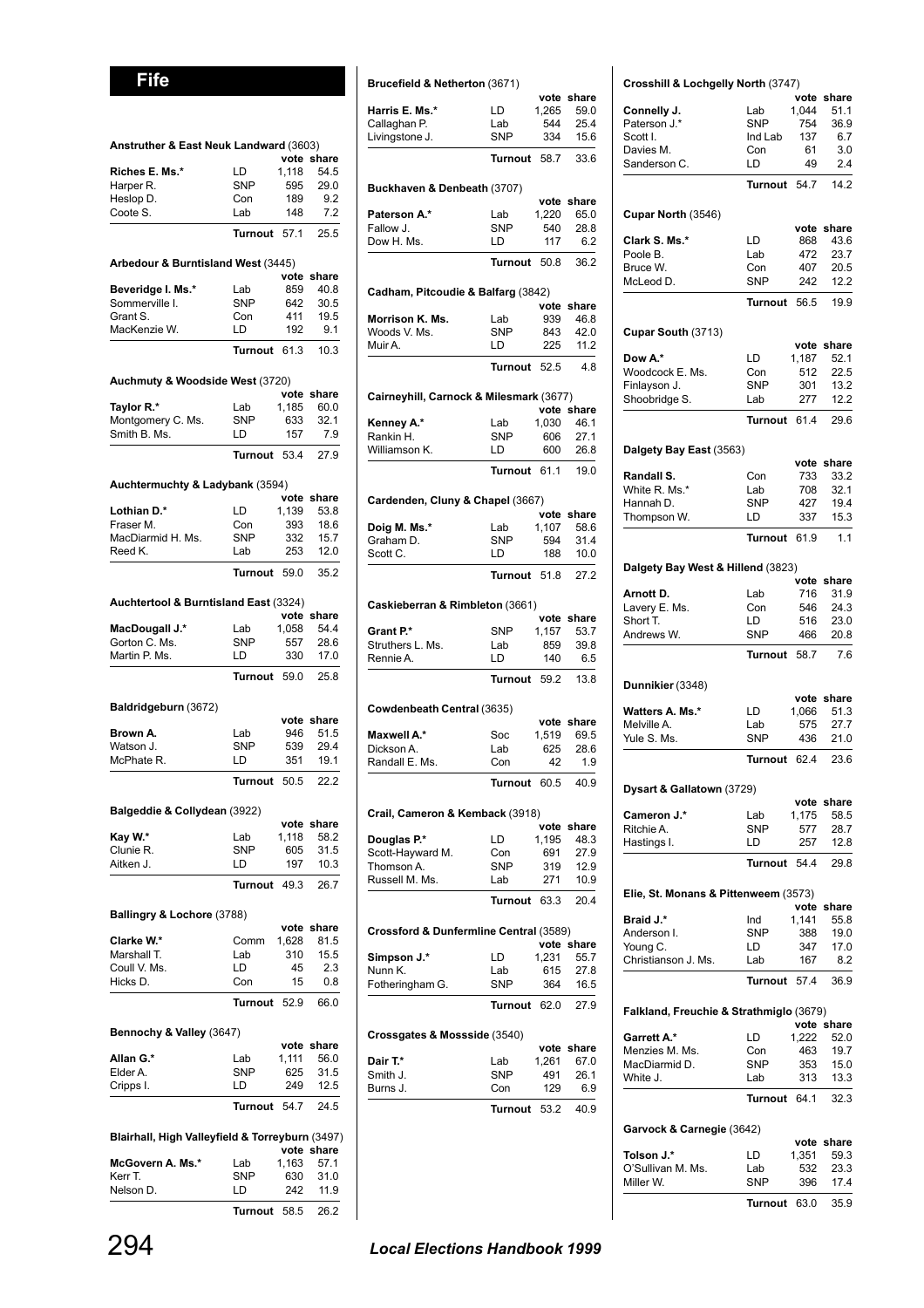**Fife**

| Anstruther & East Neuk Landward (3603)          |                  |               |              |
|-------------------------------------------------|------------------|---------------|--------------|
|                                                 |                  | vote          | share        |
| Riches E. Ms.*                                  | LD               | 1,118         | 54.5         |
| Harper R.<br>Heslop D.                          | SNP<br>Con       | 595<br>189    | 29.0<br>9.2  |
| Coote S.                                        | Lab              | 148           | 7.2          |
|                                                 | <b>Turnout</b>   | 57.1          | 25.5         |
|                                                 |                  |               |              |
| Arbedour & Burntisland West (3445)              |                  | vote          | share        |
| Beveridge I. Ms.*                               | Lab              | 859           | 40.8         |
| Sommerville I.                                  | <b>SNP</b>       | 642           | 30.5         |
| Grant S.                                        | Con              | 411           | 19.5         |
| MacKenzie W.                                    | LD               | 192           | 9.1          |
|                                                 | Turnout          | 61.3          | 10.3         |
| Auchmuty & Woodside West (3720)                 |                  |               |              |
|                                                 | Lab              | vote<br>1,185 | share        |
| Taylor R.*<br>Montgomery C. Ms.                 | <b>SNP</b>       | 633           | 60.0<br>32.1 |
| Smith B. Ms.                                    | LD               | 157           | 7.9          |
|                                                 | Turnout          | 53.4          | 27.9         |
|                                                 |                  |               |              |
| Auchtermuchty & Ladybank (3594)                 |                  | vote          | share        |
| Lothian D.*                                     | LD               | 1,139         | 53.8         |
| Fraser M.                                       | Con              | 393           | 18.6         |
| MacDiarmid H. Ms.                               | <b>SNP</b>       | 332           | 15.7         |
| Reed K.                                         | Lab              | 253           | 12.0         |
|                                                 | Turnout          | 59.0          | 35.2         |
| Auchtertool & Burntisland East (3324)           |                  |               |              |
|                                                 |                  | vote          | share        |
| MacDougall J.*                                  | Lab              | 1,058         | 54.4         |
| Gorton C. Ms.<br>Martin P. Ms.                  | <b>SNP</b><br>LD | 557<br>330    | 28.6<br>17.0 |
|                                                 | <b>Turnout</b>   | 59.0          | 25.8         |
|                                                 |                  |               |              |
| Baldridgeburn (3672)                            |                  | vote          | share        |
| Brown A.                                        | Lab              | 946           | 51.5         |
| Watson J.                                       | <b>SNP</b>       | 539           | 29.4         |
| McPhate R.                                      | LD               | 351           | 19.1         |
|                                                 | Turnout          | 50.5          | 22.2         |
| Balgeddie & Collydean (3922)                    |                  |               |              |
|                                                 |                  |               | vote share   |
| Kay W.*                                         | Lab              | 1,118         | 58.2         |
| Clunie R.                                       | SNP              | 605           | 31.5         |
| Aitken J.                                       | LD               | 197           | 10.3         |
|                                                 | Turnout 49.3     |               | 26.7         |
| Ballingry & Lochore (3788)                      |                  |               |              |
|                                                 |                  | vote          | share        |
| Clarke W.*<br>Marshall T.                       | Comm<br>Lab      | 1,628<br>310  | 81.5<br>15.5 |
| Coull V. Ms.                                    | LD               | 45            | 2.3          |
| Hicks D.                                        | Con              | 15            | 0.8          |
|                                                 | Turnout          | 52.9          | 66.0         |
|                                                 |                  |               |              |
| Bennochy & Valley (3647)                        |                  |               | vote share   |
| Allan G.*                                       | Lab              | 1,111         | 56.0         |
| Elder A.                                        | <b>SNP</b>       | 625           | 31.5         |
| Cripps I.                                       | LD               | 249           | 12.5         |
|                                                 | Turnout          | 54.7          | 24.5         |
| Blairhall, High Valleyfield & Torreyburn (3497) |                  |               |              |
|                                                 |                  |               | vote share   |
| McGovern A. Ms.*                                | Lab              | 1,163         | 57.1         |
| Kerr T.                                         | <b>SNP</b>       | 630<br>242    | 31.0<br>11.9 |
| Nelson D.                                       | LD               |               |              |

|                                                 | <b>IUMOUT</b> 54.7 $24.5$ |       |            | Turnout 53.2                         | 40.9 |
|-------------------------------------------------|---------------------------|-------|------------|--------------------------------------|------|
| Blairhall, High Valleyfield & Torreyburn (3497) |                           |       | vote share |                                      |      |
| McGovern A. Ms.*                                | Lab                       | 1,163 | 57.1       |                                      |      |
| Kerr T.                                         | <b>SNP</b>                | 630   | 31.0       |                                      |      |
| Nelson D.                                       | LD                        | 242   | 11.9       |                                      |      |
|                                                 | Turnout 58.5              |       | 26.2       |                                      |      |
|                                                 |                           |       |            | <b>Local Elections Handbook 1999</b> |      |

| Harris E. Ms.*                                                              | LD                | 1,265        | 59.0               |
|-----------------------------------------------------------------------------|-------------------|--------------|--------------------|
| Callaghan P.                                                                | Lab<br><b>SNP</b> | 544<br>334   | 25.4<br>15.6       |
| Livingstone J.                                                              |                   |              |                    |
|                                                                             | Turnout           | 58.7         | 33.6               |
| Buckhaven & Denbeath (3707)                                                 |                   |              |                    |
|                                                                             |                   |              | vote share         |
| Paterson A.*<br>Fallow J.                                                   | Lab<br><b>SNP</b> | 1,220        | 65.0<br>28.8       |
| Dow H. Ms.                                                                  | LD                | 540<br>117   | 6.2                |
|                                                                             |                   |              |                    |
|                                                                             | Turnout 50.8      |              | 36.2               |
| Cadham, Pitcoudie & Balfarg (3842)                                          |                   |              |                    |
| Morrison K. Ms.                                                             | Lab               | 939          | vote share<br>46.8 |
| Woods V. Ms.                                                                | <b>SNP</b>        | 843          | 42.0               |
| Muir A.                                                                     | LD                | 225          | 11.2               |
|                                                                             | Turnout 52.5      |              | 4.8                |
|                                                                             |                   |              |                    |
| Cairneyhill, Carnock & Milesmark (3677)                                     |                   |              | vote share         |
| Kenney A.*                                                                  | Lab               | 1,030        | 46.1               |
| Rankin H.                                                                   | <b>SNP</b>        | 606          | 27.1               |
| Williamson K.                                                               | LD                | 600          | 26.8               |
|                                                                             | Turnout 61.1      |              | 19.0               |
| Cardenden, Cluny & Chapel (3667)                                            |                   |              |                    |
|                                                                             |                   |              | vote share         |
| Doia M. Ms.*                                                                | Lab               | 1,107        | 58.6               |
| Graham D.                                                                   | <b>SNP</b>        | 594          | 31.4               |
| Scott C.                                                                    | LD                | 188          | 10.0               |
|                                                                             | Turnout 51.8      |              | 27.2               |
| Caskieberran & Rimbleton (3661)                                             |                   |              |                    |
|                                                                             |                   | vote         | share              |
| Grant P.*<br>Struthers L. Ms.                                               | <b>SNP</b><br>Lab | 1,157<br>859 | 53.7<br>39.8       |
| Rennie A.                                                                   | LD                | 140          | 6.5                |
|                                                                             | Turnout 59.2      |              | 13.8               |
|                                                                             |                   |              |                    |
| Cowdenbeath Central (3635)                                                  |                   | vote         | share              |
| Maxwell A.*                                                                 | Soc               | 1,519        | 69.5               |
| Dickson A.                                                                  | Lab               | 625          | 28.6               |
| Randall E. Ms.                                                              | Con               | 42           | 1.9                |
|                                                                             | Turnout 60.5      |              | 40.9               |
| Crail, Cameron & Kemback (3918)                                             |                   |              |                    |
|                                                                             |                   |              | vote share         |
| Douglas P.*                                                                 | LD                | 1,195        | 48.3               |
| Scott-Hayward M.                                                            | Con               | 691          | 27.9               |
| Thomson A.                                                                  | SNP               | 319          | 12.9               |
| Russell M. Ms.                                                              | Lab<br>Turnout    | 271          | 10.9               |
|                                                                             |                   | 63.3         | 20.4               |
| Crossford & Dunfermline Central (3589)                                      |                   | vote         | share              |
|                                                                             |                   |              |                    |
| Simpson J.*                                                                 | LD                | 1,231        | 55.7               |
|                                                                             | Lab               | 615          | 27.8               |
|                                                                             | SNP               | 364          | 16.5               |
|                                                                             | Turnout           | 62.0         | 27.9               |
|                                                                             |                   |              |                    |
|                                                                             |                   | vote         | share              |
|                                                                             | Lab               | 1,261        | 67.0               |
| Fotheringham G.                                                             | SNP               | 491          | 26.1               |
| Nunn K.<br>Crossgates & Mossside (3540)<br>Dair T.*<br>Smith J.<br>Burns J. | Con               | 129<br>53.2  | 6.9                |

**Brucefield & Netherton** (3671)

**vote share**

**Crosshill & Lochgelly North** (3747)

| Crosshill & Lochgelly North (3747)      |                  |               |                    |
|-----------------------------------------|------------------|---------------|--------------------|
| Connelly J.                             | Lab              | 1,044         | vote share<br>51.1 |
| Paterson J.*                            | <b>SNP</b>       | 754           | 36.9               |
| Scott I.                                | Ind Lab          | 137           | 6.7                |
| Davies M.                               | Con              | 61            | 3.0                |
| Sanderson C.                            | LD               | 49            | 2.4                |
|                                         | <b>Turnout</b>   | 547           | 14.2               |
|                                         |                  |               |                    |
| Cupar North (3546)                      |                  |               |                    |
|                                         |                  |               | vote share         |
| Clark S. Ms.*<br>Poole B.               | LD.<br>Lab       | 868<br>472    | 43.6<br>23.7       |
| Bruce W.                                | Con              | 407           | 20.5               |
| McLeod D.                               | <b>SNP</b>       | 242           | 12.2               |
|                                         | <b>Turnout</b>   | 56.5          | 19.9               |
|                                         |                  |               |                    |
| Cupar South (3713)                      |                  |               | share              |
| Dow A.*                                 | LD               | vote<br>1,187 | 52.1               |
| Woodcock E. Ms.                         | Con              | 512           | 22.5               |
| Finlayson J.                            | SNP              | 301           | 13.2               |
| Shoobridge S.                           | Lab              | 277           | 12.2               |
|                                         | Turnout          | 61.4          | 29.6               |
|                                         |                  |               |                    |
| Dalgety Bay East (3563)                 |                  | vote          | share              |
| Randall S.                              | Con              | 733           | 33.2               |
| White R. Ms.*                           | Lab              | 708           | 32.1               |
| Hannah D.                               | <b>SNP</b>       | 427           | 19.4               |
| Thompson W.                             | LD               | 337           | 15.3               |
|                                         | <b>Turnout</b>   | 61.9          | 1.1                |
|                                         |                  |               |                    |
| Dalgety Bay West & Hillend (3823)       |                  | vote          | share              |
| Arnott D.                               | Lab              | 716           | 31.9               |
| Lavery E. Ms.                           | Con              | 546           | 24.3               |
| Short T.                                | LD               | 516           | 23.0               |
| Andrews W.                              | <b>SNP</b>       | 466           | 20.8               |
|                                         | Turnout          | 58.7          | 7.6                |
|                                         |                  |               |                    |
| Dunnikier (3348)                        |                  | vote          | share              |
| <b>Watters A. Ms.*</b>                  | LD               | 1,066         | 51.3               |
| Melville A.                             | Lab              | 575           | 27.7               |
| Yule S. Ms.                             | SNP              | 436           | 21.0               |
|                                         | Turnout          | 62.4          | 23.6               |
| Dysart & Gallatown (3729)               |                  |               |                    |
|                                         |                  | vote          | share              |
| Cameron J.*                             | Lab              | 1,175         | 58.5               |
| Ritchie A.                              | <b>SNP</b>       | 577           | 28.7               |
| Hastings I.                             | LD               | 257           | 12.8               |
|                                         | Turnout          | 54.4          | 29.8               |
| Elie, St. Monans & Pittenweem (3573)    |                  |               |                    |
|                                         |                  |               | vote share         |
| Braid J.*                               | Ind              | 1,141         | 55.8               |
| Anderson I.                             | <b>SNP</b><br>LD | 388<br>347    | 19.0<br>17.0       |
| Young C.<br>Christianson J. Ms.         | Lab              | 167           | 8.2                |
|                                         | <b>Turnout</b>   | 57.4          | 36.9               |
|                                         |                  |               |                    |
| Falkland, Freuchie & Strathmiglo (3679) |                  |               |                    |
| Garrett A.*                             | LD               | 1,222         | vote share         |
| Menzies M. Ms.                          | Con              | 463           | 52.0<br>19.7       |
| MacDiarmid D.                           | SNP              | 353           | 15.0               |
| White J.                                | Lab              | 313           | 13.3               |
|                                         | Turnout          | 64.1          | 32.3               |
|                                         |                  |               |                    |
| Garvock & Carnegie (3642)               |                  |               |                    |
| Tolson J.*                              | LD               | 1,351         | vote share<br>59.3 |
| O'Sullivan M. Ms.                       | Lab              | 532           | 23.3               |
| Miller W.                               | <b>SNP</b>       | 396           | 17.4               |

**Turnout** 63.0 35.9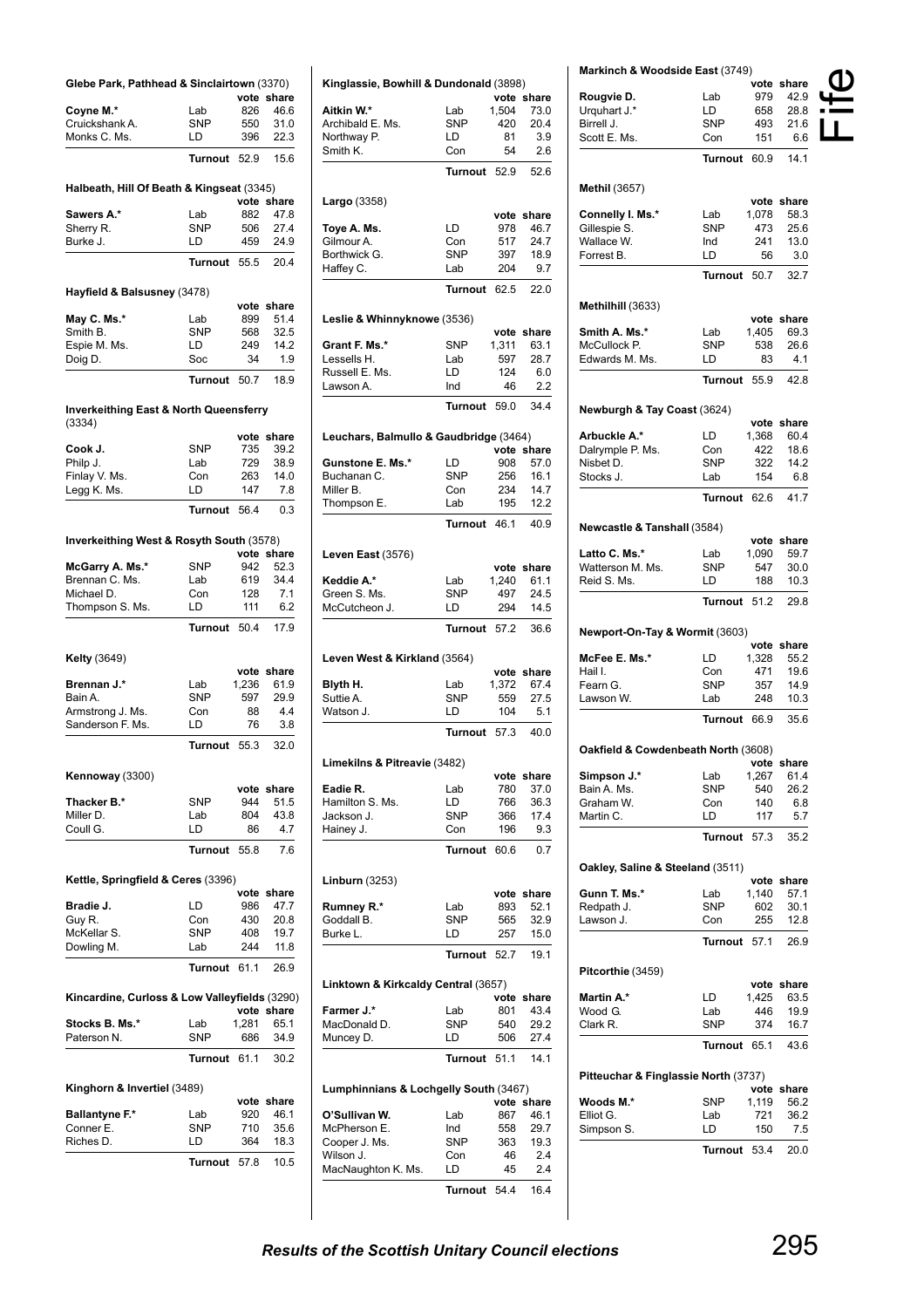| Glebe Park, Pathhead & Sinclairtown (3370)                  |                   | vote          |                    |
|-------------------------------------------------------------|-------------------|---------------|--------------------|
| Coyne M.*                                                   | Lab               | 826           | share<br>46.6      |
| Cruickshank A.                                              | <b>SNP</b>        | 550           | 31.0               |
| Monks C. Ms.                                                | LD                | 396           | 22.3               |
|                                                             |                   |               |                    |
|                                                             | <b>Turnout</b>    | 52.9          | 15.6               |
| Halbeath, Hill Of Beath & Kingseat (3345)                   |                   |               |                    |
|                                                             |                   |               | vote share         |
| Sawers A.*                                                  | Lab<br><b>SNP</b> | 882           | 47.8               |
| Sherry R.<br>Burke J.                                       | LD                | 506<br>459    | 27.4<br>24.9       |
|                                                             |                   |               |                    |
|                                                             | <b>Turnout</b>    | 55.5          | 20.4               |
|                                                             |                   |               |                    |
| Hayfield & Balsusney (3478)                                 |                   | vote          | share              |
| May C. Ms.*                                                 | Lab               | 899           | 51.4               |
| Smith B.                                                    | <b>SNP</b>        | 568           | 32.5               |
| Espie M. Ms.                                                | LD                | 249           | 14.2               |
| Doig D.                                                     | Soc               | 34            | 1.9                |
|                                                             | <b>Turnout</b>    | 50.7          | 18.9               |
|                                                             |                   |               |                    |
| <b>Inverkeithing East &amp; North Queensferry</b><br>(3334) |                   |               |                    |
|                                                             |                   | vote          | share              |
| Cook J.                                                     | <b>SNP</b>        | 735           | 39.2               |
| Philp J.                                                    | Lab               | 729           | 38.9               |
| Finlay V. Ms.                                               | Con               | 263           | 14.0               |
| Legg K. Ms.                                                 | LD                | 147           | 7.8                |
|                                                             | <b>Turnout</b>    | 56.4          | 0.3                |
| Inverkeithing West & Rosyth South (3578)                    |                   |               |                    |
|                                                             |                   |               | vote share         |
| McGarry A. Ms.*                                             | <b>SNP</b><br>Lab | 942           | 52.3               |
| Brennan C. Ms.<br>Michael D.                                | Con               | 619<br>128    | 34.4<br>7.1        |
| Thompson S. Ms.                                             | LD                | 111           | 6.2                |
|                                                             | Turnout           | 50.4          | 17.9               |
|                                                             |                   |               |                    |
| <b>Kelty</b> (3649)                                         |                   |               |                    |
| <b>Brennan J.*</b>                                          | Lab               | vote<br>1,236 | share<br>61.9      |
| Bain A.                                                     | <b>SNP</b>        | 597           | 29.9               |
| Armstrong J. Ms.                                            | Con               | 88            | 4.4                |
| Sanderson F. Ms.                                            | LD                | 76            | 3.8                |
|                                                             | <b>Turnout</b>    | 55.3          | 32.0               |
| Kennoway (3300)                                             |                   |               |                    |
|                                                             |                   | vote          | share              |
| Thacker B.*                                                 | <b>SNP</b>        | 944           | 51.5               |
| Miller D.                                                   | Lab               | 804           | 43.8               |
| Coull G.                                                    | LD                | 86            | 4.7                |
|                                                             | <b>Turnout</b>    | 55.8          | 7.6                |
| Kettle, Springfield & Ceres (3396)                          |                   |               |                    |
|                                                             |                   | vote          | share              |
| Bradie J.                                                   | LD                | 986           | 47.7               |
| Guy R.<br>McKellar S.                                       | Con<br><b>SNP</b> | 430<br>408    | 20.8<br>19.7       |
| Dowling M.                                                  | Lab               | 244           | 11.8               |
|                                                             |                   |               |                    |
|                                                             | <b>Turnout</b>    | 61.1          | 26.9               |
| Kincardine, Curloss & Low Valleyfields (3290)               |                   |               |                    |
| Stocks B. Ms.*                                              | Lab               | 1,281         | vote share<br>65.1 |
| Paterson N.                                                 | <b>SNP</b>        | 686           | 34.9               |
|                                                             | <b>Turnout</b>    | 61.1          | 30.2               |
|                                                             |                   |               |                    |
| Kinghorn & Invertiel (3489)                                 |                   | vote          | share              |
| <b>Ballantyne F.*</b>                                       | Lab               | 920           | 46.1               |
| Conner E.                                                   | <b>SNP</b>        | 710           | 35.6               |
| Riches D.                                                   | LD                | 364           | 18.3               |
|                                                             | Turnout           | 57.8          | 10.5               |
|                                                             |                   |               |                    |

| Kinglassie, Bowhill & Dundonald (3898) |                   |             |               |
|----------------------------------------|-------------------|-------------|---------------|
|                                        |                   | vote        | share         |
| Aitkin W.*                             | Lab               | 1,504       | 73.0          |
| Archibald E. Ms.                       | <b>SNP</b>        | 420         | 20.4          |
| Northway P.                            | LD                | 81          | 3.9           |
| Smith K.                               | Con               | 54          | 2.6           |
|                                        | <b>Turnout</b>    | 52.9        | 52.6          |
| <b>Largo</b> (3358)                    |                   | vote        | share         |
| Toye A. Ms.                            | LD                | 978         | 46.7          |
| Gilmour A.                             | Con               | 517         | 24.7          |
| Borthwick G.                           | <b>SNP</b>        | 397         | 18.9          |
| Haffey C.                              | Lab               | 204         | 9.7           |
|                                        | <b>Turnout</b>    | 62.5        | 22.0          |
| Leslie & Whinnyknowe (3536)            |                   |             |               |
|                                        |                   |             | vote share    |
| Grant F. Ms.*                          | <b>SNP</b>        | 1,311       | 63.1          |
| Lessells H.                            | Lab               | 597         | 28.7          |
| Russell E. Ms.<br>Lawson A.            | LD                | 124         | 6.0<br>2.2    |
|                                        | Ind               | 46          |               |
|                                        | <b>Turnout</b>    | 59.0        | 34.4          |
| Leuchars, Balmullo & Gaudbridge (3464) |                   |             | vote share    |
| Gunstone E. Ms.*                       | LD                | 908         | 57.0          |
| Buchanan C.                            | <b>SNP</b>        | 256         | 16.1          |
| Miller B.                              | Con               | 234         | 14.7          |
| Thompson E.                            | Lab               | 195         | 12.2          |
|                                        | Turnout           | 46.1        | 40.9          |
| Leven East (3576)                      |                   |             |               |
|                                        |                   | vote        | share         |
| Keddie A.*                             | Lab               | 1,240       | 61.1          |
| Green S. Ms.                           | <b>SNP</b>        | 497         | 24.5          |
| McCutcheon J.                          | LD                | 294         | 14.5          |
|                                        | <b>Turnout</b>    | 57.2        | 36.6          |
| Leven West & Kirkland (3564)           |                   | vote        | share         |
| Blyth H.                               | Lab               | 1,372       | 67.4          |
| Suttie A.                              | <b>SNP</b>        | 559         | 27.5          |
| Watson J.                              | LD                | 104         | 5.1           |
|                                        | Turnout           | 57.3        | 40.0          |
| Limekilns & Pitreavie (3482)           |                   |             |               |
|                                        |                   | vote        | share         |
| Eadie R.                               | Lab               | 780         | 37.0          |
| Hamilton S. Ms.                        | LD                | 766         | 36.3          |
| Jackson J.                             | SNP               | 366         | 17.4          |
| Hainey J.                              | Con               | 196         | 9.3           |
|                                        | <b>Turnout</b>    | 60.6        | 0.7           |
| <b>Linburn (3253)</b>                  |                   |             |               |
| Rumney R.*                             | Lab               | vote<br>893 | share<br>52.1 |
| Goddall B.                             | <b>SNP</b>        | 565         | 32.9          |
| Burke L.                               | LD                | 257         | 15.0          |
|                                        | <b>Turnout</b>    | 52.7        | 19.1          |
| Linktown & Kirkcaldy Central (3657)    |                   |             |               |
|                                        |                   | vote        | share         |
| Farmer J.*<br>MacDonald D.             | Lab<br><b>SNP</b> | 801<br>540  | 43.4<br>29.2  |
| Muncey D.                              | LD                | 506         | 27.4          |
|                                        | <b>Turnout</b>    | 51.1        | 14.1          |
| Lumphinnians & Lochgelly South (3467)  |                   |             |               |
|                                        |                   |             | vote share    |
| O'Sullivan W.                          | Lab               | 867         | 46.1          |
| McPherson E.                           | Ind               | 558         | 29.7          |
| Cooper J. Ms.                          | SNP               | 363         | 19.3          |
| Wilson J.                              | Con               | 46          | 2.4           |
| MacNaughton K. Ms.                     | LD                | 45          | 2.4           |
|                                        | Turnout           | 54.4        | 16.4          |

| Markinch & Woodside East (3749)      |                   |              | vote share         |  |
|--------------------------------------|-------------------|--------------|--------------------|--|
| Rougvie D.                           | Lab               | 979          | 42.9               |  |
| Urquhart J.*                         | LD                | 658          | 28.8               |  |
| Birrell J.                           | SNP               | 493          | 21.6               |  |
| Scott E. Ms.                         | Con               | 151          | 6.6                |  |
|                                      | Turnout           | 60.9         | 14.1               |  |
|                                      |                   |              |                    |  |
| <b>Methil (3657)</b>                 |                   |              | vote share         |  |
| Connelly I. Ms.*                     | Lab               | 1,078        | 58.3               |  |
| Gillespie S.                         | SNP               | 473          | 25.6               |  |
| Wallace W.                           | Ind               | 241          | 13.0               |  |
| Forrest B.                           | LD                | 56           | 3.0                |  |
|                                      | <b>Turnout</b>    | 50.7         | 32.7               |  |
| Methilhill (3633)                    |                   |              |                    |  |
|                                      |                   |              | vote share         |  |
| Smith A. Ms.*                        | Lab               | 1,405        | 69.3               |  |
| McCullock P.                         | SNP               | 538          | 26.6               |  |
| Edwards M. Ms.                       | LD                | 83           | 4.1                |  |
|                                      | <b>Turnout</b>    | 55.9         | 42.8               |  |
| Newburgh & Tay Coast (3624)          |                   |              |                    |  |
|                                      |                   |              | vote share         |  |
| Arbuckle A.*                         | LD                | 1,368        | 60.4               |  |
| Dalrymple P. Ms.                     | Con               | 422          | 18.6               |  |
| Nisbet D.<br>Stocks J.               | SNP<br>Lab        | 322<br>154   | 14.2<br>6.8        |  |
|                                      |                   |              |                    |  |
|                                      | Turnout           | 62.6         | 41.7               |  |
| Newcastle & Tanshall (3584)          |                   |              |                    |  |
| Latto C. Ms.*                        |                   |              | vote share         |  |
| Watterson M. Ms.                     | Lab<br>SNP        | 1,090<br>547 | 59.7<br>30.0       |  |
| Reid S. Ms.                          | LD                | 188          | 10.3               |  |
|                                      | Turnout           | 51.2         | 29.8               |  |
|                                      |                   |              |                    |  |
| Newport-On-Tay & Wormit (3603)       |                   |              |                    |  |
|                                      |                   |              | vote share         |  |
| McFee E. Ms.*                        | LD                | 1,328        | 55.2               |  |
| Hail I.<br>Fearn G.                  | Con<br>SNP        | 471<br>357   | 19.6<br>14.9       |  |
| Lawson W.                            | Lab               | 248          | 10.3               |  |
|                                      | Turnout           | 66.9         | 35.6               |  |
|                                      |                   |              |                    |  |
| Oakfield & Cowdenbeath North (3608)  |                   |              |                    |  |
|                                      |                   |              | vote share         |  |
| Simpson J.*                          | Lab               | 1,267        | 61.4               |  |
| Bain A. Ms.<br>Graham W.             | <b>SNP</b><br>Con | 540<br>140   | 26.2<br>6.8        |  |
| Martin C.                            | LD                | 117          | 5.7                |  |
|                                      | Turnout           | 57.3         | 35.2               |  |
|                                      |                   |              |                    |  |
| Oakley, Saline & Steeland (3511)     |                   |              |                    |  |
| Gunn T. Ms.*                         | Lab               | 1,140        | vote share<br>57.1 |  |
| Redpath J.                           | SNP               | 602          | 30.1               |  |
| Lawson J.                            | Con               | 255          | 12.8               |  |
|                                      | Turnout           | 57.1         | 26.9               |  |
|                                      |                   |              |                    |  |
| Pitcorthie (3459)                    |                   |              | vote share         |  |
| Martin A.*                           | LD                | 1,425        | 63.5               |  |
| Wood G.                              | Lab               | 446          | 19.9               |  |
| Clark R.                             | SNP               | 374          | 16.7               |  |
|                                      | Turnout           | 65.1         | 43.6               |  |
| Pitteuchar & Finglassie North (3737) |                   |              |                    |  |
|                                      |                   |              | vote share         |  |
| Woods M.*                            | SNP               | 1,119        | 56.2               |  |
| Elliot G.                            | Lab<br>LD         | 721<br>150   | 36.2<br>7.5        |  |
| Simpson S.                           |                   |              |                    |  |
|                                      | Turnout           | 53.4         | 20.0               |  |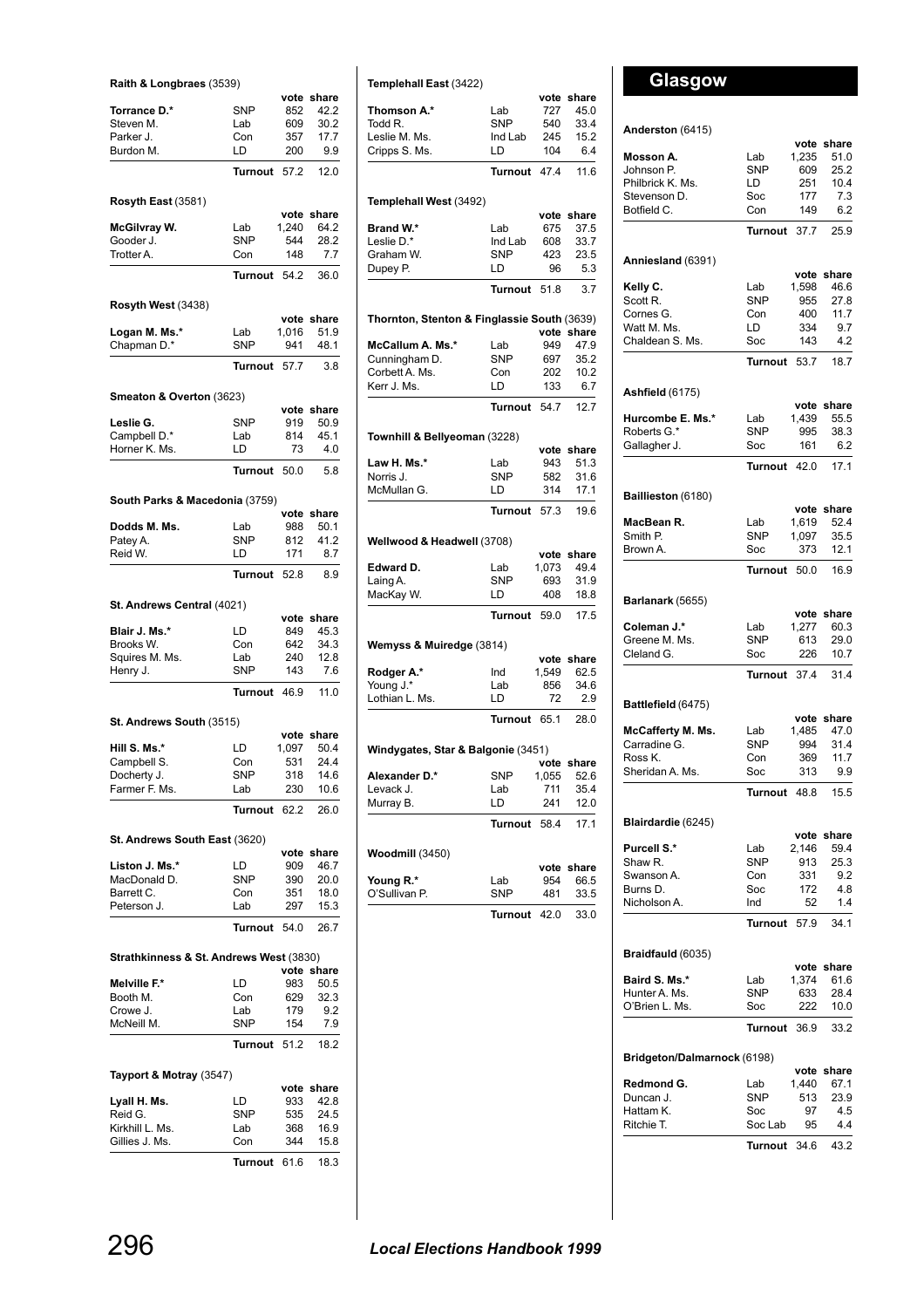| Raith & Longbraes (3539)                |                   |              |                    |
|-----------------------------------------|-------------------|--------------|--------------------|
|                                         |                   |              | vote share         |
| Torrance D.*                            | SNP               | 852          | 42.2               |
| Steven M.<br>Parker J.                  | Lab<br>Con        | 609<br>357   | 30.2<br>17.7       |
| Burdon M.                               | LD                | 200          | 9.9                |
|                                         | Turnout           | 57.2         | 12.0               |
|                                         |                   |              |                    |
| Rosyth East (3581)                      |                   |              | vote share         |
| McGilvray W.                            | Lab               | 1,240        | 64.2               |
| Gooder J.                               | <b>SNP</b>        | 544          | 28.2               |
| Trotter A.                              | Con               | 148          | 7.7                |
|                                         | <b>Turnout</b>    | 54.2         | 36.0               |
| Rosyth West (3438)                      |                   |              |                    |
|                                         |                   |              | vote share         |
| Logan M. Ms.*                           | Lab<br><b>SNP</b> | 1,016<br>941 | 51.9<br>48.1       |
| Chapman D.*                             |                   |              |                    |
|                                         | Turnout           | 57.7         | 3.8                |
| Smeaton & Overton (3623)                |                   |              |                    |
| Leslie G.                               | SNP               | 919          | vote share<br>50.9 |
| Campbell D.*                            | Lab               | 814          | 45.1               |
| Horner K. Ms.                           | LD                | 73           | 4.0                |
|                                         | Turnout           | 50.0         | 5.8                |
|                                         |                   |              |                    |
| South Parks & Macedonia (3759)          |                   |              | vote share         |
| Dodds M. Ms.                            | Lab               | 988          | 50.1               |
| Patey A.                                | SNP               | 812          | 41.2               |
| Reid W.                                 | LD                | 171          | 8.7                |
|                                         | Turnout           | 52.8         | 8.9                |
| St. Andrews Central (4021)              |                   |              |                    |
|                                         |                   |              | vote share         |
| Blair J. Ms.*                           | LD                | 849          | 45.3               |
| Brooks W.                               | Con<br>Lab        | 642<br>240   | 34.3<br>12.8       |
| Squires M. Ms.<br>Henry J.              | SNP               | 143          | 7.6                |
|                                         | Turnout 46.9      |              | 11.0               |
| St. Andrews South (3515)                |                   |              |                    |
|                                         |                   |              | vote share         |
| Hill S. Ms.*                            | LD                | 1,097        | 50.4               |
| Campbell S                              | Con               | 531<br>318   | 24.4               |
| Docherty J.<br>Farmer F. Ms.            | SNP<br>Lab        | 230          | 14.6<br>10.6       |
|                                         | Turnout           | 62.2         | 26.0               |
|                                         |                   |              |                    |
| St. Andrews South East (3620)           |                   |              |                    |
| Liston J. Ms.*                          | LD                | vote<br>909  | share<br>46.7      |
| MacDonald D.                            | <b>SNP</b>        | 390          | 20.0               |
| Barrett C.                              | Con               | 351          | 18.0               |
| Peterson J.                             | Lab               | 297          | 15.3               |
|                                         | Turnout           | 54.0         | 26.7               |
| Strathkinness & St. Andrews West (3830) |                   |              |                    |
|                                         |                   |              | vote share         |
| Melville F.*<br>Booth M.                | LD<br>Con         | 983<br>629   | 50.5               |
| Crowe J.                                | Lab               | 179          | 32.3<br>9.2        |
| McNeill M.                              | SNP               | 154          | 7.9                |
|                                         | Turnout           | 51.2         | 18.2               |
|                                         |                   |              |                    |
| Tayport & Motray (3547)                 |                   |              | vote share         |
| Lyall H. Ms.                            | LD                | 933          | 42.8               |
| Reid G.                                 | SNP               | 535          | 24.5               |
| Kirkhill L. Ms.<br>Gillies J. Ms.       | Lab<br>Con        | 368<br>344   | 16.9<br>15.8       |
|                                         |                   |              |                    |
|                                         | <b>Turnout</b>    | 61.6         | 18.3               |

| share<br>45.0<br>33.4<br>15.2<br>6.4<br>11.6<br>share<br>37.5<br>33.7<br>23.5<br>5.3<br>3.7<br>Thornton, Stenton & Finglassie South (3639)<br>vote share<br>47.9<br>35.2<br>10.2<br>6.7<br>12.7<br>share<br>51.3 |
|------------------------------------------------------------------------------------------------------------------------------------------------------------------------------------------------------------------|
|                                                                                                                                                                                                                  |
|                                                                                                                                                                                                                  |
|                                                                                                                                                                                                                  |
|                                                                                                                                                                                                                  |
|                                                                                                                                                                                                                  |
|                                                                                                                                                                                                                  |
|                                                                                                                                                                                                                  |
|                                                                                                                                                                                                                  |
|                                                                                                                                                                                                                  |
|                                                                                                                                                                                                                  |
|                                                                                                                                                                                                                  |
|                                                                                                                                                                                                                  |
|                                                                                                                                                                                                                  |
|                                                                                                                                                                                                                  |
|                                                                                                                                                                                                                  |
|                                                                                                                                                                                                                  |
|                                                                                                                                                                                                                  |
|                                                                                                                                                                                                                  |
|                                                                                                                                                                                                                  |
|                                                                                                                                                                                                                  |
|                                                                                                                                                                                                                  |
| 31.6                                                                                                                                                                                                             |
| 17.1                                                                                                                                                                                                             |
| 19.6                                                                                                                                                                                                             |
|                                                                                                                                                                                                                  |
| vote share                                                                                                                                                                                                       |
| 49.4                                                                                                                                                                                                             |
| 31.9                                                                                                                                                                                                             |
| 18.8                                                                                                                                                                                                             |
| 17.5                                                                                                                                                                                                             |
|                                                                                                                                                                                                                  |
| vote share<br>62.5                                                                                                                                                                                               |
| 34.6                                                                                                                                                                                                             |
| 2.9                                                                                                                                                                                                              |
| 28.0                                                                                                                                                                                                             |
|                                                                                                                                                                                                                  |
| vote share                                                                                                                                                                                                       |
| 52.6                                                                                                                                                                                                             |
| 35.4                                                                                                                                                                                                             |
| 12.0                                                                                                                                                                                                             |
| 17.1                                                                                                                                                                                                             |
|                                                                                                                                                                                                                  |
| share                                                                                                                                                                                                            |
| 66.5                                                                                                                                                                                                             |
| 33.5                                                                                                                                                                                                             |
|                                                                                                                                                                                                                  |
|                                                                                                                                                                                                                  |

# **Glasgow**

### **Anderston** (6415)

| Anderston (6415)            |                |               |                    |
|-----------------------------|----------------|---------------|--------------------|
| Mosson A.                   | Lab            | vote<br>1,235 | share<br>51.0      |
| Johnson P.                  | <b>SNP</b>     | 609           | 25.2               |
| Philbrick K. Ms.            | LD             | 251           | 10.4               |
| Stevenson D.                | Soc            | 177           | 7.3                |
| Botfield C.                 | Con            | 149           | 6.2                |
|                             | <b>Turnout</b> | 37.7          | 25.9               |
| Anniesland (6391)           |                |               |                    |
| Kelly C.                    | Lab            | vote<br>1,598 | share<br>46.6      |
| Scott R.                    | <b>SNP</b>     | 955           | 27.8               |
| Cornes G.                   | Con            | 400           | 11.7               |
| Watt M. Ms.                 | LD             | 334           | 9.7                |
| Chaldean S. Ms.             | Soc            | 143           | 4.2                |
|                             | <b>Turnout</b> | 53.7          | 18.7               |
| <b>Ashfield</b> (6175)      |                | vote          | share              |
| Hurcombe E. Ms.*            | Lab            | 1,439         | 55.5               |
| Roberts G.*                 | <b>SNP</b>     | 995           | 38.3               |
| Gallagher J.                | Soc            | 161           | 6.2                |
|                             | Turnout        | 42.0          | 17.1               |
| Baillieston (6180)          |                | vote          | share              |
| MacBean R.                  | Lab            | 1,619         | 52.4               |
| Smith P.                    | <b>SNP</b>     | 1,097         | 35.5               |
| Brown A.                    | Soc            | 373           | 12.1               |
|                             | Turnout        | 50.0          | 16.9               |
| Barlanark (5655)            |                |               |                    |
| Coleman J.*                 | Lab            | vote<br>1,277 | share<br>60.3      |
| Greene M. Ms.               | <b>SNP</b>     | 613           | 29.0               |
| Cleland G.                  | Soc            | 226           | 10.7               |
|                             | Turnout        | 37.4          | 31.4               |
| Battlefield (6475)          |                |               |                    |
| McCafferty M. Ms.           | Lab            | 1,485         | vote share<br>47.0 |
| Carradine G.                | <b>SNP</b>     | 994           | 31.4               |
| Ross K.                     | Con            | 369           | 11.7               |
| Sheridan A. Ms.             | Soc            | 313           | 9.9                |
|                             | <b>Turnout</b> | 48.8          | 15.5               |
| Blairdardie (6245)          |                |               |                    |
| Purcell S.*                 | Lab            | vote<br>2,146 | share<br>59.4      |
| Shaw R.                     | <b>SNP</b>     | 913           | 25.3               |
| Swanson A.                  | Con            | 331           | 9.2                |
| Burns D.                    | Soc            | 172           | 4.8                |
| Nicholson A.                | Ind            | 52            | 1.4                |
|                             | Turnout        | 57.9          | 34.1               |
| Braidfauld (6035)           |                |               |                    |
| Baird S. Ms.*               | Lab            | vote<br>1,374 | share<br>61.6      |
| Hunter A. Ms.               | <b>SNP</b>     | 633           | 28.4               |
| O'Brien L. Ms.              | Soc            | 222           | 10.0               |
|                             | Turnout        | 36.9          | 33.2               |
| Bridgeton/Dalmarnock (6198) |                |               |                    |
| Redmond G.                  | Lab            | 1,440         | vote share<br>67.1 |
| Duncan J.                   | <b>SNP</b>     | 513           | 23.9               |
| Hattam K.                   | Soc            | 97            | 4.5                |
| Ritchie T.                  | Soc Lab        | 95            | 4.4                |
|                             | Turnout        | 34.6          | 43.2               |
|                             |                |               |                    |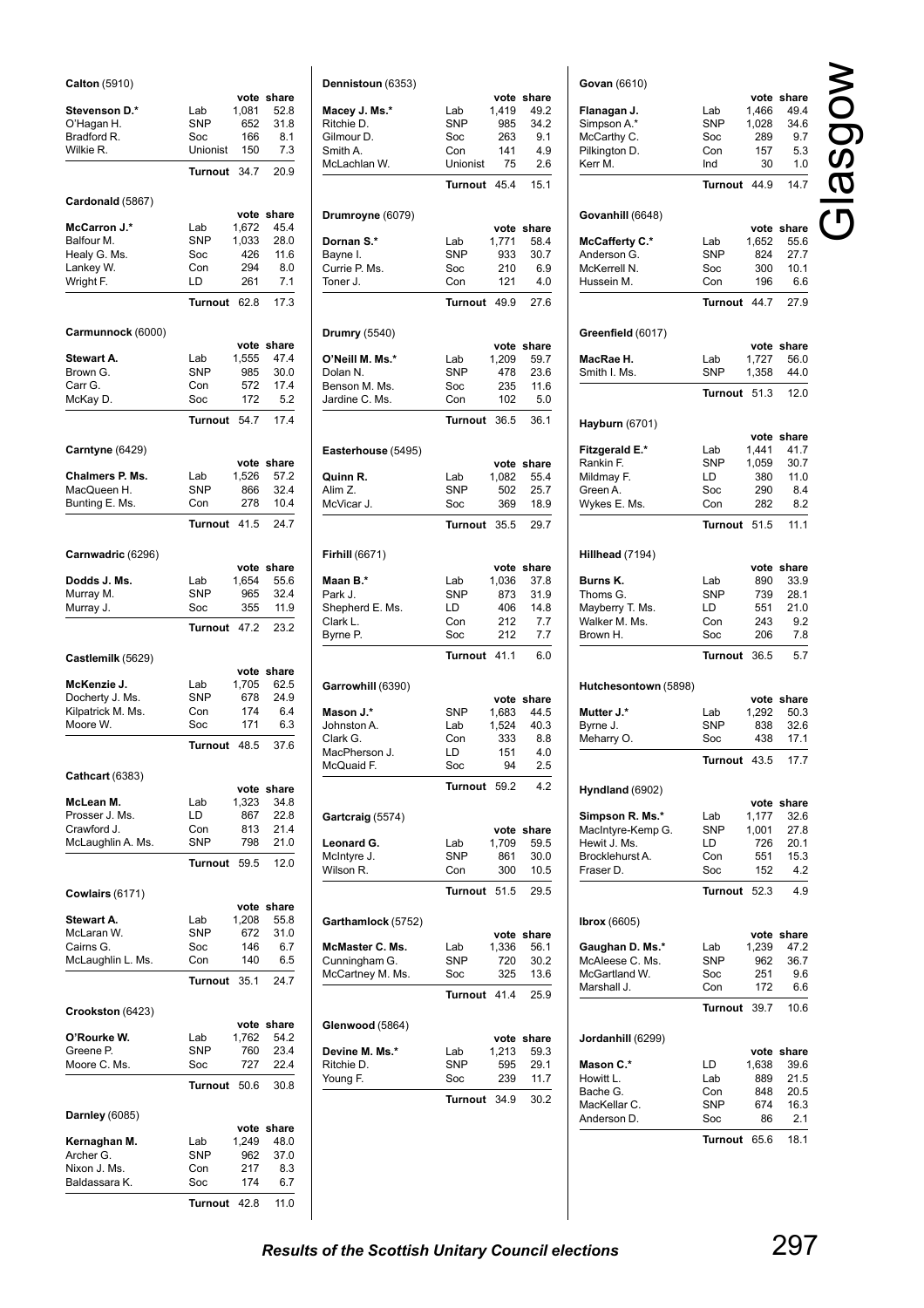| Calton (5910)                 |                   |               |               |
|-------------------------------|-------------------|---------------|---------------|
| Stevenson D.*                 | Lab               | vote<br>1,081 | share<br>52.8 |
| O'Hagan H.                    | <b>SNP</b>        | 652           | 31.8          |
| Bradford R.                   | Soc               | 166           | 8.1           |
| Wilkie R.                     | Unionist          | 150           | 7.3           |
|                               | <b>Turnout</b>    | 34.7          | 20.9          |
| Cardonald (5867)              |                   |               |               |
|                               |                   | vote          | share         |
| McCarron J.*                  | Lab               | 1,672         | 45.4          |
| Balfour M.<br>Healy G. Ms.    | <b>SNP</b><br>Soc | 1,033<br>426  | 28.0<br>11.6  |
| Lankey W.                     | Con               | 294           | 8.0           |
| Wright F.                     | LD                | 261           | 7.1           |
|                               | <b>Turnout</b>    | 62.8          | 17.3          |
| Carmunnock (6000)             |                   |               |               |
|                               |                   | vote          | share         |
| Stewart A.<br>Brown G.        | Lab<br><b>SNP</b> | 1,555<br>985  | 47.4<br>30.0  |
| Carr G.                       | Con               | 572           | 17.4          |
| McKay D.                      | Soc               | 172           | 5.2           |
|                               | <b>Turnout</b>    | 54.7          | 17.4          |
| Carntyne (6429)               |                   |               |               |
|                               |                   | vote          | share         |
| Chalmers P. Ms.               | Lab               | 1,526         | 57.2          |
| MacQueen H.<br>Bunting E. Ms. | <b>SNP</b><br>Con | 866<br>278    | 32.4<br>10.4  |
|                               | <b>Turnout</b>    | 41.5          | 24.7          |
|                               |                   |               |               |
| Carnwadric (6296)             |                   |               |               |
| Dodds J. Ms.                  | Lab               | vote<br>1,654 | share<br>55.6 |
| Murray M.                     | <b>SNP</b>        | 965           | 32.4          |
| Murray J.                     | Soc               | 355           | 11.9          |
|                               | <b>Turnout</b>    | 47.2          | 23.2          |
| Castlemilk (5629)             |                   |               |               |
| McKenzie J.                   | Lab               | vote<br>1,705 | share<br>62.5 |
| Docherty J. Ms.               | <b>SNP</b>        | 678           | 24.9          |
| Kilpatrick M. Ms.             | Con               | 174           | 6.4           |
| Moore W.                      | Soc               | 171           | 6.3           |
|                               | Turnout           | 48.5          | 37.6          |
| Cathcart (6383)               |                   |               |               |
|                               |                   | vote          | share<br>34.8 |
| McLean M.<br>Prosser J. Ms.   | Lab<br>LD         | 1,323<br>867  | 22.8          |
| Crawford J.                   | Con               | 813           | 21.4          |
| McLaughlin A. Ms.             | <b>SNP</b>        | 798           | 21.0          |
|                               | Turnout           | 59.5          | 12.0          |
| <b>Cowlairs (6171)</b>        |                   |               |               |
|                               |                   | vote          | share         |
| Stewart A.<br>McLaran W.      | Lab<br><b>SNP</b> | 1,208<br>672  | 55.8<br>31.0  |
| Cairns G.                     | Soc               | 146           | 6.7           |
| McLaughlin L. Ms.             | Con               | 140           | 6.5           |
|                               | <b>Turnout</b>    | 35.1          | 24.7          |
| Crookston (6423)              |                   |               |               |
|                               |                   |               | vote share    |
| O'Rourke W.<br>Greene P.      | Lab<br><b>SNP</b> | 1,762<br>760  | 54.2<br>23.4  |
| Moore C. Ms.                  | Soc               | 727           | 22.4          |
|                               | Turnout           | 50.6          | 30.8          |
|                               |                   |               |               |
| Darnley (6085)                |                   |               | vote share    |
| Kernaghan M.                  | Lab               | 1,249         | 48.0          |
| Archer G.<br>Nixon J. Ms.     | SNP<br>Con        | 962<br>217    | 37.0<br>8.3   |
| Baldassara K.                 | Soc               | 174           | 6.7           |
|                               |                   |               |               |

**Turnout** 42.8 11.0

|                             |                   | vote          | share         |
|-----------------------------|-------------------|---------------|---------------|
| Macey J. Ms.*<br>Ritchie D. | Lab<br><b>SNP</b> | 1,419<br>985  | 49.2<br>34.2  |
| Gilmour D.                  | Soc               | 263           | 9.1           |
| Smith A.                    | Con               | 141           | 4.9           |
| McLachlan W.                | Unionist          | 75            | 2.6           |
|                             | Turnout 45.4      |               | 15.1          |
| Drumroyne (6079)            |                   |               |               |
| Dornan S.*                  | Lab               | vote<br>1,771 | share<br>58.4 |
| Bayne I.                    | <b>SNP</b>        | 933           | 30.7          |
| Currie P. Ms.               | Soc               | 210           | 6.9           |
| Toner J.                    | Con               | 121           | 4.0           |
|                             | Turnout 49.9      |               | 27.6          |
| <b>Drumry</b> (5540)        |                   |               | vote share    |
| O'Neill M. Ms.*             | Lab               | 1,209         | 59.7          |
| Dolan N.                    | <b>SNP</b>        | 478           | 23.6          |
| Benson M. Ms.               | Soc               | 235           | 11.6          |
| Jardine C. Ms.              | Con               | 102           | 5.0           |
|                             | Turnout           | 36.5          | 36.1          |
| Easterhouse (5495)          |                   |               | vote share    |
| Quinn R.                    | Lab               | 1,082         | 55.4          |
| Alim Z.                     | <b>SNP</b>        | 502           | 25.7          |
| McVicar J.                  | Soc               | 369           | 18.9          |
|                             | Turnout           | 35.5          | 29.7          |
| Firhill (6671)              |                   |               | vote share    |
| Maan B.*                    | Lab               | 1,036         | 37.8          |
| Park J.                     | <b>SNP</b>        | 873           | 31.9          |
| Shepherd E. Ms.             | LD                | 406           | 14.8          |
| Clark L.                    | Con               | 212           | 7.7           |
| Byrne P.                    | Soc               | 212           | 7.7           |
|                             | Turnout 41.1      |               | 6.0           |
| Garrowhill (6390)           |                   |               | vote share    |
| Mason J.*                   | SNP               | 1,683         | 44.5          |
| Johnston A.                 | Lab               | 1,524         | 40.3          |
| Clark G.                    | Con               | 333           | 8.8           |
| MacPherson J.<br>McQuaid F. | LD -<br>Soc       | 151<br>94     | 4.0<br>2.5    |
|                             | Turnout           | 59.2          | 4.2           |
|                             |                   |               |               |
| Gartcraig (5574)            |                   | vote          | share         |
| Leonard G.                  | Lab               | 1,709         | 59.5          |
| McIntyre J.<br>Wilson R.    | <b>SNP</b><br>Con | 861<br>300    | 30.0<br>10.5  |
|                             | Turnout           | 51.5          | 29.5          |
| Garthamlock (5752)          |                   |               |               |
| McMaster C. Ms.             | Lab               | vote<br>1,336 | share<br>56.1 |
| Cunningham G.               | SNP               | 720           | 30.2          |
| McCartney M. Ms.            | Soc               | 325           | 13.6          |
|                             | Turnout           | 41.4          | 25.9          |
| Glenwood (5864)             |                   |               |               |
|                             |                   | vote          | share         |
| Devine M. Ms.*              | Lab               | 1,213         | 59.3          |
| Ritchie D.                  | SNP               | 595           | 29.1          |
| Young F.                    | Soc               | 239<br>34.9   | 11.7<br>30.2  |
|                             | Turnout           |               |               |

| Govan (6610)          |                |            |             |
|-----------------------|----------------|------------|-------------|
|                       |                | vote       | share       |
| Flanagan J.           | Lab            | 1,466      | 49.4        |
| Simpson A.*           | <b>SNP</b>     | 1,028      | 34.6        |
| McCarthy C.           | Soc            | 289        | 9.7         |
| Pilkington D.         | Con            | 157        | 5.3         |
| Kerr M.               | Ind            | 30         | 1.0         |
|                       | <b>Turnout</b> | 44.9       | 14.7        |
| Govanhill (6648)      |                |            |             |
|                       |                | vote       | share       |
| <b>McCafferty C.*</b> | Lab            | 1,652      | 55.6        |
| Anderson G.           | <b>SNP</b>     | 824        | 27.7        |
| McKerrell N.          | Soc            | 300        | 10.1        |
| Hussein M.            | Con            | 196        | 6.6         |
|                       | Turnout        | 44.7       | 27.9        |
| Greenfield (6017)     |                |            |             |
|                       |                | vote       | share       |
| MacRae H.             | Lab            | 1,727      | 56.0        |
| Smith I. Ms.          | SNP            | 1,358      | 44.0        |
|                       | <b>Turnout</b> | 51.3       | 12.0        |
|                       |                |            |             |
| Hayburn (6701)        |                | vote       | share       |
| Fitzgerald E.*        | Lab            | 1,441      | 41.7        |
| Rankin F.             | <b>SNP</b>     | 1,059      | 30.7        |
| Mildmay F.            | LD             | 380        | 11.0        |
| Green A.              | Soc            | 290        | 8.4         |
| Wykes E. Ms.          | Con            | 282        | 8.2         |
|                       | <b>Turnout</b> | 51.5       | 11.1        |
|                       |                |            |             |
| Hillhead (7194)       |                | vote       | share       |
| Burns K.              | Lab            | 890        | 33.9        |
| Thoms G.              | SNP            | 739        | 28.1        |
| Mayberry T. Ms.       | LD             | 551        | 21.0        |
| Walker M. Ms.         | Con            | 243        | 9.2         |
| Brown H.              | Soc            | 206        | 7.8         |
|                       | <b>Turnout</b> | 36.5       | 5.7         |
|                       |                |            |             |
| Hutchesontown (5898)  |                | vote       | share       |
| Mutter J.*            | Lab            | 1,292      | 50.3        |
| Byrne J.              | <b>SNP</b>     | 838        | 32.6        |
| Meharry O.            | Soc            | 438        | 17.1        |
|                       | Turn<br>out    | 43.5       | 17.7        |
| Hyndland (6902)       |                |            |             |
|                       |                | vote       | share       |
| Simpson R. Ms.*       | Lab            | 1,177      | 32.6        |
| MacIntyre-Kemp G.     | <b>SNP</b>     | 1,001      | 27.8        |
| Hewit J. Ms.          | LD             | 726        | 20.1        |
|                       |                |            | 15.3        |
| Brocklehurst A.       | Con            | 551        |             |
| Fraser D.             | Soc            | 152        | 4.2         |
|                       | <b>Turnout</b> | 52.3       | 4.9         |
|                       |                |            |             |
| <b>Ibrox</b> (6605)   |                | vote       | share       |
| Gaughan D. Ms.*       | Lab            | 1,239      | 47.2        |
| McAleese C. Ms.       | <b>SNP</b>     | 962        | 36.7        |
| McGartland W.         | Soc            | 251        | 9.6         |
| Marshall J.           | Con            | 172        | 6.6         |
|                       | Turnout        | 39.7       | 10.6        |
| Jordanhill (6299)     |                |            |             |
|                       |                | vote       | share       |
| Mason C.*             | LD             | 1,638      | 39.6        |
| Howitt L.             | Lab            | 889        | 21.5        |
| Bache G.              | Con            | 848        | 20.5        |
| MacKellar C.          | SNP            | 674        | 16.3        |
| Anderson D.           | Soc<br>Turnout | 86<br>65.6 | 2.1<br>18.1 |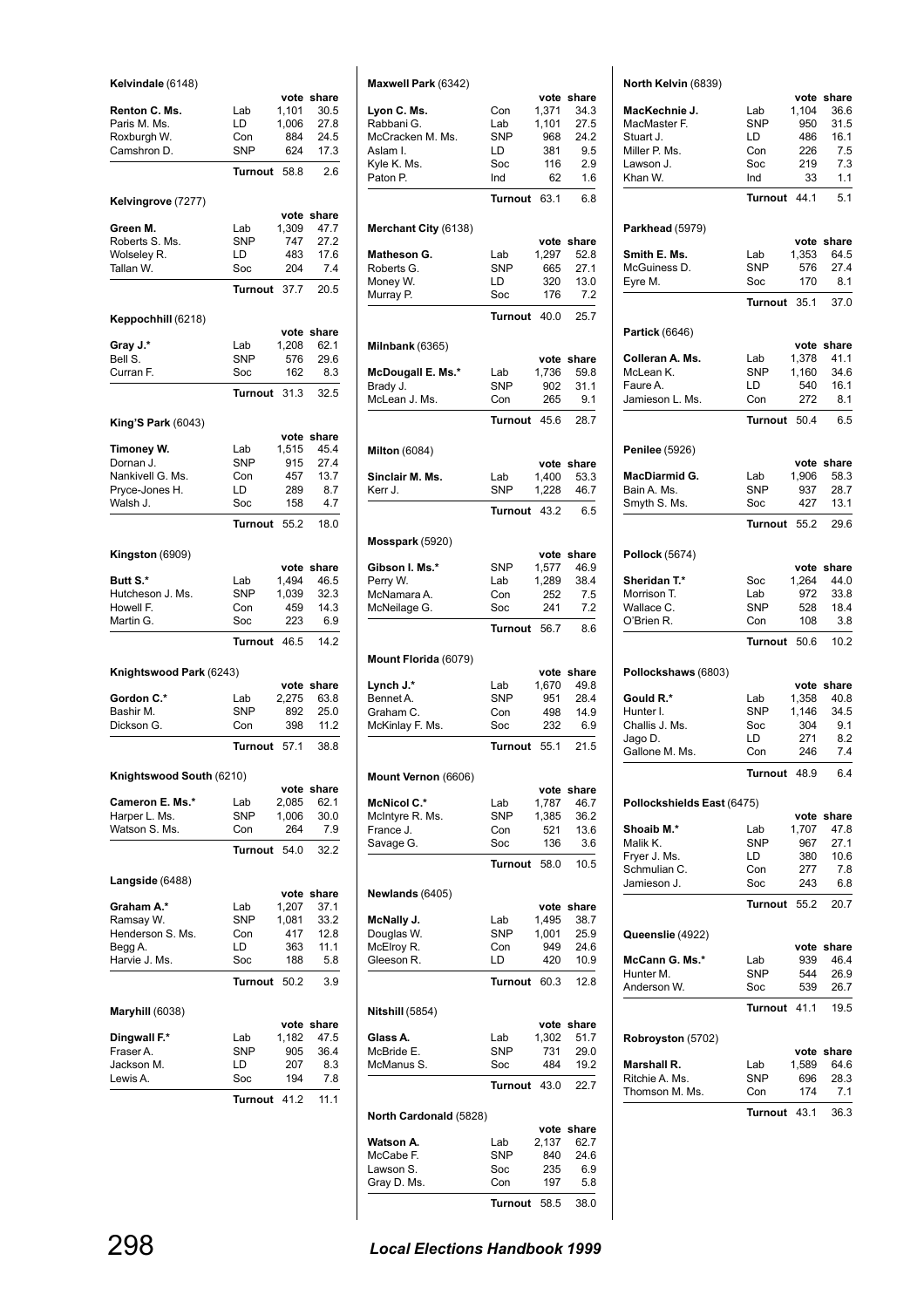| Kelvindale (6148)            |                   |                | vote share    |
|------------------------------|-------------------|----------------|---------------|
| Renton C. Ms.                | Lab               | 1,101          | 30.5          |
| Paris M. Ms.                 | LD                | 1,006          | 27.8          |
| Roxburgh W.                  | Con               | 884            | 24.5          |
| Camshron D.                  | <b>SNP</b>        | 624            | 17.3          |
|                              | Turnout           | 58.8           | 2.6           |
| Kelvingrove (7277)           |                   |                |               |
|                              |                   | vote           | share         |
| Green M.<br>Roberts S. Ms.   | Lab<br><b>SNP</b> | 1,309<br>747   | 47.7<br>27.2  |
| Wolseley R.                  | LD                | 483            | 17.6          |
| Tallan W.                    | Soc               | 204            | 7.4           |
|                              | <b>Turnout</b>    | 37.7           | 20.5          |
| Keppochhill (6218)           |                   |                |               |
|                              |                   | vote           | share         |
| Gray J.*<br>Bell S.          | Lab<br><b>SNP</b> | 1,208<br>576   | 62.1<br>29.6  |
| Curran F.                    | Soc               | 162            | 8.3           |
|                              |                   | 31.3           | 32.5          |
|                              | <b>Turnout</b>    |                |               |
| King'S Park (6043)           |                   | vote           | share         |
| Timoney W.                   | Lab               | 1,515          | 45.4          |
| Dornan J.                    | <b>SNP</b>        | 915            | 27.4          |
| Nankivell G. Ms.             | Con               | 457            | 13.7          |
| Pryce-Jones H.               | LD                | 289            | 8.7           |
| Walsh J.                     | Soc               | 158            | 4.7           |
|                              | <b>Turnout</b>    | 55.2           | 18.0          |
| Kingston (6909)              |                   |                |               |
|                              |                   | vote           | share         |
| Butt S.*<br>Hutcheson J. Ms. | Lab<br><b>SNP</b> | 1,494<br>1,039 | 46.5<br>32.3  |
| Howell F.                    | Con               | 459            | 14.3          |
| Martin G.                    | Soc               | 223            | 6.9           |
|                              | Turnout           | 46.5           | 14.2          |
| Knightswood Park (6243)      |                   |                |               |
|                              |                   |                | vote share    |
| Gordon C.*                   | Lab               | 2,275          | 63.8          |
| Bashir M.                    | <b>SNP</b>        | 892            | 25.0          |
| Dickson G.                   | Con               | 398            | 11.2          |
|                              | Turnout           | 57.1           | 38.8          |
| Knightswood South (6210)     |                   |                |               |
| Cameron E. Ms.*              | Lab               | vote<br>2,085  | share<br>62.1 |
| Harper L. Ms.                | SNP               | 1,006          | 30.0          |
| Watson S. Ms.                | Con               | 264            | 7.9           |
|                              | <b>Turnout</b>    | 54.0           | 32.2          |
| Langside (6488)              |                   |                |               |
|                              |                   | vote           | share         |
| Graham A.*                   | Lab               | 1,207          | 37.1          |
| Ramsay W.                    | SNP               | 1,081          | 33.2          |
| Henderson S. Ms.<br>Begg A.  | Con<br>LD         | 417<br>363     | 12.8<br>11.1  |
| Harvie J. Ms.                | Soc               | 188            | 5.8           |
|                              | <b>Turnout</b>    | 50.2           | 3.9           |
| Maryhill (6038)              |                   |                |               |
|                              |                   | vote           | share         |
| Dingwall F.*<br>Fraser A.    | Lab<br>SNP        | 1,182<br>905   | 47.5<br>36.4  |
| Jackson M.                   | LD                | 207            | 8.3           |
| Lewis A.                     | Soc               | 194            | 7.8           |
|                              | Turnout           | 41.2           | 11.1          |
|                              |                   |                |               |

| Maxwell Park (6342)          |                   |               |               |
|------------------------------|-------------------|---------------|---------------|
|                              |                   | vote          | share         |
| Lyon C. Ms.                  | Con               | 1,371         | 34.3          |
| Rabbani G.                   | Lab               | 1,101         | 27.5          |
| McCracken M. Ms.             | <b>SNP</b>        | 968           | 24.2          |
| Aslam I.                     | LD                | 381           | 9.5           |
| Kyle K. Ms.                  | Soc               | 116           | 2.9           |
| Paton P.                     | Ind               | 62            | 1.6           |
|                              | Turnout           | 63.1          | 6.8           |
| Merchant City (6138)         |                   |               |               |
| Matheson G.                  | Lab               | vote<br>1,297 | share<br>52.8 |
| Roberts G.                   | SNP               | 665           | 27.1          |
| Money W.                     | LD                | 320           | 13.0          |
| Murray P.                    | Soc               | 176           | 7.2           |
|                              | Turnout           | 40.0          | 25.7          |
|                              |                   |               |               |
| Milnbank (6365)              |                   | vote          | share         |
| McDougall E. Ms.*            | Lab               | 1,736         | 59.8          |
| Brady J.                     | <b>SNP</b>        | 902           | 31.1          |
| McLean J. Ms.                | Con               | 265           | 9.1           |
|                              | <b>Turnout</b>    | 45.6          | 28.7          |
| <b>Milton (6084)</b>         |                   |               |               |
|                              |                   | vote          | share         |
| Sinclair M. Ms.              | Lab               | 1.400         | 53.3          |
| Kerr J.                      | <b>SNP</b>        | 1,228         | 46.7          |
|                              | Turnout           | 43.2          | 6.5           |
| Mosspark (5920)              |                   |               |               |
|                              |                   | vote          | share         |
| Gibson I. Ms.*               | <b>SNP</b>        | 1,577         | 46.9          |
| Perry W.                     | Lab               | 1,289         | 38.4          |
| McNamara A.<br>McNeilage G.  | Con<br>Soc        | 252<br>241    | 7.5<br>7.2    |
|                              | Turnout           | 56.7          | 8.6           |
|                              |                   |               |               |
| Mount Florida (6079)         |                   | vote          | share         |
| Lynch J.*                    | Lab               | 1,670         | 49.8          |
| Bennet A.                    | <b>SNP</b>        | 951           | 28.4          |
| Graham C.                    | Con               | 498           | 14.9          |
| McKinlay F. Ms.              | Soc               | 232           | 6.9           |
|                              | Turnout           | 55.1          | 21.5          |
| Mount Vernon (6606)          |                   |               |               |
|                              |                   | vote          | share         |
| <b>McNicol C.*</b>           | Lab               | 1,787         | 46.7          |
| McIntyre R. Ms.<br>France J. | <b>SNP</b><br>Con | 1,385<br>521  | 36.2<br>13.6  |
| Savage G.                    | Soc               | 136           | 3.6           |
|                              | <b>Turnout</b>    | 58.0          | 10.5          |
|                              |                   |               |               |
| Newlands (6405)              |                   | vote          | share         |
| McNally J.                   | Lab               | 1,495         | 38.7          |
| Douglas W.                   | SNP               | 1,001         | 25.9          |
| McElroy R.                   | Con               | 949           | 24.6          |
| Gleeson R.                   | LD                | 420           | 10.9          |
|                              | Turnout           | 60.3          | 12.8          |
| Nitshill (5854)              |                   |               |               |
|                              |                   | vote          | share         |
| Glass A.                     | Lab               | 1,302         | 51.7          |
| McBride E.<br>McManus S.     | <b>SNP</b><br>Soc | 731<br>484    | 29.0<br>19.2  |
|                              |                   |               |               |
|                              | Turnout           | 43.0          | 22.7          |
| North Cardonald (5828)       |                   | vote          | share         |
| Watson A.                    | Lab               | 2,137         | 62.7          |
| McCabe F.                    | SNP               | 840           | 24.6          |
| Lawson S.                    | Soc               | 235           | 6.9           |
| Gray D. Ms.                  | Con               | 197           | 5.8           |

| North Kelvin (6839)          |                     |              | vote share         |
|------------------------------|---------------------|--------------|--------------------|
| MacKechnie J.                | Lab                 | 1,104        | 36.6               |
| MacMaster F.                 | <b>SNP</b>          | 950          | 31.5               |
| Stuart J.                    | LD                  | 486          | 16.1               |
| Miller P. Ms.                | Con                 | 226          | 7.5                |
| Lawson J.                    | Soc                 | 219          | 7.3                |
| Khan W.                      | Ind                 | -33          | 1.1                |
|                              | Turnout 44.1        |              | 5.1                |
| Parkhead (5979)              |                     |              |                    |
| Smith E. Ms.                 | Lab                 | 1,353        | vote share<br>64.5 |
| McGuiness D.                 | <b>SNP</b>          | 576          | 27.4               |
| Eyre M.                      | Soc                 | 170          | 8.1                |
|                              | Turnout             | 35.1         | 37.0               |
| <b>Partick (6646)</b>        |                     |              |                    |
|                              |                     |              | vote share         |
| Colleran A. Ms.<br>McLean K. | Lab<br><b>SNP</b>   | 1,378        | 41.1<br>34.6       |
| Faure A.                     | LD                  | 1,160<br>540 | 16.1               |
| Jamieson L. Ms.              | Con                 | 272          | 8.1                |
|                              | Turnout             | 50.4         | 6.5                |
| Penilee (5926)               |                     |              |                    |
|                              |                     |              | vote share         |
| MacDiarmid G.                | Lab                 | 1,906        | 58.3               |
| Bain A. Ms.                  | <b>SNP</b>          | 937          | 28.7<br>13.1       |
| Smyth S. Ms.                 | Soc<br>Turnout 55.2 | 427          | 29.6               |
|                              |                     |              |                    |
| <b>Pollock</b> (5674)        |                     |              | vote share         |
| Sheridan T.*                 | Soc                 | 1,264        | 44.0               |
| Morrison T.                  | Lab                 | 972          | 33.8               |
| Wallace C.                   | <b>SNP</b>          | 528          | 18.4               |
| O'Brien R.                   | Con                 | 108          | 3.8                |
|                              | Turnout 50.6        |              | 10.2               |
| Pollockshaws (6803)          |                     |              | vote share         |
| Gould R.*                    | Lab                 | 1,358        | 40.8               |
| Hunter I.                    | SNP                 | 1,146        | 34.5               |
| Challis J. Ms.               | Soc                 | 304          | 9.1                |
| Jago D.                      | ID.                 | 271          | 8.2                |
| Gallone M. Ms.               | Con                 | 246          | 7.4                |
|                              | Turnout 48.9        |              | 6.4                |
| Pollockshields East (6475)   |                     |              | vote share         |
| Shoaib M.*                   | Lab                 | 1,707        | 47.8               |
| Malik K.                     | <b>SNP</b>          | 967          | 27.1               |
| Fryer J. Ms.                 | LD                  | 380          | 10.6               |
| Schmulian C.                 | Con                 | 277          | 7.8                |
| Jamieson J.                  | Soc                 | 243          | 6.8                |
|                              | <b>Turnout</b>      | 55.2         | 20.7               |
| Queenslie (4922)             |                     |              | vote share         |
| McCann G. Ms.*               | Lab                 | 939          | 46.4               |
| Hunter M.                    | <b>SNP</b>          | 544          | 26.9               |
| Anderson W.                  | Soc                 | 539          | 26.7               |
|                              | Turnout             | 41.1         | 19.5               |
| Robroyston (5702)            |                     |              |                    |
| Marshall R.                  | Lab                 | 1,589        | vote share<br>64.6 |
| Ritchie A. Ms.               | <b>SNP</b>          | 696          | 28.3               |
| Thomson M. Ms.               | Con                 | 174          | 7.1                |
|                              |                     |              |                    |
|                              | Turnout 43.1        |              | 36.3               |

**Turnout** 58.5 38.0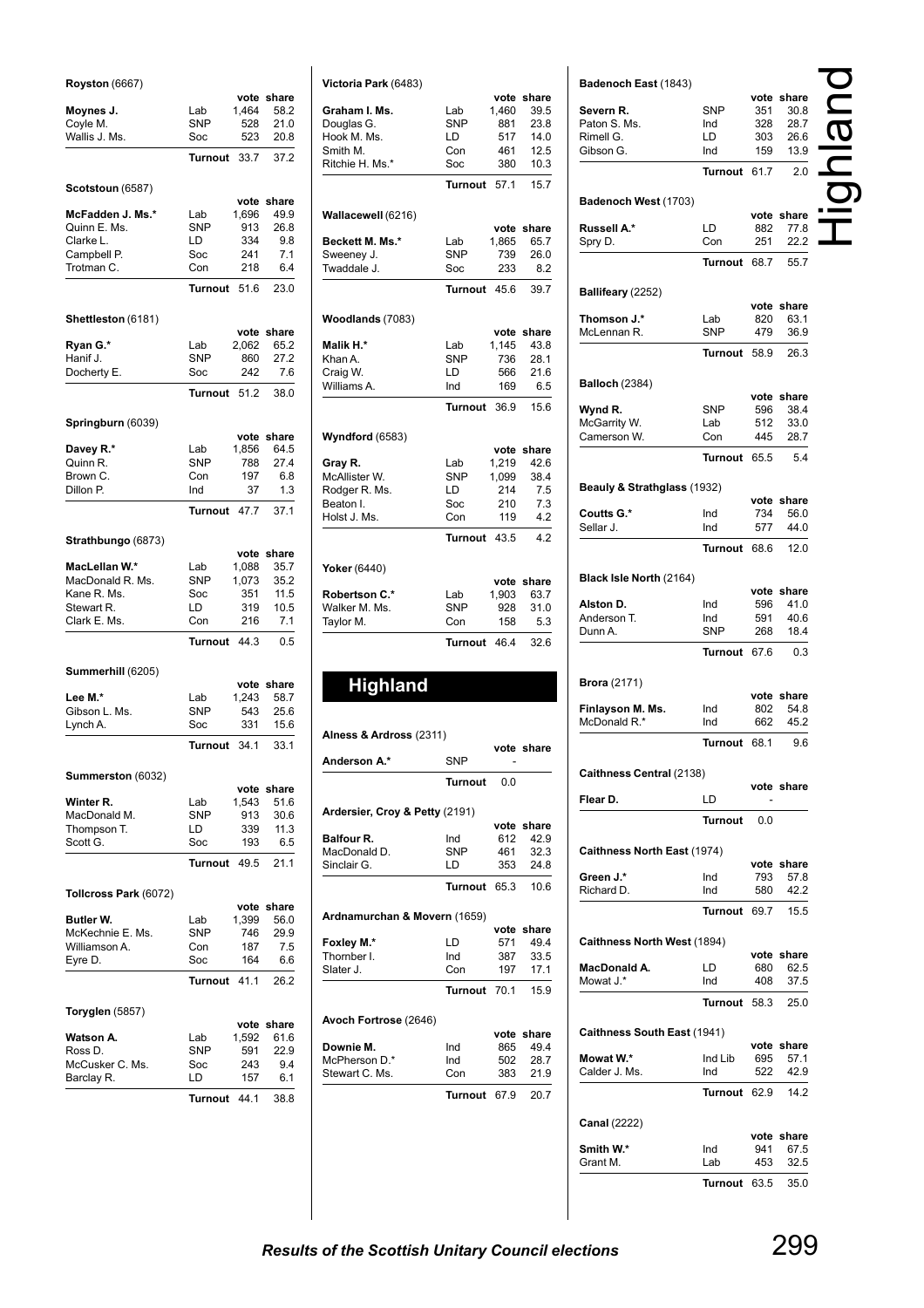| <b>Royston</b> (6667)       |                   |               |               |
|-----------------------------|-------------------|---------------|---------------|
|                             |                   | vote          | share<br>58.2 |
| Moynes J.<br>Coyle M.       | Lab<br><b>SNP</b> | 1,464<br>528  | 21.0          |
| Wallis J. Ms.               | Soc               | 523           | 20.8          |
|                             | <b>Turnout</b>    | 33.7          | 37.2          |
|                             |                   |               |               |
| Scotstoun (6587)            |                   |               |               |
| McFadden J. Ms.*            | Lab               | vote<br>1,696 | share<br>49.9 |
| Quinn E. Ms.                | <b>SNP</b>        | 913           | 26.8          |
| Clarke L.                   | LD                | 334           | 9.8           |
| Campbell P.                 | Soc               | 241           | 7.1           |
| Trotman C.                  | Con               | 218           | 6.4           |
|                             | <b>Turnout</b>    | 51.6          | 23.0          |
| Shettleston (6181)          |                   |               |               |
|                             |                   | vote          | share         |
| Ryan G.*                    | Lab               | 2,062         | 65.2          |
| Hanif J.                    | <b>SNP</b>        | 860           | 27.2          |
| Docherty E.                 | Soc               | 242           | 7.6           |
|                             | Turnout           | 51.2          | 38.0          |
|                             |                   |               |               |
| Springburn (6039)           |                   | vote          | share         |
| Davey R.*                   | Lab               | 1,856         | 64.5          |
| Quinn R.                    | <b>SNP</b>        | 788           | 27.4          |
| Brown C.                    | Con               | 197           | 6.8           |
| Dillon P.                   | Ind               | 37            | 1.3           |
|                             | Turnout           | 47.7          | 37.1          |
| Strathbungo (6873)          |                   |               |               |
|                             |                   | vote          | share         |
| MacLellan W.*               | Lab               | 1,088         | 35.7          |
| MacDonald R. Ms.            | <b>SNP</b>        | 1,073         | 35.2          |
| Kane R. Ms.                 | Soc               | 351           | 11.5          |
| Stewart R.                  | LD                | 319           | 10.5          |
| Clark E. Ms.                | Con               | 216           | 7.1           |
|                             | <b>Turnout</b>    | 44.3          | 0.5           |
| Summerhill (6205)           |                   |               |               |
|                             |                   | vote          | share         |
| Lee M.*                     | Lab               | 1,243         | 58.7          |
| Gibson L. Ms.               | <b>SNP</b>        | 543           | 25.6          |
| Lynch A.                    | Soc               | 331           | 15.6          |
|                             | Turnout           | 34.1          | 33.1          |
| Summerston (6032)           |                   |               |               |
|                             |                   | vote          | share         |
| Winter R.                   | Lab               | 1,543         | 51.6          |
| MacDonald M.<br>Thompson T. | <b>SNP</b><br>LD  | 913<br>339    | 30.6<br>11.3  |
| Scott G.                    | Soc               | 193           | 6.5           |
|                             | Turnout           | 49.5          | 21.1          |
|                             |                   |               |               |
| Tollcross Park (6072)       |                   | vote          | share         |
| Butler W.                   | Lab               | 1,399         | 56.0          |
| McKechnie E. Ms.            | SNP               | 746           | 29.9          |
| Williamson A.               | Con               | 187           | 7.5           |
| Eyre D.                     | Soc               | 164           | 6.6           |
|                             | <b>Turnout</b>    | 41.1          | 26.2          |
|                             |                   |               |               |
| Toryglen (5857)             |                   | vote          | share         |
| Watson A.                   | Lab               | 1,592         | 61.6          |
| Ross D.                     | <b>SNP</b>        | 591           | 22.9          |
| McCusker C. Ms.             | Soc               | 243           | 9.4           |
| Barclay R.                  | LD                | 157           | 6.1           |
|                             | Turnout           | 44.1          | 38.8          |
|                             |                   |               |               |

| <b>Highland</b><br>Alness & Ardross (2311)<br>Anderson A.*<br>Ardersier, Croy & Petty (2191)<br><b>Balfour R.</b><br>MacDonald D.<br>Sinclair G.<br>Ardnamurchan & Movern (1659)<br>Foxley M.*<br>Thornber I.<br>Slater J.<br>Avoch Fortrose (2646)<br>Downie M.<br>McPherson D.*<br>Stewart C. Ms. | SNP.<br><b>Turnout</b><br>Ind<br>SNP<br>LD<br>Turnout<br>LD<br>Ind<br>Con<br>Turnout<br>Ind<br>Ind<br>Con<br>Turnout 67.9 | 0.0<br>612<br>461<br>353<br>65.3<br>vote<br>571<br>387<br>197<br>70.1<br>865<br>502<br>383 | vote share<br>vote share<br>42.9<br>32.3<br>24.8<br>10.6<br>share<br>49.4<br>33.5<br>17.1<br>15.9<br>vote share<br>49.4<br>28.7<br>21.9<br>20.7 |
|-----------------------------------------------------------------------------------------------------------------------------------------------------------------------------------------------------------------------------------------------------------------------------------------------------|---------------------------------------------------------------------------------------------------------------------------|--------------------------------------------------------------------------------------------|-------------------------------------------------------------------------------------------------------------------------------------------------|
|                                                                                                                                                                                                                                                                                                     |                                                                                                                           |                                                                                            |                                                                                                                                                 |
|                                                                                                                                                                                                                                                                                                     |                                                                                                                           |                                                                                            |                                                                                                                                                 |
|                                                                                                                                                                                                                                                                                                     |                                                                                                                           |                                                                                            |                                                                                                                                                 |
|                                                                                                                                                                                                                                                                                                     |                                                                                                                           |                                                                                            |                                                                                                                                                 |
|                                                                                                                                                                                                                                                                                                     |                                                                                                                           |                                                                                            |                                                                                                                                                 |
|                                                                                                                                                                                                                                                                                                     |                                                                                                                           |                                                                                            |                                                                                                                                                 |
|                                                                                                                                                                                                                                                                                                     |                                                                                                                           |                                                                                            |                                                                                                                                                 |
|                                                                                                                                                                                                                                                                                                     |                                                                                                                           |                                                                                            |                                                                                                                                                 |
|                                                                                                                                                                                                                                                                                                     |                                                                                                                           |                                                                                            |                                                                                                                                                 |
|                                                                                                                                                                                                                                                                                                     |                                                                                                                           |                                                                                            |                                                                                                                                                 |
|                                                                                                                                                                                                                                                                                                     |                                                                                                                           |                                                                                            |                                                                                                                                                 |
|                                                                                                                                                                                                                                                                                                     |                                                                                                                           |                                                                                            |                                                                                                                                                 |
|                                                                                                                                                                                                                                                                                                     |                                                                                                                           |                                                                                            |                                                                                                                                                 |
|                                                                                                                                                                                                                                                                                                     |                                                                                                                           |                                                                                            |                                                                                                                                                 |
|                                                                                                                                                                                                                                                                                                     |                                                                                                                           |                                                                                            |                                                                                                                                                 |
|                                                                                                                                                                                                                                                                                                     |                                                                                                                           |                                                                                            |                                                                                                                                                 |
|                                                                                                                                                                                                                                                                                                     |                                                                                                                           |                                                                                            |                                                                                                                                                 |
|                                                                                                                                                                                                                                                                                                     |                                                                                                                           |                                                                                            |                                                                                                                                                 |
|                                                                                                                                                                                                                                                                                                     |                                                                                                                           |                                                                                            |                                                                                                                                                 |
|                                                                                                                                                                                                                                                                                                     |                                                                                                                           |                                                                                            |                                                                                                                                                 |
|                                                                                                                                                                                                                                                                                                     |                                                                                                                           |                                                                                            |                                                                                                                                                 |
|                                                                                                                                                                                                                                                                                                     |                                                                                                                           |                                                                                            |                                                                                                                                                 |
|                                                                                                                                                                                                                                                                                                     | <b>Turnout</b>                                                                                                            | 46.4                                                                                       | 32.6                                                                                                                                            |
| Taylor M.                                                                                                                                                                                                                                                                                           | Con                                                                                                                       | 158                                                                                        | 5.3                                                                                                                                             |
| Walker M. Ms.                                                                                                                                                                                                                                                                                       | <b>SNP</b>                                                                                                                | 928                                                                                        | 31.0                                                                                                                                            |
| <b>Robertson C.*</b>                                                                                                                                                                                                                                                                                | Lab                                                                                                                       | vote<br>1,903                                                                              | share<br>63.7                                                                                                                                   |
| Yoker (6440)                                                                                                                                                                                                                                                                                        |                                                                                                                           |                                                                                            |                                                                                                                                                 |
|                                                                                                                                                                                                                                                                                                     | <b>Turnout</b>                                                                                                            | 43.5                                                                                       | 4.2                                                                                                                                             |
| Holst J. Ms.                                                                                                                                                                                                                                                                                        | Con                                                                                                                       | 119                                                                                        | 4.2                                                                                                                                             |
| Beaton I.                                                                                                                                                                                                                                                                                           | Soc                                                                                                                       | 210                                                                                        | 7.3                                                                                                                                             |
| Rodger R. Ms.                                                                                                                                                                                                                                                                                       | LD                                                                                                                        | 214                                                                                        | 7.5                                                                                                                                             |
| Gray R.<br>McAllister W.                                                                                                                                                                                                                                                                            | Lab<br>SNP                                                                                                                | 1,219<br>1,099                                                                             | 42.6<br>38.4                                                                                                                                    |
|                                                                                                                                                                                                                                                                                                     |                                                                                                                           | vote                                                                                       | share                                                                                                                                           |
| <b>Wyndford</b> (6583)                                                                                                                                                                                                                                                                              |                                                                                                                           |                                                                                            |                                                                                                                                                 |
|                                                                                                                                                                                                                                                                                                     | Turnout                                                                                                                   | 36.9                                                                                       | 15.6                                                                                                                                            |
| Williams A.                                                                                                                                                                                                                                                                                         | Ind                                                                                                                       | 169                                                                                        | 6.5                                                                                                                                             |
| Khan A.<br>Craig W.                                                                                                                                                                                                                                                                                 | <b>SNP</b><br>LD                                                                                                          | 736<br>566                                                                                 | 28.1<br>21.6                                                                                                                                    |
| Malik H.*                                                                                                                                                                                                                                                                                           | Lab                                                                                                                       | 1,145                                                                                      | 43.8                                                                                                                                            |
| Woodlands (7083)                                                                                                                                                                                                                                                                                    |                                                                                                                           | vote                                                                                       | share                                                                                                                                           |
|                                                                                                                                                                                                                                                                                                     |                                                                                                                           |                                                                                            |                                                                                                                                                 |
|                                                                                                                                                                                                                                                                                                     | <b>Turnout</b>                                                                                                            | 45.6                                                                                       | 39.7                                                                                                                                            |
| Sweeney J.<br>Twaddale J.                                                                                                                                                                                                                                                                           | <b>SNP</b><br>Soc                                                                                                         | 739<br>233                                                                                 | 26.0<br>8.2                                                                                                                                     |
| Beckett M. Ms.*                                                                                                                                                                                                                                                                                     | Lab                                                                                                                       | 1,865                                                                                      | 65.7                                                                                                                                            |
| Wallacewell (6216)                                                                                                                                                                                                                                                                                  |                                                                                                                           | vote                                                                                       | share                                                                                                                                           |
|                                                                                                                                                                                                                                                                                                     | <b>Turnout</b>                                                                                                            | 57.1                                                                                       | 15.7                                                                                                                                            |
|                                                                                                                                                                                                                                                                                                     | Soc                                                                                                                       | 380                                                                                        | 10.3                                                                                                                                            |
|                                                                                                                                                                                                                                                                                                     | Con                                                                                                                       | 461                                                                                        | 12.5                                                                                                                                            |
| Smith M.<br>Ritchie H. Ms.*                                                                                                                                                                                                                                                                         | LD                                                                                                                        | 517                                                                                        | 14.0                                                                                                                                            |
| Hook M. Ms.                                                                                                                                                                                                                                                                                         | <b>SNP</b>                                                                                                                | 881                                                                                        | 23.8                                                                                                                                            |
| Douglas G.                                                                                                                                                                                                                                                                                          |                                                                                                                           |                                                                                            |                                                                                                                                                 |
| Graham I. Ms.                                                                                                                                                                                                                                                                                       | Lab                                                                                                                       | 1,460                                                                                      | vote share<br>39.5                                                                                                                              |

| Badenoch East (1843)        |                |             |                    |  |
|-----------------------------|----------------|-------------|--------------------|--|
|                             |                |             | vote share         |  |
| Severn R.                   | SNP            | 351         | 30.8               |  |
| Paton S. Ms.                | Ind            | 328         | 28.7               |  |
| Rimell G.<br>Gibson G.      | LD<br>Ind      | 303<br>159  | 26.6<br>13.9       |  |
|                             |                |             |                    |  |
|                             | <b>Turnout</b> | 61.7        | 2.0                |  |
| Badenoch West (1703)        |                |             |                    |  |
| Russell A.*                 | LD             | vote<br>882 | share<br>77.8      |  |
| Spry D.                     | Con            | 251         | 22.2               |  |
|                             | Turnout        | 68.7        | 55.7               |  |
| Ballifeary (2252)           |                |             |                    |  |
|                             |                | vote        | share              |  |
| Thomson J.*                 | Lab            | 820         | 63.1               |  |
| McLennan R.                 | SNP            | 479         | 36.9               |  |
|                             | <b>Turnout</b> | 58.9        | 26.3               |  |
| <b>Balloch (2384)</b>       |                |             |                    |  |
|                             |                |             | vote share         |  |
| Wynd R.                     | SNP            | 596         | 38.4               |  |
| McGarrity W.                | Lab            | 512         | 33.0               |  |
| Camerson W.                 | Con            | 445         | 28.7               |  |
|                             | Turnout        | 65.5        | 5.4                |  |
| Beauly & Strathglass (1932) |                |             |                    |  |
|                             |                |             | vote share         |  |
| Coutts G.*                  | Ind            | 734         | 56.0               |  |
| Sellar J.                   | Ind            | 577         | 44.0               |  |
|                             | <b>Turnout</b> | 68.6        | 12.0               |  |
| Black Isle North (2164)     |                |             |                    |  |
|                             |                |             | vote share         |  |
| Alston D.                   | Ind            | 596         | 41.0               |  |
| Anderson T.<br>Dunn A.      | Ind<br>SNP     | 591<br>268  | 40.6<br>18.4       |  |
|                             | Turnout        | 67.6        | 0.3                |  |
|                             |                |             |                    |  |
| <b>Brora</b> (2171)         |                |             | vote share         |  |
| Finlayson M. Ms.            | Ind            | 802         | 54.8               |  |
| McDonald R.*                | Ind            | 662         | 45.2               |  |
|                             | <b>Turnout</b> | 68.1        | 9.6                |  |
| Caithness Central (2138)    |                |             |                    |  |
|                             |                |             | vote share         |  |
| Flear D.                    | LD             |             |                    |  |
|                             | Turnout        | 0.0         |                    |  |
| Caithness North East (1974) |                |             |                    |  |
|                             |                |             | vote share         |  |
| Green J.*                   | Ind            | 793         | 57.8               |  |
| Richard D.                  | Ind            | 580         | 42.2               |  |
|                             | Turnout        | 69.7        | 15.5               |  |
| Caithness North West (1894) |                |             |                    |  |
| MacDonald A.                | LD             | 680         | vote share<br>62.5 |  |
| Mowat J.*                   | Ind            | 408         | 37.5               |  |
|                             | Turnout        | 58.3        | 25.0               |  |
|                             |                |             |                    |  |
| Caithness South East (1941) |                |             | vote share         |  |
| Mowat W.*                   | Ind Lib        | 695         | 57.1               |  |
| Calder J. Ms.               | Ind            | 522         | 42.9               |  |
|                             | Turnout        | 62.9        | 14.2               |  |
| <b>Canal</b> (2222)         |                |             |                    |  |
|                             |                |             | vote share         |  |
| Smith W.*                   | Ind            | 941         | 67.5               |  |
| Grant M.                    | Lab            | 453         | 32.5               |  |
|                             | Turnout        | 63.5        | 35.0               |  |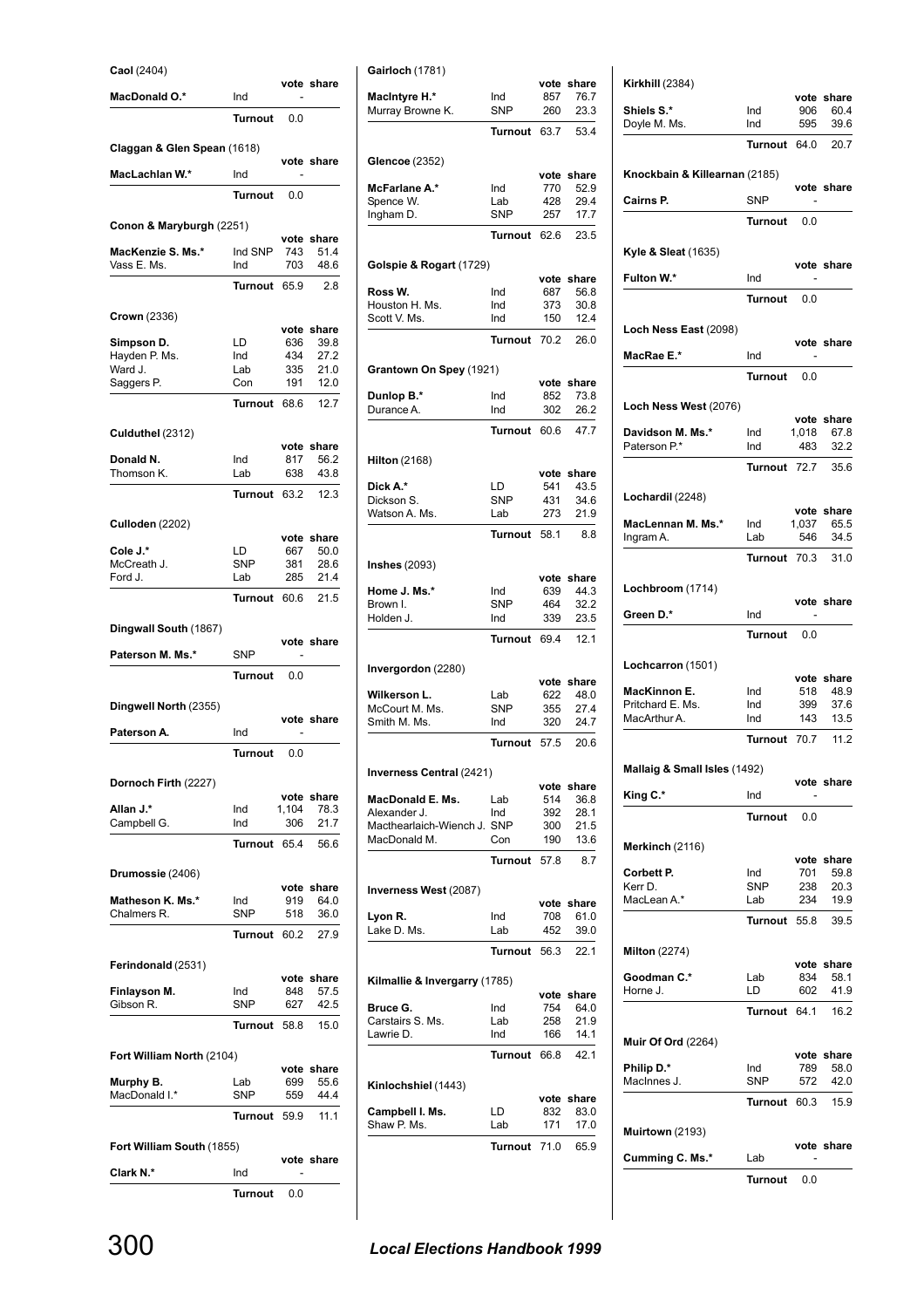| Caol (2404)                 |                  |            |                    |
|-----------------------------|------------------|------------|--------------------|
| <b>MacDonald O.*</b>        | Ind              |            | vote share         |
|                             | Turnout          | 0.0        |                    |
| Claggan & Glen Spean (1618) |                  |            |                    |
|                             |                  |            | vote share         |
| MacLachlan W.*              | Ind              |            |                    |
|                             | Turnout          | 0.0        |                    |
| Conon & Maryburgh (2251)    |                  |            |                    |
| MacKenzie S. Ms.*           | Ind SNP          | 743        | vote share<br>51.4 |
| Vass E. Ms.                 | Ind              | 703        | 48.6               |
|                             | Turnout          | 65.9       | 2.8                |
| Crown (2336)                |                  |            |                    |
| Simpson D.                  | LD               | 636        | vote share<br>39.8 |
| Hayden P. Ms.               | Ind              | 434        | 27.2               |
| Ward J.<br>Saggers P.       | Lab<br>Con       | 335<br>191 | 21.0<br>12.0       |
|                             | Turnout          | 68.6       | 12.7               |
|                             |                  |            |                    |
| Culduthel (2312)            |                  |            | vote share         |
| Donald N.                   | Ind              | 817        | 56.2               |
| Thomson K.                  | Lab              | 638        | 43.8               |
|                             | <b>Turnout</b>   | 63.2       | 12.3               |
| <b>Culloden (2202)</b>      |                  |            |                    |
|                             |                  |            | vote share         |
| Cole J.*<br>McCreath J.     | LD<br><b>SNP</b> | 667<br>381 | 50.0<br>28.6       |
| Ford J.                     | Lab              | 285        | 21.4               |
|                             | Turnout          | 60.6       | 21.5               |
| Dingwall South (1867)       |                  |            |                    |
|                             |                  |            |                    |
|                             |                  |            | vote share         |
| Paterson M. Ms.*            | <b>SNP</b>       |            |                    |
|                             | <b>Turnout</b>   | 0.0        |                    |
| Dingwell North (2355)       |                  |            |                    |
| Paterson A.                 | Ind              |            | vote share         |
|                             | <b>Turnout</b>   | 0.0        |                    |
|                             |                  |            |                    |
| Dornoch Firth (2227)        |                  |            | vote share         |
| Allan J.*                   | Ind              | 1,104      | 78.3               |
| Campbell G.                 | Ind              | 306        | 21.7               |
|                             | Turnout          | 65.4       | 56.6               |
| Drumossie (2406)            |                  |            |                    |
| Matheson K. Ms.*            | Ind              | 919        | vote share<br>64.0 |
| Chalmers R.                 | SNP              | 518        | 36.0               |
|                             | Turnout          | 60.2       | 27.9               |
|                             |                  |            |                    |
| Ferindonald (2531)          |                  |            | vote share         |
| Finlayson M.<br>Gibson R.   | Ind<br>SNP       | 848<br>627 | 57.5<br>42.5       |
|                             | Turnout          | 58.8       | 15.0               |
|                             |                  |            |                    |
| Fort William North (2104)   |                  |            | vote share         |
| Murphy B.                   | Lab              | 699        | 55.6               |
| MacDonald I.*               | SNP              | 559        | 44.4               |
|                             | Turnout          | 59.9       | 11.1               |
| Fort William South (1855)   |                  |            |                    |
|                             | Ind              |            | vote share         |
| Clark N.*                   | <b>Turnout</b>   | 0.0        |                    |

|                                  | rurnout          | v.v        |                    |                                             | Turnout 63.7      |            | 53.4               |
|----------------------------------|------------------|------------|--------------------|---------------------------------------------|-------------------|------------|--------------------|
| Claggan & Glen Spean (1618)      |                  |            |                    |                                             |                   |            |                    |
| MacLachlan W.*                   | Ind              |            | vote share         | Glencoe (2352)                              |                   |            | vote share         |
|                                  |                  |            |                    | McFarlane A.*                               | Ind               | 770        | 52.9               |
|                                  | Turnout          | 0.0        |                    | Spence W.                                   | Lab               | 428        | 29.4               |
| Conon & Maryburgh (2251)         |                  |            |                    | Ingham D.                                   | <b>SNP</b>        | 257        | 17.7               |
|                                  |                  |            | vote share         |                                             | Turnout 62.6      |            | 23.5               |
| MacKenzie S. Ms.*<br>Vass E. Ms. | Ind SNP<br>Ind   | 743<br>703 | 51.4<br>48.6       | Golspie & Rogart (1729)                     |                   |            |                    |
|                                  | Turnout 65.9     |            | 2.8                |                                             |                   |            | vote share         |
|                                  |                  |            |                    | Ross W.<br>Houston H. Ms.                   | Ind<br>Ind        | 687<br>373 | 56.8<br>30.8       |
| <b>Crown</b> (2336)              |                  |            |                    | Scott V. Ms.                                | Ind               | 150        | 12.4               |
| Simpson D.                       | LD               | 636        | vote share<br>39.8 |                                             | Turnout 70.2      |            | 26.0               |
| Hayden P. Ms.                    | Ind              | 434        | 27.2               |                                             |                   |            |                    |
| Ward J.                          | Lab              | 335        | 21.0               | Grantown On Spey (1921)                     |                   |            |                    |
| Saggers P.                       | Con              | 191        | 12.0               | Dunlop B.*                                  | Ind               | 852        | vote share<br>73.8 |
|                                  | Turnout 68.6     |            | 12.7               | Durance A.                                  | Ind               | 302        | 26.2               |
| Culduthel (2312)                 |                  |            |                    |                                             | Turnout 60.6      |            | 47.7               |
|                                  |                  |            | vote share         |                                             |                   |            |                    |
| Donald N.<br>Thomson K.          | Ind<br>Lab       | 817<br>638 | 56.2<br>43.8       | <b>Hilton</b> (2168)                        |                   |            | vote share         |
|                                  | Turnout 63.2     |            | 12.3               | Dick A.*                                    | LD                | 541        | 43.5               |
|                                  |                  |            |                    | Dickson S.                                  | <b>SNP</b>        | 431        | 34.6               |
| <b>Culloden</b> (2202)           |                  |            |                    | Watson A. Ms.                               | Lab               | 273        | 21.9               |
|                                  |                  |            | vote share         |                                             | Turnout 58.1      |            | 8.8                |
| Cole J.*<br>McCreath J.          | LD<br><b>SNP</b> | 667<br>381 | 50.0<br>28.6       | Inshes (2093)                               |                   |            |                    |
| Ford J.                          | Lab              | 285        | 21.4               |                                             |                   |            | vote share         |
|                                  | Turnout 60.6     |            | 21.5               | Home J. Ms.*<br>Brown I.                    | Ind<br><b>SNP</b> | 639<br>464 | 44.3<br>32.2       |
|                                  |                  |            |                    | Holden J.                                   | Ind               | 339        | 23.5               |
| Dingwall South (1867)            |                  |            | vote share         |                                             | Turnout 69.4      |            | 12.1               |
| Paterson M. Ms.*                 | SNP              | ٠          |                    |                                             |                   |            |                    |
|                                  | <b>Turnout</b>   | 0.0        |                    | Invergordon (2280)                          |                   |            |                    |
|                                  |                  |            |                    | Wilkerson L.                                | Lab               | 622        | vote share<br>48.0 |
| Dingwell North (2355)            |                  |            |                    | McCourt M. Ms.                              | <b>SNP</b>        | 355        | 27.4               |
| Paterson A.                      | Ind              |            | vote share         | Smith M. Ms.                                | Ind               | 320        | 24.7               |
|                                  | Turnout          | 0.0        |                    |                                             | Turnout 57.5      |            | 20.6               |
|                                  |                  |            |                    | Inverness Central (2421)                    |                   |            |                    |
| Dornoch Firth (2227)             |                  |            |                    |                                             |                   |            | vote share         |
| Allan J.*                        | Ind              | 1,104      | vote share<br>78.3 | MacDonald E. Ms.                            | Lab               | 514        | 36.8               |
| Campbell G.                      | Ind              | 306        | 21.7               | Alexander J.<br>Macthearlaich-Wiench J. SNP | Ind               | 392<br>300 | 28.1<br>21.5       |
|                                  | Turnout 65.4     |            | 56.6               | MacDonald M.                                | Con               | 190        | 13.6               |
|                                  |                  |            |                    |                                             | Turnout 57.8      |            | 8.7                |
| Drumossie (2406)                 |                  |            |                    |                                             |                   |            |                    |
| Matheson K. Ms.*                 | Ind              | 919        | vote share<br>64.0 | Inverness West (2087)                       |                   |            |                    |
| Chalmers R.                      | SNP              | 518        | 36.0               | Lyon R.                                     | Ind               | 708        | vote share<br>61.0 |
|                                  | Turnout 60.2     |            | 27.9               | Lake D. Ms.                                 | Lab               | 452        | 39.0               |
|                                  |                  |            |                    |                                             | Turnout 56.3      |            | 22.1               |
| Ferindonald (2531)               |                  |            |                    |                                             |                   |            |                    |
| Finlayson M.                     | Ind              | 848        | vote share<br>57.5 | Kilmallie & Invergarry (1785)               |                   |            | vote share         |
| Gibson R.                        | SNP              | 627        | 42.5               | Bruce G.                                    | Ind               | 754        | 64.0               |
|                                  | Turnout 58.8     |            | 15.0               | Carstairs S. Ms.                            | Lab               | 258        | 21.9               |
|                                  |                  |            |                    | Lawrie D.                                   | Ind               | 166        | 14.1               |
| Fort William North (2104)        |                  |            | vote share         |                                             | Turnout 66.8      |            | 42.1               |
| Murphy B.                        | Lab              | 699        | 55.6               | Kinlochshiel (1443)                         |                   |            |                    |
| MacDonald I.*                    | <b>SNP</b>       | 559        | 44.4               |                                             |                   |            | vote share         |
|                                  | Turnout 59.9     |            | 11.1               | Campbell I. Ms.                             | LD                | 832        | 83.0               |
|                                  |                  |            |                    | Shaw P. Ms.                                 | Lab               | 171        | 17.0               |
| Fort William South (1855)        |                  |            | vote share         |                                             | Turnout 71.0      |            | 65.9               |
| Clark N.*                        | Ind              |            |                    |                                             |                   |            |                    |
|                                  | Turnout          | 0.0        |                    |                                             |                   |            |                    |
|                                  |                  |            |                    |                                             |                   |            |                    |
|                                  |                  |            |                    |                                             |                   |            |                    |
| 300                              |                  |            |                    | <b>Local Elections Handbook 1999</b>        |                   |            |                    |
|                                  |                  |            |                    |                                             |                   |            |                    |

**Gairloch** (1781)

**MacIntyre H.\*** Ind 857 76.7 Murray Browne K. SNP 260 23.3

**vote share**<br>857 76.7<br>260 23.3

| <b>Kirkhill (2384)</b>                                                            |                       |            | vote share                               |
|-----------------------------------------------------------------------------------|-----------------------|------------|------------------------------------------|
| Shiels S.*                                                                        | Ind                   | 906        | 60.4                                     |
| Doyle M. Ms.                                                                      | Ind                   | 595        | 39.6                                     |
|                                                                                   | Turnout 64.0          |            | 20.7                                     |
| Knockbain & Killearnan (2185)                                                     |                       |            |                                          |
| <b>Cairns P.</b>                                                                  | SNP                   |            | vote share                               |
|                                                                                   | Turnout               | 0.0        |                                          |
|                                                                                   |                       |            |                                          |
| <b>Kyle &amp; Sleat (1635)</b>                                                    |                       |            | vote share                               |
| Fulton W.*                                                                        | Ind<br>Turnout        | 0.0        |                                          |
|                                                                                   |                       |            |                                          |
| Loch Ness East (2098)                                                             |                       |            | vote share                               |
| MacRae E.*                                                                        | Ind                   |            |                                          |
|                                                                                   | Turnout               | 0.0        |                                          |
| Loch Ness West (2076)                                                             |                       |            |                                          |
| Davidson M. Ms.*                                                                  | Ind                   | 1,018      | vote share<br>67.8                       |
| Paterson P.*                                                                      | Ind                   | 483        | 32.2                                     |
|                                                                                   | Turnout 72.7          |            | 35.6                                     |
| Lochardil (2248)                                                                  |                       |            |                                          |
| MacLennan M. Ms.*                                                                 | Ind                   | 1,037      | vote share<br>65.5                       |
| Ingram A.                                                                         | Lab                   | 546        | 34.5                                     |
|                                                                                   | Turnout 70.3          |            | 31.0                                     |
| Lochbroom (1714)                                                                  |                       |            |                                          |
| Green D.*                                                                         | Ind                   |            | vote share                               |
|                                                                                   | Turnout               | 0.0        |                                          |
|                                                                                   |                       |            |                                          |
| Lochcarron (1501)                                                                 |                       |            | vote share                               |
| MacKinnon E.                                                                      | Ind                   | 518        | 48.9                                     |
| Pritchard E. Ms.<br>MacArthur A.                                                  | Ind<br>Ind            | 399<br>143 | 37.6<br>13.5                             |
|                                                                                   | Turnout 70.7          |            | 11.2                                     |
|                                                                                   |                       |            |                                          |
| Mallaig & Small Isles (1492)                                                      |                       |            | vote share                               |
| King C.*                                                                          | Ind<br><b>Turnout</b> |            |                                          |
|                                                                                   |                       | 0.0        |                                          |
| Merkinch (2116)                                                                   |                       |            | vote share                               |
| Corbett P.                                                                        | Ind                   | 701        | 59.8                                     |
| Kerr D.<br>MacLean A.*                                                            | <b>SNP</b><br>Lab     | 238<br>234 | 20.3<br>19.9                             |
|                                                                                   | Turnout 55.8          |            | 39.5                                     |
|                                                                                   |                       |            |                                          |
| <b>Milton (2274)</b>                                                              |                       |            |                                          |
|                                                                                   |                       |            |                                          |
|                                                                                   | Lab                   | 834        | 58.1                                     |
|                                                                                   | LD                    | 602        | 41.9                                     |
|                                                                                   | Turnout 64.1          |            |                                          |
|                                                                                   |                       |            |                                          |
|                                                                                   | Ind                   | 789        | vote share<br>58.0                       |
|                                                                                   | SNP                   | 572        | 42.0                                     |
| Goodman C.*<br>Horne J.<br><b>Muir Of Ord (2264)</b><br>Philip D.*<br>MacInnes J. | Turnout 60.3          |            |                                          |
|                                                                                   |                       |            |                                          |
| Muirtown (2193)<br>Cumming C. Ms.*                                                | Lab                   |            | vote share<br>16.2<br>15.9<br>vote share |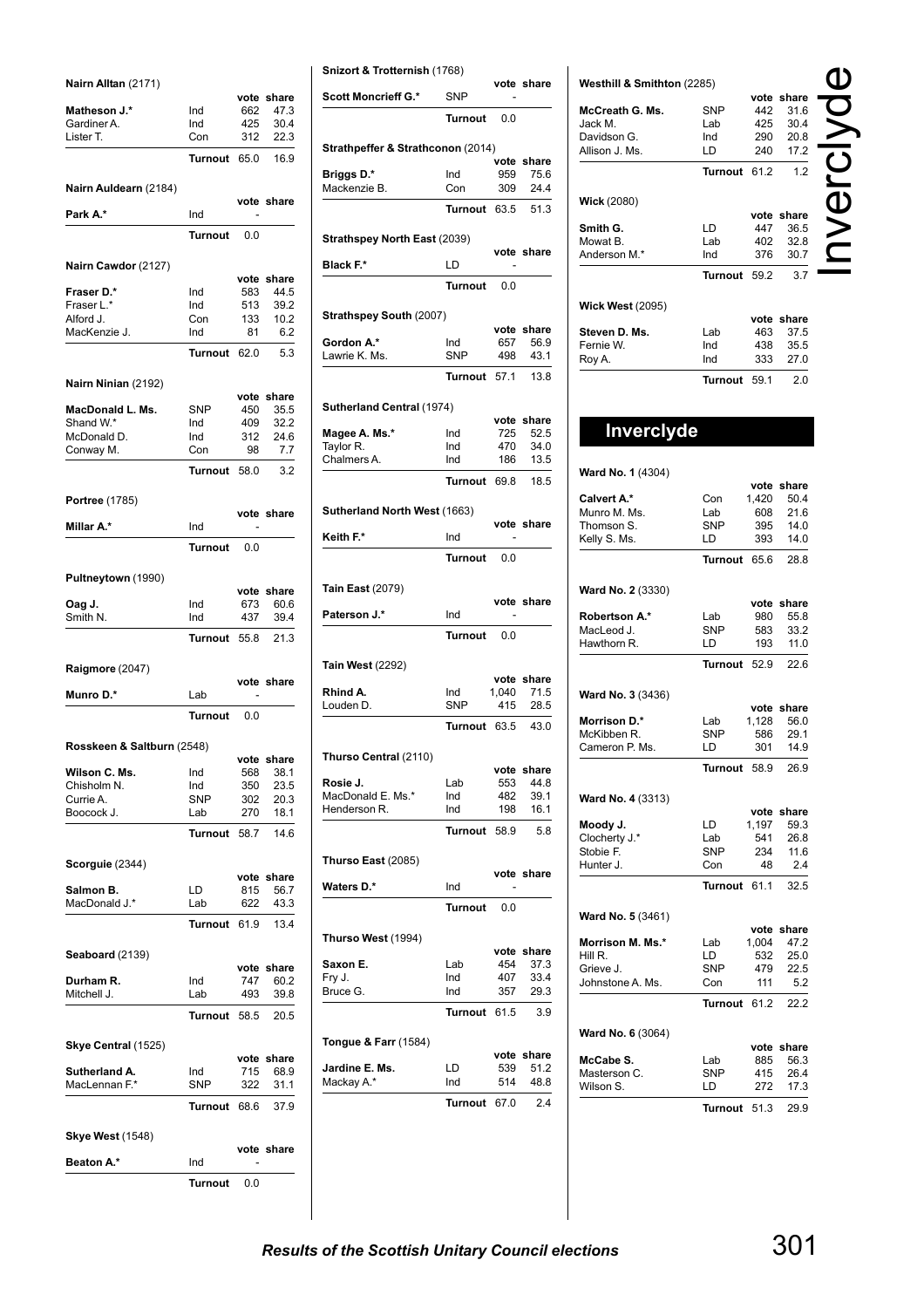**Nairn Alltan** (2171)

| Nairn Alltan (2171)        |                |      |            |
|----------------------------|----------------|------|------------|
|                            |                |      | vote share |
| <b>Matheson J.*</b>        | Ind            | 662  | 47.3       |
| Gardiner A.                | Ind            | 425  | 30.4       |
| Lister T.                  | Con            | 312  | 22.3       |
|                            | Turnout        | 65.0 | 16.9       |
|                            |                |      |            |
| Nairn Auldearn (2184)      |                |      |            |
|                            |                |      | vote share |
| Park A.*                   | Ind            |      |            |
|                            |                |      |            |
|                            | <b>Turnout</b> | 0.0  |            |
|                            |                |      |            |
| Nairn Cawdor (2127)        |                |      |            |
|                            |                |      | vote share |
| Fraser D.*                 | Ind            | 583  | 44.5       |
| Fraser L.*                 | Ind            | 513  | 39.2       |
| Alford J.                  | Con            | 133  | 10.2       |
| MacKenzie J.               | Ind            | 81   | 6.2        |
|                            |                | 62.0 |            |
|                            | Turnout        |      | 5.3        |
|                            |                |      |            |
| Nairn Ninian (2192)        |                |      |            |
|                            |                |      | vote share |
| MacDonald L. Ms.           | <b>SNP</b>     | 450  | 35.5       |
| Shand W.*                  | Ind            | 409  | 32.2       |
| McDonald D.                | Ind            | 312  | 24.6       |
| Conway M.                  | Con            | 98   | 7.7        |
|                            | Turnout        | 58.0 | 3.2        |
|                            |                |      |            |
| Portree (1785)             |                |      |            |
|                            |                |      | vote share |
| Millar A.*                 | Ind            |      |            |
|                            |                |      |            |
|                            | <b>Turnout</b> | 0.0  |            |
|                            |                |      |            |
| Pultneytown (1990)         |                |      |            |
|                            |                |      | vote share |
| Oag J.                     | Ind            | 673  | 60.6       |
| Smith N.                   | Ind            | 437  | 39.4       |
|                            |                |      |            |
|                            | Turnout        | 55.8 | 21.3       |
|                            |                |      |            |
| Raigmore (2047)            |                |      |            |
|                            |                |      | vote share |
| Munro D.*                  | Lab            |      |            |
|                            | <b>Turnout</b> | 0.0  |            |
|                            |                |      |            |
| Rosskeen & Saltburn (2548) |                |      |            |
|                            |                |      | vote share |
| Wilson C. Ms.              | Ind            | 568  | 38.1       |
| Chisholm N.                | Ind            | 350  | 23.5       |
| Currie A.                  | <b>SNP</b>     | 302  | 20.3       |
| Boocock J.                 | Lab            | 270  | 18.1       |
|                            |                |      |            |
|                            | Turnout        | 58.7 | 14.6       |
|                            |                |      |            |
| Scorguie (2344)            |                |      |            |
|                            |                | vote | share      |
| Salmon B.                  | LD             | 815  | 56.7       |
| MacDonald J.*              | Lab            | 622  | 43.3       |
|                            |                |      |            |
|                            | Turnout        | 61.9 | 13.4       |
|                            |                |      |            |
| Seaboard (2139)            |                |      |            |
|                            |                | vote | share      |
| Durham R.                  | Ind            | 747  | 60.2       |
| Mitchell J.                | Lab            | 493  | 39.8       |
|                            | Turnout        | 58.5 | 20.5       |
|                            |                |      |            |
| Skye Central (1525)        |                |      |            |
|                            |                |      | vote share |
| Sutherland A.              | Ind            | 715  | 68.9       |
| MacLennan F.*              | <b>SNP</b>     | 322  | 31.1       |
|                            |                |      |            |
|                            | Turnout        | 68.6 | 37.9       |
|                            |                |      |            |
| <b>Skye West (1548)</b>    |                |      |            |
|                            |                |      | vote share |
| Beaton A.*                 | Ind            |      |            |
|                            |                |      |            |
|                            | Turnout        | 0.0  |            |

|                                                                                                                                                                                                                                                                                    | Snizort & Trotternish (1768) |             |               |
|------------------------------------------------------------------------------------------------------------------------------------------------------------------------------------------------------------------------------------------------------------------------------------|------------------------------|-------------|---------------|
| <b>Scott Moncrieff G.*</b>                                                                                                                                                                                                                                                         | <b>SNP</b>                   |             | vote share    |
|                                                                                                                                                                                                                                                                                    | Turnout                      | 0.0         |               |
| Strathpeffer & Strathconon (2014)                                                                                                                                                                                                                                                  |                              |             |               |
| Briggs D.*                                                                                                                                                                                                                                                                         | Ind                          | vote<br>959 | share<br>75.6 |
| Mackenzie B.                                                                                                                                                                                                                                                                       | Con                          | 309         | 24.4          |
|                                                                                                                                                                                                                                                                                    |                              |             |               |
|                                                                                                                                                                                                                                                                                    | Turnout                      | 63.5        | 51.3          |
| Strathspey North East (2039)                                                                                                                                                                                                                                                       |                              |             | vote share    |
| Black F.*                                                                                                                                                                                                                                                                          | LD                           |             |               |
|                                                                                                                                                                                                                                                                                    | <b>Turnout</b>               | 0.0         |               |
| Strathspey South (2007)                                                                                                                                                                                                                                                            |                              |             |               |
|                                                                                                                                                                                                                                                                                    |                              |             | vote share    |
| Gordon A.*                                                                                                                                                                                                                                                                         | Ind                          | 657         | 56.9          |
| Lawrie K. Ms.                                                                                                                                                                                                                                                                      | SNP                          | 498         | 43.1          |
|                                                                                                                                                                                                                                                                                    | Turnout                      | 57.1        | 13.8          |
| Sutherland Central (1974)                                                                                                                                                                                                                                                          |                              |             |               |
|                                                                                                                                                                                                                                                                                    |                              |             | vote share    |
| Magee A. Ms.*<br>Taylor R.                                                                                                                                                                                                                                                         | Ind<br>Ind                   | 725<br>470  | 52.5<br>34.0  |
| Chalmers A.                                                                                                                                                                                                                                                                        | Ind                          | 186         | 13.5          |
|                                                                                                                                                                                                                                                                                    | Turnout                      | 69.8        | 18.5          |
|                                                                                                                                                                                                                                                                                    |                              |             |               |
| Sutherland North West (1663)                                                                                                                                                                                                                                                       |                              |             | vote share    |
| Keith F.*                                                                                                                                                                                                                                                                          | Ind                          |             |               |
|                                                                                                                                                                                                                                                                                    | <b>Turnout</b>               | 0.0         |               |
| Tain East (2079)                                                                                                                                                                                                                                                                   |                              |             | vote share    |
| <b>Paterson J.*</b>                                                                                                                                                                                                                                                                |                              |             |               |
|                                                                                                                                                                                                                                                                                    | Ind                          |             |               |
|                                                                                                                                                                                                                                                                                    | <b>Turnout</b>               | 0.0         |               |
|                                                                                                                                                                                                                                                                                    |                              |             |               |
|                                                                                                                                                                                                                                                                                    |                              |             | vote share    |
|                                                                                                                                                                                                                                                                                    | Ind                          | 1.040       | 71.5          |
|                                                                                                                                                                                                                                                                                    | <b>SNP</b><br>Turnout 63.5   | 415         | 28.5<br>43.0  |
|                                                                                                                                                                                                                                                                                    |                              |             |               |
|                                                                                                                                                                                                                                                                                    |                              | vote        | share         |
|                                                                                                                                                                                                                                                                                    | Lab                          | 553         | 44.8          |
|                                                                                                                                                                                                                                                                                    | Ind                          | 482         | 39.1          |
|                                                                                                                                                                                                                                                                                    | Ind                          | 198         | 16.1          |
|                                                                                                                                                                                                                                                                                    | <b>Turnout</b>               | 58.9        | 5.8           |
|                                                                                                                                                                                                                                                                                    |                              |             |               |
|                                                                                                                                                                                                                                                                                    | Ind                          |             | vote share    |
|                                                                                                                                                                                                                                                                                    | <b>Turnout</b>               | 0.0         |               |
|                                                                                                                                                                                                                                                                                    |                              |             |               |
|                                                                                                                                                                                                                                                                                    |                              |             | vote share    |
|                                                                                                                                                                                                                                                                                    | Lab                          | 454         | 37.3          |
|                                                                                                                                                                                                                                                                                    | Ind                          | 407         | 33.4          |
|                                                                                                                                                                                                                                                                                    | Ind                          | 357         | 29.3          |
|                                                                                                                                                                                                                                                                                    | <b>Turnout</b>               | 61.5        | 3.9           |
|                                                                                                                                                                                                                                                                                    |                              | vote        | share         |
|                                                                                                                                                                                                                                                                                    | LD                           | 539         | 51.2          |
| Tain West (2292)<br>Rhind A.<br>Louden D.<br>Thurso Central (2110)<br>Rosie J.<br>MacDonald E. Ms.*<br>Henderson R.<br>Thurso East (2085)<br>Waters D.*<br>Thurso West (1994)<br>Saxon E.<br>Fry J.<br>Bruce G.<br><b>Tongue &amp; Farr</b> (1584)<br>Jardine E. Ms.<br>Mackay A.* | Ind                          | 514         | 48.8          |

| Westhill & Smithton (2285)  |                   |            | vote share         |  |
|-----------------------------|-------------------|------------|--------------------|--|
| McCreath G. Ms.             | SNP               | 442        | 31.6               |  |
| Jack M.                     | Lab               | 425        | 30.4               |  |
| Davidson G.                 | Ind               | 290        | 20.8               |  |
| Allison J. Ms.              | LD                | 240        | 17.2               |  |
|                             | Turnout           | 61.2       | 1.2                |  |
| Wick (2080)                 |                   |            |                    |  |
|                             |                   |            | vote share         |  |
| Smith G.<br>Mowat B.        | LD<br>Lab         | 447        | 36.5               |  |
| Anderson M.*                | Ind               | 402<br>376 | 32.8<br>30.7       |  |
|                             | <b>Turnout</b>    | 59.2       | 3.7                |  |
|                             |                   |            |                    |  |
| <b>Wick West (2095)</b>     |                   |            |                    |  |
| Steven D. Ms.               | Lab               | 463        | vote share<br>37.5 |  |
| Fernie W.                   | Ind               | 438        | 35.5               |  |
| Roy A.                      | Ind               | 333        | 27.0               |  |
|                             | Turnout           | 59.1       | 2.0                |  |
|                             |                   |            |                    |  |
| Inverclyde                  |                   |            |                    |  |
|                             |                   |            |                    |  |
| Ward No. 1 (4304)           |                   |            |                    |  |
| Calvert A.*                 | Con               | 1,420      | vote share<br>50.4 |  |
| Munro M. Ms.                | Lab               | 608        | 21.6               |  |
| Thomson S.                  | SNP               | 395        | 14.0               |  |
| Kelly S. Ms.                | LD                | 393        | 14.0               |  |
|                             | Turnout           | 65.6       | 28.8               |  |
| <b>Ward No. 2 (3330)</b>    |                   |            |                    |  |
|                             |                   |            | vote share         |  |
| Robertson A.*<br>MacLeod J. | Lab<br><b>SNP</b> | 980<br>583 | 55.8<br>33.2       |  |
| Hawthorn R.                 | LD                | 193        | 11.0               |  |
|                             | Turnout           | 52.9       | 22.6               |  |
|                             |                   |            |                    |  |
| <b>Ward No. 3 (3436)</b>    |                   |            |                    |  |
| <b>Morrison D.*</b>         | Lab               | 1,128      | vote share<br>56.0 |  |
| McKibben R.                 | SNP               | 586        | 29.1               |  |
| Cameron P. Ms.              | LD                | 301        | 14.9               |  |
|                             | Turnout           | 58.9       | 26.9               |  |
|                             |                   |            |                    |  |
| Ward No. 4 (3313)           |                   |            | vote share         |  |
| Moody J.                    | LD                | 1,197      | 59.3               |  |
| Clocherty J.*               | Lab               | 541        | 26.8               |  |
| Stobie F.                   | SNP               | 234        | 11.6               |  |
| Hunter J.                   | Con               | 48         | 2.4                |  |
|                             | Turnout 61.1      |            | 32.5               |  |
| <b>Ward No. 5 (3461)</b>    |                   |            |                    |  |
| Morrison M. Ms.*            | Lab               | 1,004      | vote share<br>47.2 |  |
| Hill R.                     | LD                | 532        | 25.0               |  |
| Grieve J.                   | SNP               | 479        | 22.5               |  |
| Johnstone A. Ms.            | Con               | 111        | 5.2                |  |
|                             | Turnout           | 61.2       | 22.2               |  |
| <b>Ward No. 6 (3064)</b>    |                   |            |                    |  |
|                             |                   |            | vote share         |  |
| McCabe S.<br>Masterson C.   | Lab<br>SNP        | 885<br>415 | 56.3<br>26.4       |  |
| Wilson S.                   | LD                | 272        | 17.3               |  |
|                             |                   |            |                    |  |
|                             | Turnout           | 51.3       | 29.9               |  |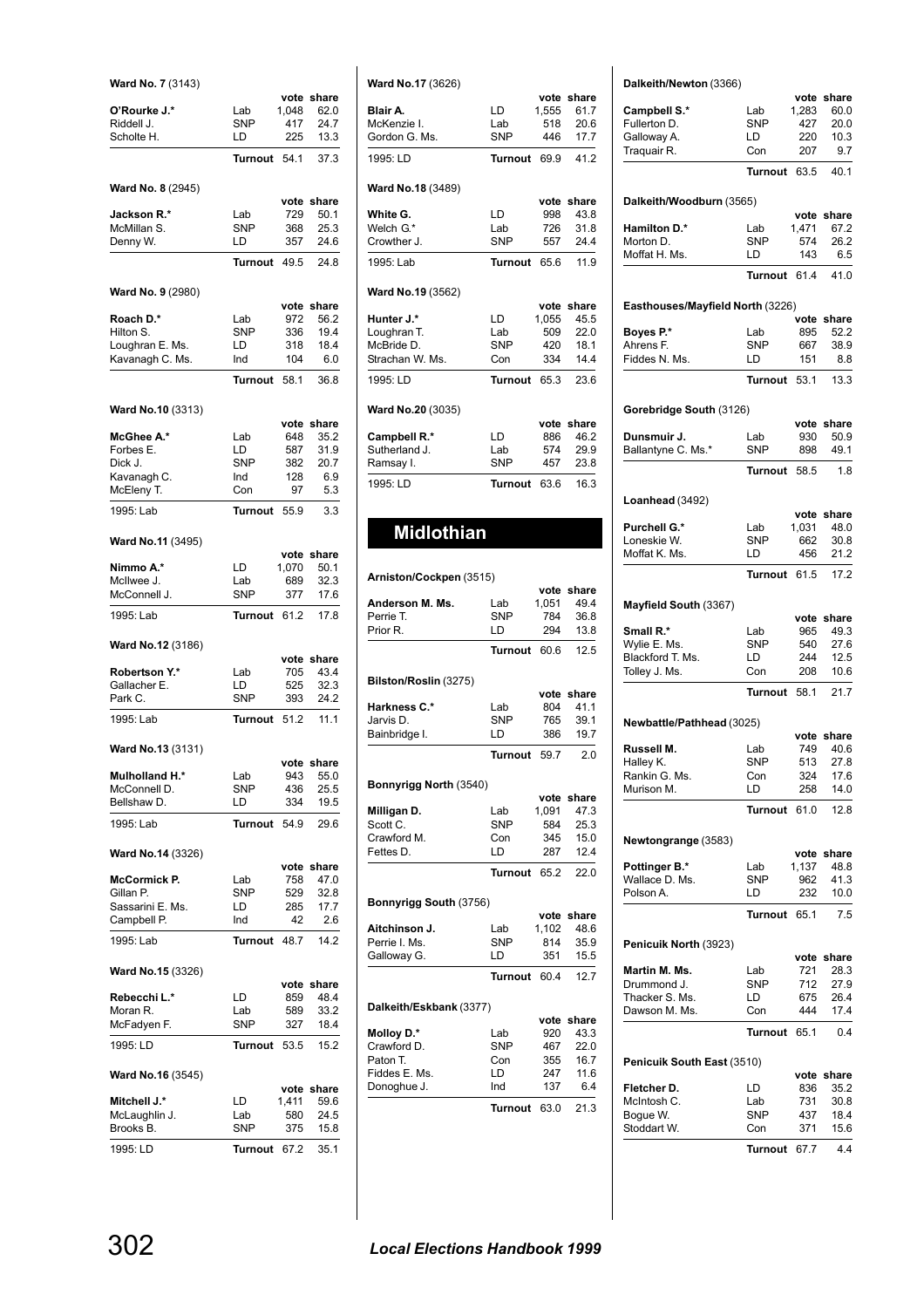| Ward No. 7 (3143)                    |                   |               |                    |
|--------------------------------------|-------------------|---------------|--------------------|
| O'Rourke J.*                         | Lab               | vote<br>1,048 | share<br>62.0      |
| Riddell J.                           | <b>SNP</b>        | 417           | 24.7               |
| Scholte H.                           | LD                | 225           | 13.3               |
|                                      | Turnout           | 54.1          | 37.3               |
| Ward No. 8 (2945)                    |                   |               |                    |
| Jackson R.*                          | Lab               | vote<br>729   | share<br>50.1      |
| McMillan S.                          | <b>SNP</b>        | 368           | 25.3               |
| Denny W.                             | LD                | 357           | 24.6               |
|                                      | <b>Turnout</b>    | 49.5          | 24.8               |
| <b>Ward No. 9 (2980)</b>             |                   |               |                    |
| Roach D.*                            | Lab               | vote<br>972   | share<br>56.2      |
| Hilton S.                            | <b>SNP</b>        | 336           | 19.4               |
| Loughran E. Ms.<br>Kavanagh C. Ms.   | LD<br>Ind         | 318<br>104    | 18.4<br>6.0        |
|                                      | Turnout           | 58.1          | 36.8               |
|                                      |                   |               |                    |
| Ward No.10 (3313)                    |                   | vote          | share              |
| McGhee A.*                           | Lab               | 648           | 35.2               |
| Forbes E.                            | LD                | 587           | 31.9               |
| Dick J.                              | <b>SNP</b><br>Ind | 382<br>128    | 20.7<br>6.9        |
| Kavanagh C.<br>McEleny T.            | Con               | 97            | 5.3                |
| 1995: Lab                            | Turnout           | 55.9          | 3.3                |
|                                      |                   |               |                    |
| Ward No.11 (3495)                    |                   | vote          | share              |
| Nimmo A.*                            | LD                | 1,070         | 50.1               |
| McIlwee J.                           | Lab               | 689           | 32.3               |
| McConnell J.<br>1995: Lab            | SNP<br>Turnout    | 377<br>61.2   | 17.6<br>17.8       |
|                                      |                   |               |                    |
| <b>Ward No.12 (3186)</b>             |                   | vote          | share              |
| Robertson Y.*                        | Lab               | 705           | 43.4               |
| Gallacher E.<br>Park C.              | LD<br><b>SNP</b>  | 525<br>393    | 32.3<br>24.2       |
|                                      |                   |               |                    |
| 1995: Lab                            | Turnout           | 51.2          | 11.1               |
| Ward No.13 (3131)                    |                   |               | vote share         |
| Mulholland H.*                       | Lab               | 943           | 55.0               |
| McConnell D.                         | SNP               | 436           | 25.5               |
| Bellshaw D.                          | LD                | 334           | 19.5               |
| 1995: Lab                            | Turnout 54.9      |               | 29.6               |
| Ward No.14 (3326)                    |                   |               |                    |
| McCormick P.                         | Lab               | 758           | vote share<br>47.0 |
| Gillan P.                            | <b>SNP</b>        | 529           | 32.8               |
| Sassarini E. Ms.                     | LD                | 285           | 17.7               |
| Campbell P.                          | Ind               | 42            | 2.6                |
| 1995: Lab                            | Turnout 48.7      |               | 14.2               |
| <b>Ward No.15 (3326)</b>             |                   |               |                    |
| Rebecchi L.*                         | LD                | 859           | vote share<br>48.4 |
| Moran R.                             | Lab               | 589           | 33.2               |
| McFadyen F.                          | <b>SNP</b>        | 327           | 18.4               |
| 1995: LD                             | Turnout           | 53.5          | 15.2               |
| Ward No.16 (3545)                    |                   |               |                    |
|                                      |                   |               | vote share         |
| <b>Mitchell J.*</b><br>McLaughlin J. | LD<br>Lab         | 1,411<br>580  | 59.6<br>24.5       |
| Brooks B.                            | SNP               | 375           | 15.8               |
| 1995: LD                             | Turnout 67.2      |               | 35.1               |
|                                      |                   |               |                    |

| <b>Ward No.17 (3626)</b>     |                |               |               |
|------------------------------|----------------|---------------|---------------|
| Blair A.                     | LD             | vote          | share         |
| McKenzie I.                  | Lab            | 1,555<br>518  | 61.7<br>20.6  |
| Gordon G. Ms.                | <b>SNP</b>     | 446           | 17.7          |
|                              |                |               |               |
| 1995: LD                     | <b>Turnout</b> | 69.9          | 41.2          |
| Ward No.18 (3489)            |                |               |               |
| White G.                     | LD             | vote<br>998   | share<br>43.8 |
| Welch G.*                    | Lab            | 726           | 31.8          |
| Crowther J.                  | <b>SNP</b>     | 557           | 24.4          |
| 1995: Lab                    | Turnout        | 65.6          | 11.9          |
| Ward No.19 (3562)            |                |               |               |
| Hunter J.*                   | LD             | vote<br>1,055 | share<br>45.5 |
| Loughran T.                  | Lab            | 509           | 22.0          |
| McBride D.                   | <b>SNP</b>     | 420           | 18.1          |
| Strachan W. Ms.              | Con            | 334           | 14.4          |
| 1995: LD                     | <b>Turnout</b> | 65.3          | 23.6          |
|                              |                |               |               |
| Ward No.20 (3035)            |                | vote          | share         |
| Campbell R.*                 | LD             | 886           | 46.2          |
| Sutherland J.                | Lab            | 574           | 29.9          |
| Ramsay I.                    | SNP            | 457           | 23.8          |
| 1995: LD                     | <b>Turnout</b> | 63.6          | 16.3          |
|                              |                |               |               |
|                              |                |               |               |
|                              |                |               |               |
| <b>Midlothian</b>            |                |               |               |
|                              |                |               |               |
| Arniston/Cockpen (3515)      |                |               |               |
|                              |                |               | vote share    |
| Anderson M. Ms.              | Lab            | 1,051         | 49.4          |
| Perrie T.<br>Prior R.        | SNP<br>LD      | 784<br>294    | 36.8<br>13.8  |
|                              | <b>Turnout</b> | 60.6          | 12.5          |
|                              |                |               |               |
| Bilston/Roslin (3275)        |                | vote          | share         |
| <b>Harkness C.*</b>          | Lab            | 804           | 41.1          |
| Jarvis D.                    | <b>SNP</b>     | 765           | 39.1          |
| Bainbridge I.                | LD             | 386           | 19.7          |
|                              | <b>Turnout</b> | 59.7          | 2.0           |
| Bonnyrigg North (3540)       |                |               |               |
|                              |                | vote          | share         |
| Milligan D.                  | Lab            | 1,091         | 47.3          |
| Scott C.                     | SNP            | 584           | 25.3          |
| Crawford M.                  | Con            | 345           | 15.0          |
| Fettes D.                    | LD             | 287           | 12.4          |
|                              | <b>Turnout</b> | 65.2          | 22.0          |
| Bonnyrigg South (3756)       |                |               |               |
|                              |                |               | vote share    |
| Aitchinson J.                | Lab            | 1,102         | 48.6          |
| Perrie I. Ms.<br>Galloway G. | SNP<br>LD      | 814<br>351    | 35.9<br>15.5  |
|                              | Turnout        | 60.4          | 12.7          |
|                              |                |               |               |
| Dalkeith/Eskbank (3377)      |                | vote          | share         |
| Molloy D.*                   | Lab            | 920           | 43.3          |
| Crawford D.                  | SNP            | 467           | 22.0          |
| Paton T.                     | Con            | 355           | 16.7          |
| Fiddes E. Ms.<br>Donoghue J. | LD<br>Ind      | 247<br>137    | 11.6<br>6.4   |

### **Dalkeith/Newton** (3366)

| Daikeith/Newton (3366)           |                   |              |               |
|----------------------------------|-------------------|--------------|---------------|
|                                  |                   |              | vote share    |
| Campbell S.*<br>Fullerton D.     | Lab<br><b>SNP</b> | 1,283<br>427 | 60.0<br>20.0  |
| Galloway A.                      | LD                | 220          | 10.3          |
| Traquair R.                      | Con               | 207          | 9.7           |
|                                  |                   |              |               |
|                                  | <b>Turnout</b>    | 63.5         | 40.1          |
| Dalkeith/Woodburn (3565)         |                   |              |               |
|                                  |                   |              | vote share    |
| <b>Hamilton D.*</b><br>Morton D. | Lab<br><b>SNP</b> | 1,471<br>574 | 67.2<br>26.2  |
| Moffat H. Ms.                    | LD                | 143          | 6.5           |
|                                  | Turnout           | 61.4         | 41.0          |
| Easthouses/Mayfield North (3226) |                   |              |               |
|                                  |                   | vote         | share         |
| Boyes P.*                        | Lab               | 895          | 52.2          |
| Ahrens F.<br>Fiddes N. Ms.       | <b>SNP</b><br>LD  | 667          | 38.9          |
|                                  |                   | 151          | 8.8           |
|                                  | <b>Turnout</b>    | 53.1         | 13.3          |
| Gorebridge South (3126)          |                   |              |               |
|                                  |                   |              | vote share    |
| Dunsmuir J.                      | Lab               | 930          | 50.9          |
| Ballantyne C. Ms.*               | <b>SNP</b>        | 898          | 49.1          |
|                                  | <b>Turnout</b>    | 58.5         | 1.8           |
| Loanhead (3492)                  |                   |              |               |
|                                  |                   |              | vote share    |
| Purchell G.*                     | Lab               | 1,031        | 48.0          |
| Loneskie W.                      | <b>SNP</b>        | 662          | 30.8          |
| Moffat K. Ms.                    | LD                | 456          | 21.2          |
|                                  | Turnout           | 61.5         | 17.2          |
| Mayfield South (3367)            |                   |              |               |
|                                  |                   | vote         | share         |
| Small R.*                        | Lab               | 965          | 49.3          |
| Wylie E. Ms.                     | <b>SNP</b>        | 540          | 27.6          |
| Blackford T. Ms.                 | LD                | 244<br>208   | 12.5<br>10.6  |
| Tolley J. Ms.                    | Con<br>Turnout    | 58.1         | 21.7          |
|                                  |                   |              |               |
| Newbattle/Pathhead (3025)        |                   |              | vote share    |
| Russell M.                       | Lab               | 749          | 40.6          |
| Halley K.                        | <b>SNP</b>        | 513          | 27.8          |
| Rankin G. Ms.                    | Con               | 324          | 17.6          |
| Murison M.                       | LD                | 258          | 14.0          |
|                                  | <b>Turnout</b>    | 61.0         | 12.8          |
| Newtongrange (3583)              |                   |              |               |
|                                  |                   |              | vote share    |
| Pottinger B.*                    | Lab               | 1,137        | 48.8          |
| Wallace D. Ms.                   | SNP               | 962          | 41.3          |
| Polson A.                        | LD                | 232          | 10.0          |
|                                  | Turnout           | 65.1         | 7.5           |
| Penicuik North (3923)            |                   |              | vote share    |
| Martin M. Ms.                    | Lab               | 721          | 28.3          |
| Drummond J.                      | SNP               | 712          | 27.9          |
| Thacker S. Ms.                   | LD                | 675          | 26.4          |
| Dawson M. Ms.                    | Con               | 444          | 17.4          |
|                                  | <b>Turnout</b>    | 65.1         | 0.4           |
| Penicuik South East (3510)       |                   |              |               |
| Fletcher D.                      |                   | vote<br>836  | share<br>35.2 |
|                                  |                   |              |               |
|                                  | LD                |              |               |
| McIntosh C.                      | Lab               | 731          | 30.8          |
| Bogue W.<br>Stoddart W.          | SNP<br>Con        | 437<br>371   | 18.4<br>15.6  |

### **Turnout** 67.7 4.4

**Turnout** 63.0 21.3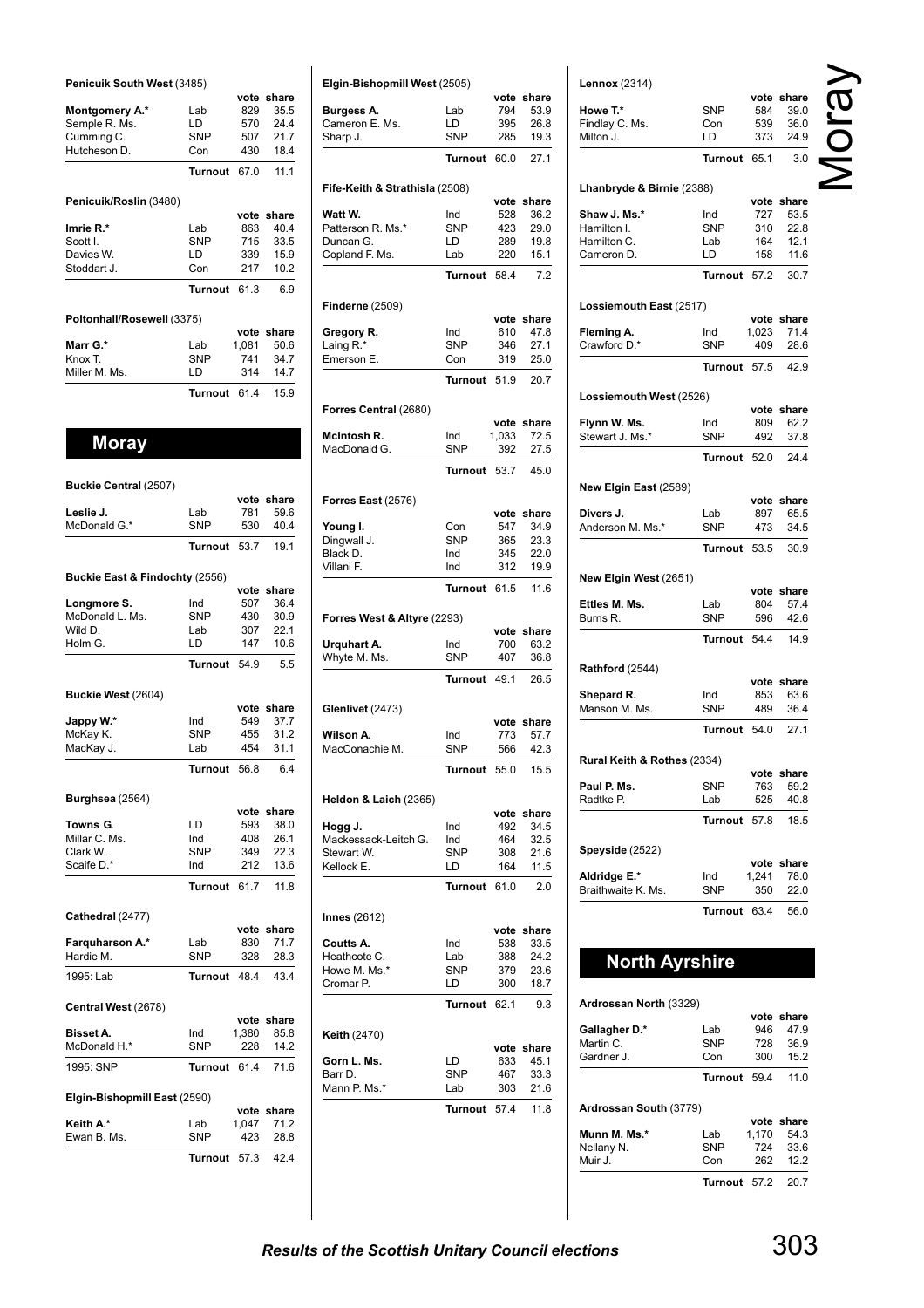| Penicuik South West (3485) |                |       |            |
|----------------------------|----------------|-------|------------|
|                            |                |       | vote share |
| Montgomery A.*             | Lab            | 829   | 35.5       |
| Semple R. Ms.              | LD.            | 570   | 24.4       |
| Cumming C.                 | <b>SNP</b>     | 507   | 21.7       |
| Hutcheson D.               | Con            | 430   | 18.4       |
|                            | <b>Turnout</b> | 67.0  | 11.1       |
| Penicuik/Roslin (3480)     |                |       |            |
|                            |                |       | vote share |
| Imrie R.*                  | Lab            | 863   | 40.4       |
| Scott I.                   | <b>SNP</b>     | 715   | 33.5       |
| Davies W.                  | LD             | 339   | 15.9       |
| Stoddart J.                | Con            | 217   | 10.2       |
|                            | Turnout        | 61.3  | 6.9        |
| Poltonhall/Rosewell (3375) |                |       |            |
|                            |                |       | vote share |
| Marr G.*                   | Lab            | 1,081 | 50.6       |
| Knox T.                    | <b>SNP</b>     | 741   | 34.7       |
| Miller M. Ms.              | LD             | 314   | 14.7       |
|                            | Turnout        | 61.4  | 15.9       |

| <b>Moray</b>                   |                   |            |                    |
|--------------------------------|-------------------|------------|--------------------|
| <b>Buckie Central (2507)</b>   |                   |            |                    |
|                                |                   |            | vote share         |
| Leslie J.                      | Lab               | 781        | 59.6               |
| McDonald G.*                   | <b>SNP</b>        | 530        | 40.4               |
|                                | Turnout           | 53.7       | 19.1               |
| Buckie East & Findochty (2556) |                   |            |                    |
|                                |                   |            | vote share         |
| Longmore S.                    | Ind               | 507        | 36.4               |
| McDonald L. Ms.<br>Wild D.     | <b>SNP</b><br>Lab | 430        | 30.9<br>22.1       |
| Holm G.                        | LD                | 307<br>147 | 10.6               |
|                                | Turnout           | 54.9       | 5.5                |
|                                |                   |            |                    |
| Buckie West (2604)             |                   |            |                    |
|                                | Ind               | 549        | vote share<br>37.7 |
| Jappy W.*<br>McKay K.          | <b>SNP</b>        | 455        | 31.2               |
| MacKay J.                      | Lab               | 454        | 31.1               |
|                                | Turnout           | 56.8       | 6.4                |
|                                |                   |            |                    |
| Burghsea (2564)                |                   |            |                    |
| Towns G.                       | LD                | 593        | vote share<br>38.0 |
| Millar C. Ms.                  | Ind               | 408        | 26.1               |
| Clark W.                       | <b>SNP</b>        | 349        | 22.3               |
| Scaife D.*                     | Ind               | 212        | 13.6               |
|                                | <b>Turnout</b>    | 61.7       | 11.8               |
|                                |                   |            |                    |
| Cathedral (2477)               |                   |            | vote share         |
| Farguharson A.*                | Lab               | 830        | 71.7               |
| Hardie M.                      | <b>SNP</b>        | 328        | 28.3               |
| 1995: Lab                      | Turnout           | 48.4       | 43.4               |
| Central West (2678)            |                   |            |                    |
|                                |                   |            | vote share         |
| <b>Bisset A.</b>               | Ind               | 1,380      | 85.8               |
| McDonald H.*                   | <b>SNP</b>        | 228        | 14.2               |
| 1995: SNP                      | Turnout 61.4      |            | 71.6               |
| Elgin-Bishopmill East (2590)   |                   |            |                    |
|                                |                   |            | vote share         |
| Keith A.*                      | Lab               | 1,047      | 71.2               |
| Ewan B. Ms.                    | <b>SNP</b>        | 423        | 28.8               |
|                                | Turnout           | 57.3       | 42.4               |

| Elgin-Bishopmill West (2505)   |                   |            |                    |
|--------------------------------|-------------------|------------|--------------------|
|                                |                   | vote       | share              |
| Burgess A.<br>Cameron E. Ms.   | Lab<br>LD         | 794<br>395 | 53.9<br>26.8       |
| Sharp J.                       | <b>SNP</b>        | 285        | 19.3               |
|                                |                   |            |                    |
|                                | <b>Turnout</b>    | 60.0       | 27.1               |
| Fife-Keith & Strathisla (2508) |                   |            |                    |
|                                |                   | vote       | share              |
| Watt W.                        | Ind               | 528        | 36.2               |
| Patterson R. Ms.*              | <b>SNP</b>        | 423        | 29.0               |
| Duncan G.<br>Copland F. Ms.    | LD                | 289<br>220 | 19.8<br>15.1       |
|                                | Lab               |            |                    |
|                                | <b>Turnout</b>    | 58.4       | 7.2                |
| <b>Finderne</b> (2509)         |                   |            |                    |
|                                |                   | vote       | share              |
| Gregory R.                     | Ind               | 610        | 47.8               |
| Laing R.*                      | <b>SNP</b>        | 346        | 27.1               |
| Emerson E.                     | Con               | 319        | 25.0               |
|                                | <b>Turnout</b>    | 51.9       | 20.7               |
|                                |                   |            |                    |
| Forres Central (2680)          |                   |            | vote share         |
| McIntosh R.                    | Ind               | 1,033      | 72.5               |
| MacDonald G.                   | <b>SNP</b>        | 392        | 27.5               |
|                                | <b>Turnout</b>    | 53.7       | 45.0               |
|                                |                   |            |                    |
| Forres East (2576)             |                   |            |                    |
|                                |                   | vote       | share              |
| Young I.                       | Con               | 547        | 34.9               |
| Dingwall J.<br>Black D.        | <b>SNP</b><br>Ind | 365<br>345 | 23.3<br>22.0       |
| Villani F.                     | Ind               | 312        | 19.9               |
|                                |                   |            |                    |
|                                | <b>Turnout</b>    | 61.5       | 11.6               |
|                                |                   |            |                    |
|                                |                   |            |                    |
| Forres West & Altyre (2293)    |                   | vote       | share              |
| Urquhart A.                    | Ind               | 700        | 63.2               |
| Whyte M. Ms.                   | <b>SNP</b>        | 407        | 36.8               |
|                                | <b>Turnout</b>    | 49.1       | 26.5               |
|                                |                   |            |                    |
| Glenlivet (2473)               |                   |            |                    |
| Wilson A.                      | Ind               | 773        | vote share<br>57.7 |
| MacConachie M.                 | <b>SNP</b>        | 566        | 42.3               |
|                                | Turnout 55.0      |            | 15.5               |
|                                |                   |            |                    |
| Heldon & Laich (2365)          |                   |            |                    |
|                                |                   | vote       | share              |
| Hogg J.                        | Ind               | 492        | 34.5               |
| Mackessack-Leitch G.           | Ind               | 464        | 32.5               |
| Stewart W.<br>Kellock E.       | <b>SNP</b><br>LD  | 308<br>164 | 21.6<br>11.5       |
|                                |                   |            |                    |
|                                | <b>Turnout</b>    | 61.0       | 2.0                |
|                                |                   |            |                    |
| <b>Innes</b> (2612)            |                   | vote       | share              |
| Coutts A.                      | Ind               | 538        | 33.5               |
| Heathcote C.                   | Lab               | 388        | 24.2               |
| Howe M. Ms.*                   | <b>SNP</b>        | 379        | 23.6               |
| Cromar P.                      | LD                | 300        | 18.7               |
|                                | Turnout           | 62.1       | 9.3                |
|                                |                   |            |                    |
| Keith (2470)                   |                   |            | vote share         |
| Gorn L. Ms.                    | LD                | 633        | 45.1               |
| Barr D.                        | <b>SNP</b>        | 467        | 33.3               |
|                                | Lab               | 303        | 21.6               |
| Mann P. Ms.*                   | Turnout           | 57.4       | 11.8               |
|                                |                   |            |                    |

| <b>Lennox</b> (2314)        |                |             |                    |  |
|-----------------------------|----------------|-------------|--------------------|--|
|                             |                |             | vote share         |  |
| Howe T.*<br>Findlay C. Ms.  | SNP<br>Con     | 584<br>539  | 39.0<br>36.0       |  |
| Milton J.                   | LD             | 373         | 24.9               |  |
|                             | Turnout        | 65.1        | 3.0                |  |
|                             |                |             |                    |  |
| Lhanbryde & Birnie (2388)   |                |             |                    |  |
| Shaw J. Ms.*                | Ind            | 727         | vote share<br>53.5 |  |
| Hamilton I.                 | SNP            | 310         | 22.8               |  |
| Hamilton C.                 | Lab            | 164         | 12.1               |  |
| Cameron D.                  | LD             | 158         | 11.6               |  |
|                             | Turnout        | 57.2        | 30.7               |  |
|                             |                |             |                    |  |
| Lossiemouth East (2517)     |                |             | vote share         |  |
| Fleming A.                  | Ind            | 1,023       | 71.4               |  |
| Crawford D.*                | SNP            | 409         | 28.6               |  |
|                             | Turnout        | 57.5        | 42.9               |  |
|                             |                |             |                    |  |
| Lossiemouth West (2526)     |                |             |                    |  |
| Flynn W. Ms.                | Ind            | 809         | vote share<br>62.2 |  |
| Stewart J. Ms.*             | SNP            | 492         | 37.8               |  |
|                             | Turnout        | 52.0        | 24.4               |  |
|                             |                |             |                    |  |
| New Elgin East (2589)       |                |             |                    |  |
|                             |                |             | vote share         |  |
| Divers J.                   | Lab            | 897         | 65.5               |  |
| Anderson M. Ms.*            | SNP            | 473         | 34.5               |  |
|                             | Turnout        | 53.5        | 30.9               |  |
| New Elgin West (2651)       |                |             |                    |  |
|                             |                |             | vote share         |  |
| Ettles M. Ms.               | Lab            | 804         | 57.4               |  |
| Burns R.                    | SNP            | 596         | 42.6               |  |
|                             | Turnout 54.4   |             | 14.9               |  |
| <b>Rathford</b> (2544)      |                |             |                    |  |
|                             |                |             | vote share         |  |
| Shepard R.                  | Ind            | 853         | 63.6               |  |
| Manson M. Ms.               | <b>SNP</b>     | 489         | 36.4<br>27.1       |  |
|                             | Turnout        | 54.0        |                    |  |
| Rural Keith & Rothes (2334) |                |             | share              |  |
| Paul P. Ms.                 | SNP            | vote<br>763 | 59.2               |  |
| Radtke P.                   | Lab            | 525         | 40.8               |  |
|                             | Turnout        | 57.8        | 18.5               |  |
|                             |                |             |                    |  |
| Speyside (2522)             |                | vote        | share              |  |
| Aldridge E.*                | Ind            | 1,241       | 78.0               |  |
| Braithwaite K. Ms.          | SNP            | 350         | 22.0               |  |
|                             | <b>Turnout</b> | 63.4        | 56.0               |  |
|                             |                |             |                    |  |

# **North Ayrshire**

### **Ardrossan North** (3329)

|                        |                          |     | vote share |
|------------------------|--------------------------|-----|------------|
| <b>Gallagher D.*</b>   | Lab                      | 946 | 47.9       |
| Martin C.              | <b>SNP</b>               | 728 | 36.9       |
| Gardner J.             | Con                      | 300 | 15.2       |
|                        | <b>Turnout 59.4 11.0</b> |     |            |
| Ardrossan South (3779) |                          |     |            |

|              |                          |       | vote share |
|--------------|--------------------------|-------|------------|
| Munn M. Ms.* | Lab                      | 1.170 | 54.3       |
| Nellany N.   | <b>SNP</b>               | 724   | 33.6       |
| Muir J.      | Con                      | 262   | 122        |
|              | <b>Turnout</b> 57.2 20.7 |       |            |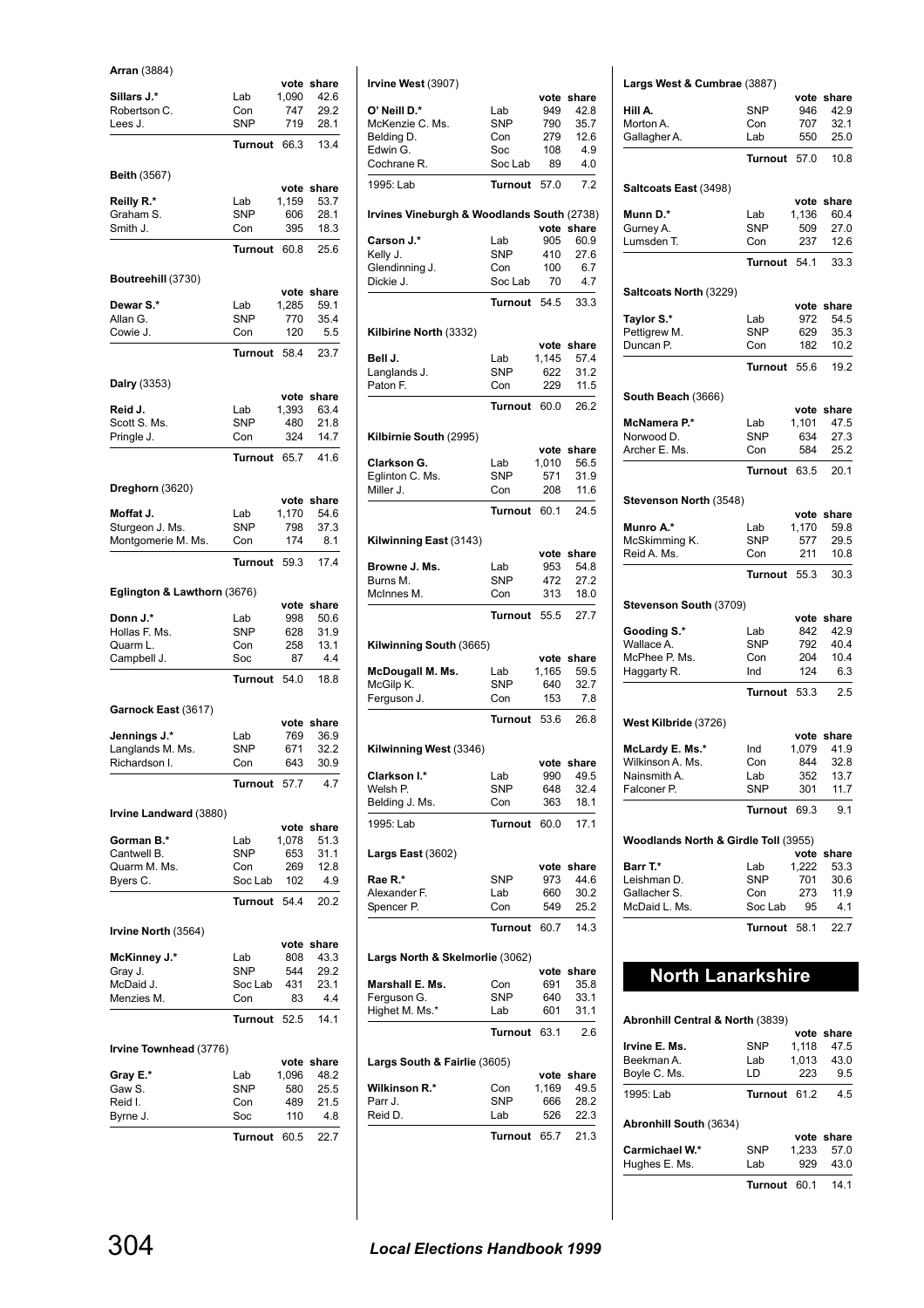### **Arran** (3884)

|                             |            | vote  | share      |
|-----------------------------|------------|-------|------------|
| Sillars J.*                 | Lab        | 1,090 | 42.6       |
| Robertson C.                | Con        | 747   | 29.2       |
| Lees J.                     | <b>SNP</b> | 719   | 28.1       |
|                             | Turnout    | 66.3  | 13.4       |
|                             |            |       |            |
| <b>Beith (3567)</b>         |            |       |            |
|                             |            | vote  | share      |
| Reilly R.*                  | Lab        | 1,159 | 53.7       |
| Graham S.                   | <b>SNP</b> | 606   | 28.1       |
| Smith J.                    | Con        | 395   | 18.3       |
|                             |            |       |            |
|                             | Turnout    | 60.8  | 25.6       |
|                             |            |       |            |
| Boutreehill (3730)          |            |       |            |
|                             |            | vote  | share      |
| Dewar S.*                   | Lab        | 1,285 | 59.1       |
| Allan G.                    | <b>SNP</b> | 770   | 35.4       |
| Cowie J.                    | Con        | 120   | 5.5        |
|                             | Turnout    | 58.4  | 23.7       |
|                             |            |       |            |
| Dalry (3353)                |            |       |            |
|                             |            |       | vote share |
| Reid J.                     | Lab        | 1,393 | 63.4       |
| Scott S. Ms.                | <b>SNP</b> | 480   | 21.8       |
| Pringle J.                  | Con        | 324   | 14.7       |
|                             |            |       |            |
|                             | Turnout    | 65.7  | 41.6       |
|                             |            |       |            |
| Dreghorn (3620)             |            |       |            |
|                             |            |       | vote share |
| Moffat J.                   | Lab        | 1,170 | 54.6       |
| Sturgeon J. Ms.             | <b>SNP</b> | 798   | 37.3       |
| Montgomerie M. Ms.          | Con        | 174   | 8.1        |
|                             |            |       |            |
|                             | Turnout    | 59.3  | 17.4       |
|                             |            |       |            |
| Eglington & Lawthorn (3676) |            |       |            |
|                             |            |       | vote share |
| Donn J.*                    | Lab        | 998   | 50.6       |
| Hollas F. Ms.               | <b>SNP</b> | 628   | 31.9       |
| Quarm L.                    | Con        | 258   | 13.1       |
| Campbell J.                 | Soc        | 87    | 4.4        |
|                             | Turnout    | 54.0  | 18.8       |
|                             |            |       |            |
| Garnock East (3617)         |            |       |            |
|                             |            |       | vote share |
| Jennings J.*                | Lab        | 769   | 36.9       |
| Langlands M. Ms.            | <b>SNP</b> | 671   | 32.2       |
| Richardson I.               | Con        | 643   | 30.9       |
|                             |            |       |            |
|                             | Turnout    | 57.7  | 4.7        |
|                             |            |       |            |
| Irvine Landward (3880)      |            |       |            |
|                             |            | vote  | share      |
| Gorman B.*                  |            |       |            |
|                             | Lab        | 1,078 | 51.3       |
| Cantwell B.                 | SNP        | 653   | 31.1       |
| Quarm M. Ms.                | Con        | 269   | 12.8       |
| Byers C.                    | Soc Lab    | 102   | 4.9        |
|                             |            |       |            |
|                             | Turnout    | 54.4  | 20.2       |
|                             |            |       |            |
| Irvine North (3564)         |            |       |            |
|                             |            | vote  | share      |
| <b>McKinney J.*</b>         | Lab        | 808   | 43.3       |
| Gray J.                     | <b>SNP</b> | 544   | 29.2       |
| McDaid J.                   | Soc Lab    | 431   | 23.1       |
| Menzies M.                  | Con        | 83    | 4.4        |
|                             | Turnout    | 52.5  | 14.1       |
|                             |            |       |            |
| Irvine Townhead (3776)      |            |       |            |
|                             |            | vote  | share      |
| Gray E.*                    | Lab        | 1,096 | 48.2       |
| Gaw S.                      | SNP        | 580   | 25.5       |
| Reid I.                     | Con        | 489   | 21.5       |
| Byrne J.                    | Soc        | 110   | 4.8        |
|                             | Turnout    | 60.5  | 22.7       |

| Irvine West (3907)                         |                |               |                    |
|--------------------------------------------|----------------|---------------|--------------------|
|                                            |                | vote          | share              |
| O' Neill D.*                               | Lab            | 949           | 42.8               |
| McKenzie C. Ms.                            | <b>SNP</b>     | 790           | 35.7               |
| Belding D.                                 | Con            | 279           | 12.6               |
| Edwin G.                                   | Soc            | 108           | 4.9                |
| Cochrane R.                                | Soc Lab        | 89            | 4.0                |
| 1995: Lab                                  | <b>Turnout</b> | 57.0          | 7.2                |
| Irvines Vineburgh & Woodlands South (2738) |                | vote          | share              |
| Carson J.*                                 | Lab            | 905           | 60.9               |
| Kelly J.                                   | <b>SNP</b>     | 410           | 27.6               |
| Glendinning J.                             | Con            | 100           | 6.7                |
| Dickie J.                                  | Soc Lab        | 70            | 4.7                |
|                                            | <b>Turnout</b> | 54.5          | 33.3               |
| Kilbirine North (3332)                     |                |               |                    |
|                                            |                | vote          | share              |
| Bell J.                                    | Lab            | 1,145         | 57.4               |
| Langlands J.                               | <b>SNP</b>     | 622           | 31.2               |
| Paton F.                                   | Con            | 229           | 11.5               |
|                                            | Turnout        | 60.0          | 26.2               |
| Kilbirnie South (2995)                     |                |               |                    |
| Clarkson G.                                | Lab            | vote<br>1,010 | share<br>56.5      |
| Eglinton C. Ms.                            | <b>SNP</b>     | 571           | 31.9               |
| Miller J.                                  | Con            | 208           | 11.6               |
|                                            | <b>Turnout</b> | 60.1          | 24.5               |
|                                            |                |               |                    |
| Kilwinning East (3143)                     |                | vote          | share              |
| Browne J. Ms.                              | Lab            | 953           | 54.8               |
| Burns M.                                   | <b>SNP</b>     | 472           | 27.2               |
| McInnes M.                                 | Con            | 313           | 18.0               |
|                                            | Turnout        | 55.5          | 27.7               |
|                                            |                |               |                    |
| Kilwinning South (3665)                    |                |               |                    |
|                                            | Lab            | 1,165         | vote share<br>59.5 |
| McDougall M. Ms.<br>McGilp K.              | <b>SNP</b>     | 640           | 32.7               |
| Ferguson J.                                | Con            | 153           | 7.8                |
|                                            | <b>Turnout</b> | 53.6          | 26.8               |
| Kilwinning West (3346)                     |                |               |                    |
|                                            |                |               | ote share          |
| Clarkson I.*                               | Lab            | 990           | 49.5               |
| Welsh P.                                   | SNP            | 648           | 32.4               |
| Belding J. Ms.                             | Con            | 363           | 18.1               |
| 1995: Lab                                  | <b>Turnout</b> | 60.0          | 17.1               |
| <b>Largs East (3602)</b>                   |                | vote          | share              |
| Rae R.*                                    | <b>SNP</b>     | 973           | 44.6               |
| Alexander F.                               | Lab            | 660           | 30.2               |
| Spencer P.                                 | Con            | 549           | 25.2               |
|                                            | <b>Turnout</b> | 60.7          | 14.3               |
| Largs North & Skelmorlie (3062)            |                |               |                    |
|                                            |                | vote          | share              |
| Marshall E. Ms.                            | Con            | 691           | 35.8               |
| Ferguson G.                                | SNP            | 640           | 33.1               |
| Highet M. Ms.*                             | Lab<br>Turnout | 601<br>63.1   | 31.1<br>2.6        |
|                                            |                |               |                    |
| Largs South & Fairlie (3605)               |                |               | share              |
| Wilkinson R.*                              | Con            | vote<br>1,169 | 49.5               |
| Parr J.                                    | SNP            | 666           | 28.2               |
| Reid D.                                    | Lab            | 526           | 22.3               |
|                                            | <b>Turnout</b> | 65.7          | 21.3               |

### **Largs West & Cumbrae** (3887) **vote share**<br>946 42.9 **Hill A.** SNP Morton A. Con 707 32.1 Gallagher A. Lab 550 25.0 **Turnout** 57.0 10.8 **Saltcoats East** (3498) **vote share Munn D.\*** Lab 1,136 60.4<br>Gurney A. SNP 509 27.0 Gurney A. Lumsden T. Con 237 12.6 **Turnout** 54.1 33.3 **Saltcoats North** (3229) **vote share Taylor S.\*** Lab 972 54.5<br>
Pettigrew M. SNP 629 35.3 Pettigrew M. SNP 629 35.3<br>Duncan P. Con 182 10.2 Duncan P. **Turnout** 55.6 19.2 **South Beach** (3666) **vote share**<br>1,101 47.5 **McNamera P.\*** Lab 1,101 47.5<br>Norwood D. SNP 634 27.3 Norwood D. SNP 634<br>Archer E. Ms. Con 584 Archer E. Ms. Con 584 25.2 **Turnout** 63.5 20.1 **Stevenson North** (3548) **vote share Munro A.\*** Lab 1,170 59.8<br>McSkimming K. SNP 577 29.5 McSkimming K. SNP 577 29.5<br>Reid A. Ms. Con 211 10.8 Reid A. Ms. **Turnout** 55.3 30.3 **Stevenson South** (3709) **vote share** Gooding S.\* Lab 842 42.9 Wallace A. 61 = SNP = 792 = 40.4<br>McPhee P. Ms. 60n = 204 = 10.4 McPhee P. Ms. Con 204 10.4<br>Haggarty R. Ind 124 6.3 Haggarty R. **Turnout** 53.3 2.5 **West Kilbride** (3726) **vote share McLardy E. Ms.\*** Ind 1,079 41.9<br>Wilkinson A. Ms. Con 844 32.8 Wilkinson A. Ms. Con 844 32.8<br>Nainsmith A. Lab 352 13.7 Nainsmith A. Lab 352 13.7<br>Falconer P. SNP 301 11.7 Falconer P. **Turnout** 69.3 9.1 **Woodlands North & Girdle Toll** (3955) **vote share Barr T.\*** Lab 1,222 53.3<br>
Leishman D. SNP 701 30.6 Leishman D. SNP 701 30.6<br>Gallacher S. Con 273 11.9 Gallacher S. Con 273 11.9<br>McDaid L. Ms. Soc Lab 95 4.1 Soc Lab 95 **Turnout** 58.1 22.7 **North Lanarkshire**

### **Abronhill Central & North** (3839)

| 1.000000               |                |       |            |
|------------------------|----------------|-------|------------|
|                        |                |       | vote share |
| Irvine E. Ms.          | <b>SNP</b>     | 1.118 | 47.5       |
| Beekman A.             | Lab            | 1,013 | 43.0       |
| Boyle C. Ms.           | LD             | 223   | 9.5        |
| 1995: Lab              | <b>Turnout</b> | 61.2  | 4.5        |
| Abronhill South (3634) |                |       |            |
|                        |                |       | vote share |
| Carmichael W.*         | <b>SNP</b>     | 1.233 | 57.0       |
| Hughes E. Ms.          | Lab            | 929   | 43.0       |
|                        | Turnout        | 60 1  | 14.1       |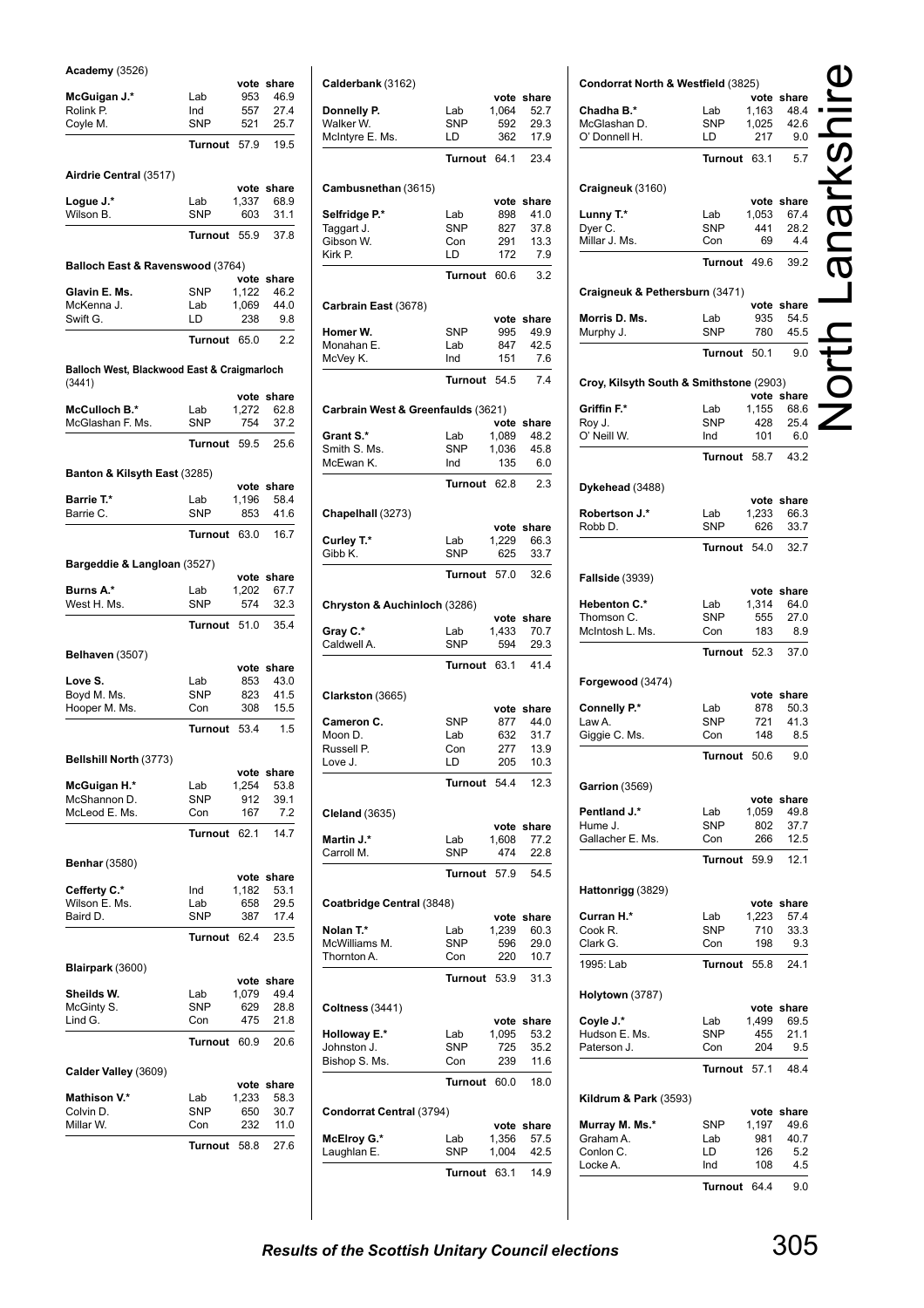### **Academy** (3526)

| Academy (3526)                              |                | vote          |                    |
|---------------------------------------------|----------------|---------------|--------------------|
| McGuigan J.*                                | Lab            | 953           | share<br>46.9      |
| Rolink P.                                   | Ind            | 557           | 27.4               |
| Coyle M.                                    | <b>SNP</b>     | 521           | 25.7               |
|                                             |                |               |                    |
|                                             | <b>Turnout</b> | 57.9          | 19.5               |
| Airdrie Central (3517)                      |                |               |                    |
|                                             |                |               | vote share         |
| Logue J.*                                   | Lab            | 1,337         | 68.9               |
| Wilson B.                                   | <b>SNP</b>     | 603           | 31.1               |
|                                             | Turnout        | 55.9          | 37.8               |
|                                             |                |               |                    |
| Balloch East & Ravenswood (3764)            |                |               |                    |
|                                             |                | vote          | share              |
| Glavin E. Ms.                               | <b>SNP</b>     | 1,122         | 46.2               |
| McKenna J.                                  | Lab            | 1,069         | 44.0               |
| Swift G.                                    | LD             | 238           | 9.8                |
|                                             | Turnout        | 65.0          | 2.2                |
|                                             |                |               |                    |
| Balloch West, Blackwood East & Craigmarloch |                |               |                    |
| (3441)                                      |                |               | vote share         |
| McCulloch B.*                               | Lab            | 1,272         | 62.8               |
| McGlashan F. Ms.                            | <b>SNP</b>     | 754           | 37.2               |
|                                             |                |               |                    |
|                                             | Turnout        | 59.5          | 25.6               |
| Banton & Kilsyth East (3285)                |                |               |                    |
|                                             |                |               | vote share         |
| Barrie T.*                                  | Lab            | 1,196         | 58.4               |
| Barrie C.                                   | <b>SNP</b>     | 853           | 41.6               |
|                                             | Turnout        | 63.0          | 16.7               |
|                                             |                |               |                    |
| Bargeddie & Langloan (3527)                 |                |               |                    |
|                                             |                | vote          | share              |
| Burns A.*                                   | Lab            | 1,202         | 67.7               |
| West H. Ms.                                 | <b>SNP</b>     | 574           | 32.3               |
|                                             | Turnout        | 51.0          | 35.4               |
|                                             |                |               |                    |
| Belhaven (3507)                             |                |               |                    |
|                                             |                | vote          | share              |
| Love S.                                     | Lab            | 853           | 43.0               |
| Boyd M. Ms.                                 | <b>SNP</b>     | 823           | 41.5               |
| Hooper M. Ms.                               | Con            | 308           | 15.5               |
|                                             | Turnout        | 53.4          | 1.5                |
|                                             |                |               |                    |
| Bellshill North (3773)                      |                |               |                    |
| <b>McGuigan H.*</b>                         | Lab            | vote<br>1,254 | share<br>53.8      |
| McShannon D.                                | <b>SNP</b>     | 912           | 39.1               |
| McLeod E. Ms.                               | Con            | 167           | 7.2                |
|                                             | <b>Turnout</b> | 62.1          | 14.7               |
|                                             |                |               |                    |
| <b>Benhar (3580)</b>                        |                |               |                    |
|                                             |                |               | vote share         |
| Cefferty C.*                                | Ind            | 1,182         | 53.1               |
| Wilson E. Ms.                               | Lab            | 658           | 29.5               |
| Baird D.                                    | <b>SNP</b>     | 387           | 17.4               |
|                                             | <b>Turnout</b> | 62.4          | 23.5               |
|                                             |                |               |                    |
| Blairpark (3600)                            |                |               |                    |
| Sheilds W.                                  | Lab            | 1,079         | vote share<br>49.4 |
| McGinty S.                                  | <b>SNP</b>     | 629           | 28.8               |
| Lind G.                                     | Con            | 475           | 21.8               |
|                                             |                |               |                    |
|                                             | <b>Turnout</b> | 60.9          | 20.6               |
| Calder Valley (3609)                        |                |               |                    |
|                                             |                |               |                    |
|                                             |                | vote          |                    |
| <b>Mathison V.*</b>                         | Lab            | 1,233         | share<br>58.3      |
| Colvin D.                                   | SNP            | 650           | 30.7               |
| Millar W.                                   | Con            | 232           | 11.0               |
|                                             | <b>Turnout</b> | 58.8          | 27.6               |

| Calderbank (3162)                  |                   |               |               |
|------------------------------------|-------------------|---------------|---------------|
| Donnelly P.                        | Lab               | vote<br>1,064 | share<br>52.7 |
| Walker W.                          | <b>SNP</b>        | 592           | 29.3          |
| McIntyre E. Ms.                    | LD                | 362           | 17.9          |
|                                    | <b>Turnout</b>    | 64.1          | 23.4          |
|                                    |                   |               |               |
| Cambusnethan (3615)                |                   |               | vote share    |
| Selfridge P.*                      | Lab               | 898           | 41.0          |
| Taggart J.                         | <b>SNP</b>        | 827           | 37.8          |
| Gibson W.                          | Con               | 291           | 13.3          |
| Kirk P.                            | LD                | 172           | 7.9           |
|                                    | Turnout           | 60.6          | 3.2           |
| Carbrain East (3678)               |                   |               |               |
| Homer W.                           | <b>SNP</b>        | vote<br>995   | share<br>49.9 |
| Monahan E.                         | Lab               | 847           | 42.5          |
| McVey K.                           | Ind               | 151           | 7.6           |
|                                    | <b>Turnout</b>    | 54.5          | 7.4           |
|                                    |                   |               |               |
| Carbrain West & Greenfaulds (3621) |                   |               |               |
| Grant S.*                          | Lab               | vote<br>1,089 | share<br>48.2 |
| Smith S. Ms.                       | <b>SNP</b>        | 1,036         | 45.8          |
| McEwan K.                          | Ind               | 135           | 6.0           |
|                                    | Turnout           | 62.8          | 2.3           |
| Chapelhall (3273)                  |                   |               |               |
|                                    |                   | vote          | share         |
| Curley T.*                         | Lab               | 1,229         | 66.3          |
| Gibb K.                            | <b>SNP</b>        | 625           | 33.7          |
|                                    | Turnout           | 57.0          | 32.6          |
| Chryston & Auchinloch (3286)       |                   |               |               |
|                                    |                   | vote          | share         |
| Gray C.*                           | Lab               | 1,433         | 70.7          |
| Caldwell A.                        | <b>SNP</b>        | 594           | 29.3          |
|                                    | <b>Turnout</b>    | 63.1          | 41.4          |
| Clarkston (3665)                   |                   |               |               |
|                                    |                   | vote          | share         |
| Cameron C.<br>Moon D.              | <b>SNP</b><br>Lab | 877<br>632    | 44.0<br>31.7  |
| Russell P.                         | Con               | 277           | 13.9          |
| Love J.                            | LD                | 205           | 10.3          |
|                                    | Turnout           | 54.4          | 12.3          |
|                                    |                   |               |               |
| <b>Cleland</b> (3635)              |                   |               | vote share    |
| Martin J.*                         | Lab               | 1,608         | 77.2          |
| Carroll M.                         | <b>SNP</b>        | 474           | 22.8          |
|                                    | Turnout           | 57.9          | 54.5          |
| Coatbridge Central (3848)          |                   |               |               |
|                                    |                   |               | vote share    |
| Nolan T.*                          | Lab               | 1,239         | 60.3          |
| McWilliams M.<br>Thornton A.       | <b>SNP</b>        | 596           | 29.0          |
|                                    | Con               | 220           | 10.7          |
|                                    | Turnout           | 53.9          | 31.3          |
| <b>Coltness</b> (3441)             |                   |               | vote share    |
| <b>Holloway E.*</b>                | Lab               | 1,095         | 53.2          |
| Johnston J.                        | <b>SNP</b>        | 725           | 35.2          |
| Bishop S. Ms.                      | Con               | 239           | 11.6          |
|                                    | Turnout           | 60.0          | 18.0          |
|                                    |                   |               |               |
| Condorrat Central (3794)           |                   |               | vote share    |
| McElroy G.*                        | Lab               | 1,356         | 57.5          |
| Laughlan E.                        | <b>SNP</b>        | 1,004         | 42.5          |
|                                    | <b>Turnout</b>    | 63.1          | 14.9          |
|                                    |                   |               |               |

| Condorrat North & Westfield (3825)      |                   |              |              |                         |
|-----------------------------------------|-------------------|--------------|--------------|-------------------------|
|                                         |                   |              | vote share   |                         |
| Chadha B.*                              | Lab               | 1,163        | 48.4         |                         |
| McGlashan D.                            | SNP               | 1,025        | 42.6         |                         |
| O' Donnell H.                           | LD                | 217          | 9.0          |                         |
|                                         |                   |              |              |                         |
|                                         | Turnout           | 63.1         | 5.7          |                         |
|                                         |                   |              |              |                         |
| Craigneuk (3160)                        |                   |              |              |                         |
|                                         |                   |              | vote share   |                         |
| Lunny T.*                               | Lab               | 1,053        | 67.4         | $\overline{\mathbf{U}}$ |
| Dyer C.                                 | SNP               | 441          | 28.2         |                         |
| Millar J. Ms.                           | Con               | 69           | 4.4          |                         |
|                                         | Turnout           | 49.6         | 39.2         |                         |
|                                         |                   |              |              |                         |
| Craigneuk & Pethersburn (3471)          |                   |              |              |                         |
|                                         |                   |              | vote share   |                         |
| Morris D. Ms.                           | Lab               | 935          | 54.5         |                         |
| Murphy J.                               | SNP               | 780          | 45.5         |                         |
|                                         |                   |              |              |                         |
|                                         | Turnout           | 50.1         | 9.0          |                         |
|                                         |                   |              |              |                         |
| Croy, Kilsyth South & Smithstone (2903) |                   |              | vote share   |                         |
| Griffin F.*                             | Lab               | 1,155        | 68.6         |                         |
|                                         | SNP               | 428          | 25.4         |                         |
| Roy J.<br>O' Neill W.                   | Ind               | 101          | 6.0          |                         |
|                                         |                   |              |              |                         |
|                                         | Turnout           | 58.7         | 43.2         |                         |
|                                         |                   |              |              |                         |
| Dykehead (3488)                         |                   |              |              |                         |
|                                         |                   |              | vote share   |                         |
| Robertson J.*                           | Lab               | 1,233        | 66.3         |                         |
| Robb D.                                 | <b>SNP</b>        | 626          | 33.7         |                         |
|                                         | <b>Turnout</b>    | 54.0         | 32.7         |                         |
|                                         |                   |              |              |                         |
| <b>Fallside (3939)</b>                  |                   |              |              |                         |
|                                         |                   |              | vote share   |                         |
| <b>Hebenton C.*</b>                     | Lab               | 1,314        | 64.0         |                         |
| Thomson C.                              | <b>SNP</b>        | 555          | 27.0         |                         |
| McIntosh L. Ms.                         | Con               | 183          | 8.9          |                         |
|                                         |                   |              |              |                         |
|                                         | <b>Turnout</b>    | 52.3         | 37.0         |                         |
|                                         |                   |              |              |                         |
| Forgewood (3474)                        |                   |              |              |                         |
|                                         |                   | 878          | vote share   |                         |
| Connelly P.*                            | Lab<br><b>SNP</b> | 721          | 50.3         |                         |
| Law A.                                  | Con               | 148          | 41.3<br>8.5  |                         |
| Giggie C. Ms.                           |                   |              |              |                         |
|                                         | Turnout           | 50.6         | 9.0          |                         |
|                                         |                   |              |              |                         |
| Garrion (3569)                          |                   |              |              |                         |
|                                         |                   |              | vote share   |                         |
| Pentland J.*                            | Lab               | 1,059        | 49.8         |                         |
| Hume J.                                 | SNP               | 802          | 37.7         |                         |
| Gallacher E. Ms.                        | Con               | 266          | 12.5         |                         |
|                                         | Turnout           | 59.9         | 12.1         |                         |
|                                         |                   |              |              |                         |
| Hattonrigg (3829)                       |                   |              |              |                         |
|                                         |                   |              | vote share   |                         |
| Curran H.*                              | Lab               | 1,223        | 57.4         |                         |
| Cook R.                                 | SNP               | 710          | 33.3         |                         |
| Clark G.                                | Con               | 198          | 9.3          |                         |
| 1995: Lab                               | Turnout           | 55.8         | 24.1         |                         |
|                                         |                   |              |              |                         |
| Holytown (3787)                         |                   |              |              |                         |
|                                         |                   |              | vote share   |                         |
| Coyle J.*                               | Lab               | 1,499        | 69.5         |                         |
| Hudson E. Ms.                           | <b>SNP</b>        | 455          | 21.1         |                         |
| Paterson J.                             | Con               | 204          | 9.5          |                         |
|                                         |                   |              | 48.4         |                         |
|                                         | Turnout 57.1      |              |              |                         |
|                                         |                   |              |              |                         |
| <b>Kildrum &amp; Park (3593)</b>        |                   |              | vote share   |                         |
|                                         |                   |              |              |                         |
| Murray M. Ms.*<br>Graham A.             | SNP<br>Lab        | 1,197<br>981 | 49.6<br>40.7 |                         |
| Conlon C.                               | LD                | 126          | 5.2          |                         |
| Locke A.                                | Ind               | 108          | 4.5          |                         |
|                                         |                   |              |              |                         |
|                                         | Turnout           | 64.4         | 9.0          |                         |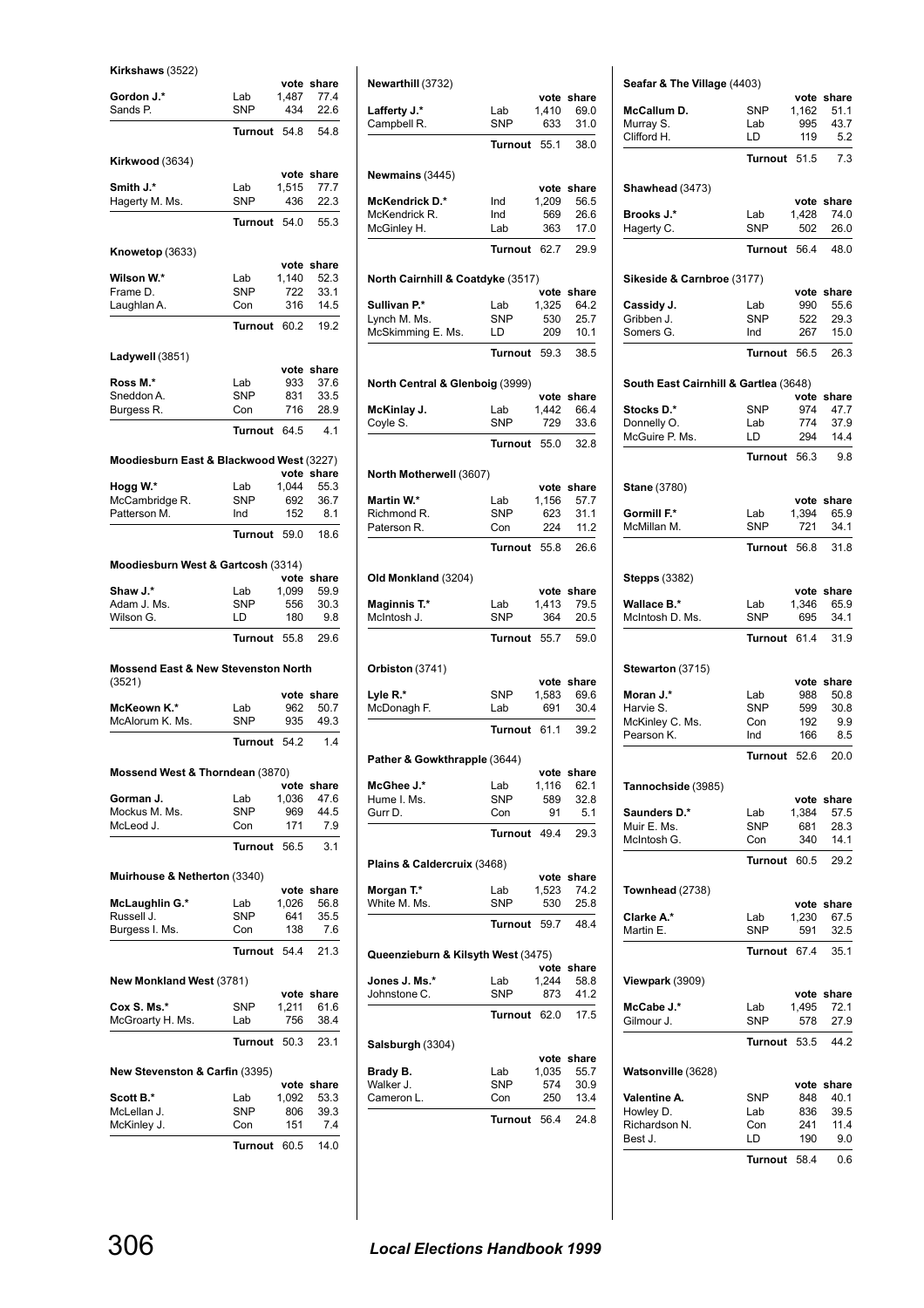| Kirkshaws (3522 |  |
|-----------------|--|
|                 |  |

| Kirkshaws (3522)                                         |                |             |                    |
|----------------------------------------------------------|----------------|-------------|--------------------|
| Gordon J.*                                               | Lab            | 1,487       | vote share<br>77.4 |
| Sands P.                                                 | <b>SNP</b>     | 434         | 22.6               |
|                                                          | Turnout        | 54.8        | 54.8               |
|                                                          |                |             |                    |
| Kirkwood (3634)                                          |                |             |                    |
|                                                          |                |             | vote share         |
| Smith J.*                                                | Lab            | 1,515       | 77.7               |
| Hagerty M. Ms.                                           | <b>SNP</b>     | 436         | 22.3               |
|                                                          | <b>Turnout</b> | 54.0        | 55.3               |
|                                                          |                |             |                    |
| Knowetop (3633)                                          |                |             | vote share         |
| Wilson W.*                                               | Lab            | 1,140       | 52.3               |
| Frame D.                                                 | <b>SNP</b>     | 722         | 33.1               |
| Laughlan A.                                              | Con            | 316         | 14.5               |
|                                                          | <b>Turnout</b> | 60.2        | 19.2               |
|                                                          |                |             |                    |
| Ladywell (3851)                                          |                |             |                    |
| Ross M.*                                                 | Lab            | vote<br>933 | share<br>37.6      |
| Sneddon A.                                               | <b>SNP</b>     | 831         | 33.5               |
| Burgess R.                                               | Con            | 716         | 28.9               |
|                                                          | <b>Turnout</b> | 64.5        | 4.1                |
|                                                          |                |             |                    |
| Moodiesburn East & Blackwood West (3227)                 |                |             |                    |
|                                                          |                |             | vote share         |
| Hogg W.*                                                 | Lab            | 1,044       | 55.3               |
| McCambridge R.                                           | <b>SNP</b>     | 692         | 36.7               |
| Patterson M.                                             | Ind            | 152         | 8.1                |
|                                                          | Turnout        | 59.0        | 18.6               |
|                                                          |                |             |                    |
| Moodiesburn West & Gartcosh (3314)                       |                |             |                    |
|                                                          |                | vote        | share              |
| Shaw J.*                                                 | Lab            | 1,099       | 59.9               |
| Adam J. Ms.<br>Wilson G.                                 | SNP<br>LD      | 556<br>180  | 30.3<br>9.8        |
|                                                          |                |             |                    |
|                                                          |                |             |                    |
|                                                          | <b>Turnout</b> | 55.8        | 29.6               |
|                                                          |                |             |                    |
| <b>Mossend East &amp; New Stevenston North</b><br>(3521) |                |             |                    |
|                                                          |                | vote        | share              |
| McKeown K.*                                              | Lab            | 962         | 50.7               |
| McAlorum K. Ms.                                          | <b>SNP</b>     | 935         | 49.3               |
|                                                          | <b>Turnout</b> | 54.2        | 1.4                |
|                                                          |                |             |                    |
| <b>Mossend West &amp; Thorndean (3870)</b>               |                |             |                    |
| Gorman J.                                                | Lab            | 1,036       | vote share<br>47.6 |
| Mockus M. Ms.                                            | SNP            | 969         | 44.5               |
| McLeod J.                                                | Con            | 171         | 7.9                |
|                                                          | Turnout        | 56.5        | 3.1                |
|                                                          |                |             |                    |
| <b>Muirhouse &amp; Netherton (3340)</b>                  |                |             |                    |
|                                                          |                | vote        | share              |
| McLaughlin G.*                                           | Lab            | 1,026       | 56.8               |
| Russell J.<br>Burgess I. Ms.                             | SNP<br>Con     | 641<br>138  | 35.5<br>7.6        |
|                                                          |                |             |                    |
|                                                          | Turnout        | 54.4        | 21.3               |
|                                                          |                |             |                    |
| New Monkland West (3781)                                 |                |             | vote share         |
| Cox S. Ms.*                                              | SNP            | 1,211       | 61.6               |
| McGroarty H. Ms.                                         | Lab            | 756         | 38.4               |
|                                                          | Turnout        | 50.3        | 23.1               |
|                                                          |                |             |                    |
| New Stevenston & Carfin (3395)                           |                |             |                    |
|                                                          |                | vote        | share              |
| Scott B.*                                                | Lab            | 1,092       | 53.3               |
| McLellan J.<br>McKinley J.                               | SNP<br>Con     | 806<br>151  | 39.3<br>7.4        |
|                                                          | Turnout        | 60.5        | 14.0               |

| Newarthill (3732)                      |                   |               |               |
|----------------------------------------|-------------------|---------------|---------------|
|                                        |                   | vote          | share         |
| Lafferty J.*<br>Campbell R.            | Lab<br><b>SNP</b> | 1,410<br>633  | 69.0<br>31.0  |
|                                        | Turnout           | 55.1          | 38.0          |
| Newmains (3445)                        |                   |               |               |
|                                        |                   | vote          | share         |
| <b>McKendrick D.*</b><br>McKendrick R. | Ind<br>Ind        | 1,209<br>569  | 56.5<br>26.6  |
| McGinley H.                            | Lab               | 363           | 17.0          |
|                                        | Turnout           | 62.7          | 29.9          |
| North Cairnhill & Coatdyke (3517)      |                   |               |               |
|                                        |                   | vote          | share         |
| Sullivan P.*                           | Lab               | 1,325         | 64.2          |
| Lynch M. Ms.                           | SNP<br>LD         | 530<br>209    | 25.7<br>10.1  |
| McSkimming E. Ms.                      |                   |               |               |
|                                        | Turnout           | 59.3          | 38.5          |
| North Central & Glenboig (3999)        |                   |               |               |
| McKinlay J.                            | Lab               | vote<br>1,442 | share<br>66.4 |
| Coyle S.                               | <b>SNP</b>        | 729           | 33.6          |
|                                        |                   |               |               |
|                                        | Turnout           | 55.0          | 32.8          |
| North Motherwell (3607)                |                   |               |               |
| Martin W.*                             | Lab               | vote<br>1,156 | share<br>57.7 |
| Richmond R.                            | <b>SNP</b>        | 623           | 31.1          |
| Paterson R.                            | Con               | 224           | 11.2          |
|                                        | Turnout           | 55.8          | 26.6          |
| Old Monkland (3204)                    |                   |               |               |
|                                        |                   | vote          | share         |
| <b>Maginnis T.*</b><br>McIntosh J.     | Lab<br><b>SNP</b> | 1,413<br>364  | 79.5<br>20.5  |
|                                        | Turnout           | 55.7          | 59.0          |
|                                        |                   |               |               |
| <b>Orbiston</b> (3741)                 |                   | vote          | share         |
| Lyle R.*                               | <b>SNP</b>        | 1,583         | 69.6          |
| McDonagh F.                            | Lab               | 691           | 30.4          |
|                                        | Turnout           | 61.1          | 39.2          |
| Pather & Gowkthrapple (3644)           |                   |               |               |
|                                        |                   |               | vote share    |
| McGhee J.*<br>Hume I. Ms.              | Lab<br>SNP        | 1,116<br>589  | 62.1<br>32.8  |
| Gurr D.                                | Con               | 91            | 5.1           |
|                                        | <b>Turnout</b>    | 49.4          | 29.3          |
|                                        |                   |               |               |
| Plains & Caldercruix (3468)            |                   | vote          | share         |
| Morgan T.*                             | Lab               | 1,523         | 74.2          |
| White M. Ms.                           | SNP               | 530           | 25.8          |
|                                        | Turnout           | 59.7          | 48.4          |
| Queenzieburn & Kilsyth West (3475)     |                   |               |               |
|                                        |                   |               | vote share    |
| Jones J. Ms.*                          | Lab               | 1,244         | 58.8          |
| Johnstone C.                           | SNP<br>Turnout    | 873<br>62.0   | 41.2<br>17.5  |
|                                        |                   |               |               |
| Salsburgh (3304)                       |                   | vote          | share         |
| Brady B.                               | Lab               | 1,035         | 55.7          |
| Walker J.                              | SNP               | 574           | 30.9          |
| Cameron L.                             | Con               | 250           | 13.4          |
|                                        | Turnout           | 56.4          | 24.8          |
|                                        |                   |               |               |

| Seafar & The Village (4403)           |                   |              |                    |
|---------------------------------------|-------------------|--------------|--------------------|
| McCallum D.                           | <b>SNP</b>        | 1,162        | vote share<br>51.1 |
| Murray S.                             | Lab               | 995          | 43.7               |
| Clifford H.                           | LD                | 119          | 5.2                |
|                                       | Turnout 51.5      |              | 7.3                |
| Shawhead (3473)                       |                   |              |                    |
|                                       |                   |              | vote share         |
| Brooks J.*<br>Hagerty C.              | Lab<br><b>SNP</b> | 1,428<br>502 | 74.0<br>26.0       |
|                                       | Turnout           | 56.4         | 48.0               |
| Sikeside & Carnbroe (3177)            |                   |              |                    |
|                                       |                   |              | vote share         |
| Cassidy J.                            | Lab               | 990          | 55.6               |
| Gribben J.<br>Somers G.               | <b>SNP</b><br>Ind | 522<br>267   | 29.3<br>15.0       |
|                                       | Turnout           | 56.5         | 26.3               |
|                                       |                   |              |                    |
| South East Cairnhill & Gartlea (3648) |                   |              | vote share         |
| Stocks D.*                            | <b>SNP</b>        | 974          | 47.7               |
| Donnelly O.                           | Lab               | 774          | 37.9               |
| McGuire P. Ms.                        | LD                | 294          | 14.4               |
|                                       | Turnout 56.3      |              | 9.8                |
| <b>Stane (3780)</b>                   |                   |              | vote share         |
| Gormill F.*                           | Lab               | 1,394        | 65.9               |
| McMillan M.                           | <b>SNP</b>        | 721          | 34.1               |
|                                       | Turnout           | 56.8         | 31.8               |
| <b>Stepps</b> (3382)                  |                   |              | vote share         |
| Wallace B.*                           | Lab               | 1,346        | 65.9               |
| McIntosh D. Ms.                       | <b>SNP</b>        | 695          | 34.1               |
|                                       | Turnout           | 61.4         | 31.9               |
| Stewarton (3715)                      |                   |              | vote share         |
| Moran J.*                             | Lab               | 988          | 50.8               |
| Harvie S.                             | <b>SNP</b>        | 599          | 30.8               |
| McKinley C. Ms.<br>Pearson K.         | Con<br>Ind        | 192<br>166   | 9.9<br>8.5         |
|                                       | Turnout 52.6      |              | 20.0               |
|                                       |                   |              |                    |
| Tannochside (3985)                    |                   |              | vote share         |
| Saunders D.*                          | Lab               | 1,384        | 57.5               |
| Muir E. Ms.                           | <b>SNP</b>        | 681          | 28.3               |
| McIntosh G.                           | Con               | 340          | 14.1               |
|                                       | Turnout           | 60.5         | 29.2               |
| Townhead (2738)                       |                   |              | vote share         |
| Clarke A.*                            | Lab               | 1,230        | 67.5               |
| Martin E.                             | <b>SNP</b>        | 591          | 32.5               |
|                                       | Turnout           | 67.4         | 35.1               |
| Viewpark (3909)                       |                   |              | vote share         |
| McCabe J.*                            | Lab               | 1,495        | 72.1               |
| Gilmour J.                            | <b>SNP</b>        | 578          | 27.9               |
|                                       | Turnout           | 53.5         | 44.2               |
| Watsonville (3628)                    |                   |              | vote share         |
| Valentine A.                          | <b>SNP</b>        | 848          | 40.1               |
| Howley D.                             | Lab               | 836          | 39.5               |
| Richardson N.                         | Con               | 241          | 11.4               |
| Best J.                               | LD                | 190          | 9.0                |
|                                       | Turnout 58.4      |              | 0.6                |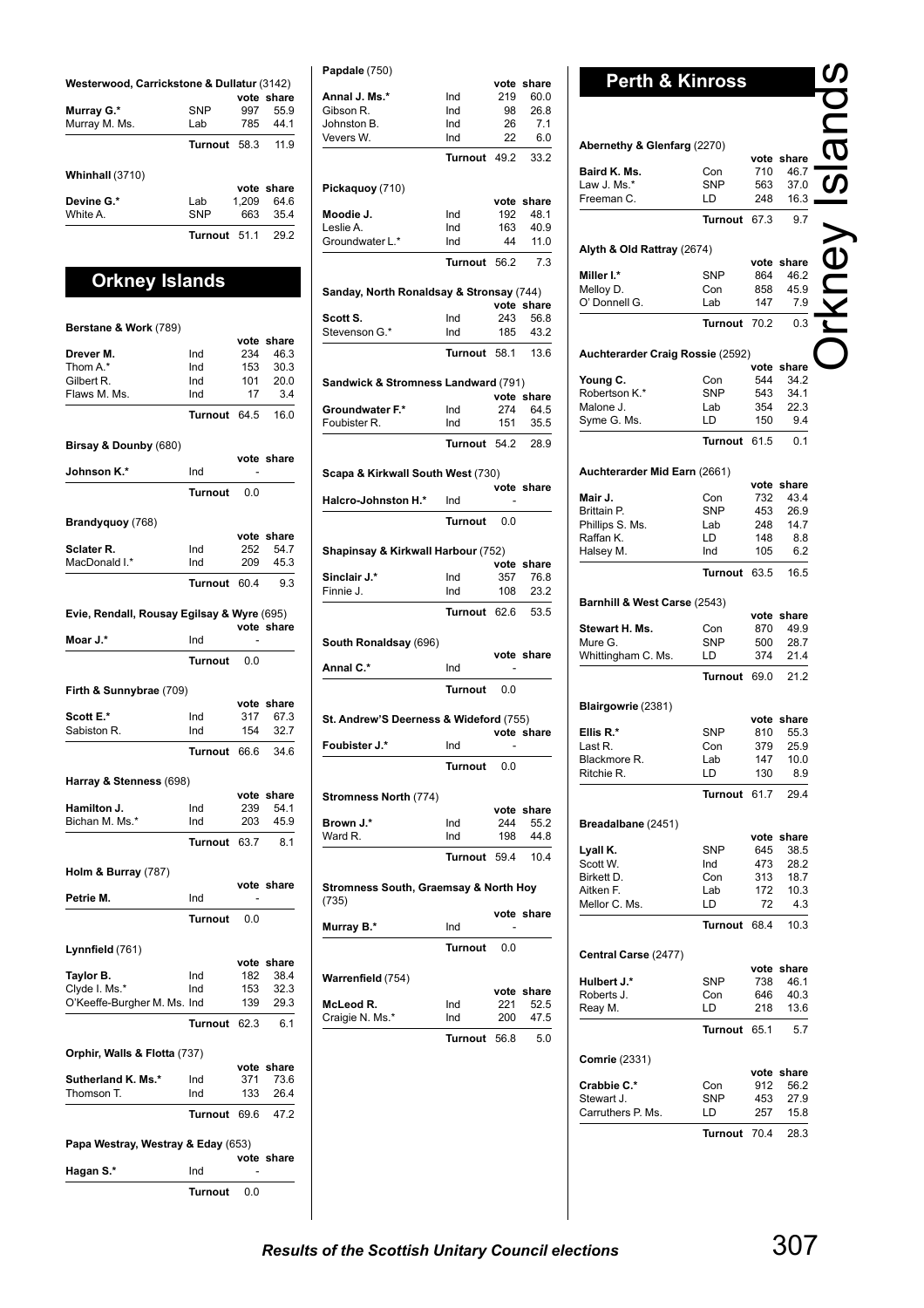| Westerwood, Carrickstone & Dullatur (3142) |                |       |            |  |
|--------------------------------------------|----------------|-------|------------|--|
|                                            |                |       | vote share |  |
| Murray G.*                                 | <b>SNP</b>     | 997   | 55.9       |  |
| Murray M. Ms.                              | I ab           | 785   | 44 1       |  |
|                                            | <b>Turnout</b> | 58.3  | 11.9       |  |
| Whinhall (3710)                            |                |       |            |  |
|                                            |                |       | vote share |  |
| Devine G.*                                 | Lab            | 1,209 | 64.6       |  |
| White A                                    | <b>SNP</b>     | 663   | 35.4       |  |
|                                            | Turnout        | 511   | 29.2       |  |

## **Orkney Islands**

| Berstane & Work (789)                      |                |            |                    |
|--------------------------------------------|----------------|------------|--------------------|
|                                            |                |            | vote share         |
| Drever M.                                  | Ind            | 234        | 46.3               |
| Thom A.*                                   | Ind            | 153        | 30.3               |
| Gilbert R.                                 | Ind            | 101        | 20.0               |
| Flaws M. Ms.                               | Ind            | 17         | 3.4                |
|                                            | Turnout        | 64.5       | 16.0               |
| Birsay & Dounby (680)                      |                |            | vote share         |
| Johnson K.*                                | Ind            |            |                    |
|                                            | <b>Turnout</b> | 0.0        |                    |
| Brandyquoy (768)                           |                |            |                    |
|                                            |                |            | vote share         |
| Sclater <sub>R.</sub><br>MacDonald I.*     | Ind<br>Ind     | 252<br>209 | 54.7<br>45.3       |
|                                            |                |            |                    |
|                                            | Turnout 60.4   |            | 9.3                |
| Evie, Rendall, Rousay Egilsay & Wyre (695) |                |            | vote share         |
| Moar J.*                                   | Ind            |            |                    |
|                                            | Turnout        | 0.0        |                    |
| Firth & Sunnybrae (709)                    |                |            |                    |
|                                            |                |            | vote share         |
| Scott E.*                                  | Ind            | 317        | 67.3               |
| Sabiston R.                                | Ind            | 154        | 32.7               |
|                                            | Turnout 66.6   |            | 34.6               |
| Harray & Stenness (698)                    |                | vote       | share              |
| Hamilton J.                                | Ind            | 239        | 54.1               |
| Bichan M. Ms.*                             | Ind            | 203        | 45.9               |
|                                            | Turnout        | 63.7       | 8.1                |
| Holm & Burray (787)                        |                |            |                    |
|                                            |                |            | vote share         |
| Petrie M.                                  | Ind            |            |                    |
|                                            | <b>Turnout</b> | 0.0        |                    |
| Lynnfield (761)                            |                |            |                    |
| Taylor B.                                  | Ind            | 182        | vote share<br>38.4 |
| Clyde I. Ms.*                              | Ind            | 153        | 32.3               |
| O'Keeffe-Burgher M. Ms. Ind                |                | 139        | 29.3               |
|                                            | Turnout 62.3   |            | 6.1                |
| Orphir, Walls & Flotta (737)               |                |            |                    |
|                                            |                |            | vote share         |
| Sutherland K. Ms.*                         | Ind            | 371        | 73.6               |
| Thomson T.                                 | Ind            | 133        | 26.4               |
|                                            | Turnout 69.6   |            | 47.2               |
| Papa Westray, Westray & Eday (653)         |                |            |                    |
| Hagan S.*                                  | Ind            |            | vote share         |
|                                            | Turnout        | 0.0        |                    |

| Annal J. Ms.*                            | Ind            | 219        | vote share         |
|------------------------------------------|----------------|------------|--------------------|
| Gibson R.                                | Ind            | 98         | 60.0<br>26.8       |
| Johnston B.                              | Ind            | 26         | 7.1                |
| Vevers W.                                | Ind            | 22         | 6.0                |
|                                          | Turnout 49.2   |            | 33.2               |
| Pickaquoy (710)                          |                |            |                    |
| Moodie J.                                | Ind            | 192        | vote share<br>48.1 |
| Leslie A.                                | Ind            | 163        | 40.9               |
| Groundwater L.*                          | Ind            | 44         | 11.0               |
|                                          | Turnout 56.2   |            | 7.3                |
| Sanday, North Ronaldsay & Stronsay (744) |                |            |                    |
|                                          |                |            | vote share         |
| Scott S.<br>Stevenson G.*                | Ind<br>Ind     | 243<br>185 | 56.8<br>43.2       |
|                                          | Turnout 58.1   |            | 13.6               |
|                                          |                |            |                    |
| Sandwick & Stromness Landward (791)      |                |            | vote share         |
| Groundwater F.*                          | Ind            | 274        | 64.5               |
| Foubister R.                             | Ind            | 151        | 35.5               |
|                                          | Turnout        | 54.2       | 28.9               |
| Scapa & Kirkwall South West (730)        |                |            |                    |
| Halcro-Johnston H.*                      | Ind            |            | vote share         |
|                                          | <b>Turnout</b> | 0.0        |                    |
| Shapinsay & Kirkwall Harbour (752)       |                |            |                    |
|                                          |                |            |                    |
|                                          |                | vote       | share              |
| Sinclair J.*                             | Ind            | 357        | 76.8               |
| Finnie J.                                | Ind            | 108        | 23.2               |
|                                          | Turnout        | 62.6       | 53.5               |
| South Ronaldsay (696)                    |                |            | vote share         |
| Annal C.*                                | Ind            |            |                    |
|                                          | <b>Turnout</b> | 0.0        |                    |
| St. Andrew'S Deerness & Wideford (755)   |                |            |                    |
|                                          |                |            | vote share         |
| Foubister J.*                            | Ind            |            |                    |
|                                          | Turnout        | 0.0        |                    |
| Stromness North (774)                    |                |            |                    |
|                                          |                |            | vote share         |
| Brown J.*<br>Ward R.                     | Ind<br>Ind     | 244<br>198 | 55.2<br>44.8       |
|                                          | <b>Turnout</b> | 59.4       | 10.4               |
| Stromness South, Graemsay & North Hoy    |                |            |                    |
| (735)                                    |                |            | vote share         |
| Murray B.*                               | Ind            |            |                    |
|                                          | Turnout        | 0.0        |                    |
| Warrenfield (754)                        |                |            |                    |
|                                          |                |            | vote share         |
| McLeod R.<br>Craigie N. Ms.*             | Ind<br>Ind     | 221<br>200 | 52.5<br>47.5       |
|                                          | Turnout 56.8   |            | 5.0                |

|                              |                                                                                                                                                         | vote share                                                                                                                         |
|------------------------------|---------------------------------------------------------------------------------------------------------------------------------------------------------|------------------------------------------------------------------------------------------------------------------------------------|
| Con                          | 710                                                                                                                                                     | 46.7                                                                                                                               |
| <b>SNP</b>                   | 563                                                                                                                                                     | 37.0                                                                                                                               |
| LD                           | 248                                                                                                                                                     | 16.3                                                                                                                               |
| <b>Turnout</b>               | 67.3                                                                                                                                                    | 9.7                                                                                                                                |
|                              |                                                                                                                                                         |                                                                                                                                    |
|                              | vote                                                                                                                                                    | share                                                                                                                              |
|                              |                                                                                                                                                         | 46.2                                                                                                                               |
|                              |                                                                                                                                                         | 45.9                                                                                                                               |
|                              |                                                                                                                                                         | 7.9                                                                                                                                |
|                              | 70.2                                                                                                                                                    | 0.3                                                                                                                                |
|                              |                                                                                                                                                         |                                                                                                                                    |
|                              |                                                                                                                                                         | share                                                                                                                              |
|                              |                                                                                                                                                         | 34.2<br>34.1                                                                                                                       |
|                              |                                                                                                                                                         | 22.3                                                                                                                               |
|                              |                                                                                                                                                         | 9.4                                                                                                                                |
| Turnout                      | 61.5                                                                                                                                                    | 0.1                                                                                                                                |
|                              |                                                                                                                                                         |                                                                                                                                    |
|                              | vote                                                                                                                                                    |                                                                                                                                    |
|                              |                                                                                                                                                         |                                                                                                                                    |
|                              |                                                                                                                                                         | share                                                                                                                              |
| Con                          | 732                                                                                                                                                     | 43.4                                                                                                                               |
| SNP                          | 453                                                                                                                                                     | 26.9                                                                                                                               |
| Lab<br>LD                    | 248<br>148                                                                                                                                              | 14.7<br>8.8                                                                                                                        |
| Ind                          | 105                                                                                                                                                     | 6.2                                                                                                                                |
| Turnout                      | 63.5                                                                                                                                                    | 16.5                                                                                                                               |
|                              |                                                                                                                                                         |                                                                                                                                    |
| Barnhill & West Carse (2543) | vote                                                                                                                                                    | share                                                                                                                              |
| Con                          | 870                                                                                                                                                     | 49.9                                                                                                                               |
| <b>SNP</b>                   | 500                                                                                                                                                     | 28.7                                                                                                                               |
| LD                           | 374                                                                                                                                                     | 21.4                                                                                                                               |
| Turnout                      | 69.0                                                                                                                                                    | 21.2                                                                                                                               |
|                              |                                                                                                                                                         |                                                                                                                                    |
|                              |                                                                                                                                                         | vote share                                                                                                                         |
| <b>SNP</b>                   | 810                                                                                                                                                     | 55.3                                                                                                                               |
| Con<br>Lab                   | 379<br>147                                                                                                                                              | 25.9<br>10.0                                                                                                                       |
|                              | Abernethy & Glenfarg (2270)<br>Alyth & Old Rattray (2674)<br><b>SNP</b><br>Con<br>Lab<br>Con<br><b>SNP</b><br>Lab<br>LD<br>Auchterarder Mid Earn (2661) | <b>Perth &amp; Kinross</b><br>864<br>858<br>147<br>Turnout<br>Auchterarder Craig Rossie (2592)<br>vote<br>544<br>543<br>354<br>150 |

Orkney Islands

### **Breadalbane** (2451)

Ritchie R.

|               |              |     | vote share |
|---------------|--------------|-----|------------|
| Lyall K.      | <b>SNP</b>   | 645 | 38.5       |
| Scott W.      | Ind          | 473 | 28.2       |
| Birkett D.    | Con          | 313 | 18.7       |
| Aitken F.     | Lab          | 172 | 10.3       |
| Mellor C. Ms. | I D          | 72  | 43         |
|               | Turnout 68.4 |     | 10.3       |

### **Central Carse** (2477)

|                      |                |     | vote share |
|----------------------|----------------|-----|------------|
| Hulbert J.*          | SNP            | 738 | 46.1       |
| Roberts J.           | Con            | 646 | 40.3       |
| Reay M.              | I D            | 218 | 13.6       |
|                      | <b>Turnout</b> | 651 | 5.7        |
| <b>Comrie (2331)</b> |                |     |            |
|                      |                |     | vote share |
| Crabbie C.*          | Con            | 912 | 56.2       |
| Stewart J            | SNP            | 453 | 27.9       |
| Carruthers P. Ms.    | Ð              | 257 | 15.8       |

**Turnout** 70.4 28.3

**Turnout** 61.7 29.4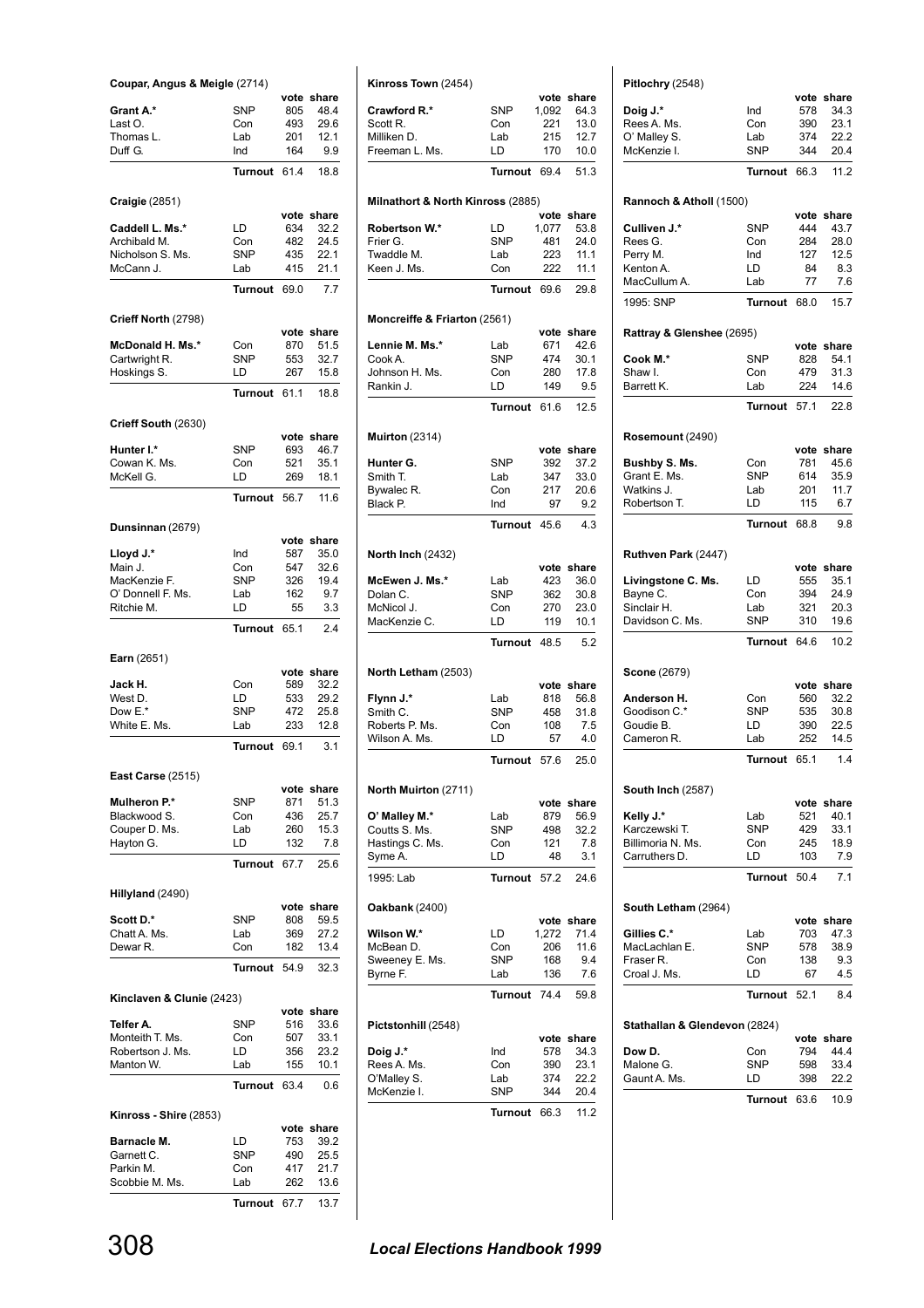| Coupar, Angus & Meigle (2714)    |                   |             |               |
|----------------------------------|-------------------|-------------|---------------|
| Grant A.*                        | <b>SNP</b>        | vote<br>805 | share<br>48.4 |
| Last O.                          | Con               | 493         | 29.6          |
| Thomas L.                        | Lab               | 201         | 12.1          |
| Duff G.                          | Ind               | 164         | 9.9           |
|                                  | <b>Turnout</b>    | 61.4        | 18.8          |
| <b>Craigle (2851)</b>            |                   |             |               |
|                                  |                   | vote        | share         |
| Caddell L. Ms.*                  | LD                | 634         | 32.2          |
| Archibald M.                     | Con               | 482         | 24.5          |
| Nicholson S. Ms.<br>McCann J.    | <b>SNP</b><br>Lab | 435<br>415  | 22.1<br>21.1  |
|                                  | Turnout           | 69.0        | 7.7           |
|                                  |                   |             |               |
| Crieff North (2798)              |                   |             | vote share    |
| McDonald H. Ms.*                 | Con               | 870         | 51.5          |
| Cartwright R.                    | SNP               | 553         | 32.7          |
| Hoskings S.                      | LD                | 267         | 15.8          |
|                                  | <b>Turnout</b>    | 61.1        | 18.8          |
| Crieff South (2630)              |                   |             |               |
|                                  |                   | vote        | share         |
| Hunter I.*                       | <b>SNP</b>        | 693         | 46.7          |
| Cowan K. Ms.<br>McKell G.        | Con<br>LD         | 521<br>269  | 35.1<br>18.1  |
|                                  | Turnout           | 56.7        | 11.6          |
|                                  |                   |             |               |
| Dunsinnan (2679)                 |                   |             |               |
|                                  |                   | vote        | share         |
| Lloyd J.*<br>Main J.             | Ind<br>Con        | 587<br>547  | 35.0<br>32.6  |
| MacKenzie F.                     | <b>SNP</b>        | 326         | 19.4          |
| O' Donnell F. Ms.                | Lab               | 162         | 9.7           |
| Ritchie M.                       | LD                | 55          | 3.3           |
|                                  | Turnout           | 65.1        | 2.4           |
|                                  |                   |             |               |
|                                  |                   |             |               |
| Earn (2651)                      |                   | vote        | share         |
| Jack H.                          | Con               | 589         | 32.2          |
| West D.                          | LD                | 533         | 29.2          |
| Dow E.*                          | <b>SNP</b>        | 472         | 25.8          |
| White E. Ms.                     | Lab               | 233         | 12.8          |
|                                  | Turnout           | 69.1        | 3.1           |
| East Carse (2515)                |                   |             |               |
|                                  |                   |             | vote share    |
| Mulheron P.*<br>Blackwood S.     | SNP<br>Con        | 871<br>436  | 51.3<br>25.7  |
| Couper D. Ms.                    | Lab               | 260         | 15.3          |
| Hayton G.                        | LD                | 132         | 7.8           |
|                                  | Turnout           | 67.7        | 25.6          |
| Hillyland (2490)                 |                   |             |               |
|                                  |                   | vote        | share         |
| Scott D.*                        | SNP               | 808         | 59.5          |
| Chatt A. Ms.<br>Dewar R.         | Lab<br>Con        | 369<br>182  | 27.2<br>13.4  |
|                                  | Turnout           | 54.9        | 32.3          |
|                                  |                   |             |               |
| Kinclaven & Clunie (2423)        |                   |             | vote share    |
| Telfer A.                        | SNP               | 516         | 33.6          |
| Monteith T. Ms.                  | Con               | 507         | 33.1          |
| Robertson J. Ms.                 | LD                | 356         | 23.2          |
| Manton W.                        | Lab               | 155         | 10.1          |
|                                  | Turnout           | 63.4        | 0.6           |
| Kinross - Shire (2853)           |                   |             |               |
|                                  |                   | vote        | share         |
| <b>Barnacle M.</b><br>Garnett C. | LD<br>SNP         | 753<br>490  | 39.2<br>25.5  |
| Parkin M.                        | Con               | 417         | 21.7          |
| Scobbie M. Ms.                   | Lab               | 262         | 13.6          |

| Kinross Town (2454)               |                   |               |                    |
|-----------------------------------|-------------------|---------------|--------------------|
|                                   |                   |               | vote share         |
| Crawford R.*                      | SNP               | 1,092         | 64.3               |
| Scott R.                          | Con               | 221           | 13.0               |
| Milliken D.                       | Lab<br>LD         | 215<br>170    | 12.7               |
| Freeman L. Ms.                    |                   |               | 10.0               |
|                                   | <b>Turnout</b>    | 69.4          | 51.3               |
| Milnathort & North Kinross (2885) |                   | vote          | share              |
| Robertson W.*                     | LD                | 1,077         | 53.8               |
| Frier G.                          | <b>SNP</b>        | 481           | 24.0               |
| Twaddle M.<br>Keen J. Ms.         | Lab<br>Con        | 223<br>222    | 11.1<br>11.1       |
|                                   | Turnout           | 69.6          | 29.8               |
| Moncreiffe & Friarton (2561)      |                   |               |                    |
|                                   |                   |               | vote share         |
| Lennie M. Ms.*<br>Cook A.         | Lab<br>SNP        | 671<br>474    | 42.6<br>30.1       |
| Johnson H. Ms.                    | Con               | 280           | 17.8               |
| Rankin J.                         | LD                | 149           | 9.5                |
|                                   | Turnout           | 61.6          | 12.5               |
| <b>Muirton</b> (2314)             |                   |               |                    |
|                                   |                   |               | vote share         |
| Hunter G.<br>Smith T.             | <b>SNP</b><br>Lab | 392<br>347    | 37.2<br>33.0       |
| Bywalec R.                        | Con               | 217           | 20.6               |
| Black P.                          | Ind               | 97            | 9.2                |
|                                   | Turnout           | 45.6          | 4.3                |
|                                   |                   |               |                    |
| <b>North Inch (2432)</b>          |                   | vote          | share              |
| McEwen J. Ms.*                    | Lab               | 423           | 36.0               |
| Dolan C.                          | <b>SNP</b>        | 362           | 30.8               |
| McNicol J.<br>MacKenzie C.        | Con<br>LD         | 270<br>119    | 23.0<br>10.1       |
|                                   | <b>Turnout</b>    | 48.5          | 5.2                |
|                                   |                   |               |                    |
| North Letham (2503)               |                   | vote          | share              |
| Flynn J.*                         | Lab               | 818           | 56.8               |
| Smith C.                          | <b>SNP</b>        | 458           | 31.8               |
| Roberts P. Ms.                    | Con               | 108           | 7.5                |
| Wilson A. Ms.                     | LD                | 57            | 4.0                |
|                                   | Turnout           | 57.6          | 25.0               |
| North Muirton (2711)              |                   |               |                    |
| O' Malley M.*                     | Lab               | 879           | vote share<br>56.9 |
| Coutts S. Ms.                     | <b>SNP</b>        | 498           | 32.2               |
| Hastings C. Ms.                   | Con               | 121           | 7.8                |
| Syme A.                           | LD                | 48            | 3.1                |
| 1995: Lab                         | Turnout           | 57.2          | 24.6               |
| <b>Oakbank</b> (2400)             |                   |               |                    |
| Wilson W.*                        | LD                | vote<br>1,272 | share<br>71.4      |
| McBean D.                         | Con               | 206           | 11.6               |
| Sweeney E. Ms.                    | <b>SNP</b>        | 168           | 9.4                |
| Byrne F.                          | Lab               | 136           | 7.6                |
|                                   | Turnout           | 74.4          | 59.8               |
| Pictstonhill (2548)               |                   |               |                    |
| Doig J.*                          | Ind               | 578           | vote share<br>34.3 |
| Rees A. Ms.                       | Con               | 390           | 23.1               |
| O'Malley S.                       | Lab               | 374           | 22.2               |
| McKenzie I.                       | <b>SNP</b>        | 344           | 20.4               |
|                                   | Turnout           | 66.3          | 11.2               |
|                                   |                   |               |                    |

| Ind<br>Con<br>Lab<br><b>SNP</b><br>Turnout<br>Rannoch & Atholl (1500) | 578<br>390<br>374<br>344<br>66.3                                                                                                                                                                           | vote share<br>34.3<br>23.1<br>22.2<br>20.4                                                                                                                                                                                                                               |
|-----------------------------------------------------------------------|------------------------------------------------------------------------------------------------------------------------------------------------------------------------------------------------------------|--------------------------------------------------------------------------------------------------------------------------------------------------------------------------------------------------------------------------------------------------------------------------|
|                                                                       |                                                                                                                                                                                                            |                                                                                                                                                                                                                                                                          |
|                                                                       |                                                                                                                                                                                                            |                                                                                                                                                                                                                                                                          |
|                                                                       |                                                                                                                                                                                                            |                                                                                                                                                                                                                                                                          |
|                                                                       |                                                                                                                                                                                                            |                                                                                                                                                                                                                                                                          |
|                                                                       |                                                                                                                                                                                                            | 11.2                                                                                                                                                                                                                                                                     |
|                                                                       |                                                                                                                                                                                                            |                                                                                                                                                                                                                                                                          |
|                                                                       |                                                                                                                                                                                                            | vote share                                                                                                                                                                                                                                                               |
| <b>SNP</b>                                                            | 444                                                                                                                                                                                                        | 43.7                                                                                                                                                                                                                                                                     |
| Con                                                                   | 284                                                                                                                                                                                                        | 28.0                                                                                                                                                                                                                                                                     |
| Ind                                                                   | 127                                                                                                                                                                                                        | 12.5                                                                                                                                                                                                                                                                     |
|                                                                       |                                                                                                                                                                                                            | 8.3                                                                                                                                                                                                                                                                      |
|                                                                       |                                                                                                                                                                                                            | 7.6<br>15.7                                                                                                                                                                                                                                                              |
|                                                                       |                                                                                                                                                                                                            |                                                                                                                                                                                                                                                                          |
|                                                                       |                                                                                                                                                                                                            | vote share                                                                                                                                                                                                                                                               |
| <b>SNP</b>                                                            | 828                                                                                                                                                                                                        | 54.1                                                                                                                                                                                                                                                                     |
| Con                                                                   | 479                                                                                                                                                                                                        | 31.3                                                                                                                                                                                                                                                                     |
| Lab                                                                   | 224                                                                                                                                                                                                        | 14.6                                                                                                                                                                                                                                                                     |
|                                                                       |                                                                                                                                                                                                            | 22.8                                                                                                                                                                                                                                                                     |
|                                                                       |                                                                                                                                                                                                            |                                                                                                                                                                                                                                                                          |
|                                                                       |                                                                                                                                                                                                            | vote share                                                                                                                                                                                                                                                               |
|                                                                       |                                                                                                                                                                                                            | 45.6                                                                                                                                                                                                                                                                     |
|                                                                       |                                                                                                                                                                                                            | 35.9                                                                                                                                                                                                                                                                     |
|                                                                       |                                                                                                                                                                                                            | 11.7                                                                                                                                                                                                                                                                     |
|                                                                       |                                                                                                                                                                                                            | 6.7                                                                                                                                                                                                                                                                      |
|                                                                       |                                                                                                                                                                                                            | 9.8                                                                                                                                                                                                                                                                      |
|                                                                       |                                                                                                                                                                                                            |                                                                                                                                                                                                                                                                          |
| LD                                                                    | 555                                                                                                                                                                                                        | 35.1<br>24.9                                                                                                                                                                                                                                                             |
|                                                                       |                                                                                                                                                                                                            | 20.3                                                                                                                                                                                                                                                                     |
| <b>SNP</b>                                                            | 310                                                                                                                                                                                                        | 19.6                                                                                                                                                                                                                                                                     |
|                                                                       | 64.6                                                                                                                                                                                                       | 10.2                                                                                                                                                                                                                                                                     |
|                                                                       |                                                                                                                                                                                                            |                                                                                                                                                                                                                                                                          |
|                                                                       |                                                                                                                                                                                                            | vote share<br>32.2                                                                                                                                                                                                                                                       |
|                                                                       |                                                                                                                                                                                                            | 30.8                                                                                                                                                                                                                                                                     |
|                                                                       |                                                                                                                                                                                                            | 22.5                                                                                                                                                                                                                                                                     |
|                                                                       |                                                                                                                                                                                                            | 14.5                                                                                                                                                                                                                                                                     |
|                                                                       |                                                                                                                                                                                                            |                                                                                                                                                                                                                                                                          |
|                                                                       |                                                                                                                                                                                                            | 1.4                                                                                                                                                                                                                                                                      |
|                                                                       |                                                                                                                                                                                                            |                                                                                                                                                                                                                                                                          |
|                                                                       |                                                                                                                                                                                                            | 40.1                                                                                                                                                                                                                                                                     |
|                                                                       |                                                                                                                                                                                                            | 33.1                                                                                                                                                                                                                                                                     |
| Con                                                                   | 245                                                                                                                                                                                                        | 18.9                                                                                                                                                                                                                                                                     |
| LD                                                                    | 103                                                                                                                                                                                                        | 7.9                                                                                                                                                                                                                                                                      |
|                                                                       | 50.4                                                                                                                                                                                                       | 7.1                                                                                                                                                                                                                                                                      |
|                                                                       |                                                                                                                                                                                                            |                                                                                                                                                                                                                                                                          |
|                                                                       |                                                                                                                                                                                                            | vote share<br>47.3                                                                                                                                                                                                                                                       |
|                                                                       |                                                                                                                                                                                                            | 38.9                                                                                                                                                                                                                                                                     |
|                                                                       |                                                                                                                                                                                                            | 9.3                                                                                                                                                                                                                                                                      |
| LD                                                                    | 67                                                                                                                                                                                                         | 4.5                                                                                                                                                                                                                                                                      |
|                                                                       | 52.1                                                                                                                                                                                                       | 8.4                                                                                                                                                                                                                                                                      |
|                                                                       |                                                                                                                                                                                                            |                                                                                                                                                                                                                                                                          |
|                                                                       |                                                                                                                                                                                                            | vote share                                                                                                                                                                                                                                                               |
|                                                                       |                                                                                                                                                                                                            | 44.4                                                                                                                                                                                                                                                                     |
| SNP                                                                   | 598                                                                                                                                                                                                        | 33.4                                                                                                                                                                                                                                                                     |
| LD                                                                    | 398                                                                                                                                                                                                        | 22.2                                                                                                                                                                                                                                                                     |
|                                                                       | LD<br>Lab<br>Rattray & Glenshee (2695)<br>Con<br><b>SNP</b><br>Lab<br>LD<br>Con<br>Lab<br>Con<br><b>SNP</b><br>LD<br>Lab<br>Lab<br><b>SNP</b><br>Lab<br>SNP<br>Con<br>Stathallan & Glendevon (2824)<br>Con | 84<br>77<br>Turnout<br>68.0<br>57.1<br>Turnout<br>781<br>614<br>201<br>115<br>Turnout<br>68.8<br>vote share<br>394<br>321<br>Turnout<br>560<br>535<br>390<br>252<br>65.1<br><b>Turnout</b><br>vote share<br>521<br>429<br>Turnout<br>703<br>578<br>138<br>Turnout<br>794 |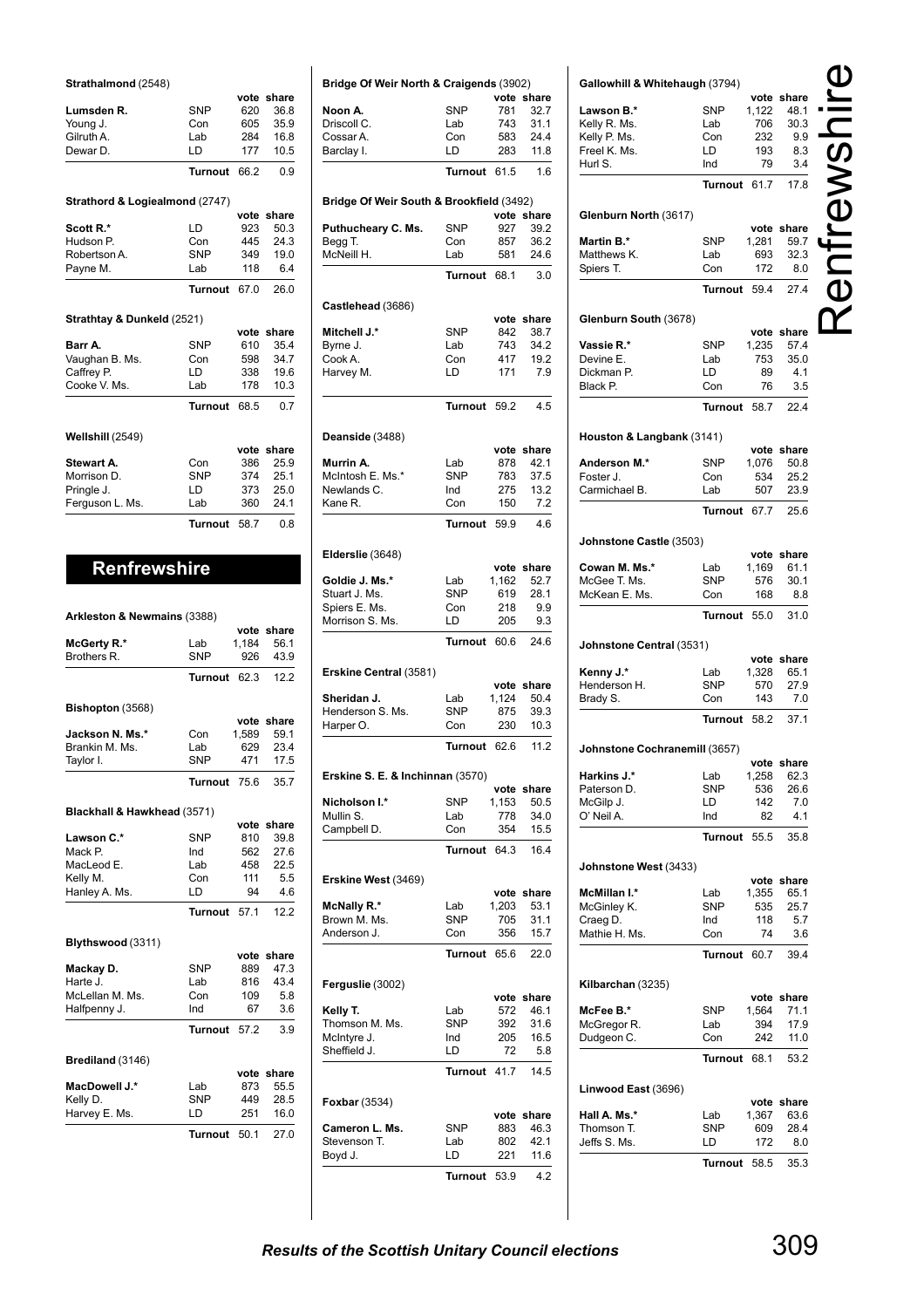| Strathalmond (2548) |  |
|---------------------|--|
|                     |  |

|                                |                | vote | share |
|--------------------------------|----------------|------|-------|
| Lumsden R.                     | <b>SNP</b>     | 620  | 36.8  |
| Young J.                       | Con            | 605  | 35.9  |
| Gilruth A.                     | Lab            | 284  | 16.8  |
| Dewar D.                       | ID.            | 177  | 10.5  |
|                                | <b>Turnout</b> | 66.2 | 0.9   |
| Strathord & Logiealmond (2747) |                |      |       |
|                                |                | vote | share |
| Scott R.*                      | LD             | 923  | 50.3  |
| Hudson P.                      | Con            | 445  | 24.3  |
| Robertson A.                   | <b>SNP</b>     | 349  | 19.0  |
| Payne M.                       | Lab            | 118  | 6.4   |
|                                | Turnout        | 67.0 | 26.0  |
| Strathtay & Dunkeld (2521)     |                |      |       |
|                                |                | vote | share |
| Barr A.                        | <b>SNP</b>     | 610  | 35.4  |
| Vaughan B. Ms.                 | Con            | 598  | 34.7  |
| Caffrey P.                     | ID.            | 338  | 19.6  |
| Cooke V. Ms.                   | Lab            | 178  | 10.3  |
|                                | <b>Turnout</b> | 68.5 | 0.7   |
| Wellshill (2549)               |                |      |       |
|                                |                | vote | share |
| Stewart A.                     | Con            | 386  | 25.9  |
| Morrison D.                    | <b>SNP</b>     | 374  | 25.1  |
| Pringle J.                     | ID.            | 373  | 25.0  |
| Ferguson L. Ms.                | Lab            | 360  | 24.1  |
|                                | <b>Turnout</b> | 58.7 | 0.8   |
|                                |                |      |       |
| <b>Renfrewshire</b>            |                |      |       |
|                                |                |      |       |

| Arkleston & Newmains (3388) |                |       |            |
|-----------------------------|----------------|-------|------------|
|                             |                |       | vote share |
| McGerty R.*                 | Lab            | 1.184 | 56.1       |
| Brothers R.                 | <b>SNP</b>     | 926   | 43.9       |
|                             | <b>Turnout</b> | 62.3  | 12.2       |
| Bishopton (3568)            |                |       |            |
|                             |                | vote  | share      |
| Jackson N. Ms.*             | Con            | 1,589 | 59.1       |
| Brankin M. Ms.              | Lab            | 629   | 23.4       |
| Taylor I.                   | <b>SNP</b>     | 471   | 17.5       |
|                             | Turnout        | 75.6  | 35.7       |
| Blackhall & Hawkhead (3571) |                |       |            |
|                             |                | vote  | share      |
| Lawson C.*                  | <b>SNP</b>     | 810   | 39.8       |
| Mack P.                     | Ind            | 562   | 27.6       |
| MacLeod E.                  | Lab            | 458   | 22.5       |
| Kelly M.                    | Con            | 111   | 5.5        |
| Hanley A. Ms.               | ID.            | 94    | 4.6        |
|                             | Turnout        | 57.1  | 12.2       |
| Blythswood (3311)           |                |       |            |
|                             |                | vote  | share      |
| Mackay D.                   | <b>SNP</b>     | 889   | 47.3       |
| Harte J.                    | Lab            | 816   | 43.4       |
| McLellan M. Ms.             | Con            | 109   | 5.8        |
| Halfpenny J.                | Ind            | 67    | 3.6        |
|                             | Turnout        | 57.2  | 3.9        |
| Brediland (3146)            |                |       |            |
|                             |                | vote  | share      |
| MacDowell J.*               | Lab            | 873   | 55.5       |
| Kelly D.                    | <b>SNP</b>     | 449   | 28.5       |
| Harvey E. Ms.               | LD             | 251   | 16.0       |
|                             | <b>Turnout</b> | 50.1  | 27.0       |

| Bridge Of Weir North & Craigends (3902)  |                       |               |               |
|------------------------------------------|-----------------------|---------------|---------------|
|                                          |                       |               | vote share    |
| Noon A.                                  | <b>SNP</b>            | 781           | 32.7          |
| Driscoll C.                              | Lab                   | 743           | 31.1          |
| Cossar A.                                | Con<br>LD             | 583<br>283    | 24.4<br>11.8  |
| Barclay I.                               |                       |               |               |
|                                          | <b>Turnout</b>        | 61.5          | 1.6           |
| Bridge Of Weir South & Brookfield (3492) |                       |               | vote share    |
| Puthucheary C. Ms.                       | <b>SNP</b>            | 927           | 39.2          |
| Begg T.                                  | Con                   | 857           | 36.2          |
| McNeill H.                               | Lab                   | 581           | 24.6          |
|                                          | <b>Turnout</b>        | 68.1          | 3.0           |
| Castlehead (3686)                        |                       |               |               |
|                                          |                       | vote          | share         |
| Mitchell J.*<br>Byrne J.                 | <b>SNP</b><br>Lab     | 842<br>743    | 38.7<br>34.2  |
| Cook A.                                  | Con                   | 417           | 19.2          |
| Harvey M.                                | LD                    | 171           | 7.9           |
|                                          |                       |               |               |
|                                          | <b>Turnout</b>        | 59.2          | 4.5           |
| Deanside (3488)                          |                       | vote          | share         |
| Murrin A.                                | Lab                   | 878           | 42.1          |
| McIntosh E. Ms.*                         | <b>SNP</b>            | 783           | 37.5          |
| Newlands C.                              | Ind                   | 275           | 13.2          |
| Kane R.                                  | Con                   | 150           | 7.2           |
|                                          | <b>Turnout</b>        | 59.9          | 4.6           |
| Elderslie (3648)                         |                       |               | vote share    |
| Goldie J. Ms.*                           | Lab                   | 1,162         | 52.7          |
| Stuart J. Ms.                            | <b>SNP</b>            | 619           | 28.1          |
| Spiers E. Ms.                            | Con                   | 218           | 9.9           |
| Morrison S. Ms.                          | LD                    | 205           | 9.3           |
|                                          | <b>Turnout</b>        | 60.6          | 24.6          |
| Erskine Central (3581)                   |                       |               |               |
| Sheridan J.                              | Lab                   | vote<br>1,124 | share<br>50.4 |
| Henderson S. Ms.                         | <b>SNP</b>            | 875           | 39.3          |
| Harper O.                                | Con                   | 230           | 10.3          |
|                                          | Turnout               | 62.6          | 11.2          |
| Erskine S. E. & Inchinnan (3570)         |                       |               |               |
|                                          |                       | vote          | share         |
| Nicholson I.*<br>Mullin S.               | <b>SNP</b><br>Lab     | 1,153<br>778  | 50.5<br>34.0  |
| Campbell D.                              | Con                   | 354           | 15.5          |
|                                          | <b>Turnout</b>        | 64.3          | 16.4          |
| Erskine West (3469)                      |                       |               |               |
|                                          |                       |               | vote share    |
| McNally R.*                              | Lab                   | 1,203         | 53.1          |
| Brown M. Ms.                             | <b>SNP</b>            | 705           | 31.1          |
| Anderson J.                              | Con<br><b>Turnout</b> | 356<br>65.6   | 15.7<br>22.0  |
|                                          |                       |               |               |
| Ferguslie (3002)                         |                       |               | vote share    |
| Kelly T.                                 | Lab                   | 572           | 46.1          |
| Thomson M. Ms.                           | <b>SNP</b>            | 392           | 31.6          |
| McIntyre J.                              | Ind                   | 205           | 16.5          |
| Sheffield J.                             | LD<br><b>Turnout</b>  | 72<br>41.7    | 5.8<br>14.5   |
|                                          |                       |               |               |
| <b>Foxbar</b> (3534)                     |                       | vote          | share         |
| Cameron L. Ms.                           | <b>SNP</b>            | 883           | 46.3          |
| Stevenson T.                             | Lab                   | 802           | 42.1          |
| Boyd J.                                  | LD                    | 221           | 11.6          |
|                                          | <b>Turnout</b>        | 53.9          | 4.2           |

| Gallowhill & Whitehaugh (3794) |                   |            |             |                                      |
|--------------------------------|-------------------|------------|-------------|--------------------------------------|
|                                |                   |            | vote share  |                                      |
| Lawson B.*                     | SNP               | 1,122      | 48.1        |                                      |
| Kelly R. Ms.                   | Lab               | 706        | 30.3        |                                      |
| Kelly P. Ms.                   | Con               | 232        | 9.9         |                                      |
| Freel K. Ms.                   | LD                | 193        | 8.3         |                                      |
| Hurl S.                        | Ind               | 79         | 3.4         | $\overline{\overline{\overline{C}}}$ |
|                                | Turnout           | 61.7       | 17.8        |                                      |
| Glenburn North (3617)          |                   |            |             |                                      |
|                                |                   |            | vote share  |                                      |
| Martin B.*                     | <b>SNP</b>        | 1,281      | 59.7        |                                      |
| Matthews K.                    | Lab<br>Con        | 693<br>172 | 32.3<br>8.0 |                                      |
| Spiers T.                      |                   |            |             |                                      |
|                                | Turnout           | 59.4       | 27.4        |                                      |
| Glenburn South (3678)          |                   |            |             |                                      |
|                                |                   |            | vote share  |                                      |
| Vassie R.*                     | <b>SNP</b>        | 1,235      | 57.4        |                                      |
| Devine E.<br>Dickman P.        | Lab<br>LD         | 753<br>89  | 35.0<br>4.1 |                                      |
| Black P.                       | Con               | 76         | 3.5         |                                      |
|                                | Turnout           | 58.7       | 22.4        |                                      |
|                                |                   |            |             |                                      |
| Houston & Langbank (3141)      |                   |            | vote share  |                                      |
| Anderson M.*                   | SNP               | 1,076      | 50.8        |                                      |
| Foster J.                      | Con               | 534        | 25.2        |                                      |
| Carmichael B.                  | Lab               | 507        | 23.9        |                                      |
|                                | Turnout 67.7      |            | 25.6        |                                      |
|                                |                   |            |             |                                      |
| Johnstone Castle (3503)        |                   |            | vote share  |                                      |
| Cowan M. Ms.*                  | Lab               | 1,169      | 61.1        |                                      |
| McGee T. Ms.                   | SNP               | 576        | 30.1        |                                      |
| McKean E. Ms.                  | Con               | 168        | 8.8         |                                      |
|                                | Turnout           | 55.0       | 31.0        |                                      |
| Johnstone Central (3531)       |                   |            |             |                                      |
|                                |                   |            | vote share  |                                      |
| Kenny J.*                      | Lab               | 1,328      | 65.1        |                                      |
| Henderson H.                   | SNP               | 570        | 27.9        |                                      |
| Brady S.                       | Con               | 143        | 7.0         |                                      |
|                                | Turnout           | 58.2       | 37.1        |                                      |
| Johnstone Cochranemill (3657)  |                   |            |             |                                      |
|                                |                   |            | vote share  |                                      |
| Harkins J.*                    | Lab               | 1,258      | 62.3        |                                      |
| Paterson D.                    | SNP               | 536        | 26.6        |                                      |
| McGilp J.                      | LD                | 142        | 7.0         |                                      |
| O' Neil A.                     | Ind               | 82         | 4.1         |                                      |
|                                | Turnout           | 55.5       | 35.8        |                                      |
| Johnstone West (3433)          |                   |            |             |                                      |
|                                |                   |            | vote share  |                                      |
| McMillan I.*                   | Lab               | 1,355      | 65.1        |                                      |
| McGinley K.<br>Craeg D.        | <b>SNP</b><br>Ind | 535<br>118 | 25.7<br>5.7 |                                      |
| Mathie H. Ms.                  | Con               | 74         | 3.6         |                                      |
|                                | Turnout           | 60.7       | 39.4        |                                      |
| Kilbarchan (3235)              |                   |            |             |                                      |
|                                |                   |            | vote share  |                                      |
| McFee B.*                      | SNP               | 1,564      | 71.1        |                                      |
| McGregor R.                    | Lab               | 394        | 17.9        |                                      |
| Dudgeon C.                     | Con               | 242        | 11.0        |                                      |
|                                | Turnout           | 68.1       | 53.2        |                                      |
| Linwood East (3696)            |                   |            |             |                                      |
|                                |                   |            | vote share  |                                      |
| Hall A. Ms.*                   | Lab               | 1,367      | 63.6        |                                      |
| Thomson T.                     | SNP               | 609        | 28.4        |                                      |
| Jeffs S. Ms.                   | LD                | 172        | 8.0         |                                      |
|                                | Turnout           | 58.5       | 35.3        |                                      |
|                                |                   |            |             |                                      |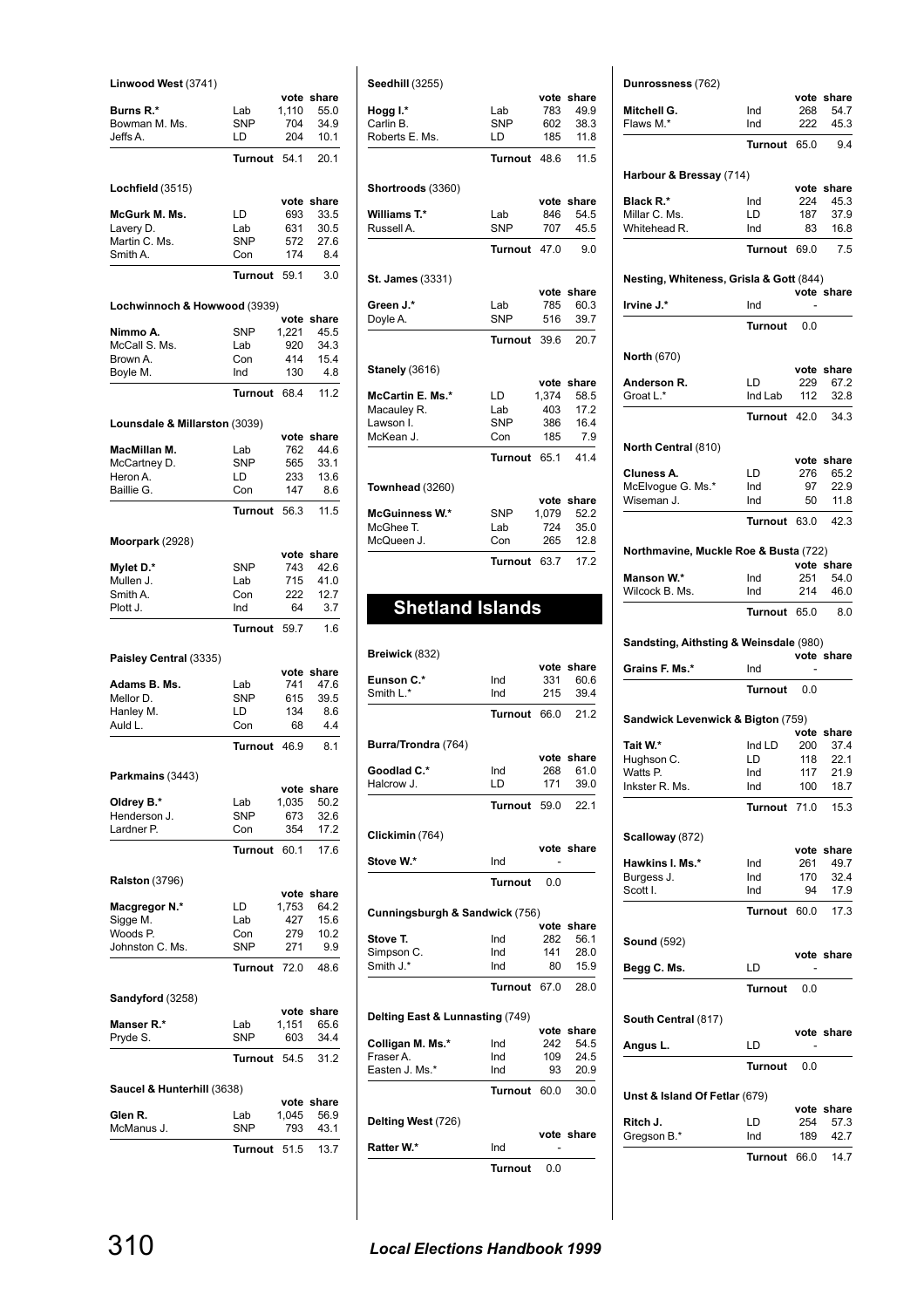| Linwood West (3741)           |                   |               |               |
|-------------------------------|-------------------|---------------|---------------|
| Burns R.*                     | Lab               | vote<br>1,110 | share<br>55.0 |
| Bowman M. Ms.                 | <b>SNP</b>        | 704           | 34.9          |
| Jeffs A.                      | LD                | 204           | 10.1          |
|                               | <b>Turnout</b>    | 54.1          | 20.1          |
| Lochfield (3515)              |                   |               |               |
|                               |                   | vote          | share         |
| McGurk M. Ms.                 | LD                | 693           | 33.5<br>30.5  |
| Lavery D.<br>Martin C. Ms.    | Lab<br><b>SNP</b> | 631<br>572    | 27.6          |
| Smith A.                      | Con               | 174           | 8.4           |
|                               | Turnout           | 59.1          | 3.0           |
|                               |                   |               |               |
| Lochwinnoch & Howwood (3939)  |                   |               | vote share    |
| Nimmo A.                      | <b>SNP</b>        | 1,221         | 45.5          |
| McCall S. Ms.                 | Lab               | 920           | 34.3          |
| Brown A.                      | Con<br>Ind        | 414<br>130    | 15.4<br>4.8   |
| Boyle M.                      | Turnout           | 68.4          | 11.2          |
|                               |                   |               |               |
| Lounsdale & Millarston (3039) |                   | vote          | share         |
| MacMillan M.                  | Lab               | 762           | 44.6          |
| McCartney D.                  | <b>SNP</b>        | 565           | 33.1          |
| Heron A.                      | LD                | 233           | 13.6          |
| Baillie G.                    | Con               | 147           | 8.6           |
|                               | <b>Turnout</b>    | 56.3          | 11.5          |
| Moorpark (2928)               |                   |               |               |
|                               |                   | vote          | share         |
| Mylet D.*                     | <b>SNP</b><br>Lab | 743           | 42.6          |
| Mullen J.<br>Smith A.         | Con               | 715<br>222    | 41.0<br>12.7  |
| Plott J.                      | Ind               | 64            | 3.7           |
|                               | <b>Turnout</b>    | 59.7          | 1.6           |
| Paisley Central (3335)        |                   |               |               |
|                               |                   | vote          | share         |
| Adams B. Ms.                  | Lab               | 741           | 47.6          |
| Mellor D.                     | <b>SNP</b>        | 615           | 39.5          |
| Hanley M.<br>Auld L.          | LD<br>Con         | 134<br>68     | 8.6<br>4.4    |
|                               |                   |               |               |
|                               | Turnout           | 46.9          | 8.1           |
| Parkmains (3443)              |                   |               |               |
|                               |                   | vote          | share<br>50.2 |
| Oldrey B.*<br>Henderson J.    | Lab<br><b>SNP</b> | 1,035<br>673  | 32.6          |
| Lardner P.                    | Con               | 354           | 17.2          |
|                               | Turnout           | 60.1          | 17.6          |
|                               |                   |               |               |
| <b>Ralston (3796)</b>         |                   | vote          | share         |
| <b>Macgregor N.*</b>          | LD                | 1,753         | 64.2          |
| Sigge M.                      | Lab               | 427           | 15.6          |
| Woods P.                      | Con               | 279           | 10.2          |
| Johnston C. Ms.               | SNP               | 271           | 9.9<br>48.6   |
|                               | Turnout           | 72.0          |               |
| Sandyford (3258)              |                   | vote          | share         |
| Manser R.*                    | Lab               | 1,151         | 65.6          |
| Pryde S.                      | <b>SNP</b>        | 603           | 34.4          |
|                               | Turnout           | 54.5          | 31.2          |
| Saucel & Hunterhill (3638)    |                   |               |               |
|                               |                   |               | vote share    |
| Glen R.<br>McManus J.         | Lab<br>SNP        | 1,045<br>793  | 56.9<br>43.1  |
|                               |                   |               |               |
|                               | Turnout           | 51.5          | 13.7          |

| Seedhill (3255)         |                |       |            |
|-------------------------|----------------|-------|------------|
|                         |                | vote  | share      |
| Hogg I.*                | Lab            | 783   | 499        |
| Carlin B.               | SNP            | 602   | 38.3       |
| Roberts E. Ms.          | LD             | 185   | 11.8       |
|                         | Turnout        | 48.6  | 11.5       |
| Shortroods (3360)       |                |       |            |
|                         |                |       | vote share |
| Williams T.*            | Lab            | 846   | 54.5       |
| Russell A.              | <b>SNP</b>     | 707   | 45.5       |
|                         | <b>Turnout</b> | 47 O  | 9.0        |
| <b>St. James (3331)</b> |                |       |            |
|                         |                | vote  | share      |
| Green J.*               | Lab            | 785   | 60.3       |
| Doyle A.                | <b>SNP</b>     | 516   | 39.7       |
|                         |                |       |            |
|                         | Turnout        | 39 R  | 20.7       |
| <b>Stanely (3616)</b>   |                |       |            |
|                         |                | vote  | share      |
| McCartin E. Ms.*        | LD             | 1.374 | 58.5       |
| Macauley R.             | Lab            | 403   | 17.2       |
| Lawson I.               | SNP            | 386   | 16.4       |
| McKean J.               | Con            | 185   | 7.9        |
|                         | <b>Turnout</b> | 65.1  | 41.4       |
| Townhead (3260)         |                |       |            |
|                         |                | vote  | share      |
| <b>McGuinness W.*</b>   | SNP            | 1.079 | 52.2       |
| McGhee T.               | Lab            | 724   | 35.0       |
| McQueen J.              | Con            | 265   | 12.8       |
|                         | <b>Turnout</b> | 63.7  | 17.2       |

# **Shetland Islands**

| Breiwick (832)                  |                |      |            |
|---------------------------------|----------------|------|------------|
|                                 |                | vote | share      |
| Eunson C.*                      | Ind            | 331  | 60.6       |
| Smith L.*                       | Ind            | 215  | 39.4       |
|                                 | <b>Turnout</b> | 66.0 | 21.2       |
| Burra/Trondra (764)             |                |      |            |
|                                 |                | vote | share      |
| Goodlad C.*                     | Ind            | 268  | 61.0       |
| Halcrow J.                      | ID.            | 171  | 39.0       |
|                                 | Turnout        | 59.0 | 22.1       |
| Clickimin (764)                 |                |      |            |
|                                 |                |      | vote share |
| Stove W.*                       | Ind            |      |            |
|                                 | <b>Turnout</b> | 0.0  |            |
| Cunningsburgh & Sandwick (756)  |                |      |            |
|                                 |                |      |            |
|                                 |                | vote | share      |
| Stove T.                        | Ind            | 282  | 56.1       |
| Simpson C.                      | Ind            | 141  | 28.0       |
| Smith $J^*$                     | Ind            | 80   | 15.9       |
|                                 | <b>Turnout</b> | 67.0 | 28.0       |
| Delting East & Lunnasting (749) |                |      |            |
|                                 |                | vote | share      |
| Colligan M. Ms.*                | Ind            | 242  | 54.5       |
| Fraser A.                       | Ind            | 109  | 24.5       |
| Easten J. Ms.*                  | Ind            | 93   | 20.9       |
|                                 | <b>Turnout</b> | 60.0 | 30.0       |
| Delting West (726)              |                |      |            |
|                                 |                |      | vote share |
| Ratter W.*                      | Ind            |      |            |
|                                 | Turnout        | 0.0  |            |

| Dunrossness (762)                                                                                                                                                                                                                                                                                                      |                   |            | vote share                                                                     |
|------------------------------------------------------------------------------------------------------------------------------------------------------------------------------------------------------------------------------------------------------------------------------------------------------------------------|-------------------|------------|--------------------------------------------------------------------------------|
| Mitchell G.                                                                                                                                                                                                                                                                                                            | Ind               | 268        | 54.7                                                                           |
| Flaws M.*                                                                                                                                                                                                                                                                                                              | Ind               | 222        | 45.3                                                                           |
|                                                                                                                                                                                                                                                                                                                        | Turnout 65.0      |            | 9.4                                                                            |
| Harbour & Bressay (714)                                                                                                                                                                                                                                                                                                |                   |            |                                                                                |
| Black R.*                                                                                                                                                                                                                                                                                                              | Ind               | 224        | vote share<br>45.3                                                             |
| Millar C. Ms.                                                                                                                                                                                                                                                                                                          | LD                | 187        | 37.9                                                                           |
| Whitehead R.                                                                                                                                                                                                                                                                                                           | Ind               | 83         | 16.8                                                                           |
|                                                                                                                                                                                                                                                                                                                        | Turnout 69.0      |            | 7.5                                                                            |
| Nesting, Whiteness, Grisla & Gott (844)                                                                                                                                                                                                                                                                                |                   |            | vote share                                                                     |
| Irvine J.*                                                                                                                                                                                                                                                                                                             | Ind               |            |                                                                                |
|                                                                                                                                                                                                                                                                                                                        | Turnout           | 0.0        |                                                                                |
| <b>North (670)</b>                                                                                                                                                                                                                                                                                                     |                   |            |                                                                                |
|                                                                                                                                                                                                                                                                                                                        |                   |            | vote share                                                                     |
| Anderson R.<br>Groat L.*                                                                                                                                                                                                                                                                                               | LD<br>Ind Lab     | 229<br>112 | 67.2<br>32.8                                                                   |
|                                                                                                                                                                                                                                                                                                                        |                   |            |                                                                                |
|                                                                                                                                                                                                                                                                                                                        | Turnout 42.0 34.3 |            |                                                                                |
| North Central (810)                                                                                                                                                                                                                                                                                                    |                   |            | vote share                                                                     |
| Cluness A.                                                                                                                                                                                                                                                                                                             | LD                | 276        | 65.2                                                                           |
| McElvogue G. Ms.*                                                                                                                                                                                                                                                                                                      | Ind               | 97         | 22.9                                                                           |
| Wiseman J.                                                                                                                                                                                                                                                                                                             | Ind               | 50         | 11.8                                                                           |
|                                                                                                                                                                                                                                                                                                                        | Turnout 63.0      |            | 42.3                                                                           |
| Northmavine, Muckle Roe & Busta (722)                                                                                                                                                                                                                                                                                  |                   |            |                                                                                |
| Manson W.*                                                                                                                                                                                                                                                                                                             | Ind               | 251        | vote share<br>54.0                                                             |
|                                                                                                                                                                                                                                                                                                                        |                   |            | 46.0                                                                           |
|                                                                                                                                                                                                                                                                                                                        | Ind               | 214        |                                                                                |
|                                                                                                                                                                                                                                                                                                                        | Turnout 65.0      |            | 8.0                                                                            |
|                                                                                                                                                                                                                                                                                                                        |                   |            |                                                                                |
|                                                                                                                                                                                                                                                                                                                        | Ind               |            | vote share                                                                     |
|                                                                                                                                                                                                                                                                                                                        | Turnout 0.0       |            |                                                                                |
|                                                                                                                                                                                                                                                                                                                        |                   |            |                                                                                |
|                                                                                                                                                                                                                                                                                                                        |                   |            | vote share                                                                     |
|                                                                                                                                                                                                                                                                                                                        | Ind LD            | 200        | 37.4                                                                           |
|                                                                                                                                                                                                                                                                                                                        | LD<br>Ind         | 118<br>117 |                                                                                |
|                                                                                                                                                                                                                                                                                                                        | Ind               | 100        | 22.1<br>21.9<br>18.7                                                           |
|                                                                                                                                                                                                                                                                                                                        | <b>Turnout</b>    | 71.0       |                                                                                |
|                                                                                                                                                                                                                                                                                                                        |                   |            |                                                                                |
|                                                                                                                                                                                                                                                                                                                        |                   |            |                                                                                |
|                                                                                                                                                                                                                                                                                                                        | Ind<br>Ind        | 261<br>170 |                                                                                |
|                                                                                                                                                                                                                                                                                                                        | Ind               | 94         |                                                                                |
|                                                                                                                                                                                                                                                                                                                        | <b>Turnout</b>    | 60.0       |                                                                                |
|                                                                                                                                                                                                                                                                                                                        |                   |            |                                                                                |
|                                                                                                                                                                                                                                                                                                                        | LD                |            |                                                                                |
|                                                                                                                                                                                                                                                                                                                        | <b>Turnout</b>    | 0.0        |                                                                                |
|                                                                                                                                                                                                                                                                                                                        |                   |            |                                                                                |
|                                                                                                                                                                                                                                                                                                                        |                   |            |                                                                                |
| Wilcock B. Ms.<br>Sandsting, Aithsting & Weinsdale (980)<br>Grains F. Ms.*<br>Sandwick Levenwick & Bigton (759)<br>Tait W.*<br>Hughson C.<br>Watts P.<br>Inkster R. Ms.<br>Scalloway (872)<br><b>Hawkins I. Ms.*</b><br>Burgess J.<br>Scott I.<br><b>Sound</b> (592)<br>Begg C. Ms.<br>South Central (817)<br>Angus L. | LD                |            | 15.3<br>vote share<br>49.7<br>32.4<br>17.9<br>17.3<br>vote share<br>vote share |

| Unst & Island Of Fetlar (679) |                            |     |            |
|-------------------------------|----------------------------|-----|------------|
|                               |                            |     | vote share |
| Ritch J.                      | I D                        |     | 254 57.3   |
| Gregson B.*                   | Ind                        | 189 | 42.7       |
|                               | $T_{11}$ $R_{01}$ $R_{10}$ |     | $117$      |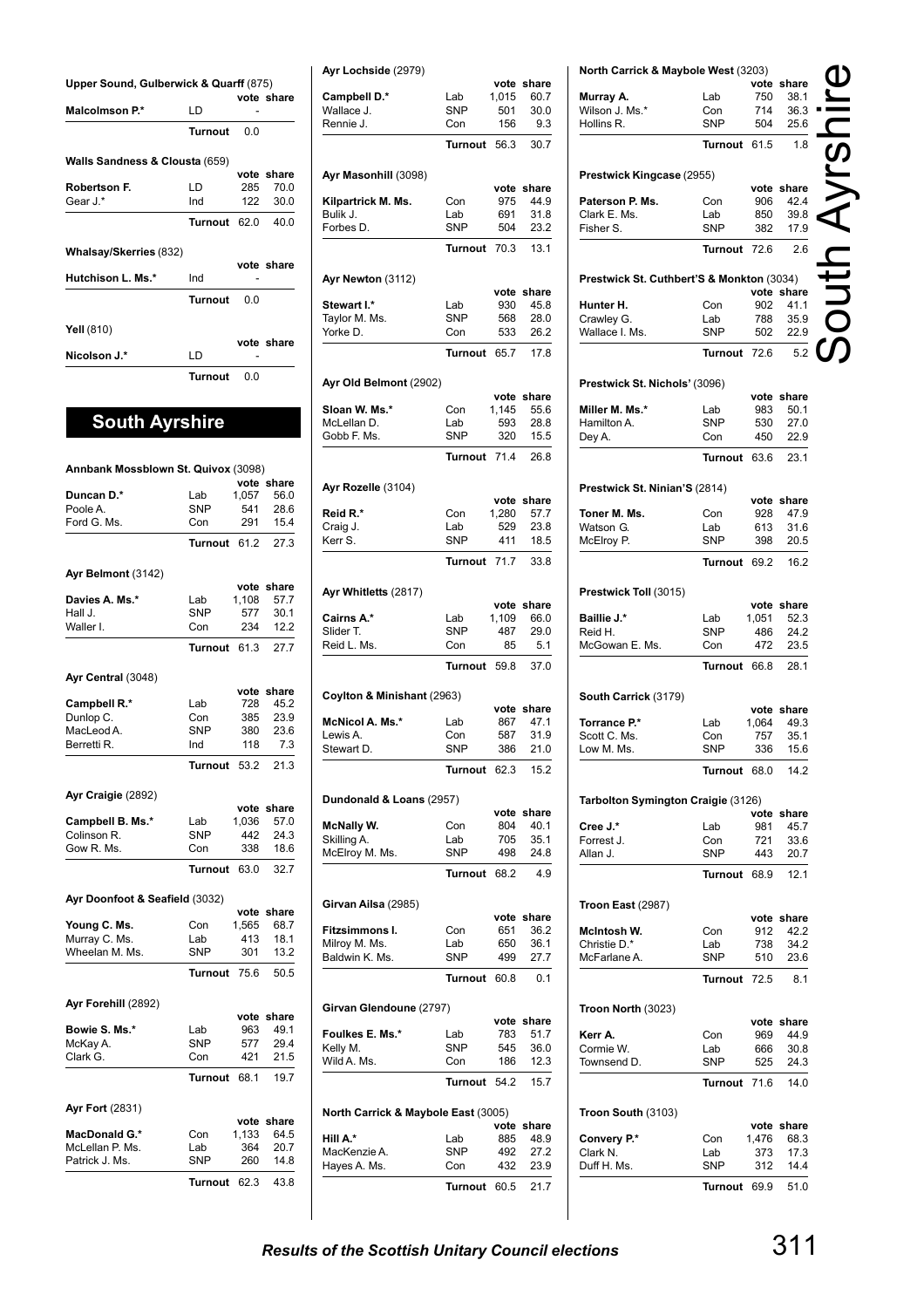| Upper Sound, Gulberwick & Quarff (875) |                |     |                 |
|----------------------------------------|----------------|-----|-----------------|
| Malcolmson P.*                         | I D            |     | vote share      |
|                                        | Turnout        | 0 O |                 |
| Walls Sandness & Clousta (659)         |                |     |                 |
|                                        |                |     | vote share      |
| Robertson F.                           | I D            | 285 | 70.0            |
| Gear J.*                               | Ind            | 122 | 30 <sub>0</sub> |
|                                        | Turnout 620    |     | 40 Q            |
| <b>Whalsay/Skerries (832)</b>          |                |     |                 |
|                                        |                |     | vote share      |
| Hutchison L. Ms.*                      | Ind            |     |                 |
|                                        | <b>Turnout</b> | 0 O |                 |
| <b>Yell</b> (810)                      |                |     |                 |
|                                        |                |     | vote share      |
| Nicolson J.*                           | I D            |     |                 |
|                                        | Turnout        | 0.0 |                 |

| <b>South Ayrshire</b>               |                |             |                    |  |  |  |  |  |
|-------------------------------------|----------------|-------------|--------------------|--|--|--|--|--|
| Annbank Mossblown St. Quivox (3098) |                |             |                    |  |  |  |  |  |
| vote share                          |                |             |                    |  |  |  |  |  |
| Duncan D.*                          | Lab            | 1,057       | 56.0               |  |  |  |  |  |
| Poole A.                            | <b>SNP</b>     | 541         | 28.6               |  |  |  |  |  |
| Ford G. Ms.                         | Con            | 291         | 15.4               |  |  |  |  |  |
|                                     | <b>Turnout</b> | 61.2        | 27.3               |  |  |  |  |  |
| Ayr Belmont (3142)                  |                |             |                    |  |  |  |  |  |
|                                     |                |             | vote share         |  |  |  |  |  |
| Davies A. Ms.*                      | Lab            | 1,108       | 57.7               |  |  |  |  |  |
| Hall J.<br>Waller I.                | <b>SNP</b>     | 577<br>234  | 30.1               |  |  |  |  |  |
|                                     | Con            |             | 12.2               |  |  |  |  |  |
|                                     | <b>Turnout</b> | 61.3        | 27.7               |  |  |  |  |  |
| Ayr Central (3048)                  |                |             |                    |  |  |  |  |  |
| Campbell R.*                        | Lab            | vote<br>728 | share<br>45.2      |  |  |  |  |  |
| Dunlop C.                           | Con            | 385         | 23.9               |  |  |  |  |  |
| MacLeod A.                          | <b>SNP</b>     | 380         | 23.6               |  |  |  |  |  |
| Berretti R.                         | Ind            | 118         | 7.3                |  |  |  |  |  |
|                                     |                |             |                    |  |  |  |  |  |
|                                     | <b>Turnout</b> | 53.2        | 21.3               |  |  |  |  |  |
| Ayr Craigie (2892)                  |                |             |                    |  |  |  |  |  |
| Campbell B. Ms.*                    | Lab            | 1,036       | vote share<br>57.0 |  |  |  |  |  |
| Colinson R.                         | <b>SNP</b>     | 442         | 24.3               |  |  |  |  |  |
| Gow R. Ms.                          | Con            | 338         | 18.6               |  |  |  |  |  |
|                                     | Turnout        | 63.0        | 32.7               |  |  |  |  |  |
|                                     |                |             |                    |  |  |  |  |  |
| Ayr Doonfoot & Seafield (3032)      |                | vote        | share              |  |  |  |  |  |
| Young C. Ms.                        | Con            | 1,565       | 68.7               |  |  |  |  |  |
| Murray C. Ms.                       | Lab            | 413         | 18.1               |  |  |  |  |  |
| Wheelan M. Ms.                      | <b>SNP</b>     | 301         | 13.2               |  |  |  |  |  |
|                                     | <b>Turnout</b> | 75.6        | 50.5               |  |  |  |  |  |
|                                     |                |             |                    |  |  |  |  |  |
| Ayr Forehill (2892)                 |                | vote        | share              |  |  |  |  |  |
| Bowie S. Ms.*                       | Lab            | 963         | 49.1               |  |  |  |  |  |
| McKay A.                            | <b>SNP</b>     | 577         | 29.4               |  |  |  |  |  |
| Clark G.                            | Con            | 421         | 21.5               |  |  |  |  |  |
|                                     | <b>Turnout</b> | 68.1        | 19.7               |  |  |  |  |  |
|                                     |                |             |                    |  |  |  |  |  |
| Ayr Fort (2831)                     |                | vote        | share              |  |  |  |  |  |
| <b>MacDonald G.*</b>                | Con            | 1,133       | 64.5               |  |  |  |  |  |
| McLellan P. Ms.                     | Lab            | 364         | 20.7               |  |  |  |  |  |
|                                     |                |             |                    |  |  |  |  |  |

**Turnout** 62.3 43.8

| Ayr Lochside (2979)                 |                   |              |               |
|-------------------------------------|-------------------|--------------|---------------|
|                                     | Lab               | vote         | share<br>60.7 |
| Campbell D.*<br>Wallace J.          | <b>SNP</b>        | 1,015<br>501 | 30.0          |
| Rennie J.                           | Con               | 156          | 9.3           |
|                                     | <b>Turnout</b>    | 56.3         | 30.7          |
|                                     |                   |              |               |
| Ayr Masonhill (3098)                |                   |              |               |
|                                     |                   | vote         | share         |
| Kilpartrick M. Ms.<br>Bulik J.      | Con<br>Lab        | 975<br>691   | 44.9<br>31.8  |
| Forbes D.                           | <b>SNP</b>        | 504          | 23.2          |
|                                     | Turnout           | 70.3         | 13.1          |
|                                     |                   |              |               |
| Ayr Newton (3112)                   |                   |              |               |
|                                     |                   | vote         | share         |
| Stewart I.*<br>Taylor M. Ms.        | Lab<br><b>SNP</b> | 930<br>568   | 45.8<br>28.0  |
| Yorke D.                            | Con               | 533          | 26.2          |
|                                     | <b>Turnout</b>    | 65.7         | 17.8          |
|                                     |                   |              |               |
| Ayr Old Belmont (2902)              |                   |              |               |
|                                     |                   | vote         | share         |
| Sloan W. Ms.*<br>McLellan D.        | Con<br>Lab        | 1,145<br>593 | 55.6<br>28.8  |
| Gobb F. Ms.                         | SNP               | 320          | 15.5          |
|                                     | <b>Turnout</b>    | 71.4         | 26.8          |
|                                     |                   |              |               |
| Ayr Rozelle (3104)                  |                   |              |               |
|                                     |                   | vote         | share         |
| Reid R.*                            | Con               | 1.280        | 57.7          |
| Craig J.<br>Kerr S.                 | Lab<br>SNP        | 529<br>411   | 23.8<br>18.5  |
|                                     |                   |              |               |
|                                     | Turnout           | 71.7         | 33.8          |
| Ayr Whitletts (2817)                |                   |              |               |
|                                     |                   | vote         | share         |
| Cairns A.*                          | Lab               | 1,109        | 66.0          |
|                                     |                   |              |               |
| Slider T.                           | SNP               | 487          | 29.0          |
| Reid L. Ms.                         | Con               | 85           | 5.1           |
|                                     | <b>Turnout</b>    | 59.8         | 37.0          |
|                                     |                   |              |               |
| Coylton & Minishant (2963)          |                   | vote         | share         |
| McNicol A. Ms.*                     | Lab               | 867          | 47.1          |
| Lewis A.                            | Con               | 587          | 31.9          |
| Stewart D.                          | <b>SNP</b>        | 386          | 21.0          |
|                                     | Turnout           | 62.3         | 15.2          |
|                                     |                   |              |               |
| Dundonald & Loans (2957)            |                   | vote         | share         |
| <b>McNally W.</b>                   | Con               | 804          | 40.1          |
| Skilling A.                         | Lab               | 705          | 35.1          |
| McElroy M. Ms.                      | SNP               | 498          | 24.8          |
|                                     | Turnout           | 68.2         | 4.9           |
| Girvan Ailsa (2985)                 |                   |              |               |
|                                     |                   | vote         | share         |
| Fitzsimmons I.                      | Con               | 651          | 36.2          |
| Milroy M. Ms.                       | Lab               | 650          | 36.1          |
| Baldwin K. Ms.                      | SNP               | 499          | 27.7          |
|                                     | Turnout           | 60.8         | 0.1           |
| Girvan Glendoune (2797)             |                   |              |               |
|                                     |                   | vote         | share         |
| Foulkes E. Ms.*                     | Lab               | 783          | 51.7          |
| Kelly M.                            | <b>SNP</b>        | 545          | 36.0          |
| Wild A. Ms.                         | Con               | 186          | 12.3          |
|                                     | Turnout           | 54.2         | 15.7          |
| North Carrick & Maybole East (3005) |                   |              |               |
|                                     |                   | vote         | share         |
| Hill A.*                            | Lab               | 885          | 48.9          |
| MacKenzie A.                        | <b>SNP</b>        | 492          | 27.2          |
| Hayes A. Ms.                        | Con<br>Turnout    | 432<br>60.5  | 23.9<br>21.7  |

| North Carrick & Maybole West (3203)       |                   |            |                    |         |
|-------------------------------------------|-------------------|------------|--------------------|---------|
|                                           |                   |            | vote share         |         |
| Murray A.<br>Wilson J. Ms.*               | Lab<br>Con        | 750<br>714 | 38.1<br>36.3       |         |
| Hollins R.                                | SNP               | 504        | 25.6               |         |
|                                           |                   |            |                    |         |
|                                           | Turnout           | 61.5       | 1.8                | .<br>(N |
|                                           |                   |            |                    |         |
| Prestwick Kingcase (2955)                 |                   |            | vote share         |         |
| Paterson P. Ms.                           | Con               | 906        | 42.4               |         |
| Clark E. Ms.                              | Lab               | 850        | 39.8               |         |
| Fisher S.                                 | <b>SNP</b>        | 382        | 17.9               |         |
|                                           | Turnout           | 72.6       | 2.6                |         |
|                                           |                   |            |                    |         |
| Prestwick St. Cuthbert'S & Monkton (3034) |                   |            |                    |         |
|                                           |                   |            | vote share         | JUI     |
| Hunter H.                                 | Con               | 902        | 41.1               |         |
| Crawley G.                                | Lab               | 788        | 35.9               |         |
| Wallace I. Ms.                            | <b>SNP</b>        | 502        | 22.9               |         |
|                                           | Turnout           | 72.6       | 5.2                |         |
|                                           |                   |            |                    |         |
| Prestwick St. Nichols' (3096)             |                   |            |                    |         |
|                                           |                   |            | vote share         |         |
| Miller M. Ms.*<br>Hamilton A.             | Lab<br><b>SNP</b> | 983<br>530 | 50.1<br>27.0       |         |
| Dey A.                                    | Con               | 450        | 22.9               |         |
|                                           |                   |            |                    |         |
|                                           | Turnout 63.6      |            | 23.1               |         |
|                                           |                   |            |                    |         |
| Prestwick St. Ninian'S (2814)             |                   |            | vote share         |         |
| Toner M. Ms.                              | Con               | 928        | 47.9               |         |
| Watson G.                                 | Lab               | 613        | 31.6               |         |
| McElroy P.                                | SNP               | 398        | 20.5               |         |
|                                           | Turnout           | 69.2       | 16.2               |         |
|                                           |                   |            |                    |         |
| Prestwick Toll (3015)                     |                   |            |                    |         |
|                                           |                   |            | vote share         |         |
| Baillie J.*                               | Lab               | 1,051      | 52.3               |         |
| Reid H.                                   | SNP               | 486        | 24.2               |         |
| McGowan E. Ms.                            | Con               | 472        | 23.5               |         |
|                                           | Turnout           | 66.8       | 28.1               |         |
|                                           |                   |            |                    |         |
| South Carrick (3179)                      |                   |            |                    |         |
| Torrance P.*                              | Lab               | 1,064      | vote share<br>49.3 |         |
| Scott C. Ms.                              | Con               | 757        | 35.1               |         |
| Low M. Ms.                                | <b>SNP</b>        | 336        | 15.6               |         |
|                                           | Turnout           | 68.0       | 14.2               |         |
|                                           |                   |            |                    |         |
| Tarbolton Symington Craigie (3126)        |                   |            |                    |         |
|                                           |                   |            | vote share         |         |
| Cree J.*                                  | Lab               | 981        | 45.7               |         |
| Forrest J.                                | Con               | 721        | 33.6               |         |
| Allan J.                                  | SNP               | 443        | 20.7               |         |
|                                           | Turnout           | 68.9       | 12.1               |         |
|                                           |                   |            |                    |         |
| <b>Troon East (2987)</b>                  |                   |            |                    |         |
|                                           |                   |            | vote share         |         |
| McIntosh W.                               | Con               | 912        | 42.2<br>34.2       |         |
| Christie D.*<br>McFarlane A.              | Lab<br>SNP        | 738<br>510 | 23.6               |         |
|                                           |                   |            |                    |         |
|                                           | Turnout 72.5      |            | 8.1                |         |
|                                           |                   |            |                    |         |
| Troon North (3023)                        |                   |            | vote share         |         |
| Kerr A.                                   | Con               | 969        | 44.9               |         |
| Cormie W.                                 | Lab               | 666        | 30.8               |         |
| Townsend D.                               | SNP               | 525        | 24.3               |         |
|                                           | Turnout           | 71.6       | 14.0               |         |
|                                           |                   |            |                    |         |
| Troon South (3103)                        |                   |            |                    |         |
|                                           |                   |            | vote share         |         |
| Convery P.*                               | Con               | 1,476      | 68.3               |         |
| Clark N.<br>Duff H. Ms.                   | Lab<br>SNP        | 373<br>312 | 17.3<br>14.4       |         |
|                                           |                   |            |                    |         |
|                                           | Turnout           | 69.9       | 51.0               |         |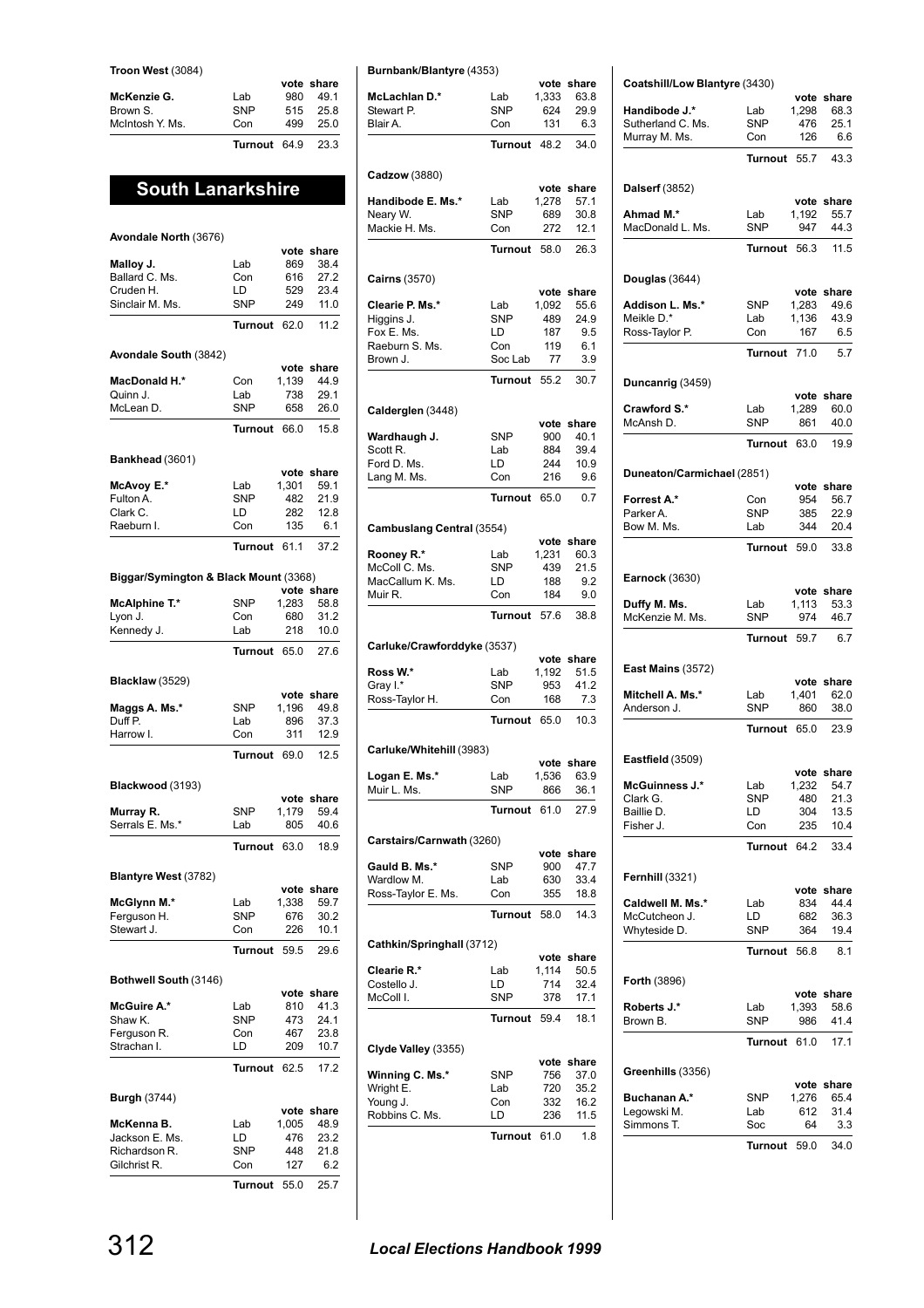**Troon West** (3084)

|                 |              |     | vote share |
|-----------------|--------------|-----|------------|
| McKenzie G.     | Lab          | 980 | 491        |
| Brown S.        | <b>SNP</b>   | 515 | 25.8       |
| McIntosh Y. Ms. | Con          | 499 | 250        |
|                 | Turnout 64.9 |     | 23.3       |

# **South Lanarkshire**

| Avondale North (3676)                 |                   |            |                    |
|---------------------------------------|-------------------|------------|--------------------|
|                                       |                   | vote       | share              |
| Malloy J.                             | Lab               | 869        | 38.4               |
| Ballard C. Ms.                        | Con               | 616        | 27.2               |
| Cruden H.                             | LD                | 529        | 23.4               |
| Sinclair M. Ms.                       | <b>SNP</b>        | 249        | 11.0               |
|                                       | Turnout           | 62.0       | 11.2               |
| Avondale South (3842)                 |                   |            |                    |
| MacDonald H.*                         | Con               | 1.139      | vote share<br>44.9 |
| Quinn J.                              | Lab               | 738        | 29.1               |
| McLean D.                             | <b>SNP</b>        | 658        | 26.0               |
|                                       | <b>Turnout</b>    | 66.0       | 15.8               |
|                                       |                   |            |                    |
| Bankhead (3601)                       |                   | vote       | share              |
| McAvoy E.*                            | Lab               | 1,301      | 59.1               |
| Fulton A.                             | <b>SNP</b>        | 482        | 21.9               |
| Clark C.                              | LD                | 282        | 12.8               |
| Raeburn I.                            | Con               | 135        | 6.1                |
|                                       | Turnout           | 61.1       | 37.2               |
| Biggar/Symington & Black Mount (3368) |                   |            |                    |
|                                       |                   | vote       | share              |
| McAlphine T.*                         | <b>SNP</b>        | 1,283      | 58.8               |
| Lyon J.                               | Con               | 680        | 31.2               |
| Kennedy J.                            | Lab               | 218        | 10.0               |
|                                       | <b>Turnout</b>    | 65.0       | 27.6               |
| <b>Blacklaw</b> (3529)                |                   |            |                    |
|                                       |                   | vote       | share              |
| Maggs A. Ms.*                         | <b>SNP</b>        | 1,196      | 49.8               |
| Duff P.                               | Lab               | 896        | 37.3               |
| Harrow I.                             | Con               | 311        | 12.9               |
|                                       | Turnout           | 69.0       | 12.5               |
| Blackwood (3193)                      |                   |            |                    |
|                                       |                   | vote       | share              |
| Murray R.                             | <b>SNP</b>        | 1,179      | 59.4               |
| Serrals E. Ms.*                       | Lab               | 805        | 40.6               |
|                                       | <b>Turnout</b>    | 63.0       | 18.9               |
| Blantyre West (3782)                  |                   |            |                    |
|                                       |                   | vote       | share              |
| McGlynn M.*                           | Lab               | 1,338      | 59.7               |
| Ferguson H.<br>Stewart J.             | <b>SNP</b><br>Con | 676<br>226 | 30.2<br>10.1       |
|                                       | Turnout           | 59.5       | 29.6               |
|                                       |                   |            |                    |
| Bothwell South (3146)                 |                   | vote       | share              |
| McGuire A.*                           | Lab               | 810        | 41.3               |
| Shaw K.                               | <b>SNP</b>        | 473        | 24.1               |
| Ferguson R.                           | Con               | 467        | 23.8               |
| Strachan I.                           | LD                | 209        | 10.7               |
|                                       | Turnout           | 62.5       | 17.2               |
| <b>Burgh (3744)</b>                   |                   |            |                    |
|                                       |                   |            |                    |
|                                       |                   | vote       | share              |
| McKenna B.                            | Lab               | 1,005      | 48.9               |
| Jackson E. Ms.                        | LD                | 476        | 23.2               |
| Richardson R.                         | SNP               | 448        | 21.8               |
| Gilchrist R.                          | Con               | 127        | 6.2                |

|  | <b>Burnbank/Blantyre (4353)</b> |  |  |
|--|---------------------------------|--|--|

| <b>Burnbank/Blantyre (4353)</b> |                   |               |                    |
|---------------------------------|-------------------|---------------|--------------------|
| <b>McLachlan D.*</b>            | Lab               | vote<br>1,333 | share<br>63.8      |
| Stewart P.                      | <b>SNP</b>        | 624           | 29.9               |
| Blair A.                        | Con               | 131           | 6.3                |
|                                 | Turnout           | 48.2          | 34.0               |
|                                 |                   |               |                    |
| Cadzow (3880)                   |                   |               |                    |
| Handibode E. Ms.*               | Lab               | vote<br>1,278 | share<br>57.1      |
| Neary W.                        | <b>SNP</b>        | 689           | 30.8               |
| Mackie H. Ms.                   | Con               | 272           | 12.1               |
|                                 | <b>Turnout</b>    | 58.0          | 26.3               |
| Cairns (3570)                   |                   |               |                    |
|                                 |                   | vote          | share              |
| Clearie P. Ms.*                 | Lab               | 1,092         | 55.6               |
| Higgins J.                      | <b>SNP</b>        | 489           | 24.9               |
| Fox E. Ms.<br>Raeburn S. Ms.    | LD<br>Con         | 187<br>119    | 9.5<br>6.1         |
| Brown J.                        | Soc Lab           | 77            | 3.9                |
|                                 |                   |               |                    |
|                                 | <b>Turnout</b>    | 55.2          | 30.7               |
| Calderglen (3448)               |                   |               |                    |
| Wardhaugh J.                    | <b>SNP</b>        | vote<br>900   | share<br>40.1      |
| Scott R.                        | Lab               | 884           | 39.4               |
| Ford D. Ms.                     | LD                | 244           | 10.9               |
| Lang M. Ms.                     | Con               | 216           | 9.6                |
|                                 | <b>Turnout</b>    | 65.0          | 0.7                |
| Cambuslang Central (3554)       |                   |               |                    |
|                                 |                   | vote          | share              |
| Rooney R.*                      | Lab               | 1,231         | 60.3               |
| McColl C. Ms.                   | SNP               | 439           | 21.5               |
| MacCallum K. Ms.<br>Muir R.     | LD<br>Con         | 188<br>184    | 9.2<br>9.0         |
|                                 |                   |               |                    |
|                                 | <b>Turnout</b>    | 57.6          | 38.8               |
| Carluke/Crawforddyke (3537)     |                   |               |                    |
| Ross W.*                        | Lab               | vote<br>1,192 | share<br>51.5      |
| Gray I.*                        | <b>SNP</b>        | 953           | 41.2               |
| Ross-Taylor H.                  | Con               | 168           | 7.3                |
|                                 | <b>Turnout</b>    | 65.0          | 10.3               |
| Carluke/Whitehill (3983)        |                   |               |                    |
|                                 |                   | vote          | snare              |
| Logan E. Ms.*                   | Lab               | 1,536         | 63.9               |
| Muir L. Ms.                     | SNP               | 866           | 36.1               |
|                                 | <b>Turnout</b>    | 61.0          | 27.9               |
| Carstairs/Carnwath (3260)       |                   |               |                    |
|                                 |                   | vote          | share              |
| Gauld B. Ms.*<br>Wardlow M.     | <b>SNP</b><br>Lab | 900<br>630    | 47.7<br>33.4       |
| Ross-Taylor E. Ms.              | Con               | 355           | 18.8               |
|                                 | <b>Turnout</b>    | 58.0          | 14.3               |
|                                 |                   |               |                    |
| Cathkin/Springhall (3712)       |                   |               |                    |
| Clearie R.*                     | Lab               | 1,114         | vote share<br>50.5 |
| Costello J.                     | LD                | 714           | 32.4               |
| McColl I.                       | SNP               | 378           | 17.1               |
|                                 | Turnout           | 59.4          | 18.1               |
|                                 |                   |               |                    |
| Clyde Valley (3355)             |                   | vote          | share              |
| Winning C. Ms.*                 | SNP               | 756           | 37.0               |
| Wright E.                       | Lab               | 720           | 35.2               |
| Young J.                        | Con               | 332           | 16.2               |
|                                 |                   |               | 11.5               |
|                                 | Turnout           | 61.0          | 1.8                |
| Robbins C. Ms.                  | LD                | 236           |                    |

| Coatshill/Low Blantyre (3430)         |  |
|---------------------------------------|--|
|                                       |  |
| اللاف المستعمل والقامر مربوط المنافسة |  |

|                            |                |       | vote share                                                        |
|----------------------------|----------------|-------|-------------------------------------------------------------------|
| Handibode J.*              | Lab            | 1,298 | 68.3                                                              |
| Sutherland C. Ms.          | <b>SNP</b>     | 476   | 25.1                                                              |
| Murray M. Ms.              | Con            | 126   | 6.6                                                               |
|                            |                |       |                                                                   |
|                            | Turnout        | 55.7  | 43.3                                                              |
|                            |                |       |                                                                   |
| <b>Dalserf</b> (3852)      |                |       |                                                                   |
|                            |                |       | vote share                                                        |
| Ahmad M.*                  | Lab            | 1,192 | 55.7                                                              |
| MacDonald L. Ms.           | <b>SNP</b>     | 947   | 44.3                                                              |
|                            |                |       |                                                                   |
|                            | Turnout        | 56.3  | 11.5                                                              |
|                            |                |       |                                                                   |
| Douglas (3644)             |                |       |                                                                   |
|                            |                |       | vote share                                                        |
| Addison L. Ms.*            | <b>SNP</b>     | 1,283 | 49.6                                                              |
| Meikle D.*                 | Lab            | 1,136 | 43.9                                                              |
|                            |                |       |                                                                   |
| Ross-Taylor P.             | Con            | 167   | 6.5                                                               |
|                            | Turnout        | 71.0  | 5.7                                                               |
|                            |                |       |                                                                   |
|                            |                |       |                                                                   |
| Duncanrig (3459)           |                |       |                                                                   |
|                            |                |       | vote share                                                        |
| Crawford S.*               | Lab            | 1,289 | 60.0                                                              |
| McAnsh D.                  | <b>SNP</b>     | 861   | 40.0                                                              |
|                            |                | 63.0  |                                                                   |
|                            | Turnout        |       | 19.9                                                              |
|                            |                |       |                                                                   |
| Duneaton/Carmichael (2851) |                |       |                                                                   |
|                            |                |       | vote share                                                        |
| Forrest A.*                | Con            | 954   | 56.7                                                              |
| Parker A.                  | <b>SNP</b>     | 385   | 22.9                                                              |
| Bow M. Ms.                 | Lab            | 344   | 20.4                                                              |
|                            |                |       |                                                                   |
|                            | Turnout 59.0   |       | 33.8                                                              |
|                            |                |       |                                                                   |
| <b>Earnock (3630)</b>      |                |       |                                                                   |
|                            |                |       | vote share                                                        |
| Duffy M. Ms.               | Lab            | 1,113 | 53.3                                                              |
|                            |                |       |                                                                   |
| McKenzie M. Ms.            | <b>SNP</b>     | 974   | 46.7                                                              |
|                            | Turnout 59.7   |       | 6.7                                                               |
|                            |                |       |                                                                   |
|                            |                |       |                                                                   |
| <b>East Mains (3572)</b>   |                |       |                                                                   |
|                            |                |       | vote share                                                        |
| Mitchell A. Ms.*           | Lab            | 1,401 | 62.0                                                              |
| Anderson J.                | <b>SNP</b>     | 860   | 38.0                                                              |
|                            | Turnout 65.0   |       | 23.9                                                              |
|                            |                |       |                                                                   |
|                            |                |       |                                                                   |
| Eastfield (3509)           |                |       |                                                                   |
|                            |                |       | vote share                                                        |
| McGuinness J.*             | Lab            |       | 1,232 54.7                                                        |
| Clark G.                   | SNP            | 480   | 21.3                                                              |
| Baillie D.                 |                |       |                                                                   |
|                            | LD             | 304   |                                                                   |
|                            |                |       |                                                                   |
| Fisher J.                  | Con            | 235   |                                                                   |
|                            | <b>Turnout</b> | 64.2  |                                                                   |
|                            |                |       |                                                                   |
|                            |                |       |                                                                   |
| <b>Fernhill (3321)</b>     |                |       |                                                                   |
|                            |                |       |                                                                   |
| Caldwell M. Ms.*           | Lab            | 834   |                                                                   |
| McCutcheon J.              | LD             | 682   |                                                                   |
| Whyteside D.               | <b>SNP</b>     | 364   |                                                                   |
|                            |                |       |                                                                   |
|                            | Turnout        | 56.8  |                                                                   |
|                            |                |       |                                                                   |
| <b>Forth (3896)</b>        |                |       | 13.5<br>10.4<br>33.4<br>vote share<br>44.4<br>36.3<br>19.4<br>8.1 |
|                            |                |       |                                                                   |
| Roberts J.*                | Lab            | 1,393 | vote share<br>58.6                                                |
| Brown B.                   | <b>SNP</b>     | 986   |                                                                   |
|                            |                |       |                                                                   |
|                            | Turnout        | 61.0  |                                                                   |
|                            |                |       |                                                                   |
| Greenhills (3356)          |                |       | 41.4<br>17.1                                                      |
|                            |                |       | vote share                                                        |
|                            |                |       |                                                                   |
| Buchanan A.*               | SNP            | 1,276 | 65.4                                                              |
| Legowski M.                | Lab            | 612   | 31.4                                                              |
| Simmons T.                 | Soc            | 64    | 3.3                                                               |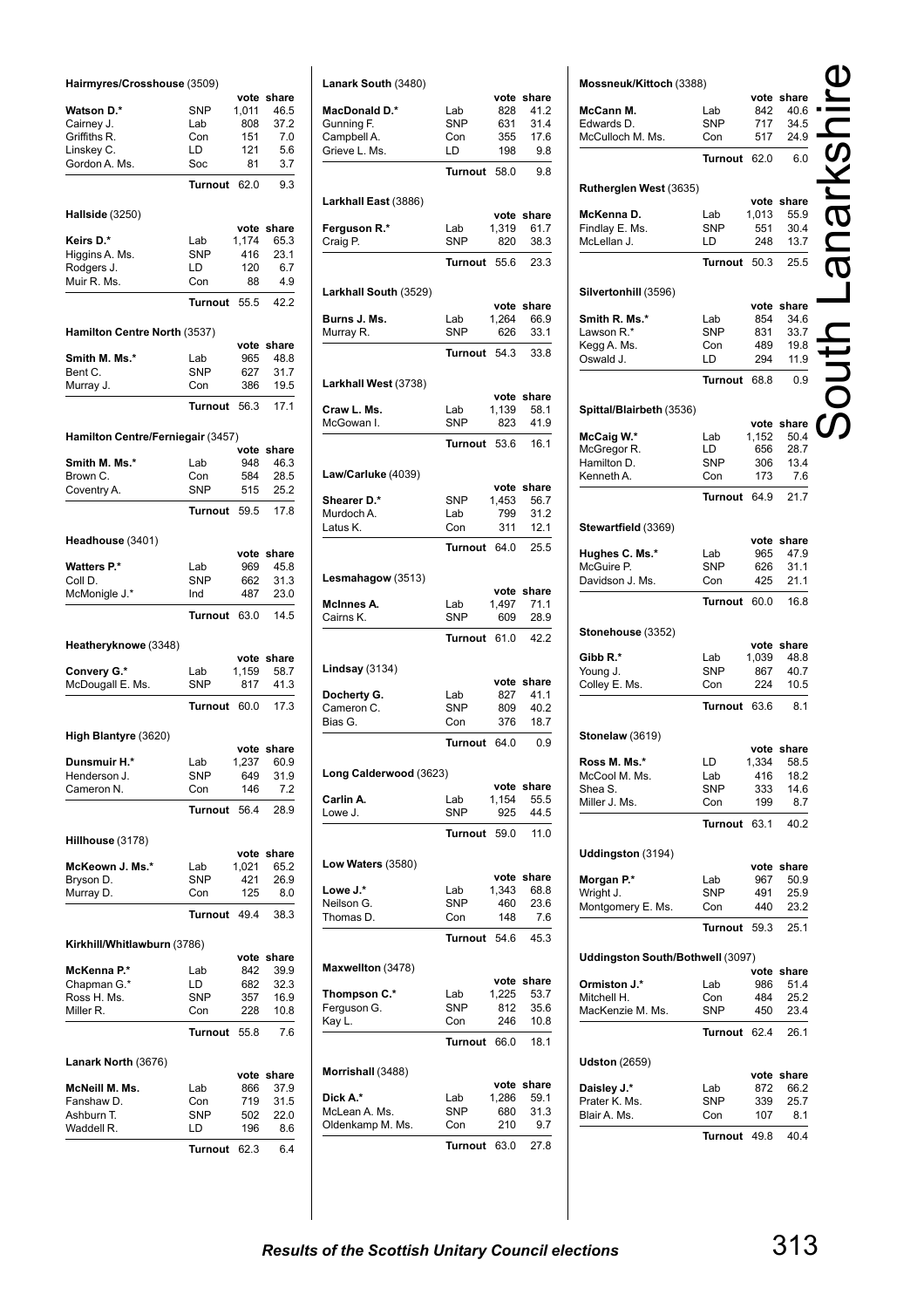| Hairmyres/Crosshouse (3509)       |                   |             |                    |
|-----------------------------------|-------------------|-------------|--------------------|
| <b>Watson D.*</b>                 | SNP               | 1,011       | vote share<br>46.5 |
| Cairney J.                        | Lab               | 808         | 37.2               |
| Griffiths R.                      | Con               | 151         | 7.0                |
| Linskey C.                        | LD                | 121         | 5.6                |
| Gordon A. Ms.                     | Soc               | 81          | 3.7                |
|                                   | <b>Turnout</b>    | 62.0        | 9.3                |
| Hallside (3250)                   |                   |             |                    |
|                                   |                   |             | vote share         |
| Keirs D.*                         | Lab               | 1.174       | 65.3               |
| Higgins A. Ms.<br>Rodgers J.      | <b>SNP</b><br>LD  | 416<br>120  | 23.1<br>6.7        |
| Muir R. Ms.                       | Con               | 88          | 4.9                |
|                                   | <b>Turnout</b>    | 55.5        | 42.2               |
| Hamilton Centre North (3537)      |                   |             |                    |
|                                   |                   | vote        | share              |
| Smith M. Ms.*                     | Lab               | 965         | 48.8               |
| Bent C.                           | <b>SNP</b>        | 627         | 31.7               |
| Murray J.                         | Con               | 386         | 19.5               |
|                                   | <b>Turnout</b>    | 56.3        | 17.1               |
| Hamilton Centre/Ferniegair (3457) |                   | vote        | share              |
| Smith M. Ms.*                     | Lab               | 948         | 46.3               |
| Brown C.                          | Con               | 584         | 28.5               |
| Coventry A.                       | <b>SNP</b>        | 515         | 25.2               |
|                                   | <b>Turnout</b>    | 59.5        | 17.8               |
| Headhouse (3401)                  |                   |             |                    |
|                                   |                   |             | vote share         |
| <b>Watters P.*</b>                | Lab               | 969         | 45.8               |
| Coll D.<br>McMonigle J.*          | <b>SNP</b><br>Ind | 662<br>487  | 31.3<br>23.0       |
|                                   | <b>Turnout</b>    | 63.0        | 14.5               |
| Heatheryknowe (3348)              |                   |             |                    |
|                                   |                   |             | vote share         |
| Convery G.*                       | Lab               | 1,159       | 58.7               |
| McDougall E. Ms.                  | <b>SNP</b>        | 817         | 41.3               |
|                                   | <b>Turnout</b>    | 60.0        | 17.3               |
| High Blantyre (3620)              |                   |             |                    |
| Dunsmuir H.*                      | Lab               | 1,237       | vote share<br>60.9 |
| Henderson J.                      | <b>SNP</b>        | 649         | 31.9               |
| Cameron N.                        | Con               | 146         | 7.2                |
|                                   | <b>Turnout</b>    | 56.4        | 28.9               |
|                                   |                   |             |                    |
| Hillhouse (3178)                  |                   |             | vote share         |
| McKeown J. Ms.*                   | Lab               | 1,021       | 65.2               |
| Bryson D.                         | SNP               | 421         | 26.9               |
| Murray D.                         | Con               | 125         | 8.0                |
|                                   | Turnout           | 49.4        | 38.3               |
| Kirkhill/Whitlawburn (3786)       |                   | vote        | share              |
| McKenna P.*                       | Lab               | 842         | 39.9               |
| Chapman G.*                       | LD                | 682         | 32.3               |
| Ross H. Ms.                       | <b>SNP</b>        | 357         | 16.9               |
| Miller R.                         | Con               | 228         | 10.8               |
|                                   | <b>Turnout</b>    | 55.8        | 7.6                |
| Lanark North (3676)               |                   |             |                    |
| McNeill M. Ms.                    | Lab               | vote<br>866 | share<br>37.9      |
| Fanshaw D.                        | Con               | 719         | 31.5               |
| Ashburn T.                        | <b>SNP</b>        | 502         | 22.0               |
| Waddell R.                        | LD                | 196         | 8.6                |
|                                   | Turnout           | 62.3        | 6.4                |

| Lanark South (3480)       |                   |               |               |
|---------------------------|-------------------|---------------|---------------|
|                           |                   | vote          | share         |
| <b>MacDonald D.*</b>      | Lab<br><b>SNP</b> | 828           | 41.2          |
| Gunning F.<br>Campbell A. | Con               | 631<br>355    | 31.4<br>17.6  |
| Grieve L. Ms.             | LD                | 198           | 9.8           |
|                           | <b>Turnout</b>    | 58.0          | 9.8           |
|                           |                   |               |               |
| Larkhall East (3886)      |                   |               | vote share    |
| Ferguson R.*              | Lab               | 1,319         | 61.7          |
| Craig P.                  | SNP               | 820           | 38.3          |
|                           | <b>Turnout</b>    | 55.6          | 23.3          |
|                           |                   |               |               |
| Larkhall South (3529)     |                   |               | vote share    |
| Burns J. Ms.              | Lab               | 1,264         | 66.9          |
| Murray R.                 | SNP               | 626           | 33.1          |
|                           | Turnout           | 54.3          | 33.8          |
| Larkhall West (3738)      |                   |               |               |
|                           |                   |               | vote share    |
| Craw L. Ms.<br>McGowan I. | Lab<br><b>SNP</b> | 1.139<br>823  | 58.1<br>41.9  |
|                           |                   |               |               |
|                           | Turnout           | 53.6          | 16.1          |
| Law/Carluke (4039)        |                   |               |               |
| Shearer D.*               | SNP               | vote<br>1,453 | share<br>56.7 |
| Murdoch A.                | Lab               | 799           | 31.2          |
| Latus K.                  | Con               | 311           | 12.1          |
|                           | <b>Turnout</b>    | 64.0          | 25.5          |
|                           |                   |               |               |
| Lesmahagow (3513)         |                   | vote          | share         |
| McInnes A.                | Lab               | 1,497         | 71.1          |
| Cairns K.                 | <b>SNP</b>        | 609           | 28.9          |
|                           | <b>Turnout</b>    | 61.0          | 42.2          |
| <b>Lindsay</b> (3134)     |                   |               |               |
|                           |                   | vote          | share         |
| Docherty G.<br>Cameron C. | Lab<br><b>SNP</b> | 827<br>809    | 41.1<br>40.2  |
| Bias G.                   | Con               | 376           | 18.7          |
|                           | <b>Turnout</b>    | 64.0          | 0.9           |
|                           |                   |               |               |
| Long Calderwood (3623)    |                   | vote          | share         |
| Carlin A.                 | Lab               | 1,154         | 55.5          |
| Lowe J.                   | <b>SNP</b>        | 925           | 44.5          |
|                           | Turnout           | 59.0          | 11.0          |
| Low Waters (3580)         |                   |               |               |
|                           |                   |               | vote share    |
| Lowe J.*                  | Lab               | 1,343         | 68.8          |
| Neilson G.                | <b>SNP</b>        | 460           | 23.6          |
| Thomas D.                 | Con               | 148           | 7.6           |
|                           | Turnout           | 54.6          | 45.3          |
| Maxwellton (3478)         |                   |               |               |
| Thompson C.*              | Lab               | vote<br>1,225 | share<br>53.7 |
| Ferguson G.               | <b>SNP</b>        | 812           | 35.6          |
| Kay L.                    | Con               | 246           | 10.8          |
|                           | <b>Turnout</b>    | 66.0          | 18.1          |
| Morrishall (3488)         |                   |               |               |
|                           |                   |               | vote share    |
| Dick A.*                  | Lab               | 1,286         | 59.1          |
| McLean A. Ms.             | <b>SNP</b>        | 680           | 31.3          |
| Oldenkamp M. Ms.          | Con               | 210           | 9.7           |
|                           | <b>Turnout</b>    | 63.0          | 27.8          |

| Mossneuk/Kittoch (3388)          |                   |              |                    |        |
|----------------------------------|-------------------|--------------|--------------------|--------|
| McCann M.                        |                   |              | vote share<br>40.6 |        |
| Edwards D.                       | Lab<br>SNP        | 842<br>717   | 34.5               |        |
| McCulloch M. Ms.                 | Con               | 517          | 24.9               |        |
|                                  |                   |              |                    |        |
|                                  | Turnout           | 62.0         | 6.0                |        |
| Rutherglen West (3635)           |                   |              |                    |        |
|                                  |                   |              | vote share         |        |
| McKenna D.                       | Lab               | 1,013        | 55.9               |        |
| Findlay E. Ms.<br>McLellan J.    | SNP<br>LD         | 551<br>248   | 30.4<br>13.7       | R<br>O |
|                                  |                   |              |                    |        |
|                                  | Turnout           | 50.3         | 25.5               |        |
| Silvertonhill (3596)             |                   |              |                    |        |
|                                  |                   |              | vote share         |        |
| Smith R. Ms.*                    | Lab               | 854          | 34.6               |        |
| Lawson R.*                       | SNP               | 831          | 33.7               |        |
| Kegg A. Ms.<br>Oswald J.         | Con<br>LD         | 489<br>294   | 19.8<br>11.9       |        |
|                                  |                   |              |                    |        |
|                                  | <b>Turnout</b>    | 68.8         | 0.9                |        |
| Spittal/Blairbeth (3536)         |                   |              |                    |        |
|                                  |                   | vote         | share              |        |
| McCaig W.*                       | Lab               | 1,152        | 50.4               |        |
| McGregor R.                      | LD                | 656          | 28.7               |        |
| Hamilton D.                      | SNP               | 306          | 13.4               |        |
| Kenneth A.                       | Con               | 173          | 7.6                |        |
|                                  | Turnout           | 64.9         | 21.7               |        |
| Stewartfield (3369)              |                   |              |                    |        |
|                                  |                   |              | vote share         |        |
| Hughes C. Ms.*                   | Lab               | 965          | 47.9               |        |
| McGuire P.                       | <b>SNP</b>        | 626          | 31.1               |        |
| Davidson J. Ms.                  | Con               | 425          | 21.1               |        |
|                                  | Turnout           | 60.0         | 16.8               |        |
|                                  |                   |              |                    |        |
|                                  |                   |              |                    |        |
| Stonehouse (3352)                |                   |              | vote share         |        |
| Gibb R.*                         | Lab               | 1,039        | 48.8               |        |
| Young J.                         | <b>SNP</b>        | 867          | 40.7               |        |
| Colley E. Ms.                    | Con               | 224          | 10.5               |        |
|                                  | <b>Turnout</b>    | 63.6         | 8.1                |        |
|                                  |                   |              |                    |        |
| <b>Stonelaw</b> (3619)           |                   |              |                    |        |
|                                  |                   |              | vote share         |        |
| Ross M. Ms.*                     | LD<br>Lab         | 1,334<br>416 | 58.5<br>18.2       |        |
| McCool M. Ms.<br>Shea S.         | <b>SNP</b>        | 333          | 14.6               |        |
| Miller J. Ms.                    | Con               | 199          | 8.7                |        |
|                                  | Turnout           | 63.1         | 40.2               |        |
|                                  |                   |              |                    |        |
| Uddingston (3194)                |                   |              |                    |        |
|                                  |                   |              | vote share         |        |
| Morgan P.*                       | Lab               | 967          | 50.9               |        |
| Wright J.                        | <b>SNP</b><br>Con | 491<br>440   | 25.9               |        |
| Montgomery E. Ms.                |                   |              | 23.2               |        |
|                                  | Turnout           | 59.3         | 25.1               |        |
| Uddingston South/Bothwell (3097) |                   |              |                    |        |
|                                  |                   |              | vote share         |        |
| Ormiston J.*                     | Lab               | 986          | 51.4               |        |
| Mitchell H.<br>MacKenzie M. Ms.  | Con<br>SNP        | 484<br>450   | 25.2<br>23.4       |        |
|                                  | Turnout           | 62.4         | 26.1               |        |
|                                  |                   |              |                    |        |
| <b>Udston</b> (2659)             |                   |              |                    |        |
|                                  |                   |              | vote share         |        |
| Daisley J.*<br>Prater K. Ms.     | Lab<br>SNP        | 872<br>339   | 66.2<br>25.7       |        |
| Blair A. Ms.                     | Con               | 107          | 8.1                |        |
|                                  |                   |              |                    |        |
|                                  | Turnout           | 49.8         | 40.4               |        |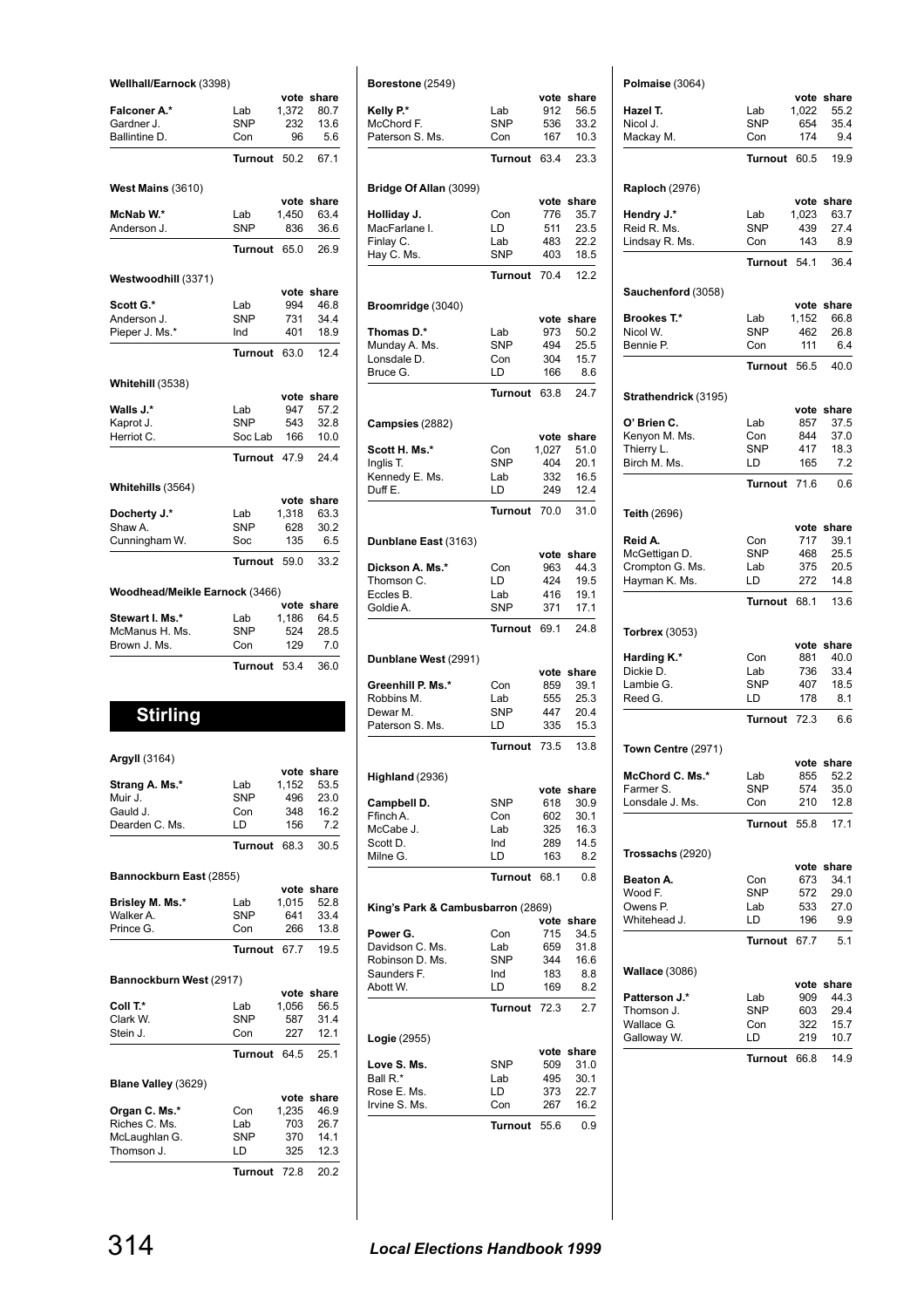| Wellhall/Earnock (3398)        |              |       |            |
|--------------------------------|--------------|-------|------------|
|                                |              |       | vote share |
| Falconer A.*                   | Lab          | 1.372 | 80.7       |
| Gardner J.                     | <b>SNP</b>   | 232   | 13.6       |
| Ballintine D.                  | Con          | 96    | 5.6        |
|                                | Turnout      | 50.2  | 67.1       |
| West Mains (3610)              |              |       |            |
|                                |              |       | vote share |
| McNab W.*                      | Lab          | 1,450 | 63.4       |
| Anderson J.                    | <b>SNP</b>   | 836   | 36.6       |
|                                | Turnout      | 65.0  | 26.9       |
| Westwoodhill (3371)            |              |       |            |
|                                |              | vote  | share      |
| Scott G.*                      | Lab          | 994   | 46.8       |
| Anderson J.                    | <b>SNP</b>   | 731   | 34.4       |
| Pieper J. Ms.*                 | Ind          | 401   | 18.9       |
|                                | Turnout      | 63.0  | 12.4       |
| Whitehill (3538)               |              |       |            |
|                                |              |       | vote share |
| Walls J.*                      | Lab          | 947   | 57.2       |
| Kaprot J.                      | <b>SNP</b>   | 543   | 32.8       |
| Herriot C.                     | Soc Lab      | 166   | 10.0       |
|                                | Turnout      | 47.9  | 24.4       |
| Whitehills (3564)              |              |       |            |
|                                |              |       | vote share |
| Docherty J.*                   | Lab          | 1,318 | 63.3       |
| Shaw A.                        | <b>SNP</b>   | 628   | 30.2       |
| Cunningham W.                  | Soc          | 135   | 6.5        |
|                                | Turnout 59.0 |       | 33.2       |
| Woodhead/Meikle Earnock (3466) |              |       |            |
|                                |              |       | vote share |
| Stewart I. Ms.*                | Lab          | 1,186 | 64.5       |
| McManus H. Ms.                 | SNP          | 524   | 28.5       |

Brown J. Ms. Con 129 7.0

**Turnout** 53.4 36.0

# **Stirling**

| Argyll (3164)                  |                |       |            |
|--------------------------------|----------------|-------|------------|
|                                |                | vote  | share      |
| Strang A. Ms.*                 | Lab            | 1,152 | 53.5       |
| Muir J.                        | <b>SNP</b>     | 496   | 23.0       |
| Gauld J.                       | Con            | 348   | 16.2       |
| Dearden C. Ms.                 | LD             | 156   | 7.2        |
|                                | <b>Turnout</b> | 68.3  | 30.5       |
| <b>Bannockburn East (2855)</b> |                |       |            |
|                                |                |       | vote share |
| Brisley M. Ms.*                | Lab            | 1,015 | 52.8       |
| Walker A.                      | <b>SNP</b>     | 641   | 33.4       |
| Prince G.                      | Con            | 266   | 13.8       |
|                                | <b>Turnout</b> | 67.7  | 19.5       |
| Bannockburn West (2917)        |                |       |            |
|                                |                |       | vote share |
| Coll T.*                       | Lab            | 1,056 | 56.5       |
| Clark W.                       | <b>SNP</b>     | 587   | 31.4       |
| Stein J.                       | Con            | 227   | 12.1       |
|                                | <b>Turnout</b> | 64.5  | 25.1       |
| Blane Valley (3629)            |                |       |            |
|                                |                | vote  | share      |
| Organ C. Ms.*                  | Con            | 1,235 | 46.9       |
| Riches C. Ms.                  | Lab            | 703   | 26.7       |
| McLaughlan G.                  | <b>SNP</b>     | 370   | 14.1       |
| Thomson J.                     | LD             | 325   | 12.3       |

**Turnout** 72.8 20.2

| Borestone (2549)                                        |                   |              |               |
|---------------------------------------------------------|-------------------|--------------|---------------|
|                                                         |                   |              | vote share    |
| Kelly P.*                                               | Lab               | 912          | 56.5          |
| McChord F.<br>Paterson S. Ms.                           | <b>SNP</b><br>Con | 536<br>167   | 33.2<br>10.3  |
|                                                         |                   |              |               |
|                                                         | Turnout           | 63.4         | 23.3          |
| Bridge Of Allan (3099)                                  |                   |              |               |
| Holliday J.                                             | Con               | vote<br>776  | share<br>35.7 |
| MacFarlane I.                                           | LD                | 511          | 23.5          |
| Finlay C.                                               | Lab               | 483          | 22.2          |
| Hay C. Ms.                                              | <b>SNP</b>        | 403          | 18.5          |
|                                                         | Turnout           | 70.4         | 12.2          |
| Broomridge (3040)                                       |                   |              |               |
| Thomas D.*                                              | Lab               | vote<br>973  | share<br>50.2 |
| Munday A. Ms.                                           | <b>SNP</b>        | 494          | 25.5          |
| Lonsdale D.                                             | Con               | 304          | 15.7          |
| Bruce G.                                                | LD                | 166          | 8.6           |
|                                                         | <b>Turnout</b>    | 63.8         | 24.7          |
| Campsies (2882)                                         |                   |              |               |
|                                                         |                   | vote         | share         |
| Scott H. Ms.*<br>Inglis T.                              | Con<br>SNP        | 1,027<br>404 | 51.0<br>20.1  |
| Kennedy E. Ms.                                          | Lab               | 332          | 16.5          |
| Duff E.                                                 | LD                | 249          | 12.4          |
|                                                         | Turnout           | 70.0         | 31.0          |
| Dunblane East (3163)                                    |                   |              |               |
|                                                         |                   |              | vote share    |
| Dickson A. Ms.*                                         | Con               | 963          | 44.3          |
| Thomson C.<br>Eccles B.                                 | LD                | 424          | 19.5<br>19.1  |
| Goldie A.                                               | Lab<br><b>SNP</b> | 416<br>371   | 17.1          |
|                                                         | Turnout           | 69.1         | 24.8          |
| Dunblane West (2991)                                    |                   |              |               |
|                                                         |                   | vote         | share         |
| Greenhill P. Ms.*                                       | Con               | 859          | 39.1          |
| Robbins M.                                              | Lab               | 555          | 25.3          |
| Dewar M.<br>Paterson S. Ms.                             | SNP<br>LD         | 447<br>335   | 20.4<br>15.3  |
|                                                         | <b>Turnout</b>    | 73.5         | 13.8          |
|                                                         |                   |              |               |
| Highland (2936)                                         |                   | vote         | share         |
| Campbell D.                                             | SNP               | 618          | 30.9          |
| Ffinch A.                                               | Con               | 602          | 30.1          |
| McCabe J.<br>Scott D.                                   | Lab<br>Ind        | 325<br>289   | 16.3<br>14.5  |
| Milne G.                                                | LD                | 163          | 8.2           |
|                                                         | Turnout           | 68.1         | 0.8           |
|                                                         |                   |              |               |
| King's Park & Cambusbarron (2869)                       |                   | vote         | share         |
| Power G.                                                | Con               | 715          | 34.5          |
| Davidson C. Ms.<br>Robinson D. Ms.                      | Lab<br><b>SNP</b> | 659<br>344   | 31.8<br>16.6  |
| Saunders F.                                             | Ind               | 183          | 8.8           |
| Abott W.                                                | LD                | 169          | 8.2           |
|                                                         | Turnout           | 72.3         | 2.7           |
| <b>Logie</b> (2955)                                     |                   |              |               |
|                                                         |                   | vote         | share         |
|                                                         | SNP<br>Lab        | 509<br>495   | 31.0<br>30.1  |
|                                                         |                   |              |               |
|                                                         | LD                |              |               |
| Love S. Ms.<br>Ball R.*<br>Rose E. Ms.<br>Irvine S. Ms. | Con               | 373<br>267   | 22.7<br>16.2  |

| Polmaise (3064)                  |                   |            | vote share                                 |
|----------------------------------|-------------------|------------|--------------------------------------------|
| Hazel T.                         | Lab               | 1.022      | 55.2                                       |
| Nicol J.                         | <b>SNP</b><br>Con | 654<br>174 | 35.4<br>9.4                                |
| Mackay M.                        | <b>Turnout</b>    | 60.5       | 19.9                                       |
|                                  |                   |            |                                            |
| <b>Raploch</b> (2976)            |                   |            | vote share                                 |
| Hendry J.*                       | Lab               | 1,023      | 63.7                                       |
| Reid R. Ms.<br>Lindsay R. Ms.    | <b>SNP</b><br>Con | 439<br>143 | 27.4<br>8.9                                |
|                                  | Turnout           | 54.1       | 36.4                                       |
| Sauchenford (3058)               |                   |            |                                            |
| <b>Brookes T.*</b>               | Lab               | 1,152      | vote share<br>66.8                         |
| Nicol W.                         | <b>SNP</b>        | 462        | 26.8                                       |
| Bennie P.                        | Con               | 111        | 6.4                                        |
|                                  | Turnout           | 56.5       | 40.0                                       |
| Strathendrick (3195)             |                   |            |                                            |
| O' Brien C.                      | Lab               | 857        | vote share<br>37.5                         |
| Kenyon M. Ms.                    | Con               | 844        | 37.0                                       |
| Thierry L.                       | <b>SNP</b>        | 417        | 18.3                                       |
| Birch M. Ms.                     | LD                | 165        | 7.2                                        |
|                                  | <b>Turnout</b>    | 71.6       | 0.6                                        |
| Teith (2696)                     |                   |            | vote share                                 |
| Reid A.                          | Con               | 717        | 39.1                                       |
| McGettigan D.                    | <b>SNP</b>        | 468        | 25.5                                       |
| Crompton G. Ms.<br>Hayman K. Ms. | Lab<br>LD         | 375<br>272 | 20.5<br>14.8                               |
|                                  | Turnout           | 68.1       | 13.6                                       |
| <b>Torbrex</b> (3053)            |                   |            |                                            |
|                                  |                   |            | vote share                                 |
| <b>Harding K.*</b><br>Dickie D.  | Con<br>Lab        | 881<br>736 | 40.0<br>33.4                               |
| Lambie G.                        | <b>SNP</b>        | 407        | 18.5                                       |
| Reed G.                          | LD                | 178        | 8.1                                        |
|                                  | Turnout           | 72.3       | 6.6                                        |
| Town Centre (2971)               |                   |            |                                            |
| McChord C. Ms.*                  | Lab               | 855        | vote share<br>52.2                         |
| Farmer S.                        | <b>SNP</b>        | 574        | 35.0                                       |
| Lonsdale J. Ms.                  | Con               | 210        | 12.8                                       |
|                                  | Turnout           | 55.8       | 17.1                                       |
| Trossachs (2920)                 |                   |            |                                            |
| Beaton A.                        | Con               | 673        | vote share<br>34.1                         |
| Wood F.                          | <b>SNP</b>        | 572        | 29.0                                       |
|                                  | Lab               | 533        | 27.0                                       |
| Owens P.                         | LD                | 196        | 9.9                                        |
| Whitehead J.                     |                   | 67.7       | 5.1                                        |
|                                  | <b>Turnout</b>    |            |                                            |
| <b>Wallace (3086)</b>            |                   |            |                                            |
| Patterson J.*                    | Lab               | 909        |                                            |
| Thomson J.                       | SNP               | 603        |                                            |
| Wallace G.                       | Con               | 322        |                                            |
| Galloway W.                      | LD                | 219        | vote share<br>44.3<br>29.4<br>15.7<br>10.7 |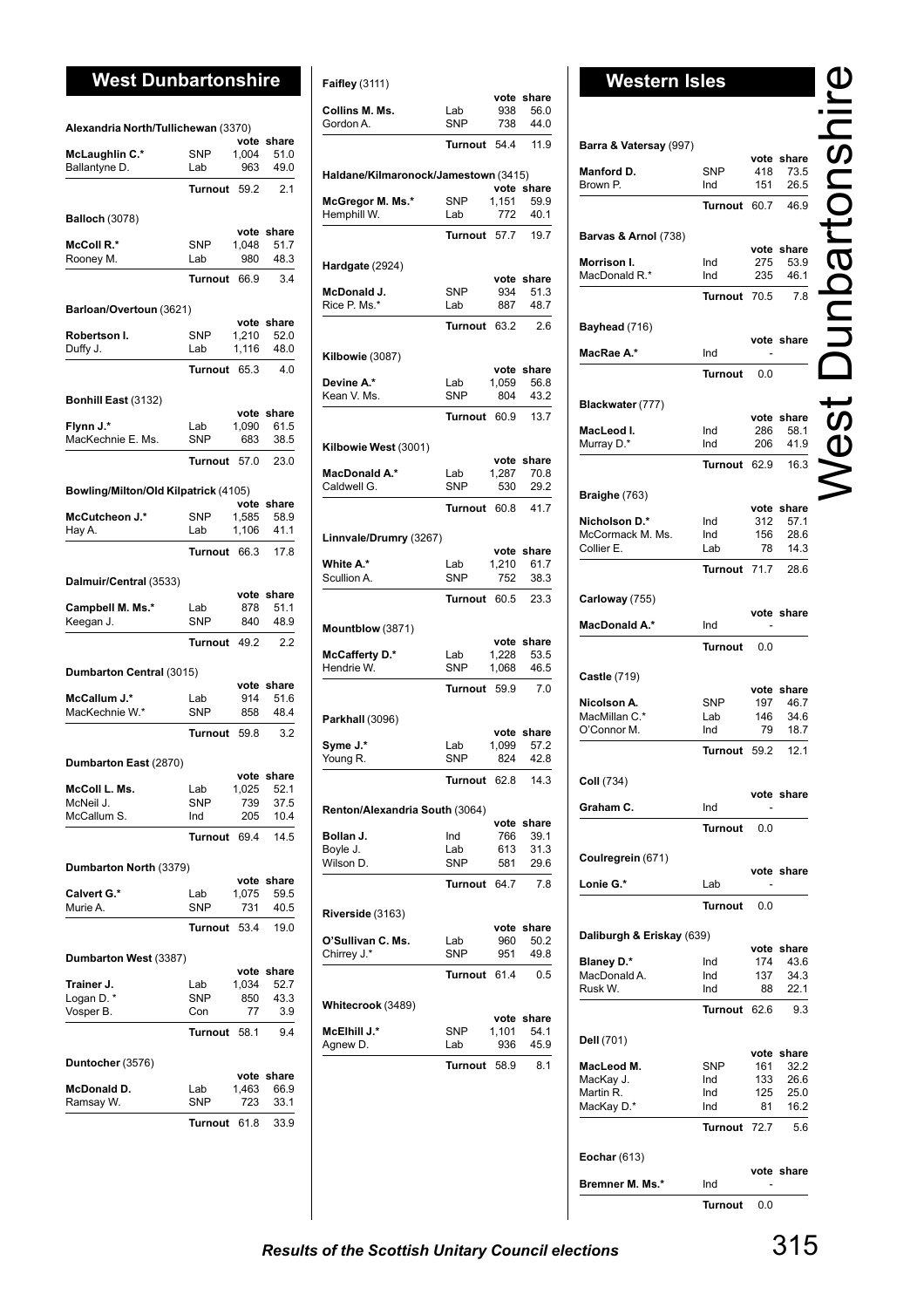# West Dunbartonshire **Relative Accord Failury** (3111)

| Alexandria North/Tullichewan (3370)   |                   |                |                    |
|---------------------------------------|-------------------|----------------|--------------------|
|                                       |                   |                | vote share         |
| McLaughlin C.*                        | <b>SNP</b>        | 1,004          | 51.0               |
| Ballantyne D.                         | Lab               | 963            | 49.0               |
|                                       | Turnout           | 59.2           | 2.1                |
|                                       |                   |                |                    |
| <b>Balloch (3078)</b>                 |                   |                | vote share         |
| McColl R.*                            | <b>SNP</b>        | 1,048          | 51.7               |
| Rooney M.                             | Lab               | 980            | 48.3               |
|                                       | Turnout           | 66.9           | 3.4                |
|                                       |                   |                |                    |
| Barloan/Overtoun (3621)               |                   |                | vote share         |
| Robertson I.                          | <b>SNP</b>        | 1,210          | 52.0               |
| Duffy J.                              | Lab               | 1,116          | 48.0               |
|                                       | Turnout           | 65.3           | 4.0                |
| Bonhill East (3132)                   |                   |                |                    |
|                                       |                   |                | vote share         |
| Flynn J.*                             | Lab               | 1.090          | 61.5               |
| MacKechnie E. Ms.                     | <b>SNP</b>        | 683            | 38.5               |
|                                       | Turnout 57.0      |                | 23.0               |
|                                       |                   |                |                    |
| Bowling/Milton/Old Kilpatrick (4105)  |                   |                |                    |
|                                       |                   |                | vote share         |
| McCutcheon J.*<br>Hay A.              | <b>SNP</b><br>Lab | 1,585<br>1,106 | 58.9<br>41.1       |
|                                       |                   |                |                    |
|                                       | Turnout 66.3      |                | 17.8               |
| Dalmuir/Central (3533)                |                   |                |                    |
|                                       |                   |                | vote share         |
| Campbell M. Ms.*                      | Lab<br><b>SNP</b> | 878<br>840     | 51.1<br>48.9       |
| Keegan J.                             | Turnout 49.2      |                | 2.2                |
|                                       |                   |                |                    |
|                                       |                   |                |                    |
| Dumbarton Central (3015)              |                   |                |                    |
|                                       |                   |                | vote share         |
| <b>McCallum J.*</b><br>MacKechnie W.* | Lab<br>SNP        | 914<br>858     | 51.6<br>48.4       |
|                                       | Turnout           | 59.8           | 3.2                |
|                                       |                   |                |                    |
| Dumbarton East (2870)                 |                   |                |                    |
| McColl L. Ms.                         | Lab               | 1,025          | vote share<br>52.1 |
| McNeil J.                             | <b>SNP</b>        | 739            | 37.5               |
| McCallum S.                           | Ind               | 205            | 10.4               |
|                                       | Turnout           | 69.4           | 14.5               |
|                                       |                   |                |                    |
| Dumbarton North (3379)                |                   |                |                    |
| Calvert G.*                           | Lab               | 1,075          | vote share<br>59.5 |
| Murie A.                              | <b>SNP</b>        | 731            | 40.5               |
|                                       | <b>Turnout</b>    | 53.4           | 19.0               |
|                                       |                   |                |                    |
| Dumbarton West (3387)                 |                   |                |                    |
|                                       | Lab               | vote           | share              |
| Trainer J.                            | <b>SNP</b>        | 1,034          | 52.7<br>43.3       |
| Logan D. *<br>Vosper B.               | Con               | 850<br>77      | 3.9                |
|                                       | Turnout           | 58.1           | 9.4                |
|                                       |                   |                |                    |
| Duntocher (3576)                      |                   |                | vote share         |
| McDonald D.                           | Lab               | 1,463          | 66.9               |
| Ramsay W.                             | <b>SNP</b>        | 723            | 33.1               |
|                                       | Turnout           | 61.8           | 33.9               |

| <b>Faifley</b> (3111)                |                   |                    |                       |
|--------------------------------------|-------------------|--------------------|-----------------------|
| Collins M. Ms.<br>Gordon A.          | Lab<br><b>SNP</b> | vote<br>938<br>738 | share<br>56.0<br>44.0 |
|                                      | Turnout           | 54.4               | 11.9                  |
| Haldane/Kilmaronock/Jamestown (3415) |                   |                    |                       |
|                                      | <b>SNP</b>        |                    | vote share<br>59.9    |
| McGregor M. Ms.*<br>Hemphill W.      | Lab               | 1,151<br>772       | 40.1                  |
|                                      | Turnout           | 57.7               | 19.7                  |
|                                      |                   |                    |                       |
| Hardgate (2924)                      |                   | vote               | share                 |
| McDonald J.                          | <b>SNP</b>        | 934                | 51.3                  |
| Rice P. Ms.*                         | Lab               | 887                | 48.7                  |
|                                      | <b>Turnout</b>    | 63.2               | 2.6                   |
| <b>Kilbowie</b> (3087)               |                   |                    |                       |
| Devine A.*                           | Lab               | 1,059              | vote share<br>56.8    |
| Kean V. Ms.                          | <b>SNP</b>        | 804                | 43.2                  |
|                                      | <b>Turnout</b>    | 60.9               | 13.7                  |
|                                      |                   |                    |                       |
| Kilbowie West (3001)                 |                   | vote               | share                 |
| <b>MacDonald A.*</b>                 | Lab               | 1,287              | 70.8                  |
| Caldwell G.                          | <b>SNP</b>        | 530                | 29.2                  |
|                                      | <b>Turnout</b>    | 60.8               | 41.7                  |
| Linnvale/Drumry (3267)               |                   |                    |                       |
|                                      |                   |                    | vote share            |
| White A.*                            | Lab               | 1,210              | 61.7                  |
| Scullion A.                          | <b>SNP</b>        | 752                | 38.3                  |
|                                      | <b>Turnout</b>    | 60.5               | 23.3                  |
| Mountblow (3871)                     |                   | vote               | share                 |
| McCafferty D.*                       | Lab               | 1,228              | 53.5                  |
| Hendrie W.                           | SNP               | 1,068              | 46.5                  |
|                                      | <b>Turnout</b>    | 59.9               | 7.0                   |
| Parkhall (3096)                      |                   |                    |                       |
| Syme J.*                             | Lab               | 1,099              | vote share<br>57.2    |
| Young R.                             | <b>SNP</b>        | 824                | 42.8                  |
|                                      | Turnout 62.8      |                    | 14.3                  |
| Renton/Alexandria South (3064)       |                   |                    |                       |
|                                      |                   |                    | vote share            |
| Bollan J.                            | Ind               | 766                | 39.1                  |
| Boyle J.                             | Lab               | 613                | 31.3                  |
| Wilson D.                            | <b>SNP</b>        | 581                | 29.6                  |
|                                      | Turnout           | 64.7               | 7.8                   |
| <b>Riverside</b> (3163)              |                   |                    |                       |
| O'Sullivan C. Ms.                    | Lab               | vote<br>960        | share<br>50.2         |
| Chirrey J.*                          | SNP               | 951                | 49.8                  |
|                                      | Turnout           | 61.4               | 0.5                   |
|                                      |                   |                    |                       |
| Whitecrook (3489)                    |                   |                    | vote share            |
| McElhill J.*                         | <b>SNP</b>        | 1,101              | 54.1                  |
| Agnew D.                             | Lab               | 936                | 45.9                  |
|                                      | Turnout           | 58.9               | 8.1                   |
|                                      |                   |                    |                       |

| Barra & Vatersay (997)            |                   |            |                    |
|-----------------------------------|-------------------|------------|--------------------|
|                                   |                   |            | vote share         |
| Manford D.<br>Brown P.            | <b>SNP</b><br>Ind | 418<br>151 | 73.5<br>26.5       |
|                                   | Turnout           | 60.7       | 46.9               |
|                                   |                   |            |                    |
| Barvas & Arnol (738)              |                   |            |                    |
| Morrison I.                       | Ind               | 275        | vote share<br>53.9 |
| MacDonald R.*                     | Ind               | 235        | 46.1               |
|                                   | Turnout           | 70.5       | 7.8                |
|                                   |                   |            |                    |
| Bayhead (716)                     |                   |            | vote share         |
| MacRae A.*                        | Ind               |            |                    |
|                                   | Turnout           | 0.0        |                    |
|                                   |                   |            |                    |
| Blackwater (777)                  |                   |            | vote share         |
| MacLeod I.                        | Ind               | 286        | 58.1               |
| Murray D.*                        | Ind               | 206        | 41.9               |
|                                   | Turnout           | 62.9       | 16.3               |
| Braighe (763)                     |                   |            |                    |
|                                   |                   |            | vote share         |
| Nicholson D.*<br>McCormack M. Ms. | Ind<br>Ind        | 312<br>156 | 57.1<br>28.6       |
| Collier E.                        | Lab               | 78         | 14.3               |
|                                   | Turnout           | 71.7       | 28.6               |
|                                   |                   |            |                    |
| Carloway (755)                    |                   |            |                    |
| MacDonald A.*                     | Ind               |            | vote share         |
|                                   | Turnout           | 0.0        |                    |
|                                   |                   |            |                    |
| <b>Castle (719)</b>               |                   |            |                    |
| Nicolson A.                       | SNP               | 197        | vote share<br>46.7 |
| MacMillan C.*                     | Lab               | 146        | 34.6               |
| O'Connor M.                       | Ind               | 79         | 18.7               |
|                                   | Turnout           | 59.2       | 12.1               |
| Coll (734)                        |                   |            |                    |
|                                   |                   |            | vote share         |
| Graham C.                         | Ind               |            |                    |
|                                   | Turnout           | 0.0        |                    |
| Coulregrein (671)                 |                   |            |                    |
|                                   |                   |            | vote share         |
| Lonie G.*                         | Lab               |            |                    |
|                                   | Turnout           | 0.0        |                    |
| Daliburgh & Eriskay (639)         |                   |            |                    |
|                                   |                   |            | vote share         |
| <b>Blaney D.*</b><br>MacDonald A. | Ind<br>Ind        | 174<br>137 | 43.6<br>34.3       |
| Rusk W.                           | Ind               | 88         | 22.1               |
|                                   | Turnout           | 62.6       | 9.3                |
|                                   |                   |            |                    |
| Dell (701)                        |                   | vote       | share              |
| MacLeod M.                        | SNP               | 161        | 32.2               |
| MacKay J.<br>Martin R.            | Ind<br>Ind        | 133<br>125 | 26.6<br>25.0       |
| MacKay D.*                        |                   | 81         | 16.2               |
|                                   | Ind               |            |                    |
|                                   | Turnout           | 72.7       | 5.6                |
|                                   |                   |            |                    |
| Eochar $(613)$                    |                   |            | vote share         |

**Turnout** 0.0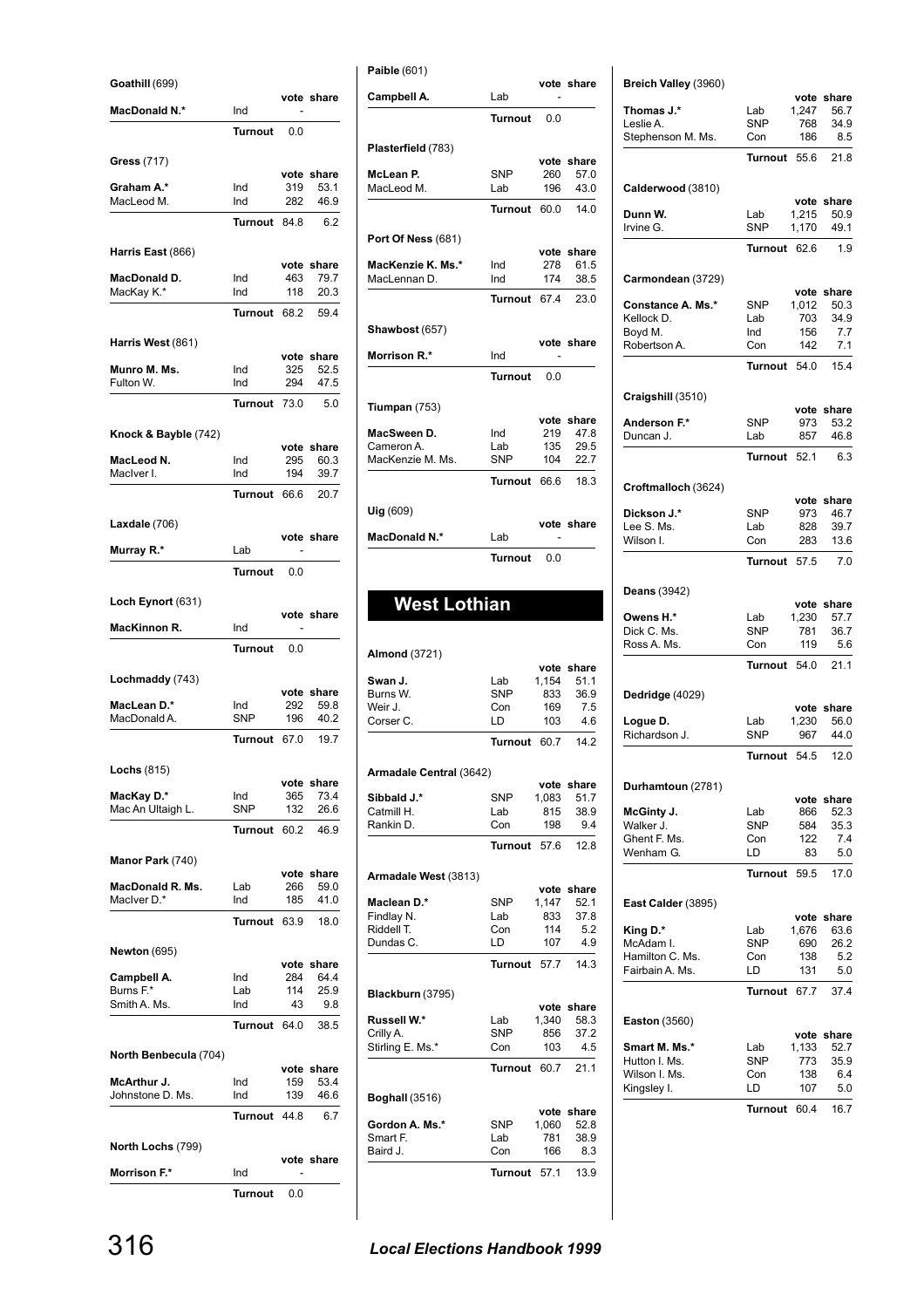| Goathill (699)                  |                   |             |                    |
|---------------------------------|-------------------|-------------|--------------------|
| <b>MacDonald N.*</b>            | Ind               |             | vote share         |
|                                 | <b>Turnout</b>    | 0.0         |                    |
| Gress (717)                     |                   |             |                    |
| Graham A.*                      | Ind               | 319         | vote share<br>53.1 |
| MacLeod M.                      | Ind               | 282         | 46.9               |
|                                 | Turnout           | 84.8        | 6.2                |
| Harris East (866)               |                   |             |                    |
| MacDonald D.                    | Ind               | 463         | vote share<br>79.7 |
| MacKay K.*                      | Ind               | 118         | 20.3               |
|                                 | Turnout 68.2      |             | 59.4               |
| Harris West (861)               |                   |             |                    |
| Munro M. Ms.                    | Ind               | vote<br>325 | share<br>52.5      |
| Fulton W.                       | Ind               | 294         | 47.5               |
|                                 | Turnout           | 73.0        | 5.0                |
| Knock & Bayble (742)            |                   |             | vote share         |
| MacLeod N.                      | Ind               | 295         | 60.3               |
| MacIver I.                      | Ind               | 194         | 39.7               |
|                                 | Turnout           | 66.6        | 20.7               |
| Laxdale (706)                   |                   |             | vote share         |
| Murray R.*                      | Lab               |             |                    |
|                                 | Turnout           | 0.0         |                    |
| Loch Eynort (631)               |                   |             |                    |
| MacKinnon R.                    | Ind               |             | vote share         |
|                                 | Turnout           | 0.0         |                    |
|                                 |                   |             |                    |
| Lochmaddy (743)                 |                   | vote        | share              |
| MacLean D.*<br>MacDonald A.     | Ind<br><b>SNP</b> | 292<br>196  | 59.8<br>40.2       |
|                                 | Turnout 67.0      |             | 19.7               |
| Lochs $(815)$                   |                   |             |                    |
|                                 |                   | vote        | share              |
| MacKay D.*<br>Mac An Ultaigh L. | Ind<br>SNP        | 365<br>132  | 73.4<br>26.6       |
|                                 | Turnout           | 60.2        | 46.9               |
| Manor Park (740)                |                   |             |                    |
| MacDonald R. Ms.                | Lab               | vote<br>266 | share<br>59.0      |
| MacIver D.*                     | Ind               | 185         | 41.0               |
|                                 | <b>Turnout</b>    | 63.9        | 18.0               |
| <b>Newton</b> (695)             |                   |             |                    |
| Campbell A.                     | Ind               | vote<br>284 | share<br>64.4      |
| Burns F.*                       | Lab               | 114         | 25.9               |
| Smith A. Ms.                    | Ind               | 43          | 9.8                |
|                                 | Turnout           | 64.0        | 38.5               |
| North Benbecula (704)           |                   | vote        | share              |
| McArthur J.                     | Ind               | 159         | 53.4               |
| Johnstone D. Ms.                | Ind               | 139         | 46.6               |
|                                 | Turnout           | 44.8        | 6.7                |
| North Lochs (799)               |                   |             | vote share         |
| Morrison F.*                    | Ind               |             |                    |
|                                 | Turnout           | 0.0         |                    |

# 316 *Local Elections Handbook 1999*

Baird J. Con 166 8.3

**Turnout** 57.1 13.9

|                                                                                                                                                      | Turnout                  | 0.0        |                    |
|------------------------------------------------------------------------------------------------------------------------------------------------------|--------------------------|------------|--------------------|
| Plasterfield (783)                                                                                                                                   |                          |            |                    |
|                                                                                                                                                      |                          |            | vote share         |
| McLean P.                                                                                                                                            | <b>SNP</b>               | 260        | 57.0               |
| MacLeod M.                                                                                                                                           | Lab                      | 196        | 43.0               |
|                                                                                                                                                      | Turnout 60.0             |            | 14.0               |
| <b>Port Of Ness (681)</b>                                                                                                                            |                          |            |                    |
| MacKenzie K. Ms.*                                                                                                                                    | Ind                      | 278        | vote share<br>61.5 |
| MacLennan D.                                                                                                                                         | Ind                      | 174        | 38.5               |
|                                                                                                                                                      | Turnout 67.4             |            | 23.0               |
|                                                                                                                                                      |                          |            |                    |
| Shawbost (657)                                                                                                                                       |                          |            | vote share         |
| Morrison R.*                                                                                                                                         | Ind                      |            |                    |
|                                                                                                                                                      | Turnout                  | 0.0        |                    |
| Tiumpan $(753)$                                                                                                                                      |                          |            |                    |
|                                                                                                                                                      |                          |            | vote share         |
| MacSween D.                                                                                                                                          | Ind                      | 219        | 47.8               |
| Cameron A.<br>MacKenzie M. Ms.                                                                                                                       | Lab<br><b>SNP</b>        | 135<br>104 | 29.5<br>22.7       |
|                                                                                                                                                      | Turnout 66.6 18.3        |            |                    |
|                                                                                                                                                      |                          |            |                    |
| Uig (609)                                                                                                                                            |                          |            | vote share         |
| MacDonald N.*                                                                                                                                        | Lab                      |            |                    |
|                                                                                                                                                      | Turnout                  | 0.0        |                    |
| <b>West Lothian</b>                                                                                                                                  |                          |            |                    |
| <b>Almond</b> (3721)                                                                                                                                 |                          |            | vote share         |
|                                                                                                                                                      | Lab                      | 1,154      | 51.1               |
|                                                                                                                                                      | SNP<br>Con               | 833<br>169 | 36.9<br>7.5        |
|                                                                                                                                                      | LD                       | 103        | 4.6                |
|                                                                                                                                                      | <b>Turnout 60.7 14.2</b> |            |                    |
|                                                                                                                                                      |                          |            |                    |
| Swan J.<br>Burns W.<br>Weir J.<br>Corser C.<br>Armadale Central (3642)                                                                               |                          |            | vote share         |
|                                                                                                                                                      | SNP                      |            | 1,083 51.7         |
|                                                                                                                                                      | Lab<br>Con               | 815<br>198 | 38.9<br>9.4        |
|                                                                                                                                                      | Turnout                  | 57.6       | 12.8               |
|                                                                                                                                                      |                          |            |                    |
|                                                                                                                                                      |                          |            | vote share         |
| Sibbald J.*<br>Catmill H.<br>Rankin D.<br>Armadale West (3813)<br>Maclean D.*                                                                        | <b>SNP</b>               | 1,147      | 52.1               |
|                                                                                                                                                      | Lab                      | 833        | 37.8               |
|                                                                                                                                                      | Con<br>LD                | 114<br>107 | 5.2<br>4.9         |
|                                                                                                                                                      | Turnout                  | 57.7       | 14.3               |
|                                                                                                                                                      |                          |            |                    |
|                                                                                                                                                      |                          |            | vote share         |
|                                                                                                                                                      | Lab                      | 1,340      | 58.3               |
|                                                                                                                                                      | SNP                      | 856        | 37.2               |
|                                                                                                                                                      | Con                      | 103        | 4.5                |
|                                                                                                                                                      | Turnout                  | 60.7       | 21.1               |
|                                                                                                                                                      |                          |            |                    |
| Findlay N.<br>Riddell T.<br>Dundas C.<br>Blackburn (3795)<br>Russell W.*<br>Crilly A.<br>Stirling E. Ms.*<br><b>Boghall (3516)</b><br>Gordon A. Ms.* | SNP                      | 1,060      | vote share<br>52.8 |

**Paible** (601)

Campbell A. Lab

**vote share**

### **Breich Valley** (3960) **vote share**<br>1,247 56.7 **Thomas J.\*** Lab 1,247<br>Leslie A. SNP 768 Leslie A. 68 34.9 Stephenson M. Ms. Con 186 8.5 **Turnout** 55.6 21.8 **Calderwood** (3810) **vote share**<br>1,215 50.9 **Dunn W.** Lab 1,215 50.9<br>Irvine G. SNP 1,170 49.1 Irvine G. **Turnout** 62.6 1.9 **Carmondean** (3729) **vote share**<br>1,012 50.3 **Constance A. Ms.\*** SNP 1,012 50.3<br>Kellock D. Lab 703 34.9 Kellock D. Lab 703 34.9 Boyd M. 2001<br>Boyd M. 2001<br>Robertson A. 2001 2012 7.1 Robertson A. **Turnout** 54.0 15.4 **Craigshill** (3510) **vote share**<br>973 53.2 **Anderson F.\*** SNP 973 53.2<br>Duncan J. Lab 857 46.8 Duncan J. **Turnout** 52.1 6.3 **Croftmalloch** (3624) **vote share Dickson J.\*** SNP 973 46.7 Lee S. Ms. Lab 828 39.7 Wilson I. **Turnout** 57.5 7.0 **Deans** (3942) **vote share**<br>1,230 57.7 **Owens H.\*** Lab Dick C. Ms. SNP 781 36.7 Ross A. Ms. Con 119 5.6 **Turnout** 54.0 21.1 **Dedridge** (4029) **vote share Logue D.** Lab 1,230 56.0<br>
Richardson J. SNP 967 44.0 Richardson J. SNP 967 44.0 **Turnout** 54.5 12.0 **Durhamtoun** (2781) **vote share**<br>866 52.3 **McGinty J.** Lab 866 52.3<br>
Walker J. SNP 584 35.3 Walker J. SNP 584 35.3<br>
Ghent F. Ms. Con 122 7.4 Ghent F. Ms. Wenham G. (a) LD 83 5.0 **Turnout** 59.5 17.0 **East Calder** (3895) **vote share**<br>1.676 63.6 **King D.\*** Lab 1,676 63.6<br>McAdam I. SNP 690 26.2 McAdam I. SNP 690<br>Hamilton C. Ms. Con 138 Hamilton C. Ms. Con 138 5.2 Fairbain A. Ms. LD 131 5.0 **Turnout** 67.7 37.4 **Easton** (3560) **vote share**<br>1,133 52.7 **Smart M. Ms.\*** Lab 1,133 52.7 Hutton I. Ms. Wilson I. Ms. Con 138 6.4 Kingsley I. 6. LD 107 5.0 **Turnout** 60.4 16.7